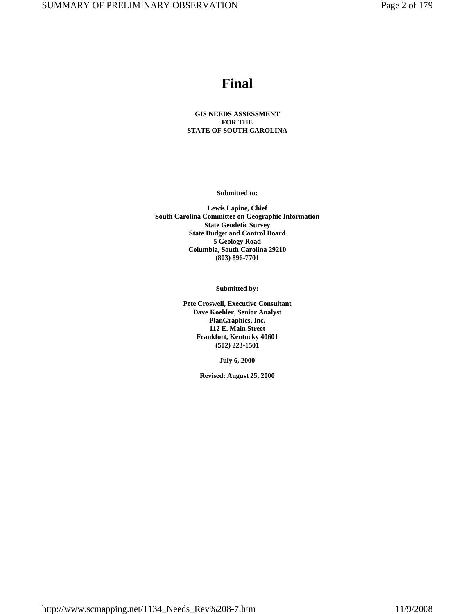# **Final**

### **GIS NEEDS ASSESSMENT FOR THE STATE OF SOUTH CAROLINA**

**Submitted to:**

**Lewis Lapine, Chief South Carolina Committee on Geographic Information State Geodetic Survey State Budget and Control Board 5 Geology Road Columbia, South Carolina 29210 (803) 896-7701**

**Submitted by:**

**Pete Croswell, Executive Consultant Dave Koehler, Senior Analyst PlanGraphics, Inc. 112 E. Main Street Frankfort, Kentucky 40601 (502) 223-1501**

**July 6, 2000**

**Revised: August 25, 2000**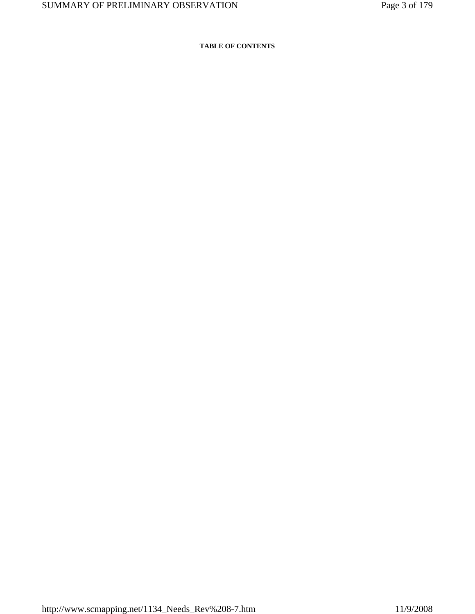### **TABLE OF CONTENTS**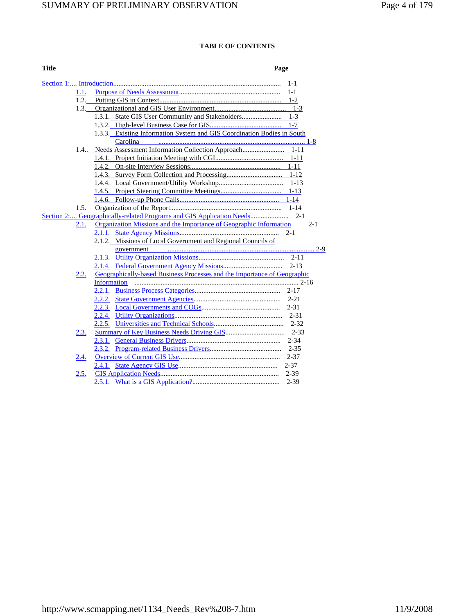### **TABLE OF CONTENTS**

#### **Title** Page

|      | $1 - 1$                                                                         |         |
|------|---------------------------------------------------------------------------------|---------|
| 1.1. |                                                                                 |         |
| 1.2. |                                                                                 |         |
|      |                                                                                 |         |
|      |                                                                                 |         |
|      |                                                                                 |         |
|      | 1.3.3. Existing Information System and GIS Coordination Bodies in South         |         |
|      |                                                                                 |         |
|      |                                                                                 |         |
|      |                                                                                 |         |
|      |                                                                                 |         |
|      |                                                                                 |         |
|      |                                                                                 |         |
|      |                                                                                 |         |
|      |                                                                                 |         |
|      |                                                                                 |         |
|      | Section 2: Geographically-related Programs and GIS Application Needs<br>$2 - 1$ |         |
| 2.1. | Organization Missions and the Importance of Geographic Information              | $2 - 1$ |
|      | $2 - 1$                                                                         |         |
|      | 2.1.2. Missions of Local Government and Regional Councils of                    |         |
|      |                                                                                 |         |
|      |                                                                                 |         |
|      |                                                                                 |         |
| 2.2. | Geographically-based Business Processes and the Importance of Geographic        |         |
|      |                                                                                 |         |
|      |                                                                                 |         |
|      |                                                                                 |         |
|      |                                                                                 |         |
|      |                                                                                 |         |
|      |                                                                                 |         |
| 2.3. |                                                                                 |         |
|      |                                                                                 |         |
|      |                                                                                 |         |
| 2.4. | $2 - 37$                                                                        |         |
|      |                                                                                 |         |
|      |                                                                                 |         |
| 2.5. |                                                                                 |         |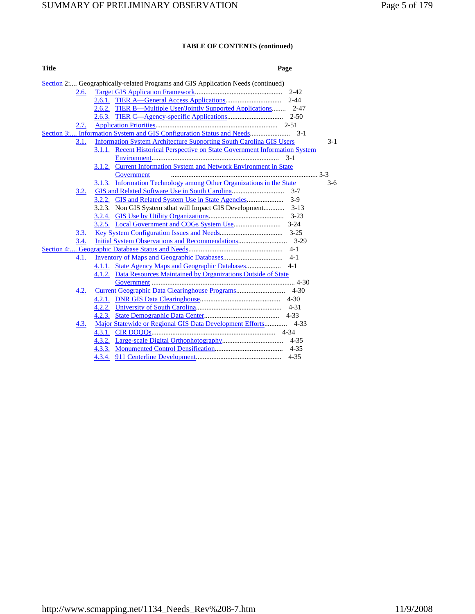| <b>Title</b> | Page |
|--------------|------|
|              |      |

|      | Section 2 Geographically-related Programs and GIS Application Needs (continued) |       |
|------|---------------------------------------------------------------------------------|-------|
| 2.6. | 2-42                                                                            |       |
|      |                                                                                 |       |
|      | 2.6.2. TIER B—Multiple User/Jointly Supported Applications 2-47                 |       |
|      |                                                                                 |       |
| 2.7. |                                                                                 |       |
|      |                                                                                 |       |
| 3.1. | <b>Information System Architecture Supporting South Carolina GIS Users</b>      | $3-1$ |
|      | 3.1.1. Recent Historical Perspective on State Government Information System     |       |
|      |                                                                                 |       |
|      | 3.1.2. Current Information System and Network Environment in State              |       |
|      | Government                                                                      |       |
|      | 3.1.3. Information Technology among Other Organizations in the State            | $3-6$ |
| 3.2. |                                                                                 |       |
|      |                                                                                 |       |
|      |                                                                                 |       |
|      |                                                                                 |       |
|      |                                                                                 |       |
| 3.3. |                                                                                 |       |
| 3.4. |                                                                                 |       |
|      |                                                                                 |       |
| 4.1. |                                                                                 |       |
|      | $4 - 1$                                                                         |       |
|      | 4.1.2. Data Resources Maintained by Organizations Outside of State              |       |
|      |                                                                                 |       |
| 4.2. |                                                                                 |       |
|      |                                                                                 |       |
|      |                                                                                 |       |
|      | $4 - 33$                                                                        |       |
| 4.3. |                                                                                 |       |
|      |                                                                                 |       |
|      |                                                                                 |       |
|      |                                                                                 |       |
|      |                                                                                 |       |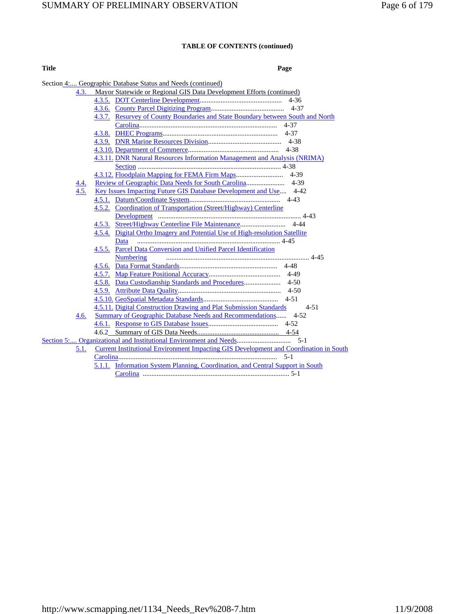| <b>Title</b> | Page |
|--------------|------|
|              |      |

|      | Section 4: Geographic Database Status and Needs (continued)                           |
|------|---------------------------------------------------------------------------------------|
|      | Mayor Statewide or Regional GIS Data Development Efforts (continued)<br>4.3.          |
|      |                                                                                       |
|      |                                                                                       |
|      | 4.3.7. Resurvey of County Boundaries and State Boundary between South and North       |
|      |                                                                                       |
|      |                                                                                       |
|      |                                                                                       |
|      |                                                                                       |
|      | 4.3.11. DNR Natural Resources Information Management and Analysis (NRIMA)             |
|      |                                                                                       |
|      |                                                                                       |
| 4.4. |                                                                                       |
| 4.5. | Key Issues Impacting Future GIS Database Development and Use 4-42                     |
|      |                                                                                       |
|      | 4.5.2. Coordination of Transportation (Street/Highway) Centerline                     |
|      |                                                                                       |
|      |                                                                                       |
|      | 4.5.4. Digital Ortho Imagery and Potential Use of High-resolution Satellite           |
|      | Data                                                                                  |
|      | 4.5.5. Parcel Data Conversion and Unified Parcel Identification                       |
|      | <b>Numbering</b>                                                                      |
|      |                                                                                       |
|      |                                                                                       |
|      |                                                                                       |
|      |                                                                                       |
|      |                                                                                       |
|      | 4.5.11. Digital Construction Drawing and Plat Submission Standards<br>$4 - 51$        |
| 4.6. | Summary of Geographic Database Needs and Recommendations 4-52                         |
|      |                                                                                       |
|      |                                                                                       |
|      |                                                                                       |
| 5.1. | Current Institutional Environment Impacting GIS Development and Coordination in South |
|      |                                                                                       |
|      | 5.1.1. Information System Planning, Coordination, and Central Support in South        |
|      |                                                                                       |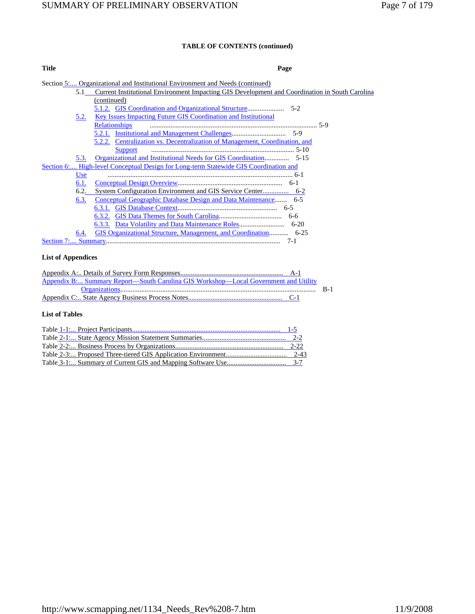| <b>Title</b> |            | Page                                                                                           |
|--------------|------------|------------------------------------------------------------------------------------------------|
|              |            | Section 5 Organizational and Institutional Environment and Needs (continued)                   |
|              | 5.1        | Current Institutional Environment Impacting GIS Development and Coordination in South Carolina |
|              |            | (continued)                                                                                    |
|              |            |                                                                                                |
|              | 5.2.       | <b>Key Issues Impacting Future GIS Coordination and Institutional</b>                          |
|              |            | <b>Relationships</b>                                                                           |
|              |            |                                                                                                |
|              |            | 5.2.2. Centralization vs. Decentralization of Management, Coordination, and                    |
|              |            |                                                                                                |
|              | 5.3.       |                                                                                                |
|              |            | Section 6: High-level Conceptual Design for Long-term Statewide GIS Coordination and           |
|              | <b>Use</b> |                                                                                                |
|              | 6.1.       |                                                                                                |
|              | 6.2.       |                                                                                                |
|              | 6.3.       |                                                                                                |
|              |            |                                                                                                |
|              |            |                                                                                                |
|              |            |                                                                                                |
|              | 6.4.       |                                                                                                |
|              |            |                                                                                                |

**List of Appendices**

| Appendix B: Summary Report—South Carolina GIS Workshop—Local Government and Utility |  |
|-------------------------------------------------------------------------------------|--|
|                                                                                     |  |
|                                                                                     |  |

### **List of Tables**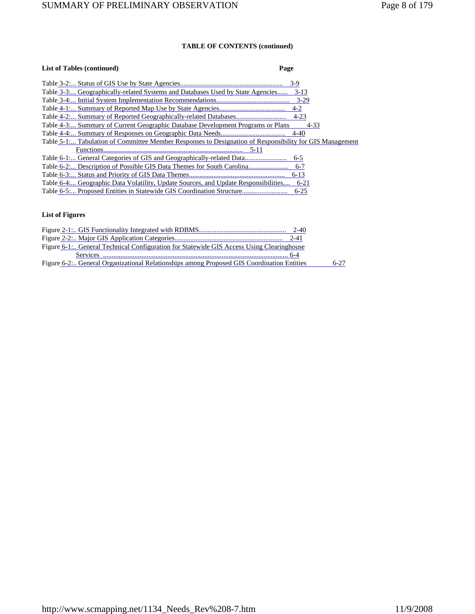| <b>List of Tables (continued)</b>                                                                       | Page     |
|---------------------------------------------------------------------------------------------------------|----------|
|                                                                                                         | $3-9$    |
| Table 3-3 Geographically-related Systems and Databases Used by State Agencies                           | $3-13$   |
|                                                                                                         | $3-29$   |
|                                                                                                         | $4 - 2$  |
|                                                                                                         | $4 - 23$ |
| Table 4-3 Summary of Current Geographic Database Development Programs or Plans                          | $4 - 33$ |
|                                                                                                         | $4 - 40$ |
| Table 5-1: Tabulation of Committee Member Responses to Designation of Responsibility for GIS Management |          |
|                                                                                                         |          |
| Table 6-1 General Categories of GIS and Geographically-related Data                                     | $6 - 5$  |
| Table 6-2 Description of Possible GIS Data Themes for South Carolina                                    | $6-7$    |
|                                                                                                         | $6 - 13$ |
| Table 6-4: Geographic Data Volatility, Update Sources, and Update Responsibilities                      | $6 - 21$ |
| Table 6-5 Proposed Entities in Statewide GIS Coordination Structure                                     | $6 - 25$ |

### **List of Figures**

| Figure 6-1: General Technical Configuration for Statewide GIS Access Using Clearinghouse  |          |
|-------------------------------------------------------------------------------------------|----------|
|                                                                                           |          |
| Figure 6-2: General Organizational Relationships among Proposed GIS Coordination Entities | $6 - 27$ |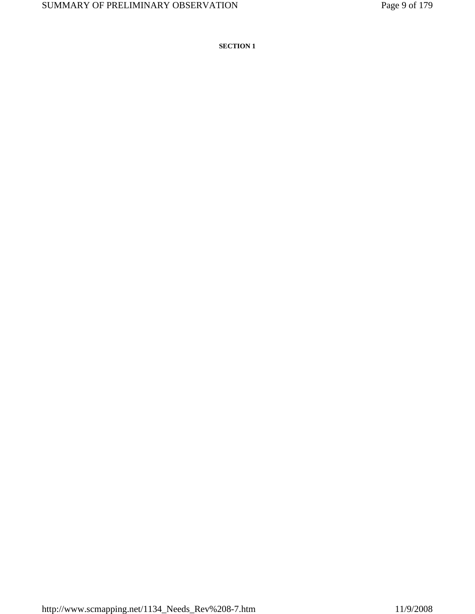**SECTION 1**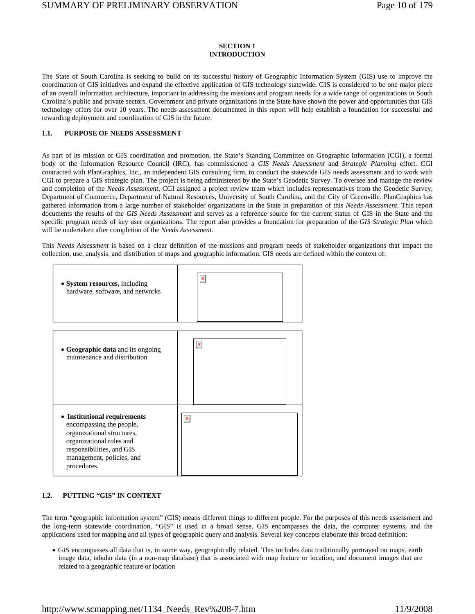### **SECTION 1 INTRODUCTION**

The State of South Carolina is seeking to build on its successful history of Geographic Information System (GIS) use to improve the coordination of GIS initiatives and expand the effective application of GIS technology statewide. GIS is considered to be one major piece of an overall information architecture, important in addressing the missions and program needs for a wide range of organizations in South Carolina's public and private sectors. Government and private organizations in the State have shown the power and opportunities that GIS technology offers for over 10 years. The needs assessment documented in this report will help establish a foundation for successful and rewarding deployment and coordination of GIS in the future.

### **1.1. PURPOSE OF NEEDS ASSESSMENT**

As part of its mission of GIS coordination and promotion, the State's Standing Committee on Geographic Information (CGI), a formal body of the Information Resource Council (IRC), has commissioned a *GIS Needs Assessment* and *Strategic Planning* effort. CGI contracted with PlanGraphics, Inc., an independent GIS consulting firm, to conduct the statewide GIS needs assessment and to work with CGI to prepare a GIS strategic plan. The project is being administered by the State's Geodetic Survey. To oversee and manage the review and completion of the *Needs Assessment*, CGI assigned a project review team which includes representatives from the Geodetic Survey, Department of Commerce, Department of Natural Resources, University of South Carolina, and the City of Greenville. PlanGraphics has gathered information from a large number of stakeholder organizations in the State in preparation of this *Needs Assessment*. This report documents the results of the *GIS Needs Assessment* and serves as a reference source for the current status of GIS in the State and the specific program needs of key user organizations. The report also provides a foundation for preparation of the *GIS Strategic Plan* which will be undertaken after completion of the *Needs Assessment*.

This *Needs Assessment* is based on a clear definition of the missions and program needs of stakeholder organizations that impact the collection, use, analysis, and distribution of maps and geographic information. GIS needs are defined within the context of:



### **1.2. PUTTING "GIS" IN CONTEXT**

The term "geographic information system" (GIS) means different things to different people. For the purposes of this needs assessment and the long-term statewide coordination, "GIS" is used in a broad sense. GIS encompasses the data, the computer systems, and the applications used for mapping and all types of geographic query and analysis. Several key concepts elaborate this broad definition:

• GIS encompasses all data that is, in some way, geographically related. This includes data traditionally portrayed on maps, earth image data, tabular data (in a non-map database) that is associated with map feature or location, and document images that are related to a geographic feature or location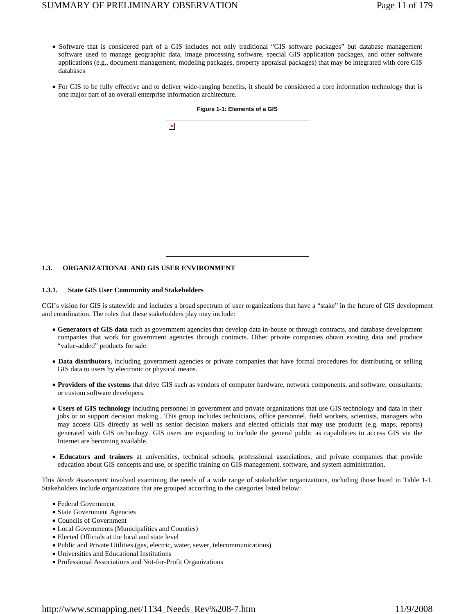## SUMMARY OF PRELIMINARY OBSERVATION Page 11 of 179

- Software that is considered part of a GIS includes not only traditional "GIS software packages" but database management software used to manage geographic data, image processing software, special GIS application packages, and other software applications (e.g., document management, modeling packages, property appraisal packages) that may be integrated with core GIS databases
- For GIS to be fully effective and to deliver wide-ranging benefits, it should be considered a core information technology that is one major part of an overall enterprise information architecture.

| $\pmb{\mathsf{x}}$ |  |  |
|--------------------|--|--|
|                    |  |  |
|                    |  |  |
|                    |  |  |
|                    |  |  |
|                    |  |  |
|                    |  |  |
|                    |  |  |
|                    |  |  |
|                    |  |  |

#### **Figure 1-1: Elements of a GIS**

### **1.3. ORGANIZATIONAL AND GIS USER ENVIRONMENT**

#### **1.3.1. State GIS User Community and Stakeholders**

CGI's vision for GIS is statewide and includes a broad spectrum of user organizations that have a "stake" in the future of GIS development and coordination. The roles that these stakeholders play may include:

- **Generators of GIS data** such as government agencies that develop data in-house or through contracts, and database development companies that work for government agencies through contracts. Other private companies obtain existing data and produce "value-added" products for sale.
- **Data distributors,** including government agencies or private companies that have formal procedures for distributing or selling GIS data to users by electronic or physical means.
- **Providers of the systems** that drive GIS such as vendors of computer hardware, network components, and software; consultants; or custom software developers.
- **Users of GIS technology** including personnel in government and private organizations that use GIS technology and data in their jobs or to support decision making.. This group includes technicians, office personnel, field workers, scientists, managers who may access GIS directly as well as senior decision makers and elected officials that may use products (e.g. maps, reports) generated with GIS technology. GIS users are expanding to include the general public as capabilities to access GIS via the Internet are becoming available.
- **Educators and trainers** at universities, technical schools, professional associations, and private companies that provide education about GIS concepts and use, or specific training on GIS management, software, and system administration.

This *Needs Assessment* involved examining the needs of a wide range of stakeholder organizations, including those listed in Table 1-1. Stakeholders include organizations that are grouped according to the categories listed below:

- Federal Government
- State Government Agencies
- Councils of Government
- Local Governments (Municipalities and Counties)
- Elected Officials at the local and state level
- Public and Private Utilities (gas, electric, water, sewer, telecommunications)
- Universities and Educational Institutions
- Professional Associations and Not-for-Profit Organizations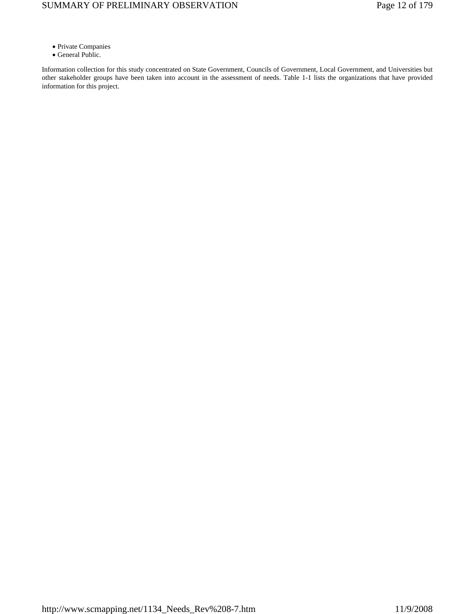- Private Companies
- General Public.

Information collection for this study concentrated on State Government, Councils of Government, Local Government, and Universities but other stakeholder groups have been taken into account in the assessment of needs. Table 1-1 lists the organizations that have provided information for this project.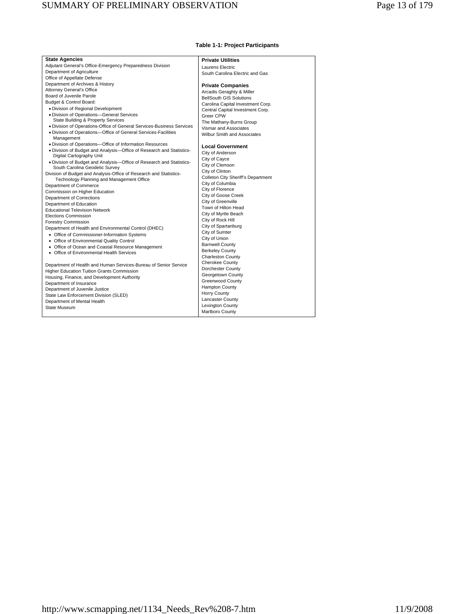| <b>State Agencies</b>                                                                     | <b>Private Utilities</b>           |
|-------------------------------------------------------------------------------------------|------------------------------------|
| Adjutant General's Office-Emergency Preparedness Division                                 | Laurens Electric                   |
| Department of Agriculture                                                                 | South Carolina Electric and Gas    |
| Office of Appellate Defense                                                               |                                    |
| Department of Archives & History                                                          | <b>Private Companies</b>           |
| <b>Attorney General's Office</b>                                                          | Arcadis Geraghty & Miller          |
| Board of Juvenile Parole                                                                  | <b>BellSouth GIS Solutions</b>     |
| Budget & Control Board:                                                                   | Carolina Capital Investment Corp.  |
| · Division of Regional Development                                                        | Central Capital Investment Corp.   |
| · Division of Operations-General Services                                                 | Greer CPW                          |
| State Building & Property Services                                                        | The Mathany-Burns Group            |
| . Division of Operations-Office of General Services-Business Services                     | Vismar and Associates              |
| · Division of Operations-Office of General Services-Facilities<br>Management              | Wilbur Smith and Associates        |
| · Division of Operations-Office of Information Resources                                  | <b>Local Government</b>            |
| . Division of Budget and Analysis-Office of Research and Statistics-                      | City of Anderson                   |
| Digital Cartography Unit                                                                  | City of Cayce                      |
| · Division of Budget and Analysis-Office of Research and Statistics-                      | City of Clemson                    |
| South Carolina Geodetic Survey                                                            | City of Clinton                    |
| Division of Budget and Analysis-Office of Research and Statistics-                        | Colleton City Sheriff's Department |
| Technology Planning and Management Office                                                 | City of Columbia                   |
| Department of Commerce                                                                    | City of Florence                   |
| Commission on Higher Education                                                            | City of Goose Creek                |
| Department of Corrections                                                                 | City of Greenville                 |
| Department of Education<br><b>Educational Television Network</b>                          | Town of Hilton Head                |
| <b>Elections Commission</b>                                                               | City of Myrtle Beach               |
|                                                                                           | City of Rock Hill                  |
| <b>Forestry Commission</b>                                                                | City of Spartanburg                |
| Department of Health and Environmental Control (DHEC)                                     | City of Sumter                     |
| • Office of Commissioner-Information Systems<br>• Office of Environmental Quality Control | City of Union                      |
| • Office of Ocean and Coastal Resource Management                                         | <b>Barnwell County</b>             |
| • Office of Environmental Health Services                                                 | <b>Berkeley County</b>             |
|                                                                                           | <b>Charleston County</b>           |
| Department of Health and Human Services-Bureau of Senior Service                          | Cherokee County                    |
| <b>Higher Education Tuition Grants Commission</b>                                         | Dorchester County                  |
| Housing, Finance, and Development Authority                                               | Georgetown County                  |
| Department of Insurance                                                                   | Greenwood County                   |
| Department of Juvenile Justice                                                            | <b>Hampton County</b>              |
| State Law Enforcement Division (SLED)                                                     | <b>Horry County</b>                |
| Department of Mental Health                                                               | Lancaster County                   |
| <b>State Museum</b>                                                                       | <b>Lexington County</b>            |
|                                                                                           | Marlboro County                    |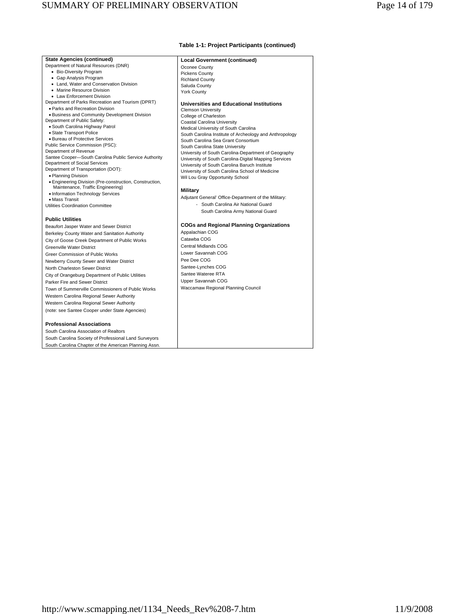#### **Table 1-1: Project Participants (continued)**

| <b>State Agencies (continued)</b>                           | <b>Local Government (continued)</b>                     |
|-------------------------------------------------------------|---------------------------------------------------------|
| Department of Natural Resources (DNR)                       | Oconee County                                           |
| • Bio-Diversity Program                                     | <b>Pickens County</b>                                   |
| • Gap Analysis Program                                      | <b>Richland County</b>                                  |
| • Land, Water and Conservation Division                     | Saluda County                                           |
| • Marine Resource Division                                  | <b>York County</b>                                      |
| • Law Enforcement Division                                  |                                                         |
| Department of Parks Recreation and Tourism (DPRT)           | <b>Universities and Educational Institutions</b>        |
| · Parks and Recreation Division                             | <b>Clemson University</b>                               |
| . Business and Community Development Division               | College of Charleston                                   |
| Department of Public Safety:                                | Coastal Carolina University                             |
| • South Carolina Highway Patrol                             | Medical University of South Carolina                    |
| • State Transport Police<br>· Bureau of Protective Services | South Carolina Institute of Archeology and Anthropology |
|                                                             | South Carolina Sea Grant Consortium                     |
| Public Service Commission (PSC):<br>Department of Revenue   | South Carolina State University                         |
| Santee Cooper-South Carolina Public Service Authority       | University of South Carolina-Department of Geography    |
| Department of Social Services                               | University of South Carolina-Digital Mapping Services   |
| Department of Transportation (DOT):                         | University of South Carolina Baruch Institute           |
| · Planning Division                                         | University of South Carolina School of Medicine         |
| • Engineering Division (Pre-construction, Construction,     | Wil Lou Gray Opportunity School                         |
| Maintenance, Traffic Engineering)                           |                                                         |
| • Information Technology Services                           | <b>Military</b>                                         |
| · Mass Transit                                              | Adjutant General' Office-Department of the Military:    |
| Utilities Coordination Committee                            | - South Carolina Air National Guard                     |
|                                                             | South Carolina Army National Guard                      |
| <b>Public Utilities</b>                                     |                                                         |
| Beaufort Jasper Water and Sewer District                    | <b>COGs and Regional Planning Organizations</b>         |
| Berkeley County Water and Sanitation Authority              | Appalachian COG                                         |
| City of Goose Creek Department of Public Works              | Catawba COG                                             |
| <b>Greenville Water District</b>                            | Central Midlands COG                                    |
| Greer Commission of Public Works                            | Lower Savannah COG                                      |
| Newberry County Sewer and Water District                    | Pee Dee COG                                             |
| North Charleston Sewer District                             | Santee-Lynches COG                                      |
| City of Orangeburg Department of Public Utilities           | Santee Wateree RTA                                      |
| Parker Fire and Sewer District                              | Upper Savannah COG                                      |
| Town of Summerville Commissioners of Public Works           | Waccamaw Regional Planning Council                      |
| Western Carolina Regional Sewer Authority                   |                                                         |
| Western Carolina Regional Sewer Authority                   |                                                         |
| (note: see Santee Cooper under State Agencies)              |                                                         |
|                                                             |                                                         |
| <b>Professional Associations</b>                            |                                                         |
| South Carolina Association of Realtors                      |                                                         |
| South Carolina Society of Professional Land Surveyors       |                                                         |

South Carolina Chapter of the American Planning Assn.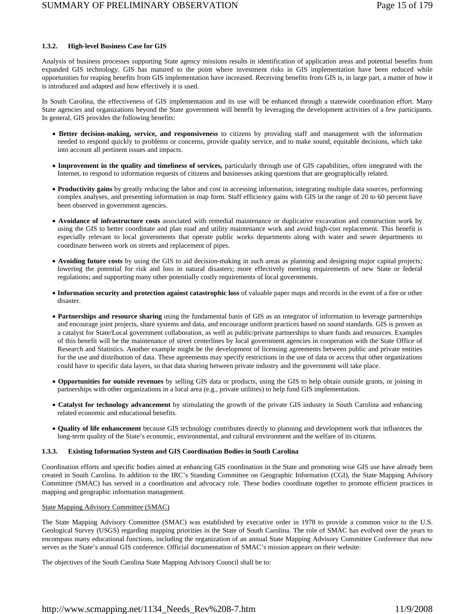### **1.3.2. High-level Business Case for GIS**

Analysis of business processes supporting State agency missions results in identification of application areas and potential benefits from expanded GIS technology. GIS has matured to the point where investment risks in GIS implementation have been reduced while opportunities for reaping benefits from GIS implementation have increased. Receiving benefits from GIS is, in large part, a matter of how it is introduced and adapted and how effectively it is used.

In South Carolina, the effectiveness of GIS implementation and its use will be enhanced through a statewide coordination effort. Many State agencies and organizations beyond the State government will benefit by leveraging the development activities of a few participants. In general, GIS provides the following benefits:

- **Better decision-making, service, and responsiveness** to citizens by providing staff and management with the information needed to respond quickly to problems or concerns, provide quality service, and to make sound, equitable decisions, which take into account all pertinent issues and impacts.
- **Improvement in the quality and timeliness of services,** particularly through use of GIS capabilities, often integrated with the Internet, to respond to information requests of citizens and businesses asking questions that are geographically related.
- **Productivity gains** by greatly reducing the labor and cost in accessing information, integrating multiple data sources, performing complex analyses, and presenting information in map form. Staff efficiency gains with GIS in the range of 20 to 60 percent have been observed in government agencies.
- **Avoidance of infrastructure costs** associated with remedial maintenance or duplicative excavation and construction work by using the GIS to better coordinate and plan road and utility maintenance work and avoid high-cost replacement. This benefit is especially relevant to local governments that operate public works departments along with water and sewer departments to coordinate between work on streets and replacement of pipes.
- **Avoiding future costs** by using the GIS to aid decision-making in such areas as planning and designing major capital projects; lowering the potential for risk and loss in natural disasters; more effectively meeting requirements of new State or federal regulations; and supporting many other potentially costly requirements of local governments.
- **Information security and protection against catastrophic loss** of valuable paper maps and records in the event of a fire or other disaster.
- **Partnerships and resource sharing** using the fundamental basis of GIS as an integrator of information to leverage partnerships and encourage joint projects, share systems and data, and encourage uniform practices based on sound standards. GIS is proven as a catalyst for State/Local government collaboration, as well as public/private partnerships to share funds and resources. Examples of this benefit will be the maintenance of street centerlines by local government agencies in cooperation with the State Office of Research and Statistics. Another example might be the development of licensing agreements between public and private entities for the use and distribution of data. These agreements may specify restrictions in the use of data or access that other organizations could have to specific data layers, so that data sharing between private industry and the government will take place.
- **Opportunities for outside revenues** by selling GIS data or products, using the GIS to help obtain outside grants, or joining in partnerships with other organizations in a local area (e.g., private utilities) to help fund GIS implementation.
- **Catalyst for technology advancement** by stimulating the growth of the private GIS industry in South Carolina and enhancing related economic and educational benefits.
- **Quality of life enhancement** because GIS technology contributes directly to planning and development work that influences the long-term quality of the State's economic, environmental, and cultural environment and the welfare of its citizens.

### **1.3.3. Existing Information System and GIS Coordination Bodies in South Carolina**

Coordination efforts and specific bodies aimed at enhancing GIS coordination in the State and promoting wise GIS use have already been created in South Carolina. In addition to the IRC's Standing Committee on Geographic Information (CGI), the State Mapping Advisory Committee (SMAC) has served in a coordination and advocacy role. These bodies coordinate together to promote efficient practices in mapping and geographic information management.

#### State Mapping Advisory Committee (SMAC)

The State Mapping Advisory Committee (SMAC) was established by executive order in 1978 to provide a common voice to the U.S. Geological Survey (USGS) regarding mapping priorities in the State of South Carolina. The role of SMAC has evolved over the years to encompass many educational functions, including the organization of an annual State Mapping Advisory Committee Conference that now serves as the State's annual GIS conference. Official documentation of SMAC's mission appears on their website:

The objectives of the South Carolina State Mapping Advisory Council shall be to: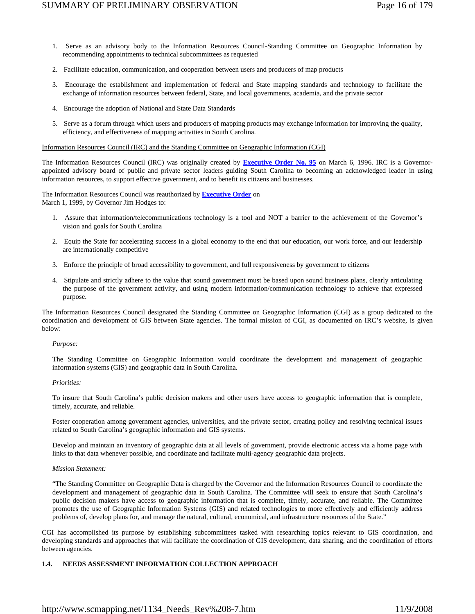- 1. Serve as an advisory body to the Information Resources Council-Standing Committee on Geographic Information by recommending appointments to technical subcommittees as requested
- 2. Facilitate education, communication, and cooperation between users and producers of map products
- 3. Encourage the establishment and implementation of federal and State mapping standards and technology to facilitate the exchange of information resources between federal, State, and local governments, academia, and the private sector
- 4. Encourage the adoption of National and State Data Standards
- 5. Serve as a forum through which users and producers of mapping products may exchange information for improving the quality, efficiency, and effectiveness of mapping activities in South Carolina.

### Information Resources Council (IRC) and the Standing Committee on Geographic Information (CGI)

The Information Resources Council (IRC) was originally created by **Executive Order No. 95** on March 6, 1996. IRC is a Governorappointed advisory board of public and private sector leaders guiding South Carolina to becoming an acknowledged leader in using information resources, to support effective government, and to benefit its citizens and businesses.

The Information Resources Council was reauthorized by **Executive Order** on March 1, 1999, by Governor Jim Hodges to:

- 1. Assure that information/telecommunications technology is a tool and NOT a barrier to the achievement of the Governor's vision and goals for South Carolina
- 2. Equip the State for accelerating success in a global economy to the end that our education, our work force, and our leadership are internationally competitive
- 3. Enforce the principle of broad accessibility to government, and full responsiveness by government to citizens
- 4. Stipulate and strictly adhere to the value that sound government must be based upon sound business plans, clearly articulating the purpose of the government activity, and using modern information/communication technology to achieve that expressed purpose.

The Information Resources Council designated the Standing Committee on Geographic Information (CGI) as a group dedicated to the coordination and development of GIS between State agencies. The formal mission of CGI, as documented on IRC's website, is given below:

#### *Purpose:*

The Standing Committee on Geographic Information would coordinate the development and management of geographic information systems (GIS) and geographic data in South Carolina.

### *Priorities:*

To insure that South Carolina's public decision makers and other users have access to geographic information that is complete, timely, accurate, and reliable.

Foster cooperation among government agencies, universities, and the private sector, creating policy and resolving technical issues related to South Carolina's geographic information and GIS systems.

Develop and maintain an inventory of geographic data at all levels of government, provide electronic access via a home page with links to that data whenever possible, and coordinate and facilitate multi-agency geographic data projects.

### *Mission Statement:*

"The Standing Committee on Geographic Data is charged by the Governor and the Information Resources Council to coordinate the development and management of geographic data in South Carolina. The Committee will seek to ensure that South Carolina's public decision makers have access to geographic information that is complete, timely, accurate, and reliable. The Committee promotes the use of Geographic Information Systems (GIS) and related technologies to more effectively and efficiently address problems of, develop plans for, and manage the natural, cultural, economical, and infrastructure resources of the State."

CGI has accomplished its purpose by establishing subcommittees tasked with researching topics relevant to GIS coordination, and developing standards and approaches that will facilitate the coordination of GIS development, data sharing, and the coordination of efforts between agencies.

### **1.4. NEEDS ASSESSMENT INFORMATION COLLECTION APPROACH**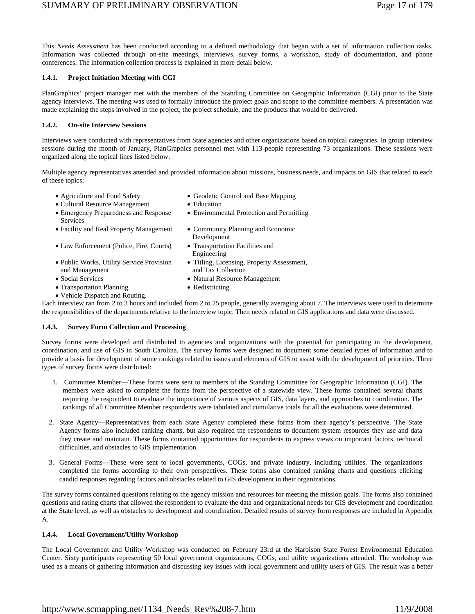This *Needs Assessment* has been conducted according to a defined methodology that began with a set of information collection tasks. Information was collected through on-site meetings, interviews, survey forms, a workshop, study of documentation, and phone conferences. The information collection process is explained in more detail below.

### **1.4.1. Project Initiation Meeting with CGI**

PlanGraphics' project manager met with the members of the Standing Committee on Geographic Information (CGI) prior to the State agency interviews. The meeting was used to formally introduce the project goals and scope to the committee members. A presentation was made explaining the steps involved in the project, the project schedule, and the products that would be delivered.

#### **1.4.2. On-site Interview Sessions**

Interviews were conducted with representatives from State agencies and other organizations based on topical categories. In group interview sessions during the month of January, PlanGraphics personnel met with 113 people representing 73 organizations. These sessions were organized along the topical lines listed below.

Multiple agency representatives attended and provided information about missions, business needs, and impacts on GIS that related to each of these topics:

Development

Engineering

and Tax Collection

• Environmental Protection and Permitting

• Titling, Licensing, Property Assessment,

- Agriculture and Food Safety Geodetic Control and Base Mapping
- Cultural Resource Management Education
- Emergency Preparedness and Response Services
- Facility and Real Property Management Community Planning and Economic
- Law Enforcement (Police, Fire, Courts) Transportation Facilities and
- Public Works, Utility Service Provision and Management
- Social Services Natural Resource Management
- Transportation Planning Redistricting
- Vehicle Dispatch and Routing.

Each interview ran from 2 to 3 hours and included from 2 to 25 people, generally averaging about 7. The interviews were used to determine the responsibilities of the departments relative to the interview topic. Then needs related to GIS applications and data were discussed.

#### **1.4.3. Survey Form Collection and Processing**

Survey forms were developed and distributed to agencies and organizations with the potential for participating in the development, coordination, and use of GIS in South Carolina. The survey forms were designed to document some detailed types of information and to provide a basis for development of some rankings related to issues and elements of GIS to assist with the development of priorities. Three types of survey forms were distributed:

- 1. Committee Member—These forms were sent to members of the Standing Committee for Geographic Information (CGI). The members were asked to complete the forms from the perspective of a statewide view. These forms contained several charts requiring the respondent to evaluate the importance of various aspects of GIS, data layers, and approaches to coordination. The rankings of all Committee Member respondents were tabulated and cumulative totals for all the evaluations were determined.
- 2. State Agency—Representatives from each State Agency completed these forms from their agency's perspective. The State Agency forms also included ranking charts, but also required the respondents to document system resources they use and data they create and maintain. These forms contained opportunities for respondents to express views on important factors, technical difficulties, and obstacles to GIS implementation.
- 3. General Forms—These were sent to local governments, COGs, and private industry, including utilities. The organizations completed the forms according to their own perspectives. These forms also contained ranking charts and questions eliciting candid responses regarding factors and obstacles related to GIS development in their organizations.

The survey forms contained questions relating to the agency mission and resources for meeting the mission goals. The forms also contained questions and rating charts that allowed the respondent to evaluate the data and organizational needs for GIS development and coordination at the State level, as well as obstacles to development and coordination. Detailed results of survey form responses are included in Appendix A.

### **1.4.4. Local Government/Utility Workshop**

The Local Government and Utility Workshop was conducted on February 23rd at the Harbison State Forest Environmental Education Center. Sixty participants representing 50 local government organizations, COGs, and utility organizations attended. The workshop was used as a means of gathering information and discussing key issues with local government and utility users of GIS. The result was a better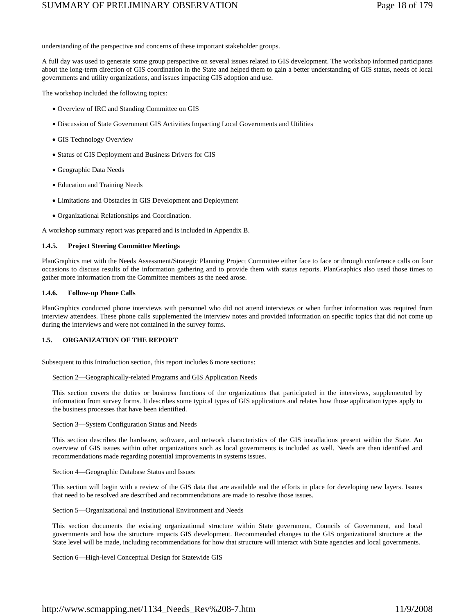understanding of the perspective and concerns of these important stakeholder groups.

A full day was used to generate some group perspective on several issues related to GIS development. The workshop informed participants about the long-term direction of GIS coordination in the State and helped them to gain a better understanding of GIS status, needs of local governments and utility organizations, and issues impacting GIS adoption and use.

The workshop included the following topics:

- Overview of IRC and Standing Committee on GIS
- Discussion of State Government GIS Activities Impacting Local Governments and Utilities
- GIS Technology Overview
- Status of GIS Deployment and Business Drivers for GIS
- Geographic Data Needs
- Education and Training Needs
- Limitations and Obstacles in GIS Development and Deployment
- Organizational Relationships and Coordination.

A workshop summary report was prepared and is included in Appendix B.

#### **1.4.5. Project Steering Committee Meetings**

PlanGraphics met with the Needs Assessment/Strategic Planning Project Committee either face to face or through conference calls on four occasions to discuss results of the information gathering and to provide them with status reports. PlanGraphics also used those times to gather more information from the Committee members as the need arose.

### **1.4.6. Follow-up Phone Calls**

PlanGraphics conducted phone interviews with personnel who did not attend interviews or when further information was required from interview attendees. These phone calls supplemented the interview notes and provided information on specific topics that did not come up during the interviews and were not contained in the survey forms.

### **1.5. ORGANIZATION OF THE REPORT**

Subsequent to this Introduction section, this report includes 6 more sections:

#### Section 2—Geographically-related Programs and GIS Application Needs

This section covers the duties or business functions of the organizations that participated in the interviews, supplemented by information from survey forms. It describes some typical types of GIS applications and relates how those application types apply to the business processes that have been identified.

#### Section 3—System Configuration Status and Needs

This section describes the hardware, software, and network characteristics of the GIS installations present within the State. An overview of GIS issues within other organizations such as local governments is included as well. Needs are then identified and recommendations made regarding potential improvements in systems issues.

#### Section 4—Geographic Database Status and Issues

This section will begin with a review of the GIS data that are available and the efforts in place for developing new layers. Issues that need to be resolved are described and recommendations are made to resolve those issues.

### Section 5—Organizational and Institutional Environment and Needs

This section documents the existing organizational structure within State government, Councils of Government, and local governments and how the structure impacts GIS development. Recommended changes to the GIS organizational structure at the State level will be made, including recommendations for how that structure will interact with State agencies and local governments.

#### Section 6—High-level Conceptual Design for Statewide GIS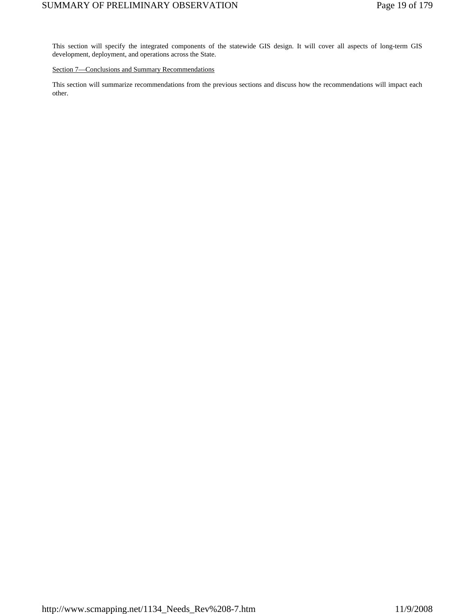This section will specify the integrated components of the statewide GIS design. It will cover all aspects of long-term GIS development, deployment, and operations across the State.

### Section 7-Conclusions and Summary Recommendations

This section will summarize recommendations from the previous sections and discuss how the recommendations will impact each other.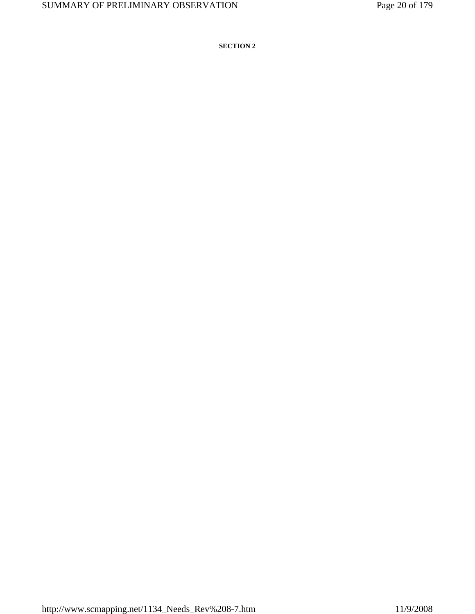**SECTION 2**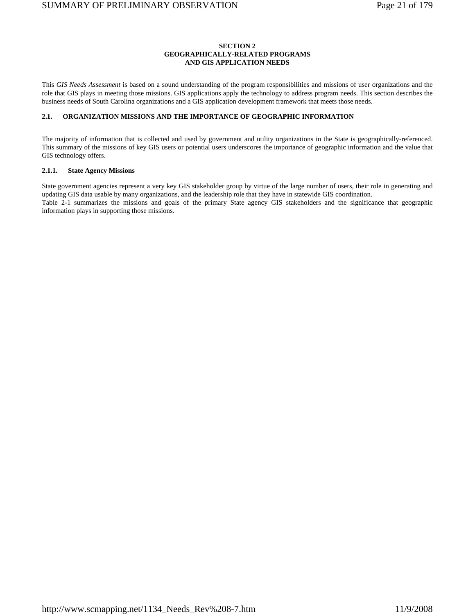### **SECTION 2 GEOGRAPHICALLY-RELATED PROGRAMS AND GIS APPLICATION NEEDS**

This *GIS Needs Assessment* is based on a sound understanding of the program responsibilities and missions of user organizations and the role that GIS plays in meeting those missions. GIS applications apply the technology to address program needs. This section describes the business needs of South Carolina organizations and a GIS application development framework that meets those needs.

### **2.1. ORGANIZATION MISSIONS AND THE IMPORTANCE OF GEOGRAPHIC INFORMATION**

The majority of information that is collected and used by government and utility organizations in the State is geographically-referenced. This summary of the missions of key GIS users or potential users underscores the importance of geographic information and the value that GIS technology offers.

### **2.1.1. State Agency Missions**

State government agencies represent a very key GIS stakeholder group by virtue of the large number of users, their role in generating and updating GIS data usable by many organizations, and the leadership role that they have in statewide GIS coordination. Table 2-1 summarizes the missions and goals of the primary State agency GIS stakeholders and the significance that geographic information plays in supporting those missions.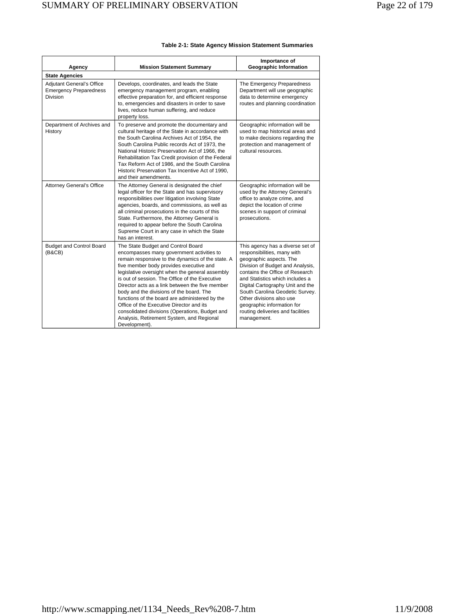| Agency                                                                        | <b>Mission Statement Summary</b>                                                                                                                                                                                                                                                                                                                                                                                                                                                                                                                                                                  | Importance of<br><b>Geographic Information</b>                                                                                                                                                                                                                                                                                                                                            |  |  |  |
|-------------------------------------------------------------------------------|---------------------------------------------------------------------------------------------------------------------------------------------------------------------------------------------------------------------------------------------------------------------------------------------------------------------------------------------------------------------------------------------------------------------------------------------------------------------------------------------------------------------------------------------------------------------------------------------------|-------------------------------------------------------------------------------------------------------------------------------------------------------------------------------------------------------------------------------------------------------------------------------------------------------------------------------------------------------------------------------------------|--|--|--|
| <b>State Agencies</b>                                                         |                                                                                                                                                                                                                                                                                                                                                                                                                                                                                                                                                                                                   |                                                                                                                                                                                                                                                                                                                                                                                           |  |  |  |
| <b>Adjutant General's Office</b><br><b>Emergency Preparedness</b><br>Division | Develops, coordinates, and leads the State<br>emergency management program, enabling<br>effective preparation for, and efficient response<br>to, emergencies and disasters in order to save<br>lives, reduce human suffering, and reduce<br>property loss.                                                                                                                                                                                                                                                                                                                                        | The Emergency Preparedness<br>Department will use geographic<br>data to determine emergency<br>routes and planning coordination                                                                                                                                                                                                                                                           |  |  |  |
| Department of Archives and<br>History                                         | To preserve and promote the documentary and<br>cultural heritage of the State in accordance with<br>the South Carolina Archives Act of 1954, the<br>South Carolina Public records Act of 1973, the<br>National Historic Preservation Act of 1966, the<br>Rehabilitation Tax Credit provision of the Federal<br>Tax Reform Act of 1986, and the South Carolina<br>Historic Preservation Tax Incentive Act of 1990,<br>and their amendments.                                                                                                                                                        | Geographic information will be<br>used to map historical areas and<br>to make decisions regarding the<br>protection and management of<br>cultural resources.                                                                                                                                                                                                                              |  |  |  |
| <b>Attorney General's Office</b>                                              | The Attorney General is designated the chief<br>legal officer for the State and has supervisory<br>responsibilities over litigation involving State<br>agencies, boards, and commissions, as well as<br>all criminal prosecutions in the courts of this<br>State. Furthermore, the Attorney General is<br>required to appear before the South Carolina<br>Supreme Court in any case in which the State<br>has an interest.                                                                                                                                                                        | Geographic information will be<br>used by the Attorney General's<br>office to analyze crime, and<br>depict the location of crime<br>scenes in support of criminal<br>prosecutions.                                                                                                                                                                                                        |  |  |  |
| <b>Budget and Control Board</b><br>(B&CB)                                     | The State Budget and Control Board<br>encompasses many government activities to<br>remain responsive to the dynamics of the state. A<br>five member body provides executive and<br>legislative oversight when the general assembly<br>is out of session. The Office of the Executive<br>Director acts as a link between the five member<br>body and the divisions of the board. The<br>functions of the board are administered by the<br>Office of the Executive Director and its<br>consolidated divisions (Operations, Budget and<br>Analysis, Retirement System, and Regional<br>Development). | This agency has a diverse set of<br>responsibilities, many with<br>geographic aspects. The<br>Division of Budget and Analysis,<br>contains the Office of Research<br>and Statistics which includes a<br>Digital Cartography Unit and the<br>South Carolina Geodetic Survey.<br>Other divisions also use<br>geographic information for<br>routing deliveries and facilities<br>management. |  |  |  |

### **Table 2-1: State Agency Mission Statement Summaries**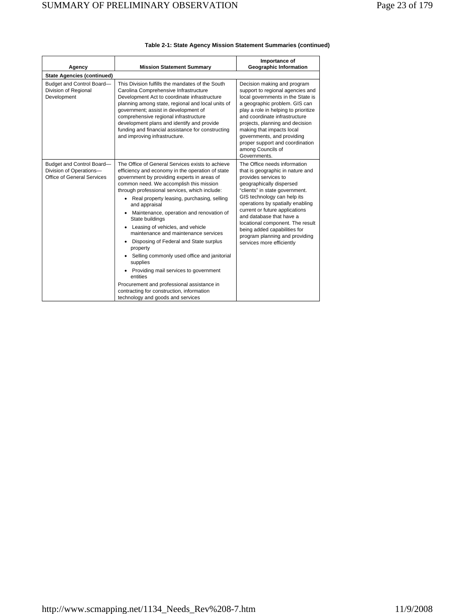| Agency                                                                             | <b>Mission Statement Summary</b>                                                                                                                                                                                                                                                                                                                                                                                                                                                                                                                                                                                                                                                                                                                                                 | Importance of<br><b>Geographic Information</b>                                                                                                                                                                                                                                                                                                                                                                             |
|------------------------------------------------------------------------------------|----------------------------------------------------------------------------------------------------------------------------------------------------------------------------------------------------------------------------------------------------------------------------------------------------------------------------------------------------------------------------------------------------------------------------------------------------------------------------------------------------------------------------------------------------------------------------------------------------------------------------------------------------------------------------------------------------------------------------------------------------------------------------------|----------------------------------------------------------------------------------------------------------------------------------------------------------------------------------------------------------------------------------------------------------------------------------------------------------------------------------------------------------------------------------------------------------------------------|
| <b>State Agencies (continued)</b>                                                  |                                                                                                                                                                                                                                                                                                                                                                                                                                                                                                                                                                                                                                                                                                                                                                                  |                                                                                                                                                                                                                                                                                                                                                                                                                            |
| Budget and Control Board-<br>Division of Regional<br>Development                   | This Division fulfills the mandates of the South<br>Carolina Comprehensive Infrastructure<br>Development Act to coordinate infrastructure<br>planning among state, regional and local units of<br>government; assist in development of<br>comprehensive regional infrastructure<br>development plans and identify and provide<br>funding and financial assistance for constructing<br>and improving infrastructure.                                                                                                                                                                                                                                                                                                                                                              | Decision making and program<br>support to regional agencies and<br>local governments in the State is<br>a geographic problem. GIS can<br>play a role in helping to prioritize<br>and coordinate infrastructure<br>projects, planning and decision<br>making that impacts local<br>governments, and providing<br>proper support and coordination<br>among Councils of<br>Governments.                                       |
| Budget and Control Board-<br>Division of Operations-<br>Office of General Services | The Office of General Services exists to achieve<br>efficiency and economy in the operation of state<br>government by providing experts in areas of<br>common need. We accomplish this mission<br>through professional services, which include:<br>• Real property leasing, purchasing, selling<br>and appraisal<br>Maintenance, operation and renovation of<br>State buildings<br>Leasing of vehicles, and vehicle<br>٠<br>maintenance and maintenance services<br>Disposing of Federal and State surplus<br>٠<br>property<br>Selling commonly used office and janitorial<br>supplies<br>Providing mail services to government<br>٠<br>entities<br>Procurement and professional assistance in<br>contracting for construction, information<br>technology and goods and services | The Office needs information<br>that is geographic in nature and<br>provides services to<br>geographically dispersed<br>"clients" in state government.<br>GIS technology can help its<br>operations by spatially enabling<br>current or future applications<br>and database that have a<br>locational component. The result<br>being added capabilities for<br>program planning and providing<br>services more efficiently |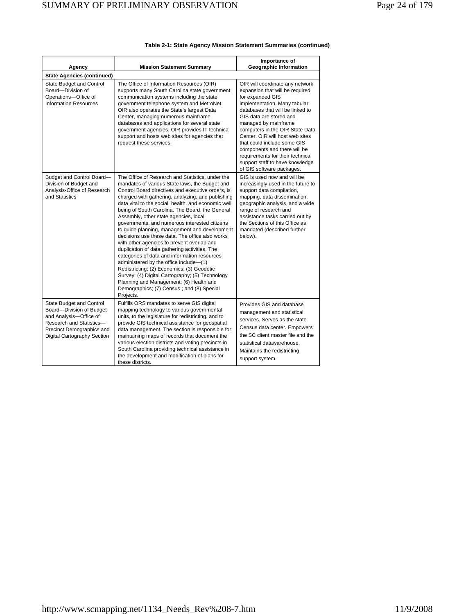| <b>Mission Statement Summary</b><br>Agency                                                                                                                             |                                                                                                                                                                                                                                                                                                                                                                                                                                                                                                                                                                                                                                                                                                                                                                                                                                                                                                                     | Importance of<br><b>Geographic Information</b>                                                                                                                                                                                                                                                                                                                                                                                                         |  |  |  |
|------------------------------------------------------------------------------------------------------------------------------------------------------------------------|---------------------------------------------------------------------------------------------------------------------------------------------------------------------------------------------------------------------------------------------------------------------------------------------------------------------------------------------------------------------------------------------------------------------------------------------------------------------------------------------------------------------------------------------------------------------------------------------------------------------------------------------------------------------------------------------------------------------------------------------------------------------------------------------------------------------------------------------------------------------------------------------------------------------|--------------------------------------------------------------------------------------------------------------------------------------------------------------------------------------------------------------------------------------------------------------------------------------------------------------------------------------------------------------------------------------------------------------------------------------------------------|--|--|--|
| <b>State Agencies (continued)</b>                                                                                                                                      |                                                                                                                                                                                                                                                                                                                                                                                                                                                                                                                                                                                                                                                                                                                                                                                                                                                                                                                     |                                                                                                                                                                                                                                                                                                                                                                                                                                                        |  |  |  |
| State Budget and Control<br>Board-Division of<br>Operations-Office of<br><b>Information Resources</b>                                                                  | The Office of Information Resources (OIR)<br>supports many South Carolina state government<br>communication systems including the state<br>government telephone system and MetroNet.<br>OIR also operates the State's largest Data<br>Center, managing numerous mainframe<br>databases and applications for several state<br>government agencies. OIR provides IT technical<br>support and hosts web sites for agencies that<br>request these services.                                                                                                                                                                                                                                                                                                                                                                                                                                                             | OIR will coordinate any network<br>expansion that will be required<br>for expanded GIS<br>implementation. Many tabular<br>databases that will be linked to<br>GIS data are stored and<br>managed by mainframe<br>computers in the OIR State Data<br>Center, OIR will host web sites<br>that could include some GIS<br>components and there will be<br>requirements for their technical<br>support staff to have knowledge<br>of GIS software packages. |  |  |  |
| Budget and Control Board-<br>Division of Budget and<br>Analysis-Office of Research<br>and Statistics                                                                   | The Office of Research and Statistics, under the<br>mandates of various State laws, the Budget and<br>Control Board directives and executive orders, is<br>charged with gathering, analyzing, and publishing<br>data vital to the social, health, and economic well<br>being of South Carolina. The Board, the General<br>Assembly, other state agencies, local<br>governments, and numerous interested citizens<br>to guide planning, management and development<br>decisions use these data. The office also works<br>with other agencies to prevent overlap and<br>duplication of data gathering activities. The<br>categories of data and information resources<br>administered by the office include-(1)<br>Redistricting; (2) Economics; (3) Geodetic<br>Survey; (4) Digital Cartography; (5) Technology<br>Planning and Management; (6) Health and<br>Demographics; (7) Census; and (8) Special<br>Projects. | GIS is used now and will be<br>increasingly used in the future to<br>support data compilation,<br>mapping, data dissemination,<br>geographic analysis, and a wide<br>range of research and<br>assistance tasks carried out by<br>the Sections of this Office as<br>mandated (described further<br>below).                                                                                                                                              |  |  |  |
| State Budget and Control<br>Board-Division of Budget<br>and Analysis-Office of<br>Research and Statistics-<br>Precinct Demographics and<br>Digital Cartography Section | Fulfills ORS mandates to serve GIS digital<br>mapping technology to various governmental<br>units, to the legislature for redistricting, and to<br>provide GIS technical assistance for geospatial<br>data management. The section is responsible for<br>maintaining maps of records that document the<br>various election districts and voting precincts in<br>South Carolina providing technical assistance in<br>the development and modification of plans for<br>these districts.                                                                                                                                                                                                                                                                                                                                                                                                                               | Provides GIS and database<br>management and statistical<br>services. Serves as the state<br>Census data center. Empowers<br>the SC client master file and the<br>statistical datawarehouse.<br>Maintains the redistricting<br>support system.                                                                                                                                                                                                          |  |  |  |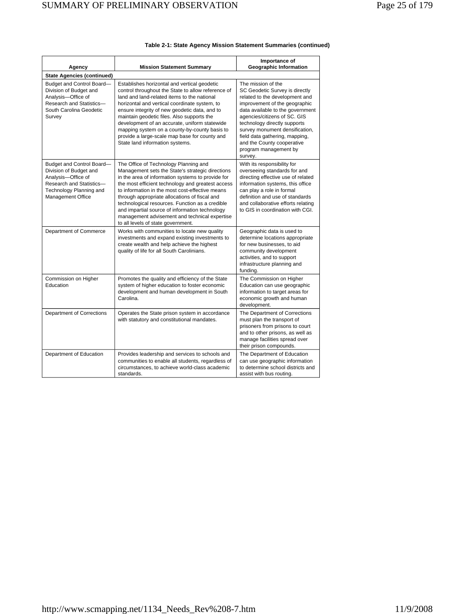| Agency                                                                                                                                                       | <b>Mission Statement Summary</b>                                                                                                                                                                                                                                                                                                                                                                                                                                                                    | Importance of<br><b>Geographic Information</b>                                                                                                                                                                                                                                                                                                                    |  |  |
|--------------------------------------------------------------------------------------------------------------------------------------------------------------|-----------------------------------------------------------------------------------------------------------------------------------------------------------------------------------------------------------------------------------------------------------------------------------------------------------------------------------------------------------------------------------------------------------------------------------------------------------------------------------------------------|-------------------------------------------------------------------------------------------------------------------------------------------------------------------------------------------------------------------------------------------------------------------------------------------------------------------------------------------------------------------|--|--|
| <b>State Agencies (continued)</b>                                                                                                                            |                                                                                                                                                                                                                                                                                                                                                                                                                                                                                                     |                                                                                                                                                                                                                                                                                                                                                                   |  |  |
| Budget and Control Board-<br>Division of Budget and<br>Analysis-Office of<br>Research and Statistics-<br>South Carolina Geodetic<br>Survey                   | Establishes horizontal and vertical geodetic<br>control throughout the State to allow reference of<br>land and land-related items to the national<br>horizontal and vertical coordinate system, to<br>ensure integrity of new geodetic data, and to<br>maintain geodetic files. Also supports the<br>development of an accurate, uniform statewide<br>mapping system on a county-by-county basis to<br>provide a large-scale map base for county and<br>State land information systems.             | The mission of the<br>SC Geodetic Survey is directly<br>related to the development and<br>improvement of the geographic<br>data available to the government<br>agencies/citizens of SC. GIS<br>technology directly supports<br>survey monument densification,<br>field data gathering, mapping,<br>and the County cooperative<br>program management by<br>survey. |  |  |
| Budget and Control Board-<br>Division of Budget and<br>Analysis-Office of<br>Research and Statistics-<br>Technology Planning and<br><b>Management Office</b> | The Office of Technology Planning and<br>Management sets the State's strategic directions<br>in the area of information systems to provide for<br>the most efficient technology and greatest access<br>to information in the most cost-effective means<br>through appropriate allocations of fiscal and<br>technological resources. Function as a credible<br>and impartial source of information technology<br>management advisement and technical expertise<br>to all levels of state government. | With its responsibility for<br>overseeing standards for and<br>directing effective use of related<br>information systems, this office<br>can play a role in formal<br>definition and use of standards<br>and collaborative efforts relating<br>to GIS in coordination with CGI.                                                                                   |  |  |
| Department of Commerce                                                                                                                                       | Works with communities to locate new quality<br>investments and expand existing investments to<br>create wealth and help achieve the highest<br>quality of life for all South Carolinians.                                                                                                                                                                                                                                                                                                          | Geographic data is used to<br>determine locations appropriate<br>for new businesses, to aid<br>community development<br>activities, and to support<br>infrastructure planning and<br>funding.                                                                                                                                                                     |  |  |
| Commission on Higher<br>Education                                                                                                                            | Promotes the quality and efficiency of the State<br>system of higher education to foster economic<br>development and human development in South<br>Carolina.                                                                                                                                                                                                                                                                                                                                        | The Commission on Higher<br>Education can use geographic<br>information to target areas for<br>economic growth and human<br>development.                                                                                                                                                                                                                          |  |  |
| Department of Corrections                                                                                                                                    | Operates the State prison system in accordance<br>with statutory and constitutional mandates.                                                                                                                                                                                                                                                                                                                                                                                                       | The Department of Corrections<br>must plan the transport of<br>prisoners from prisons to court<br>and to other prisons, as well as<br>manage facilities spread over<br>their prison compounds.                                                                                                                                                                    |  |  |
| Department of Education                                                                                                                                      | Provides leadership and services to schools and<br>communities to enable all students, regardless of<br>circumstances, to achieve world-class academic<br>standards.                                                                                                                                                                                                                                                                                                                                | The Department of Education<br>can use geographic information<br>to determine school districts and<br>assist with bus routing.                                                                                                                                                                                                                                    |  |  |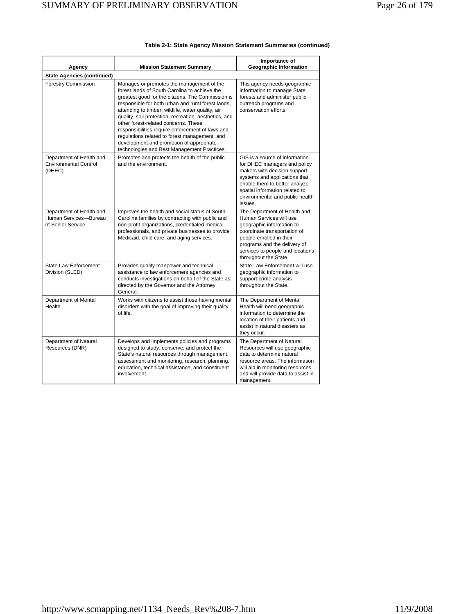| Agency                                                                 | <b>Mission Statement Summary</b>                                                                                                                                                                                                                                                                                                                                                                                                                                                                                                                            | Importance of<br>Geographic Information                                                                                                                                                                                                          |
|------------------------------------------------------------------------|-------------------------------------------------------------------------------------------------------------------------------------------------------------------------------------------------------------------------------------------------------------------------------------------------------------------------------------------------------------------------------------------------------------------------------------------------------------------------------------------------------------------------------------------------------------|--------------------------------------------------------------------------------------------------------------------------------------------------------------------------------------------------------------------------------------------------|
| <b>State Agencies (continued)</b>                                      |                                                                                                                                                                                                                                                                                                                                                                                                                                                                                                                                                             |                                                                                                                                                                                                                                                  |
| <b>Forestry Commission</b>                                             | Manages or promotes the management of the<br>forest lands of South Carolina to achieve the<br>greatest good for the citizens. The Commission is<br>responsible for both urban and rural forest lands,<br>attending to timber, wildlife, water quality, air<br>quality, soil protection, recreation, aesthetics, and<br>other forest-related concerns. These<br>responsibilities require enforcement of laws and<br>regulations related to forest management, and<br>development and promotion of appropriate<br>technologies and Best Management Practices. | This agency needs geographic<br>information to manage State<br>forests and administer public<br>outreach programs and<br>conservation efforts.                                                                                                   |
| Department of Health and<br><b>Environmental Control</b><br>(DHEC)     | Promotes and protects the health of the public<br>and the environment.                                                                                                                                                                                                                                                                                                                                                                                                                                                                                      | GIS is a source of information<br>for DHEC managers and policy<br>makers with decision support<br>systems and applications that<br>enable them to better analyze<br>spatial information related to<br>environmental and public health<br>issues. |
| Department of Health and<br>Human Services-Bureau<br>of Senior Service | Improves the health and social status of South<br>Carolina families by contracting with public and<br>non-profit organizations, credentialed medical<br>professionals, and private businesses to provide<br>Medicaid, child care, and aging services.                                                                                                                                                                                                                                                                                                       | The Department of Health and<br>Human Services will use<br>geographic information to<br>coordinate transportation of<br>people enrolled in their<br>programs and the delivery of<br>services to people and locations<br>throughout the State.    |
| <b>State Law Enforcement</b><br>Division (SLED)                        | Provides quality manpower and technical<br>assistance to law enforcement agencies and<br>conducts investigations on behalf of the State as<br>directed by the Governor and the Attorney<br>General.                                                                                                                                                                                                                                                                                                                                                         | State Law Enforcement will use<br>geographic information to<br>support crime analysis<br>throughout the State.                                                                                                                                   |
| Department of Mental<br>Health                                         | Works with citizens to assist those having mental<br>disorders with the goal of improving their quality<br>of life.                                                                                                                                                                                                                                                                                                                                                                                                                                         | The Department of Mental<br>Health will need geographic<br>information to determine the<br>location of their patients and<br>assist in natural disasters as<br>they occur.                                                                       |
| Department of Natural<br>Resources (DNR)                               | Develops and implements policies and programs<br>designed to study, conserve, and protect the<br>State's natural resources through management,<br>assessment and monitoring, research, planning,<br>education, technical assistance, and constituent<br>involvement.                                                                                                                                                                                                                                                                                        | The Department of Natural<br>Resources will use geographic<br>data to determine natural<br>resource areas. The information<br>will aid in monitoring resources<br>and will provide data to assist in<br>management.                              |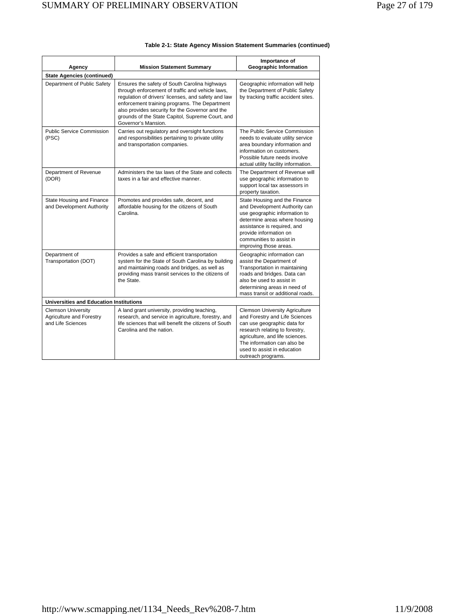| Agency                                                                     | Importance of<br><b>Geographic Information</b><br><b>Mission Statement Summary</b>                                                                                                                                                                                                                                                      |                                                                                                                                                                                                                                                                 |  |  |
|----------------------------------------------------------------------------|-----------------------------------------------------------------------------------------------------------------------------------------------------------------------------------------------------------------------------------------------------------------------------------------------------------------------------------------|-----------------------------------------------------------------------------------------------------------------------------------------------------------------------------------------------------------------------------------------------------------------|--|--|
| <b>State Agencies (continued)</b>                                          |                                                                                                                                                                                                                                                                                                                                         |                                                                                                                                                                                                                                                                 |  |  |
| Department of Public Safety                                                | Ensures the safety of South Carolina highways<br>through enforcement of traffic and vehicle laws,<br>regulation of drivers' licenses, and safety and law<br>enforcement training programs. The Department<br>also provides security for the Governor and the<br>grounds of the State Capitol, Supreme Court, and<br>Governor's Mansion. | Geographic information will help<br>the Department of Public Safety<br>by tracking traffic accident sites.                                                                                                                                                      |  |  |
| Public Service Commission<br>(PSC)                                         | Carries out regulatory and oversight functions<br>and responsibilities pertaining to private utility<br>and transportation companies.                                                                                                                                                                                                   | The Public Service Commission<br>needs to evaluate utility service<br>area boundary information and<br>information on customers.<br>Possible future needs involve<br>actual utility facility information.                                                       |  |  |
| Department of Revenue<br>(DOR)                                             | Administers the tax laws of the State and collects<br>taxes in a fair and effective manner.                                                                                                                                                                                                                                             | The Department of Revenue will<br>use geographic information to<br>support local tax assessors in<br>property taxation.                                                                                                                                         |  |  |
| State Housing and Finance<br>and Development Authority                     | Promotes and provides safe, decent, and<br>affordable housing for the citizens of South<br>Carolina.                                                                                                                                                                                                                                    | State Housing and the Finance<br>and Development Authority can<br>use geographic information to<br>determine areas where housing<br>assistance is required, and<br>provide information on<br>communities to assist in<br>improving those areas.                 |  |  |
| Department of<br>Transportation (DOT)                                      | Provides a safe and efficient transportation<br>system for the State of South Carolina by building<br>and maintaining roads and bridges, as well as<br>providing mass transit services to the citizens of<br>the State.                                                                                                                 | Geographic information can<br>assist the Department of<br>Transportation in maintaining<br>roads and bridges. Data can<br>also be used to assist in<br>determining areas in need of<br>mass transit or additional roads.                                        |  |  |
| <b>Universities and Education Institutions</b>                             |                                                                                                                                                                                                                                                                                                                                         |                                                                                                                                                                                                                                                                 |  |  |
| <b>Clemson University</b><br>Agriculture and Forestry<br>and Life Sciences | A land grant university, providing teaching,<br>research, and service in agriculture, forestry, and<br>life sciences that will benefit the citizens of South<br>Carolina and the nation.                                                                                                                                                | <b>Clemson University Agriculture</b><br>and Forestry and Life Sciences<br>can use geographic data for<br>research relating to forestry,<br>agriculture, and life sciences.<br>The information can also be<br>used to assist in education<br>outreach programs. |  |  |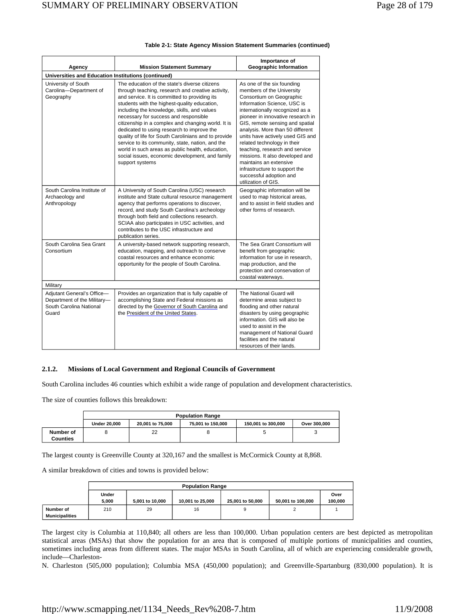| Agency                                                                                        | <b>Mission Statement Summary</b>                                                                                                                                                                                                                                                                                                                                                                                                                                                                                                                                                                                                      |                                                                                                                                                                                                                                                                                                                                                                                                                                                                                                                        |  |  |
|-----------------------------------------------------------------------------------------------|---------------------------------------------------------------------------------------------------------------------------------------------------------------------------------------------------------------------------------------------------------------------------------------------------------------------------------------------------------------------------------------------------------------------------------------------------------------------------------------------------------------------------------------------------------------------------------------------------------------------------------------|------------------------------------------------------------------------------------------------------------------------------------------------------------------------------------------------------------------------------------------------------------------------------------------------------------------------------------------------------------------------------------------------------------------------------------------------------------------------------------------------------------------------|--|--|
| Universities and Education Institutions (continued)                                           |                                                                                                                                                                                                                                                                                                                                                                                                                                                                                                                                                                                                                                       |                                                                                                                                                                                                                                                                                                                                                                                                                                                                                                                        |  |  |
| University of South<br>Carolina-Department of<br>Geography                                    | The education of the state's diverse citizens<br>through teaching, research and creative activity,<br>and service. It is committed to providing its<br>students with the highest-quality education,<br>including the knowledge, skills, and values<br>necessary for success and responsible<br>citizenship in a complex and changing world. It is<br>dedicated to using research to improve the<br>quality of life for South Carolinians and to provide<br>service to its community, state, nation, and the<br>world in such areas as public health, education,<br>social issues, economic development, and family<br>support systems | As one of the six founding<br>members of the University<br>Consortium on Geographic<br>Information Science, USC is<br>internationally recognized as a<br>pioneer in innovative research in<br>GIS, remote sensing and spatial<br>analysis. More than 50 different<br>units have actively used GIS and<br>related technology in their<br>teaching, research and service<br>missions. It also developed and<br>maintains an extensive<br>infrastructure to support the<br>successful adoption and<br>utilization of GIS. |  |  |
| South Carolina Institute of<br>Archaeology and<br>Anthropology                                | A University of South Carolina (USC) research<br>institute and State cultural resource management<br>agency that performs operations to discover,<br>record, and study South Carolina's archeology<br>through both field and collections research.<br>SCIAA also participates in USC activities, and<br>contributes to the USC infrastructure and<br>publication series.                                                                                                                                                                                                                                                              | Geographic information will be<br>used to map historical areas,<br>and to assist in field studies and<br>other forms of research.                                                                                                                                                                                                                                                                                                                                                                                      |  |  |
| South Carolina Sea Grant<br>Consortium                                                        | A university-based network supporting research,<br>education, mapping, and outreach to conserve<br>coastal resources and enhance economic<br>opportunity for the people of South Carolina.                                                                                                                                                                                                                                                                                                                                                                                                                                            | The Sea Grant Consortium will<br>benefit from geographic<br>information for use in research,<br>map production, and the<br>protection and conservation of<br>coastal waterways.                                                                                                                                                                                                                                                                                                                                        |  |  |
| Military                                                                                      |                                                                                                                                                                                                                                                                                                                                                                                                                                                                                                                                                                                                                                       |                                                                                                                                                                                                                                                                                                                                                                                                                                                                                                                        |  |  |
| Adjutant General's Office-<br>Department of the Military-<br>South Carolina National<br>Guard | Provides an organization that is fully capable of<br>accomplishing State and Federal missions as<br>directed by the Governor of South Carolina and<br>the President of the United States.                                                                                                                                                                                                                                                                                                                                                                                                                                             | The National Guard will<br>determine areas subject to<br>flooding and other natural<br>disasters by using geographic<br>information. GIS will also be<br>used to assist in the<br>management of National Guard<br>facilities and the natural<br>resources of their lands.                                                                                                                                                                                                                                              |  |  |

### **2.1.2. Missions of Local Government and Regional Councils of Government**

South Carolina includes 46 counties which exhibit a wide range of population and development characteristics.

The size of counties follows this breakdown:

|                              | <b>Population Range</b>                                                                            |    |  |  |  |  |  |
|------------------------------|----------------------------------------------------------------------------------------------------|----|--|--|--|--|--|
|                              | 75.001 to 150.000<br><b>Under 20,000</b><br>20.001 to 75.000<br>150,001 to 300,000<br>Over 300,000 |    |  |  |  |  |  |
| Number of<br><b>Counties</b> |                                                                                                    | 22 |  |  |  |  |  |

The largest county is Greenville County at 320,167 and the smallest is McCormick County at 8,868.

A similar breakdown of cities and towns is provided below:

|                       | <b>Population Range</b> |                 |                  |                  |                   |         |
|-----------------------|-------------------------|-----------------|------------------|------------------|-------------------|---------|
|                       | Under                   |                 |                  |                  |                   | Over    |
|                       | 5.000                   | 5.001 to 10.000 | 10.001 to 25.000 | 25,001 to 50,000 | 50.001 to 100.000 | 100.000 |
| Number of             | 210                     | 29              | 16               |                  |                   |         |
| <b>Municipalities</b> |                         |                 |                  |                  |                   |         |

The largest city is Columbia at 110,840; all others are less than 100,000. Urban population centers are best depicted as metropolitan statistical areas (MSAs) that show the population for an area that is composed of multiple portions of municipalities and counties, sometimes including areas from different states. The major MSAs in South Carolina, all of which are experiencing considerable growth, include—Charleston-

N. Charleston (505,000 population); Columbia MSA (450,000 population); and Greenville-Spartanburg (830,000 population). It is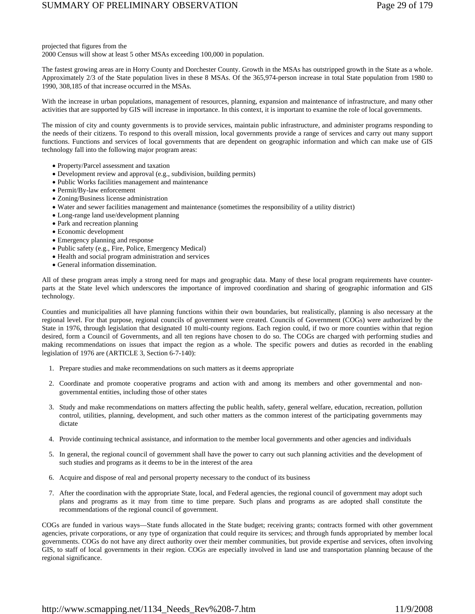projected that figures from the

2000 Census will show at least 5 other MSAs exceeding 100,000 in population.

The fastest growing areas are in Horry County and Dorchester County. Growth in the MSAs has outstripped growth in the State as a whole. Approximately 2/3 of the State population lives in these 8 MSAs. Of the 365,974-person increase in total State population from 1980 to 1990, 308,185 of that increase occurred in the MSAs.

With the increase in urban populations, management of resources, planning, expansion and maintenance of infrastructure, and many other activities that are supported by GIS will increase in importance. In this context, it is important to examine the role of local governments.

The mission of city and county governments is to provide services, maintain public infrastructure, and administer programs responding to the needs of their citizens. To respond to this overall mission, local governments provide a range of services and carry out many support functions. Functions and services of local governments that are dependent on geographic information and which can make use of GIS technology fall into the following major program areas:

- Property/Parcel assessment and taxation
- Development review and approval (e.g., subdivision, building permits)
- Public Works facilities management and maintenance
- Permit/By-law enforcement
- Zoning/Business license administration
- Water and sewer facilities management and maintenance (sometimes the responsibility of a utility district)
- Long-range land use/development planning
- Park and recreation planning
- Economic development
- Emergency planning and response
- Public safety (e.g., Fire, Police, Emergency Medical)
- Health and social program administration and services
- General information dissemination.

All of these program areas imply a strong need for maps and geographic data. Many of these local program requirements have counterparts at the State level which underscores the importance of improved coordination and sharing of geographic information and GIS technology.

Counties and municipalities all have planning functions within their own boundaries, but realistically, planning is also necessary at the regional level. For that purpose, regional councils of government were created. Councils of Government (COGs) were authorized by the State in 1976, through legislation that designated 10 multi-county regions. Each region could, if two or more counties within that region desired, form a Council of Governments, and all ten regions have chosen to do so. The COGs are charged with performing studies and making recommendations on issues that impact the region as a whole. The specific powers and duties as recorded in the enabling legislation of 1976 are (ARTICLE 3, Section 6-7-140):

- 1. Prepare studies and make recommendations on such matters as it deems appropriate
- 2. Coordinate and promote cooperative programs and action with and among its members and other governmental and nongovernmental entities, including those of other states
- 3. Study and make recommendations on matters affecting the public health, safety, general welfare, education, recreation, pollution control, utilities, planning, development, and such other matters as the common interest of the participating governments may dictate
- 4. Provide continuing technical assistance, and information to the member local governments and other agencies and individuals
- 5. In general, the regional council of government shall have the power to carry out such planning activities and the development of such studies and programs as it deems to be in the interest of the area
- 6. Acquire and dispose of real and personal property necessary to the conduct of its business
- 7. After the coordination with the appropriate State, local, and Federal agencies, the regional council of government may adopt such plans and programs as it may from time to time prepare. Such plans and programs as are adopted shall constitute the recommendations of the regional council of government.

COGs are funded in various ways—State funds allocated in the State budget; receiving grants; contracts formed with other government agencies, private corporations, or any type of organization that could require its services; and through funds appropriated by member local governments. COGs do not have any direct authority over their member communities, but provide expertise and services, often involving GIS, to staff of local governments in their region. COGs are especially involved in land use and transportation planning because of the regional significance.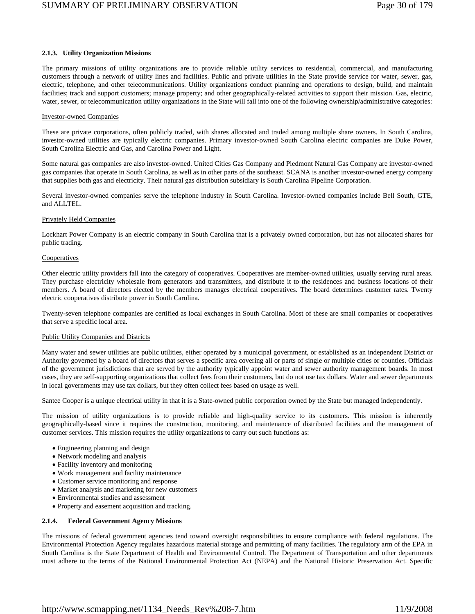### **2.1.3. Utility Organization Missions**

The primary missions of utility organizations are to provide reliable utility services to residential, commercial, and manufacturing customers through a network of utility lines and facilities. Public and private utilities in the State provide service for water, sewer, gas, electric, telephone, and other telecommunications. Utility organizations conduct planning and operations to design, build, and maintain facilities; track and support customers; manage property; and other geographically-related activities to support their mission. Gas, electric, water, sewer, or telecommunication utility organizations in the State will fall into one of the following ownership/administrative categories:

### Investor-owned Companies

These are private corporations, often publicly traded, with shares allocated and traded among multiple share owners. In South Carolina, investor-owned utilities are typically electric companies. Primary investor-owned South Carolina electric companies are Duke Power, South Carolina Electric and Gas, and Carolina Power and Light.

Some natural gas companies are also investor-owned. United Cities Gas Company and Piedmont Natural Gas Company are investor-owned gas companies that operate in South Carolina, as well as in other parts of the southeast. SCANA is another investor-owned energy company that supplies both gas and electricity. Their natural gas distribution subsidiary is South Carolina Pipeline Corporation.

Several investor-owned companies serve the telephone industry in South Carolina. Investor-owned companies include Bell South, GTE, and ALLTEL.

### Privately Held Companies

Lockhart Power Company is an electric company in South Carolina that is a privately owned corporation, but has not allocated shares for public trading.

### **Cooperatives**

Other electric utility providers fall into the category of cooperatives. Cooperatives are member-owned utilities, usually serving rural areas. They purchase electricity wholesale from generators and transmitters, and distribute it to the residences and business locations of their members. A board of directors elected by the members manages electrical cooperatives. The board determines customer rates. Twenty electric cooperatives distribute power in South Carolina.

Twenty-seven telephone companies are certified as local exchanges in South Carolina. Most of these are small companies or cooperatives that serve a specific local area.

### Public Utility Companies and Districts

Many water and sewer utilities are public utilities, either operated by a municipal government, or established as an independent District or Authority governed by a board of directors that serves a specific area covering all or parts of single or multiple cities or counties. Officials of the government jurisdictions that are served by the authority typically appoint water and sewer authority management boards. In most cases, they are self-supporting organizations that collect fees from their customers, but do not use tax dollars. Water and sewer departments in local governments may use tax dollars, but they often collect fees based on usage as well.

Santee Cooper is a unique electrical utility in that it is a State-owned public corporation owned by the State but managed independently.

The mission of utility organizations is to provide reliable and high-quality service to its customers. This mission is inherently geographically-based since it requires the construction, monitoring, and maintenance of distributed facilities and the management of customer services. This mission requires the utility organizations to carry out such functions as:

- Engineering planning and design
- Network modeling and analysis
- Facility inventory and monitoring
- Work management and facility maintenance
- Customer service monitoring and response
- Market analysis and marketing for new customers
- Environmental studies and assessment
- Property and easement acquisition and tracking.

### **2.1.4. Federal Government Agency Missions**

The missions of federal government agencies tend toward oversight responsibilities to ensure compliance with federal regulations. The Environmental Protection Agency regulates hazardous material storage and permitting of many facilities. The regulatory arm of the EPA in South Carolina is the State Department of Health and Environmental Control. The Department of Transportation and other departments must adhere to the terms of the National Environmental Protection Act (NEPA) and the National Historic Preservation Act. Specific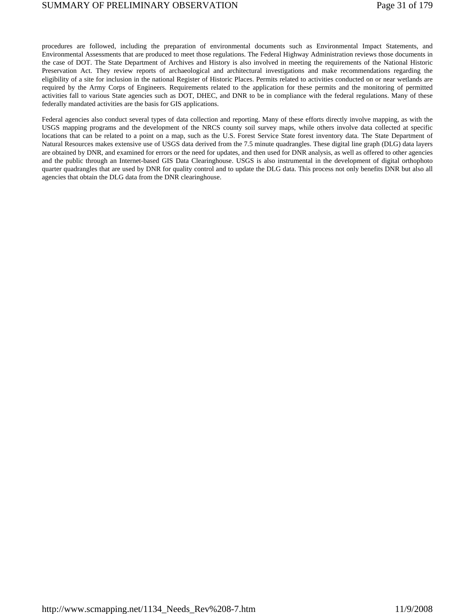procedures are followed, including the preparation of environmental documents such as Environmental Impact Statements, and Environmental Assessments that are produced to meet those regulations. The Federal Highway Administration reviews those documents in the case of DOT. The State Department of Archives and History is also involved in meeting the requirements of the National Historic Preservation Act. They review reports of archaeological and architectural investigations and make recommendations regarding the eligibility of a site for inclusion in the national Register of Historic Places. Permits related to activities conducted on or near wetlands are required by the Army Corps of Engineers. Requirements related to the application for these permits and the monitoring of permitted activities fall to various State agencies such as DOT, DHEC, and DNR to be in compliance with the federal regulations. Many of these federally mandated activities are the basis for GIS applications.

Federal agencies also conduct several types of data collection and reporting. Many of these efforts directly involve mapping, as with the USGS mapping programs and the development of the NRCS county soil survey maps, while others involve data collected at specific locations that can be related to a point on a map, such as the U.S. Forest Service State forest inventory data. The State Department of Natural Resources makes extensive use of USGS data derived from the 7.5 minute quadrangles. These digital line graph (DLG) data layers are obtained by DNR, and examined for errors or the need for updates, and then used for DNR analysis, as well as offered to other agencies and the public through an Internet-based GIS Data Clearinghouse. USGS is also instrumental in the development of digital orthophoto quarter quadrangles that are used by DNR for quality control and to update the DLG data. This process not only benefits DNR but also all agencies that obtain the DLG data from the DNR clearinghouse.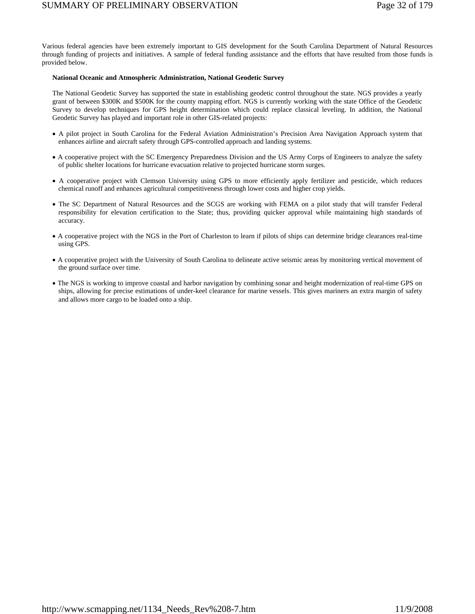Various federal agencies have been extremely important to GIS development for the South Carolina Department of Natural Resources through funding of projects and initiatives. A sample of federal funding assistance and the efforts that have resulted from those funds is provided below.

### **National Oceanic and Atmospheric Administration, National Geodetic Survey**

The National Geodetic Survey has supported the state in establishing geodetic control throughout the state. NGS provides a yearly grant of between \$300K and \$500K for the county mapping effort. NGS is currently working with the state Office of the Geodetic Survey to develop techniques for GPS height determination which could replace classical leveling. In addition, the National Geodetic Survey has played and important role in other GIS-related projects:

- A pilot project in South Carolina for the Federal Aviation Administration's Precision Area Navigation Approach system that enhances airline and aircraft safety through GPS-controlled approach and landing systems.
- A cooperative project with the SC Emergency Preparedness Division and the US Army Corps of Engineers to analyze the safety of public shelter locations for hurricane evacuation relative to projected hurricane storm surges.
- A cooperative project with Clemson University using GPS to more efficiently apply fertilizer and pesticide, which reduces chemical runoff and enhances agricultural competitiveness through lower costs and higher crop yields.
- The SC Department of Natural Resources and the SCGS are working with FEMA on a pilot study that will transfer Federal responsibility for elevation certification to the State; thus, providing quicker approval while maintaining high standards of accuracy.
- A cooperative project with the NGS in the Port of Charleston to learn if pilots of ships can determine bridge clearances real-time using GPS.
- A cooperative project with the University of South Carolina to delineate active seismic areas by monitoring vertical movement of the ground surface over time.
- The NGS is working to improve coastal and harbor navigation by combining sonar and height modernization of real-time GPS on ships, allowing for precise estimations of under-keel clearance for marine vessels. This gives mariners an extra margin of safety and allows more cargo to be loaded onto a ship.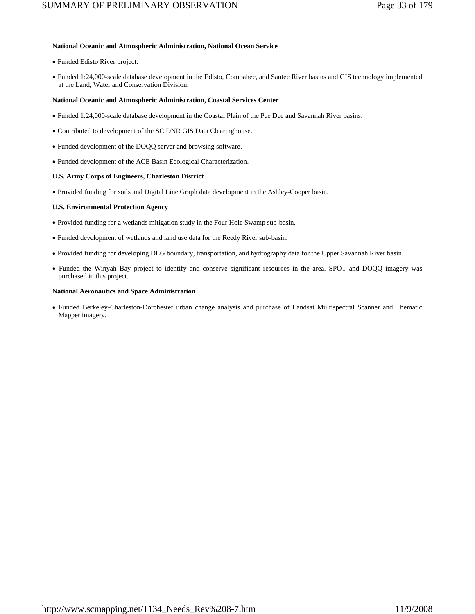### **National Oceanic and Atmospheric Administration, National Ocean Service**

- Funded Edisto River project.
- Funded 1:24,000-scale database development in the Edisto, Combahee, and Santee River basins and GIS technology implemented at the Land, Water and Conservation Division.

### **National Oceanic and Atmospheric Administration, Coastal Services Center**

- Funded 1:24,000-scale database development in the Coastal Plain of the Pee Dee and Savannah River basins.
- Contributed to development of the SC DNR GIS Data Clearinghouse.
- Funded development of the DOQQ server and browsing software.
- Funded development of the ACE Basin Ecological Characterization.

### **U.S. Army Corps of Engineers, Charleston District**

• Provided funding for soils and Digital Line Graph data development in the Ashley-Cooper basin.

### **U.S. Environmental Protection Agency**

- Provided funding for a wetlands mitigation study in the Four Hole Swamp sub-basin.
- Funded development of wetlands and land use data for the Reedy River sub-basin.
- Provided funding for developing DLG boundary, transportation, and hydrography data for the Upper Savannah River basin.
- Funded the Winyah Bay project to identify and conserve significant resources in the area. SPOT and DOQQ imagery was purchased in this project.

### **National Aeronautics and Space Administration**

• Funded Berkeley-Charleston-Dorchester urban change analysis and purchase of Landsat Multispectral Scanner and Thematic Mapper imagery.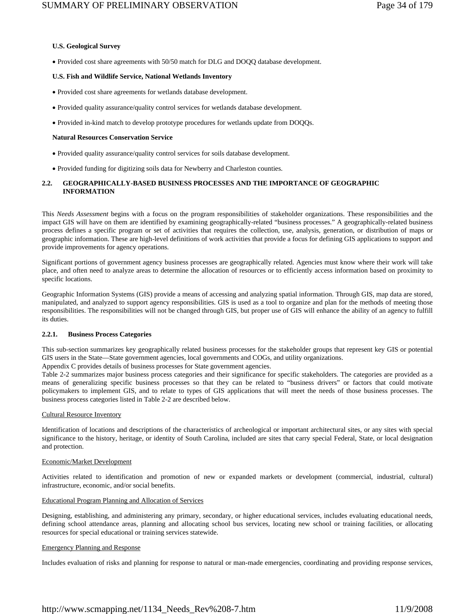### **U.S. Geological Survey**

• Provided cost share agreements with 50/50 match for DLG and DOQQ database development.

### **U.S. Fish and Wildlife Service, National Wetlands Inventory**

- Provided cost share agreements for wetlands database development.
- Provided quality assurance/quality control services for wetlands database development.
- Provided in-kind match to develop prototype procedures for wetlands update from DOQQs.

#### **Natural Resources Conservation Service**

- Provided quality assurance/quality control services for soils database development.
- Provided funding for digitizing soils data for Newberry and Charleston counties.

### **2.2. GEOGRAPHICALLY-BASED BUSINESS PROCESSES AND THE IMPORTANCE OF GEOGRAPHIC INFORMATION**

This *Needs Assessment* begins with a focus on the program responsibilities of stakeholder organizations. These responsibilities and the impact GIS will have on them are identified by examining geographically-related "business processes." A geographically-related business process defines a specific program or set of activities that requires the collection, use, analysis, generation, or distribution of maps or geographic information. These are high-level definitions of work activities that provide a focus for defining GIS applications to support and provide improvements for agency operations.

Significant portions of government agency business processes are geographically related. Agencies must know where their work will take place, and often need to analyze areas to determine the allocation of resources or to efficiently access information based on proximity to specific locations.

Geographic Information Systems (GIS) provide a means of accessing and analyzing spatial information. Through GIS, map data are stored, manipulated, and analyzed to support agency responsibilities. GIS is used as a tool to organize and plan for the methods of meeting those responsibilities. The responsibilities will not be changed through GIS, but proper use of GIS will enhance the ability of an agency to fulfill its duties.

#### **2.2.1. Business Process Categories**

This sub-section summarizes key geographically related business processes for the stakeholder groups that represent key GIS or potential GIS users in the State—State government agencies, local governments and COGs, and utility organizations.

Appendix C provides details of business processes for State government agencies.

Table 2-2 summarizes major business process categories and their significance for specific stakeholders. The categories are provided as a means of generalizing specific business processes so that they can be related to "business drivers" or factors that could motivate policymakers to implement GIS, and to relate to types of GIS applications that will meet the needs of those business processes. The business process categories listed in Table 2-2 are described below.

#### Cultural Resource Inventory

Identification of locations and descriptions of the characteristics of archeological or important architectural sites, or any sites with special significance to the history, heritage, or identity of South Carolina, included are sites that carry special Federal, State, or local designation and protection.

#### Economic/Market Development

Activities related to identification and promotion of new or expanded markets or development (commercial, industrial, cultural) infrastructure, economic, and/or social benefits.

### Educational Program Planning and Allocation of Services

Designing, establishing, and administering any primary, secondary, or higher educational services, includes evaluating educational needs, defining school attendance areas, planning and allocating school bus services, locating new school or training facilities, or allocating resources for special educational or training services statewide.

### Emergency Planning and Response

Includes evaluation of risks and planning for response to natural or man-made emergencies, coordinating and providing response services,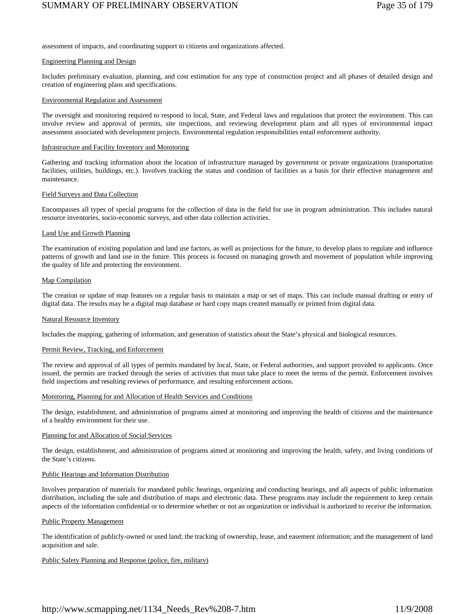## SUMMARY OF PRELIMINARY OBSERVATION Page 35 of 179

assessment of impacts, and coordinating support to citizens and organizations affected.

### Engineering Planning and Design

Includes preliminary evaluation, planning, and cost estimation for any type of construction project and all phases of detailed design and creation of engineering plans and specifications.

### Environmental Regulation and Assessment

The oversight and monitoring required to respond to local, State, and Federal laws and regulations that protect the environment. This can involve review and approval of permits, site inspections, and reviewing development plans and all types of environmental impact assessment associated with development projects. Environmental regulation responsibilities entail enforcement authority.

### Infrastructure and Facility Inventory and Monitoring

Gathering and tracking information about the location of infrastructure managed by government or private organizations (transportation facilities, utilities, buildings, etc.). Involves tracking the status and condition of facilities as a basis for their effective management and maintenance.

### Field Surveys and Data Collection

Encompasses all types of special programs for the collection of data in the field for use in program administration. This includes natural resource inventories, socio-economic surveys, and other data collection activities.

### Land Use and Growth Planning

The examination of existing population and land use factors, as well as projections for the future, to develop plans to regulate and influence patterns of growth and land use in the future. This process is focused on managing growth and movement of population while improving the quality of life and protecting the environment.

### Map Compilation

The creation or update of map features on a regular basis to maintain a map or set of maps. This can include manual drafting or entry of digital data. The results may be a digital map database or hard copy maps created manually or printed from digital data.

### Natural Resource Inventory

Includes the mapping, gathering of information, and generation of statistics about the State's physical and biological resources.

### Permit Review, Tracking, and Enforcement

The review and approval of all types of permits mandated by local, State, or Federal authorities, and support provided to applicants. Once issued, the permits are tracked through the series of activities that must take place to meet the terms of the permit. Enforcement involves field inspections and resulting reviews of performance, and resulting enforcement actions.

### Monitoring, Planning for and Allocation of Health Services and Conditions

The design, establishment, and administration of programs aimed at monitoring and improving the health of citizens and the maintenance of a healthy environment for their use.

### Planning for and Allocation of Social Services

The design, establishment, and administration of programs aimed at monitoring and improving the health, safety, and living conditions of the State's citizens.

### Public Hearings and Information Distribution

Involves preparation of materials for mandated public hearings, organizing and conducting hearings, and all aspects of public information distribution, including the sale and distribution of maps and electronic data. These programs may include the requirement to keep certain aspects of the information confidential or to determine whether or not an organization or individual is authorized to receive the information.

### Public Property Management

The identification of publicly-owned or used land; the tracking of ownership, lease, and easement information; and the management of land acquisition and sale.

### Public Safety Planning and Response (police, fire, military)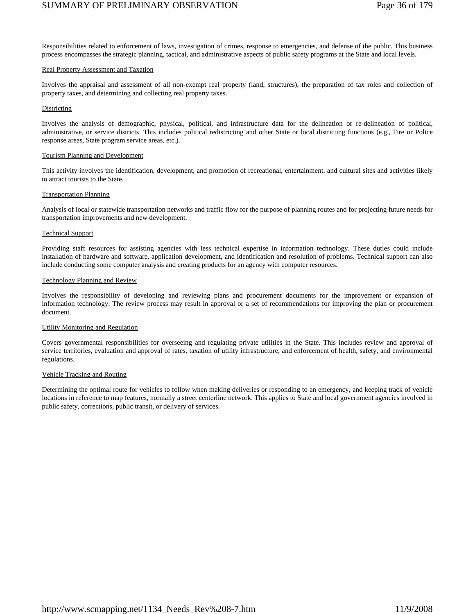## SUMMARY OF PRELIMINARY OBSERVATION Page 36 of 179

Responsibilities related to enforcement of laws, investigation of crimes, response to emergencies, and defense of the public. This business process encompasses the strategic planning, tactical, and administrative aspects of public safety programs at the State and local levels.

#### Real Property Assessment and Taxation

Involves the appraisal and assessment of all non-exempt real property (land, structures), the preparation of tax roles and collection of property taxes, and determining and collecting real property taxes.

### Districting

Involves the analysis of demographic, physical, political, and infrastructure data for the delineation or re-delineation of political, administrative, or service districts. This includes political redistricting and other State or local districting functions (e.g., Fire or Police response areas, State program service areas, etc.).

### Tourism Planning and Development

This activity involves the identification, development, and promotion of recreational, entertainment, and cultural sites and activities likely to attract tourists to the State.

### Transportation Planning

Analysis of local or statewide transportation networks and traffic flow for the purpose of planning routes and for projecting future needs for transportation improvements and new development.

### Technical Support

Providing staff resources for assisting agencies with less technical expertise in information technology. These duties could include installation of hardware and software, application development, and identification and resolution of problems. Technical support can also include conducting some computer analysis and creating products for an agency with computer resources.

### Technology Planning and Review

Involves the responsibility of developing and reviewing plans and procurement documents for the improvement or expansion of information technology. The review process may result in approval or a set of recommendations for improving the plan or procurement document.

#### Utility Monitoring and Regulation

Covers governmental responsibilities for overseeing and regulating private utilities in the State. This includes review and approval of service territories, evaluation and approval of rates, taxation of utility infrastructure, and enforcement of health, safety, and environmental regulations.

### Vehicle Tracking and Routing

Determining the optimal route for vehicles to follow when making deliveries or responding to an emergency, and keeping track of vehicle locations in reference to map features, normally a street centerline network. This applies to State and local government agencies involved in public safety, corrections, public transit, or delivery of services.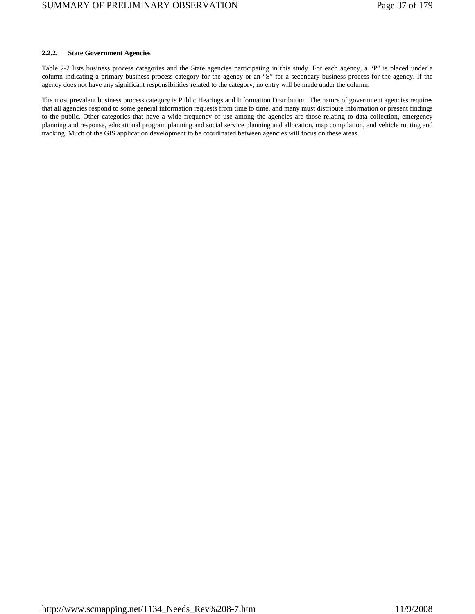### **2.2.2. State Government Agencies**

Table 2-2 lists business process categories and the State agencies participating in this study. For each agency, a "P" is placed under a column indicating a primary business process category for the agency or an "S" for a secondary business process for the agency. If the agency does not have any significant responsibilities related to the category, no entry will be made under the column.

The most prevalent business process category is Public Hearings and Information Distribution. The nature of government agencies requires that all agencies respond to some general information requests from time to time, and many must distribute information or present findings to the public. Other categories that have a wide frequency of use among the agencies are those relating to data collection, emergency planning and response, educational program planning and social service planning and allocation, map compilation, and vehicle routing and tracking. Much of the GIS application development to be coordinated between agencies will focus on these areas.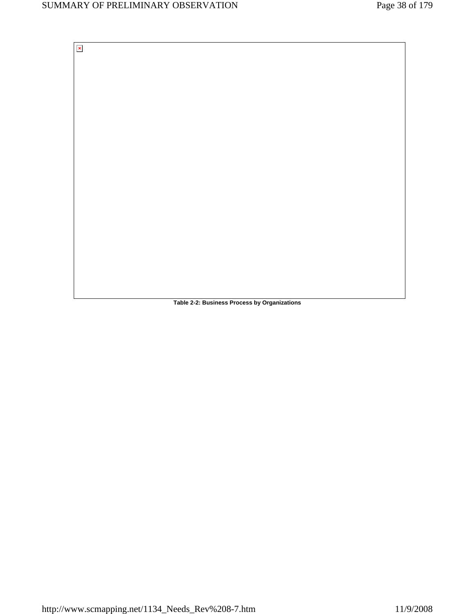$\mathbf{x}$ 

**Table 2-2: Business Process by Organizations**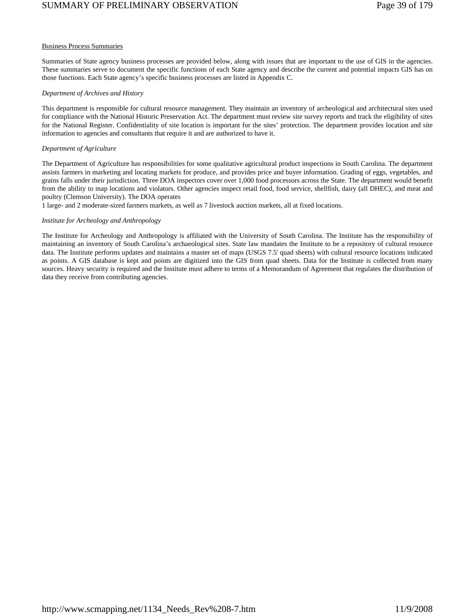# SUMMARY OF PRELIMINARY OBSERVATION Page 39 of 179

#### Business Process Summaries

Summaries of State agency business processes are provided below, along with issues that are important to the use of GIS in the agencies. These summaries serve to document the specific functions of each State agency and describe the current and potential impacts GIS has on those functions. Each State agency's specific business processes are listed in Appendix C.

### *Department of Archives and History*

This department is responsible for cultural resource management. They maintain an inventory of archeological and architectural sites used for compliance with the National Historic Preservation Act. The department must review site survey reports and track the eligibility of sites for the National Register. Confidentiality of site location is important for the sites' protection. The department provides location and site information to agencies and consultants that require it and are authorized to have it.

## *Department of Agriculture*

The Department of Agriculture has responsibilities for some qualitative agricultural product inspections in South Carolina. The department assists farmers in marketing and locating markets for produce, and provides price and buyer information. Grading of eggs, vegetables, and grains falls under their jurisdiction. Three DOA inspectors cover over 1,000 food processors across the State. The department would benefit from the ability to map locations and violators. Other agencies inspect retail food, food service, shellfish, dairy (all DHEC), and meat and poultry (Clemson University). The DOA operates

1 large- and 2 moderate-sized farmers markets, as well as 7 livestock auction markets, all at fixed locations.

## *Institute for Archeology and Anthropology*

The Institute for Archeology and Anthropology is affiliated with the University of South Carolina. The Institute has the responsibility of maintaining an inventory of South Carolina's archaeological sites. State law mandates the Institute to be a repository of cultural resource data. The Institute performs updates and maintains a master set of maps (USGS 7.5' quad sheets) with cultural resource locations indicated as points. A GIS database is kept and points are digitized into the GIS from quad sheets. Data for the Institute is collected from many sources. Heavy security is required and the Institute must adhere to terms of a Memorandum of Agreement that regulates the distribution of data they receive from contributing agencies.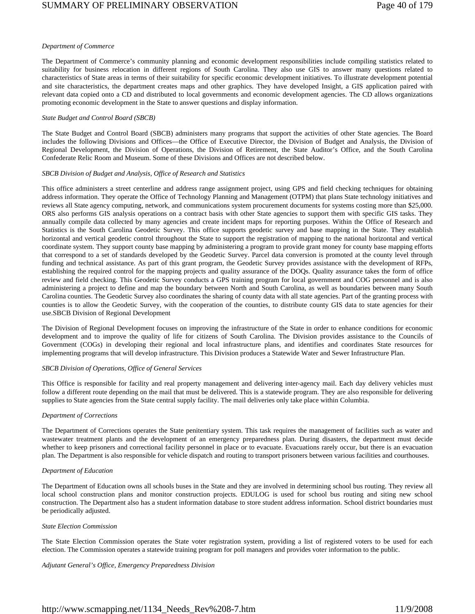#### *Department of Commerce*

The Department of Commerce's community planning and economic development responsibilities include compiling statistics related to suitability for business relocation in different regions of South Carolina. They also use GIS to answer many questions related to characteristics of State areas in terms of their suitability for specific economic development initiatives. To illustrate development potential and site characteristics, the department creates maps and other graphics. They have developed Insight, a GIS application paired with relevant data copied onto a CD and distributed to local governments and economic development agencies. The CD allows organizations promoting economic development in the State to answer questions and display information.

#### *State Budget and Control Board (SBCB)*

The State Budget and Control Board (SBCB) administers many programs that support the activities of other State agencies. The Board includes the following Divisions and Offices—the Office of Executive Director, the Division of Budget and Analysis, the Division of Regional Development, the Division of Operations, the Division of Retirement, the State Auditor's Office, and the South Carolina Confederate Relic Room and Museum. Some of these Divisions and Offices are not described below.

#### *SBCB Division of Budget and Analysis, Office of Research and Statistics*

This office administers a street centerline and address range assignment project, using GPS and field checking techniques for obtaining address information. They operate the Office of Technology Planning and Management (OTPM) that plans State technology initiatives and reviews all State agency computing, network, and communications system procurement documents for systems costing more than \$25,000. ORS also performs GIS analysis operations on a contract basis with other State agencies to support them with specific GIS tasks. They annually compile data collected by many agencies and create incident maps for reporting purposes. Within the Office of Research and Statistics is the South Carolina Geodetic Survey. This office supports geodetic survey and base mapping in the State. They establish horizontal and vertical geodetic control throughout the State to support the registration of mapping to the national horizontal and vertical coordinate system. They support county base mapping by administering a program to provide grant money for county base mapping efforts that correspond to a set of standards developed by the Geodetic Survey. Parcel data conversion is promoted at the county level through funding and technical assistance. As part of this grant program, the Geodetic Survey provides assistance with the development of RFPs, establishing the required control for the mapping projects and quality assurance of the DOQs. Quality assurance takes the form of office review and field checking. This Geodetic Survey conducts a GPS training program for local government and COG personnel and is also administering a project to define and map the boundary between North and South Carolina, as well as boundaries between many South Carolina counties. The Geodetic Survey also coordinates the sharing of county data with all state agencies. Part of the granting process with counties is to allow the Geodetic Survey, with the cooperation of the counties, to distribute county GIS data to state agencies for their use.SBCB Division of Regional Development

The Division of Regional Development focuses on improving the infrastructure of the State in order to enhance conditions for economic development and to improve the quality of life for citizens of South Carolina. The Division provides assistance to the Councils of Government (COGs) in developing their regional and local infrastructure plans, and identifies and coordinates State resources for implementing programs that will develop infrastructure. This Division produces a Statewide Water and Sewer Infrastructure Plan.

#### *SBCB Division of Operations, Office of General Services*

This Office is responsible for facility and real property management and delivering inter-agency mail. Each day delivery vehicles must follow a different route depending on the mail that must be delivered. This is a statewide program. They are also responsible for delivering supplies to State agencies from the State central supply facility. The mail deliveries only take place within Columbia.

#### *Department of Corrections*

The Department of Corrections operates the State penitentiary system. This task requires the management of facilities such as water and wastewater treatment plants and the development of an emergency preparedness plan. During disasters, the department must decide whether to keep prisoners and correctional facility personnel in place or to evacuate. Evacuations rarely occur, but there is an evacuation plan. The Department is also responsible for vehicle dispatch and routing to transport prisoners between various facilities and courthouses.

#### *Department of Education*

The Department of Education owns all schools buses in the State and they are involved in determining school bus routing. They review all local school construction plans and monitor construction projects. EDULOG is used for school bus routing and siting new school construction. The Department also has a student information database to store student address information. School district boundaries must be periodically adjusted.

#### *State Election Commission*

The State Election Commission operates the State voter registration system, providing a list of registered voters to be used for each election. The Commission operates a statewide training program for poll managers and provides voter information to the public.

#### *Adjutant General's Office, Emergency Preparedness Division*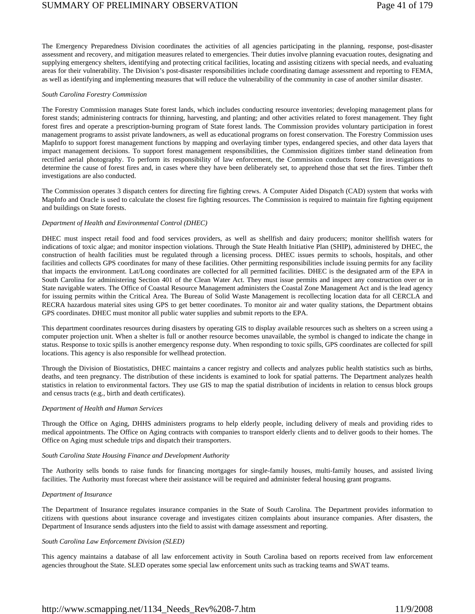The Emergency Preparedness Division coordinates the activities of all agencies participating in the planning, response, post-disaster assessment and recovery, and mitigation measures related to emergencies. Their duties involve planning evacuation routes, designating and supplying emergency shelters, identifying and protecting critical facilities, locating and assisting citizens with special needs, and evaluating areas for their vulnerability. The Division's post-disaster responsibilities include coordinating damage assessment and reporting to FEMA, as well as identifying and implementing measures that will reduce the vulnerability of the community in case of another similar disaster.

#### *South Carolina Forestry Commission*

The Forestry Commission manages State forest lands, which includes conducting resource inventories; developing management plans for forest stands; administering contracts for thinning, harvesting, and planting; and other activities related to forest management. They fight forest fires and operate a prescription-burning program of State forest lands. The Commission provides voluntary participation in forest management programs to assist private landowners, as well as educational programs on forest conservation. The Forestry Commission uses MapInfo to support forest management functions by mapping and overlaying timber types, endangered species, and other data layers that impact management decisions. To support forest management responsibilities, the Commission digitizes timber stand delineation from rectified aerial photography. To perform its responsibility of law enforcement, the Commission conducts forest fire investigations to determine the cause of forest fires and, in cases where they have been deliberately set, to apprehend those that set the fires. Timber theft investigations are also conducted.

The Commission operates 3 dispatch centers for directing fire fighting crews. A Computer Aided Dispatch (CAD) system that works with MapInfo and Oracle is used to calculate the closest fire fighting resources. The Commission is required to maintain fire fighting equipment and buildings on State forests.

## *Department of Health and Environmental Control (DHEC)*

DHEC must inspect retail food and food services providers, as well as shellfish and dairy producers; monitor shellfish waters for indications of toxic algae; and monitor inspection violations. Through the State Health Initiative Plan (SHIP), administered by DHEC, the construction of health facilities must be regulated through a licensing process. DHEC issues permits to schools, hospitals, and other facilities and collects GPS coordinates for many of these facilities. Other permitting responsibilities include issuing permits for any facility that impacts the environment. Lat/Long coordinates are collected for all permitted facilities. DHEC is the designated arm of the EPA in South Carolina for administering Section 401 of the Clean Water Act. They must issue permits and inspect any construction over or in State navigable waters. The Office of Coastal Resource Management administers the Coastal Zone Management Act and is the lead agency for issuing permits within the Critical Area. The Bureau of Solid Waste Management is recollecting location data for all CERCLA and RECRA hazardous material sites using GPS to get better coordinates. To monitor air and water quality stations, the Department obtains GPS coordinates. DHEC must monitor all public water supplies and submit reports to the EPA.

This department coordinates resources during disasters by operating GIS to display available resources such as shelters on a screen using a computer projection unit. When a shelter is full or another resource becomes unavailable, the symbol is changed to indicate the change in status. Response to toxic spills is another emergency response duty. When responding to toxic spills, GPS coordinates are collected for spill locations. This agency is also responsible for wellhead protection.

Through the Division of Biostatistics, DHEC maintains a cancer registry and collects and analyzes public health statistics such as births, deaths, and teen pregnancy. The distribution of these incidents is examined to look for spatial patterns. The Department analyzes health statistics in relation to environmental factors. They use GIS to map the spatial distribution of incidents in relation to census block groups and census tracts (e.g., birth and death certificates).

#### *Department of Health and Human Services*

Through the Office on Aging, DHHS administers programs to help elderly people, including delivery of meals and providing rides to medical appointments. The Office on Aging contracts with companies to transport elderly clients and to deliver goods to their homes. The Office on Aging must schedule trips and dispatch their transporters.

#### *South Carolina State Housing Finance and Development Authority*

The Authority sells bonds to raise funds for financing mortgages for single-family houses, multi-family houses, and assisted living facilities. The Authority must forecast where their assistance will be required and administer federal housing grant programs.

#### *Department of Insurance*

The Department of Insurance regulates insurance companies in the State of South Carolina. The Department provides information to citizens with questions about insurance coverage and investigates citizen complaints about insurance companies. After disasters, the Department of Insurance sends adjusters into the field to assist with damage assessment and reporting.

#### *South Carolina Law Enforcement Division (SLED)*

This agency maintains a database of all law enforcement activity in South Carolina based on reports received from law enforcement agencies throughout the State. SLED operates some special law enforcement units such as tracking teams and SWAT teams.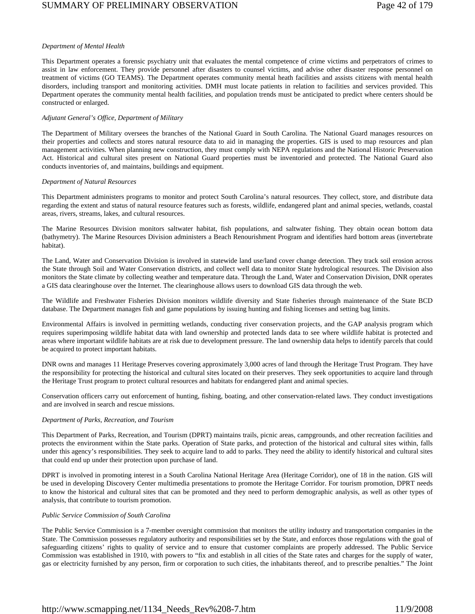#### *Department of Mental Health*

This Department operates a forensic psychiatry unit that evaluates the mental competence of crime victims and perpetrators of crimes to assist in law enforcement. They provide personnel after disasters to counsel victims, and advise other disaster response personnel on treatment of victims (GO TEAMS). The Department operates community mental heath facilities and assists citizens with mental health disorders, including transport and monitoring activities. DMH must locate patients in relation to facilities and services provided. This Department operates the community mental health facilities, and population trends must be anticipated to predict where centers should be constructed or enlarged.

#### *Adjutant General's Office, Department of Military*

The Department of Military oversees the branches of the National Guard in South Carolina. The National Guard manages resources on their properties and collects and stores natural resource data to aid in managing the properties. GIS is used to map resources and plan management activities. When planning new construction, they must comply with NEPA regulations and the National Historic Preservation Act. Historical and cultural sites present on National Guard properties must be inventoried and protected. The National Guard also conducts inventories of, and maintains, buildings and equipment.

#### *Department of Natural Resources*

This Department administers programs to monitor and protect South Carolina's natural resources. They collect, store, and distribute data regarding the extent and status of natural resource features such as forests, wildlife, endangered plant and animal species, wetlands, coastal areas, rivers, streams, lakes, and cultural resources.

The Marine Resources Division monitors saltwater habitat, fish populations, and saltwater fishing. They obtain ocean bottom data (bathymetry). The Marine Resources Division administers a Beach Renourishment Program and identifies hard bottom areas (invertebrate habitat).

The Land, Water and Conservation Division is involved in statewide land use/land cover change detection. They track soil erosion across the State through Soil and Water Conservation districts, and collect well data to monitor State hydrological resources. The Division also monitors the State climate by collecting weather and temperature data. Through the Land, Water and Conservation Division, DNR operates a GIS data clearinghouse over the Internet. The clearinghouse allows users to download GIS data through the web.

The Wildlife and Freshwater Fisheries Division monitors wildlife diversity and State fisheries through maintenance of the State BCD database. The Department manages fish and game populations by issuing hunting and fishing licenses and setting bag limits.

Environmental Affairs is involved in permitting wetlands, conducting river conservation projects, and the GAP analysis program which requires superimposing wildlife habitat data with land ownership and protected lands data to see where wildlife habitat is protected and areas where important wildlife habitats are at risk due to development pressure. The land ownership data helps to identify parcels that could be acquired to protect important habitats.

DNR owns and manages 11 Heritage Preserves covering approximately 3,000 acres of land through the Heritage Trust Program. They have the responsibility for protecting the historical and cultural sites located on their preserves. They seek opportunities to acquire land through the Heritage Trust program to protect cultural resources and habitats for endangered plant and animal species.

Conservation officers carry out enforcement of hunting, fishing, boating, and other conservation-related laws. They conduct investigations and are involved in search and rescue missions.

#### *Department of Parks, Recreation, and Tourism*

This Department of Parks, Recreation, and Tourism (DPRT) maintains trails, picnic areas, campgrounds, and other recreation facilities and protects the environment within the State parks. Operation of State parks, and protection of the historical and cultural sites within, falls under this agency's responsibilities. They seek to acquire land to add to parks. They need the ability to identify historical and cultural sites that could end up under their protection upon purchase of land.

DPRT is involved in promoting interest in a South Carolina National Heritage Area (Heritage Corridor), one of 18 in the nation. GIS will be used in developing Discovery Center multimedia presentations to promote the Heritage Corridor. For tourism promotion, DPRT needs to know the historical and cultural sites that can be promoted and they need to perform demographic analysis, as well as other types of analysis, that contribute to tourism promotion.

#### *Public Service Commission of South Carolina*

The Public Service Commission is a 7-member oversight commission that monitors the utility industry and transportation companies in the State. The Commission possesses regulatory authority and responsibilities set by the State, and enforces those regulations with the goal of safeguarding citizens' rights to quality of service and to ensure that customer complaints are properly addressed. The Public Service Commission was established in 1910, with powers to "fix and establish in all cities of the State rates and charges for the supply of water, gas or electricity furnished by any person, firm or corporation to such cities, the inhabitants thereof, and to prescribe penalties." The Joint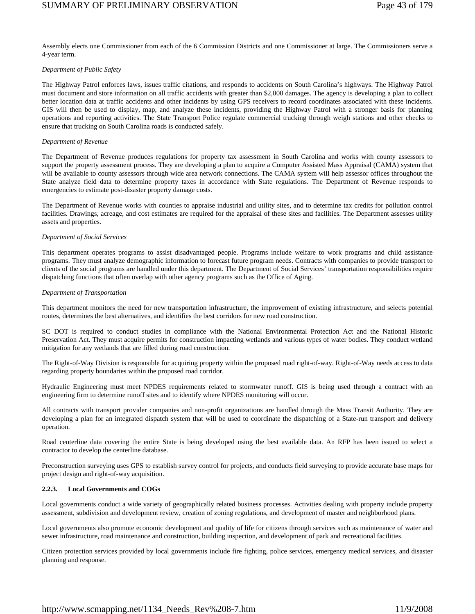Assembly elects one Commissioner from each of the 6 Commission Districts and one Commissioner at large. The Commissioners serve a 4-year term.

#### *Department of Public Safety*

The Highway Patrol enforces laws, issues traffic citations, and responds to accidents on South Carolina's highways. The Highway Patrol must document and store information on all traffic accidents with greater than \$2,000 damages. The agency is developing a plan to collect better location data at traffic accidents and other incidents by using GPS receivers to record coordinates associated with these incidents. GIS will then be used to display, map, and analyze these incidents, providing the Highway Patrol with a stronger basis for planning operations and reporting activities. The State Transport Police regulate commercial trucking through weigh stations and other checks to ensure that trucking on South Carolina roads is conducted safely.

#### *Department of Revenue*

The Department of Revenue produces regulations for property tax assessment in South Carolina and works with county assessors to support the property assessment process. They are developing a plan to acquire a Computer Assisted Mass Appraisal (CAMA) system that will be available to county assessors through wide area network connections. The CAMA system will help assessor offices throughout the State analyze field data to determine property taxes in accordance with State regulations. The Department of Revenue responds to emergencies to estimate post-disaster property damage costs.

The Department of Revenue works with counties to appraise industrial and utility sites, and to determine tax credits for pollution control facilities. Drawings, acreage, and cost estimates are required for the appraisal of these sites and facilities. The Department assesses utility assets and properties.

#### *Department of Social Services*

This department operates programs to assist disadvantaged people. Programs include welfare to work programs and child assistance programs. They must analyze demographic information to forecast future program needs. Contracts with companies to provide transport to clients of the social programs are handled under this department. The Department of Social Services' transportation responsibilities require dispatching functions that often overlap with other agency programs such as the Office of Aging.

#### *Department of Transportation*

This department monitors the need for new transportation infrastructure, the improvement of existing infrastructure, and selects potential routes, determines the best alternatives, and identifies the best corridors for new road construction.

SC DOT is required to conduct studies in compliance with the National Environmental Protection Act and the National Historic Preservation Act. They must acquire permits for construction impacting wetlands and various types of water bodies. They conduct wetland mitigation for any wetlands that are filled during road construction.

The Right-of-Way Division is responsible for acquiring property within the proposed road right-of-way. Right-of-Way needs access to data regarding property boundaries within the proposed road corridor.

Hydraulic Engineering must meet NPDES requirements related to stormwater runoff. GIS is being used through a contract with an engineering firm to determine runoff sites and to identify where NPDES monitoring will occur.

All contracts with transport provider companies and non-profit organizations are handled through the Mass Transit Authority. They are developing a plan for an integrated dispatch system that will be used to coordinate the dispatching of a State-run transport and delivery operation.

Road centerline data covering the entire State is being developed using the best available data. An RFP has been issued to select a contractor to develop the centerline database.

Preconstruction surveying uses GPS to establish survey control for projects, and conducts field surveying to provide accurate base maps for project design and right-of-way acquisition.

#### **2.2.3. Local Governments and COGs**

Local governments conduct a wide variety of geographically related business processes. Activities dealing with property include property assessment, subdivision and development review, creation of zoning regulations, and development of master and neighborhood plans.

Local governments also promote economic development and quality of life for citizens through services such as maintenance of water and sewer infrastructure, road maintenance and construction, building inspection, and development of park and recreational facilities.

Citizen protection services provided by local governments include fire fighting, police services, emergency medical services, and disaster planning and response.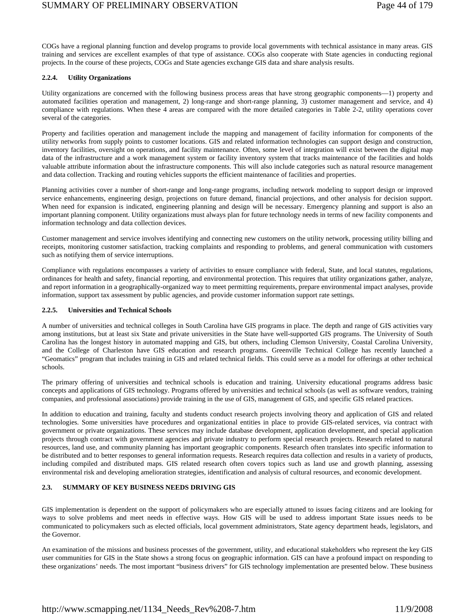COGs have a regional planning function and develop programs to provide local governments with technical assistance in many areas. GIS training and services are excellent examples of that type of assistance. COGs also cooperate with State agencies in conducting regional projects. In the course of these projects, COGs and State agencies exchange GIS data and share analysis results.

## **2.2.4. Utility Organizations**

Utility organizations are concerned with the following business process areas that have strong geographic components—1) property and automated facilities operation and management, 2) long-range and short-range planning, 3) customer management and service, and 4) compliance with regulations. When these 4 areas are compared with the more detailed categories in Table 2-2, utility operations cover several of the categories.

Property and facilities operation and management include the mapping and management of facility information for components of the utility networks from supply points to customer locations. GIS and related information technologies can support design and construction, inventory facilities, oversight on operations, and facility maintenance. Often, some level of integration will exist between the digital map data of the infrastructure and a work management system or facility inventory system that tracks maintenance of the facilities and holds valuable attribute information about the infrastructure components. This will also include categories such as natural resource management and data collection. Tracking and routing vehicles supports the efficient maintenance of facilities and properties.

Planning activities cover a number of short-range and long-range programs, including network modeling to support design or improved service enhancements, engineering design, projections on future demand, financial projections, and other analysis for decision support. When need for expansion is indicated, engineering planning and design will be necessary. Emergency planning and support is also an important planning component. Utility organizations must always plan for future technology needs in terms of new facility components and information technology and data collection devices.

Customer management and service involves identifying and connecting new customers on the utility network, processing utility billing and receipts, monitoring customer satisfaction, tracking complaints and responding to problems, and general communication with customers such as notifying them of service interruptions.

Compliance with regulations encompasses a variety of activities to ensure compliance with federal, State, and local statutes, regulations, ordinances for health and safety, financial reporting, and environmental protection. This requires that utility organizations gather, analyze, and report information in a geographically-organized way to meet permitting requirements, prepare environmental impact analyses, provide information, support tax assessment by public agencies, and provide customer information support rate settings.

### **2.2.5. Universities and Technical Schools**

A number of universities and technical colleges in South Carolina have GIS programs in place. The depth and range of GIS activities vary among institutions, but at least six State and private universities in the State have well-supported GIS programs. The University of South Carolina has the longest history in automated mapping and GIS, but others, including Clemson University, Coastal Carolina University, and the College of Charleston have GIS education and research programs. Greenville Technical College has recently launched a "Geomatics" program that includes training in GIS and related technical fields. This could serve as a model for offerings at other technical schools.

The primary offering of universities and technical schools is education and training. University educational programs address basic concepts and applications of GIS technology. Programs offered by universities and technical schools (as well as software vendors, training companies, and professional associations) provide training in the use of GIS, management of GIS, and specific GIS related practices.

In addition to education and training, faculty and students conduct research projects involving theory and application of GIS and related technologies. Some universities have procedures and organizational entities in place to provide GIS-related services, via contract with government or private organizations. These services may include database development, application development, and special application projects through contract with government agencies and private industry to perform special research projects. Research related to natural resources, land use, and community planning has important geographic components. Research often translates into specific information to be distributed and to better responses to general information requests. Research requires data collection and results in a variety of products, including compiled and distributed maps. GIS related research often covers topics such as land use and growth planning, assessing environmental risk and developing amelioration strategies, identification and analysis of cultural resources, and economic development.

## **2.3. SUMMARY OF KEY BUSINESS NEEDS DRIVING GIS**

GIS implementation is dependent on the support of policymakers who are especially attuned to issues facing citizens and are looking for ways to solve problems and meet needs in effective ways. How GIS will be used to address important State issues needs to be communicated to policymakers such as elected officials, local government administrators, State agency department heads, legislators, and the Governor.

An examination of the missions and business processes of the government, utility, and educational stakeholders who represent the key GIS user communities for GIS in the State shows a strong focus on geographic information. GIS can have a profound impact on responding to these organizations' needs. The most important "business drivers" for GIS technology implementation are presented below. These business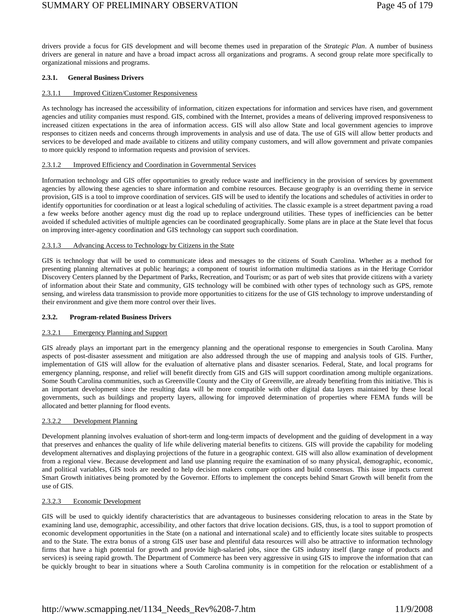# SUMMARY OF PRELIMINARY OBSERVATION Page 45 of 179

drivers provide a focus for GIS development and will become themes used in preparation of the *Strategic Plan*. A number of business drivers are general in nature and have a broad impact across all organizations and programs. A second group relate more specifically to organizational missions and programs.

## **2.3.1. General Business Drivers**

### 2.3.1.1 Improved Citizen/Customer Responsiveness

As technology has increased the accessibility of information, citizen expectations for information and services have risen, and government agencies and utility companies must respond. GIS, combined with the Internet, provides a means of delivering improved responsiveness to increased citizen expectations in the area of information access. GIS will also allow State and local government agencies to improve responses to citizen needs and concerns through improvements in analysis and use of data. The use of GIS will allow better products and services to be developed and made available to citizens and utility company customers, and will allow government and private companies to more quickly respond to information requests and provision of services.

#### 2.3.1.2 Improved Efficiency and Coordination in Governmental Services

Information technology and GIS offer opportunities to greatly reduce waste and inefficiency in the provision of services by government agencies by allowing these agencies to share information and combine resources. Because geography is an overriding theme in service provision, GIS is a tool to improve coordination of services. GIS will be used to identify the locations and schedules of activities in order to identify opportunities for coordination or at least a logical scheduling of activities. The classic example is a street department paving a road a few weeks before another agency must dig the road up to replace underground utilities. These types of inefficiencies can be better avoided if scheduled activities of multiple agencies can be coordinated geographically. Some plans are in place at the State level that focus on improving inter-agency coordination and GIS technology can support such coordination.

#### 2.3.1.3 Advancing Access to Technology by Citizens in the State

GIS is technology that will be used to communicate ideas and messages to the citizens of South Carolina. Whether as a method for presenting planning alternatives at public hearings; a component of tourist information multimedia stations as in the Heritage Corridor Discovery Centers planned by the Department of Parks, Recreation, and Tourism; or as part of web sites that provide citizens with a variety of information about their State and community, GIS technology will be combined with other types of technology such as GPS, remote sensing, and wireless data transmission to provide more opportunities to citizens for the use of GIS technology to improve understanding of their environment and give them more control over their lives.

#### **2.3.2. Program-related Business Drivers**

#### 2.3.2.1 Emergency Planning and Support

GIS already plays an important part in the emergency planning and the operational response to emergencies in South Carolina. Many aspects of post-disaster assessment and mitigation are also addressed through the use of mapping and analysis tools of GIS. Further, implementation of GIS will allow for the evaluation of alternative plans and disaster scenarios*.* Federal, State, and local programs for emergency planning, response, and relief will benefit directly from GIS and GIS will support coordination among multiple organizations. Some South Carolina communities, such as Greenville County and the City of Greenville, are already benefiting from this initiative. This is an important development since the resulting data will be more compatible with other digital data layers maintained by these local governments, such as buildings and property layers, allowing for improved determination of properties where FEMA funds will be allocated and better planning for flood events.

#### 2.3.2.2 Development Planning

Development planning involves evaluation of short-term and long-term impacts of development and the guiding of development in a way that preserves and enhances the quality of life while delivering material benefits to citizens. GIS will provide the capability for modeling development alternatives and displaying projections of the future in a geographic context. GIS will also allow examination of development from a regional view. Because development and land use planning require the examination of so many physical, demographic, economic, and political variables, GIS tools are needed to help decision makers compare options and build consensus. This issue impacts current Smart Growth initiatives being promoted by the Governor. Efforts to implement the concepts behind Smart Growth will benefit from the use of GIS.

#### 2.3.2.3 Economic Development

GIS will be used to quickly identify characteristics that are advantageous to businesses considering relocation to areas in the State by examining land use, demographic, accessibility, and other factors that drive location decisions. GIS, thus, is a tool to support promotion of economic development opportunities in the State (on a national and international scale) and to efficiently locate sites suitable to prospects and to the State. The extra bonus of a strong GIS user base and plentiful data resources will also be attractive to information technology firms that have a high potential for growth and provide high-salaried jobs, since the GIS industry itself (large range of products and services) is seeing rapid growth. The Department of Commerce has been very aggressive in using GIS to improve the information that can be quickly brought to bear in situations where a South Carolina community is in competition for the relocation or establishment of a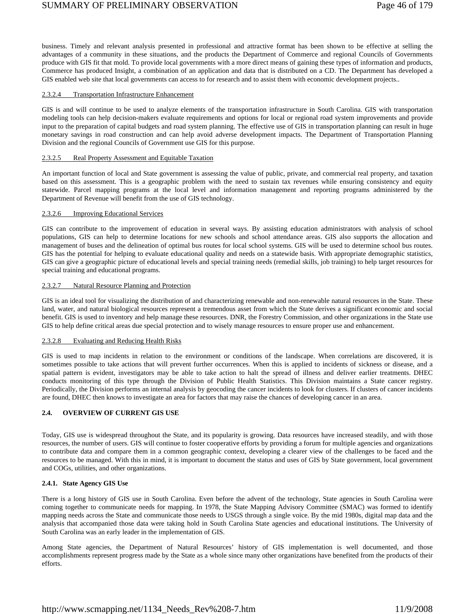business. Timely and relevant analysis presented in professional and attractive format has been shown to be effective at selling the advantages of a community in these situations, and the products the Department of Commerce and regional Councils of Governments produce with GIS fit that mold. To provide local governments with a more direct means of gaining these types of information and products, Commerce has produced Insight, a combination of an application and data that is distributed on a CD. The Department has developed a GIS enabled web site that local governments can access to for research and to assist them with economic development projects..

## 2.3.2.4 Transportation Infrastructure Enhancement

GIS is and will continue to be used to analyze elements of the transportation infrastructure in South Carolina. GIS with transportation modeling tools can help decision-makers evaluate requirements and options for local or regional road system improvements and provide input to the preparation of capital budgets and road system planning. The effective use of GIS in transportation planning can result in huge monetary savings in road construction and can help avoid adverse development impacts. The Department of Transportation Planning Division and the regional Councils of Government use GIS for this purpose.

#### 2.3.2.5 Real Property Assessment and Equitable Taxation

An important function of local and State government is assessing the value of public, private, and commercial real property, and taxation based on this assessment. This is a geographic problem with the need to sustain tax revenues while ensuring consistency and equity statewide. Parcel mapping programs at the local level and information management and reporting programs administered by the Department of Revenue will benefit from the use of GIS technology.

## 2.3.2.6 Improving Educational Services

GIS can contribute to the improvement of education in several ways. By assisting education administrators with analysis of school populations, GIS can help to determine locations for new schools and school attendance areas. GIS also supports the allocation and management of buses and the delineation of optimal bus routes for local school systems. GIS will be used to determine school bus routes. GIS has the potential for helping to evaluate educational quality and needs on a statewide basis. With appropriate demographic statistics, GIS can give a geographic picture of educational levels and special training needs (remedial skills, job training) to help target resources for special training and educational programs.

## 2.3.2.7 Natural Resource Planning and Protection

GIS is an ideal tool for visualizing the distribution of and characterizing renewable and non-renewable natural resources in the State. These land, water, and natural biological resources represent a tremendous asset from which the State derives a significant economic and social benefit. GIS is used to inventory and help manage these resources. DNR, the Forestry Commission, and other organizations in the State use GIS to help define critical areas due special protection and to wisely manage resources to ensure proper use and enhancement.

#### 2.3.2.8 Evaluating and Reducing Health Risks

GIS is used to map incidents in relation to the environment or conditions of the landscape. When correlations are discovered, it is sometimes possible to take actions that will prevent further occurrences. When this is applied to incidents of sickness or disease, and a spatial pattern is evident, investigators may be able to take action to halt the spread of illness and deliver earlier treatments. DHEC conducts monitoring of this type through the Division of Public Health Statistics. This Division maintains a State cancer registry. Periodically, the Division performs an internal analysis by geocoding the cancer incidents to look for clusters. If clusters of cancer incidents are found, DHEC then knows to investigate an area for factors that may raise the chances of developing cancer in an area.

## **2.4. OVERVIEW OF CURRENT GIS USE**

Today, GIS use is widespread throughout the State, and its popularity is growing. Data resources have increased steadily, and with those resources, the number of users. GIS will continue to foster cooperative efforts by providing a forum for multiple agencies and organizations to contribute data and compare them in a common geographic context, developing a clearer view of the challenges to be faced and the resources to be managed. With this in mind, it is important to document the status and uses of GIS by State government, local government and COGs, utilities, and other organizations.

#### **2.4.1. State Agency GIS Use**

There is a long history of GIS use in South Carolina. Even before the advent of the technology, State agencies in South Carolina were coming together to communicate needs for mapping. In 1978, the State Mapping Advisory Committee (SMAC) was formed to identify mapping needs across the State and communicate those needs to USGS through a single voice. By the mid 1980s, digital map data and the analysis that accompanied those data were taking hold in South Carolina State agencies and educational institutions. The University of South Carolina was an early leader in the implementation of GIS.

Among State agencies, the Department of Natural Resources' history of GIS implementation is well documented, and those accomplishments represent progress made by the State as a whole since many other organizations have benefited from the products of their efforts.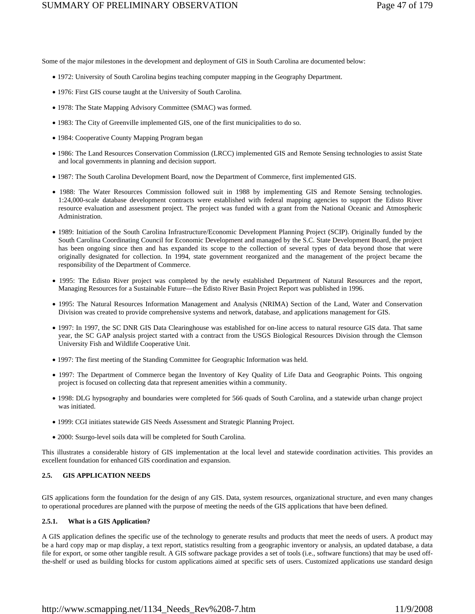Some of the major milestones in the development and deployment of GIS in South Carolina are documented below:

- 1972: University of South Carolina begins teaching computer mapping in the Geography Department.
- 1976: First GIS course taught at the University of South Carolina.
- 1978: The State Mapping Advisory Committee (SMAC) was formed.
- 1983: The City of Greenville implemented GIS, one of the first municipalities to do so.
- 1984: Cooperative County Mapping Program began
- 1986: The Land Resources Conservation Commission (LRCC) implemented GIS and Remote Sensing technologies to assist State and local governments in planning and decision support.
- 1987: The South Carolina Development Board, now the Department of Commerce, first implemented GIS.
- 1988: The Water Resources Commission followed suit in 1988 by implementing GIS and Remote Sensing technologies. 1:24,000-scale database development contracts were established with federal mapping agencies to support the Edisto River resource evaluation and assessment project. The project was funded with a grant from the National Oceanic and Atmospheric Administration.
- 1989: Initiation of the South Carolina Infrastructure/Economic Development Planning Project (SCIP). Originally funded by the South Carolina Coordinating Council for Economic Development and managed by the S.C. State Development Board, the project has been ongoing since then and has expanded its scope to the collection of several types of data beyond those that were originally designated for collection. In 1994, state government reorganized and the management of the project became the responsibility of the Department of Commerce.
- 1995: The Edisto River project was completed by the newly established Department of Natural Resources and the report, Managing Resources for a Sustainable Future—the Edisto River Basin Project Report was published in 1996.
- 1995: The Natural Resources Information Management and Analysis (NRIMA) Section of the Land, Water and Conservation Division was created to provide comprehensive systems and network, database, and applications management for GIS.
- 1997: In 1997, the SC DNR GIS Data Clearinghouse was established for on-line access to natural resource GIS data. That same year, the SC GAP analysis project started with a contract from the USGS Biological Resources Division through the Clemson University Fish and Wildlife Cooperative Unit.
- 1997: The first meeting of the Standing Committee for Geographic Information was held.
- 1997: The Department of Commerce began the Inventory of Key Quality of Life Data and Geographic Points. This ongoing project is focused on collecting data that represent amenities within a community.
- 1998: DLG hypsography and boundaries were completed for 566 quads of South Carolina, and a statewide urban change project was initiated.
- 1999: CGI initiates statewide GIS Needs Assessment and Strategic Planning Project.
- 2000: Ssurgo-level soils data will be completed for South Carolina.

This illustrates a considerable history of GIS implementation at the local level and statewide coordination activities. This provides an excellent foundation for enhanced GIS coordination and expansion.

## **2.5. GIS APPLICATION NEEDS**

GIS applications form the foundation for the design of any GIS. Data, system resources, organizational structure, and even many changes to operational procedures are planned with the purpose of meeting the needs of the GIS applications that have been defined.

#### **2.5.1. What is a GIS Application?**

A GIS application defines the specific use of the technology to generate results and products that meet the needs of users. A product may be a hard copy map or map display, a text report, statistics resulting from a geographic inventory or analysis, an updated database, a data file for export, or some other tangible result. A GIS software package provides a set of tools (i.e., software functions) that may be used offthe-shelf or used as building blocks for custom applications aimed at specific sets of users. Customized applications use standard design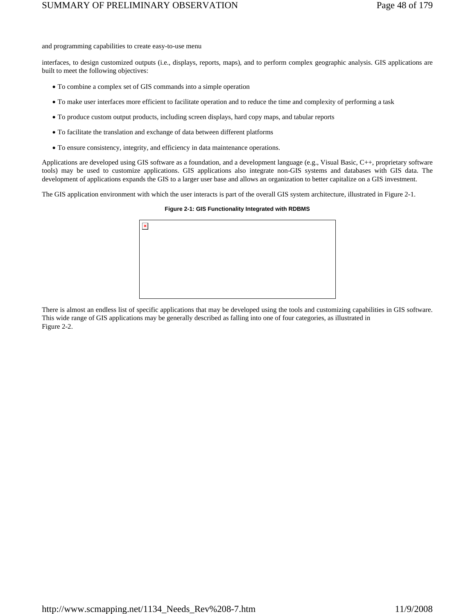and programming capabilities to create easy-to-use menu

interfaces, to design customized outputs (i.e., displays, reports, maps), and to perform complex geographic analysis. GIS applications are built to meet the following objectives:

- To combine a complex set of GIS commands into a simple operation
- To make user interfaces more efficient to facilitate operation and to reduce the time and complexity of performing a task
- To produce custom output products, including screen displays, hard copy maps, and tabular reports
- To facilitate the translation and exchange of data between different platforms
- To ensure consistency, integrity, and efficiency in data maintenance operations.

Applications are developed using GIS software as a foundation, and a development language (e.g., Visual Basic, C++, proprietary software tools) may be used to customize applications. GIS applications also integrate non-GIS systems and databases with GIS data. The development of applications expands the GIS to a larger user base and allows an organization to better capitalize on a GIS investment.

The GIS application environment with which the user interacts is part of the overall GIS system architecture, illustrated in Figure 2-1.

| $\pmb{\times}$ |  |  |  |
|----------------|--|--|--|
|                |  |  |  |
|                |  |  |  |
|                |  |  |  |
|                |  |  |  |

#### **Figure 2-1: GIS Functionality Integrated with RDBMS**

There is almost an endless list of specific applications that may be developed using the tools and customizing capabilities in GIS software. This wide range of GIS applications may be generally described as falling into one of four categories, as illustrated in Figure 2-2.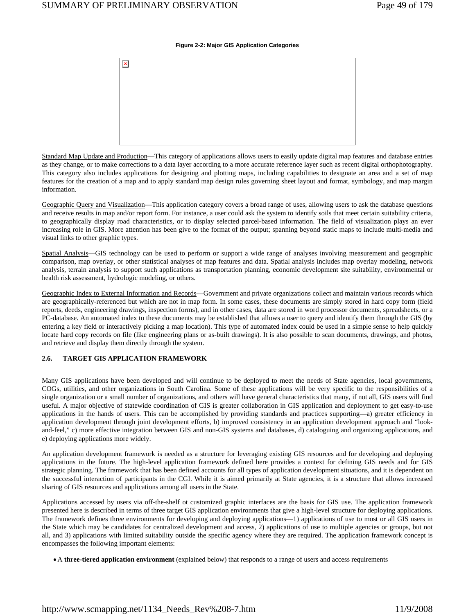#### **Figure 2-2: Major GIS Application Categories**

| $\vert \mathbf{x} \vert$ |  |  |  |
|--------------------------|--|--|--|
|                          |  |  |  |
|                          |  |  |  |
|                          |  |  |  |
|                          |  |  |  |
|                          |  |  |  |

Standard Map Update and Production—This category of applications allows users to easily update digital map features and database entries as they change, or to make corrections to a data layer according to a more accurate reference layer such as recent digital orthophotography. This category also includes applications for designing and plotting maps, including capabilities to designate an area and a set of map features for the creation of a map and to apply standard map design rules governing sheet layout and format, symbology, and map margin information.

Geographic Query and Visualization—This application category covers a broad range of uses, allowing users to ask the database questions and receive results in map and/or report form. For instance, a user could ask the system to identify soils that meet certain suitability criteria, to geographically display road characteristics, or to display selected parcel-based information. The field of visualization plays an ever increasing role in GIS. More attention has been give to the format of the output; spanning beyond static maps to include multi-media and visual links to other graphic types.

Spatial Analysis—GIS technology can be used to perform or support a wide range of analyses involving measurement and geographic comparison, map overlay, or other statistical analyses of map features and data. Spatial analysis includes map overlay modeling, network analysis, terrain analysis to support such applications as transportation planning, economic development site suitability, environmental or health risk assessment, hydrologic modeling, or others.

Geographic Index to External Information and Records—Government and private organizations collect and maintain various records which are geographically-referenced but which are not in map form. In some cases, these documents are simply stored in hard copy form (field reports, deeds, engineering drawings, inspection forms), and in other cases, data are stored in word processor documents, spreadsheets, or a PC-database. An automated index to these documents may be established that allows a user to query and identify them through the GIS (by entering a key field or interactively picking a map location). This type of automated index could be used in a simple sense to help quickly locate hard copy records on file (like engineering plans or as-built drawings). It is also possible to scan documents, drawings, and photos, and retrieve and display them directly through the system.

## **2.6. TARGET GIS APPLICATION FRAMEWORK**

Many GIS applications have been developed and will continue to be deployed to meet the needs of State agencies, local governments, COGs, utilities, and other organizations in South Carolina. Some of these applications will be very specific to the responsibilities of a single organization or a small number of organizations, and others will have general characteristics that many, if not all, GIS users will find useful. A major objective of statewide coordination of GIS is greater collaboration in GIS application and deployment to get easy-to-use applications in the hands of users. This can be accomplished by providing standards and practices supporting—a) greater efficiency in application development through joint development efforts, b) improved consistency in an application development approach and "lookand-feel," c) more effective integration between GIS and non-GIS systems and databases, d) cataloguing and organizing applications, and e) deploying applications more widely.

An application development framework is needed as a structure for leveraging existing GIS resources and for developing and deploying applications in the future. The high-level application framework defined here provides a context for defining GIS needs and for GIS strategic planning. The framework that has been defined accounts for all types of application development situations, and it is dependent on the successful interaction of participants in the CGI. While it is aimed primarily at State agencies, it is a structure that allows increased sharing of GIS resources and applications among all users in the State.

Applications accessed by users via off-the-shelf ot customized graphic interfaces are the basis for GIS use. The application framework presented here is described in terms of three target GIS application environments that give a high-level structure for deploying applications. The framework defines three environments for developing and deploying applications—1) applications of use to most or all GIS users in the State which may be candidates for centralized development and access, 2) applications of use to multiple agencies or groups, but not all, and 3) applications with limited suitability outside the specific agency where they are required. The application framework concept is encompasses the following important elements:

• A **three-tiered application environment** (explained below) that responds to a range of users and access requirements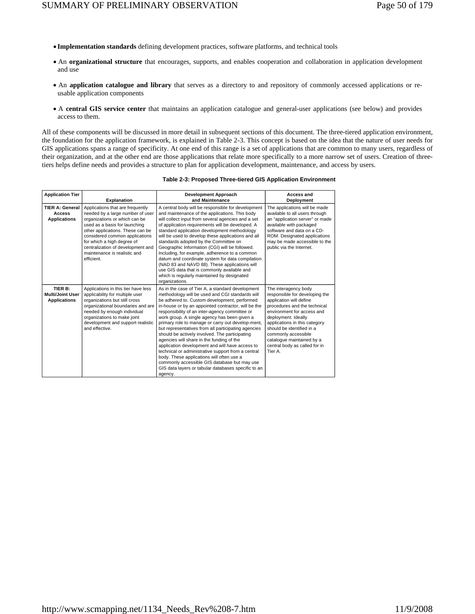- **Implementation standards** defining development practices, software platforms, and technical tools
- An **organizational structure** that encourages, supports, and enables cooperation and collaboration in application development and use
- An **application catalogue and library** that serves as a directory to and repository of commonly accessed applications or reusable application components
- A **central GIS service center** that maintains an application catalogue and general-user applications (see below) and provides access to them.

All of these components will be discussed in more detail in subsequent sections of this document. The three-tiered application environment, the foundation for the application framework, is explained in Table 2-3. This concept is based on the idea that the nature of user needs for GIS applications spans a range of specificity. At one end of this range is a set of applications that are common to many users, regardless of their organization, and at the other end are those applications that relate more specifically to a more narrow set of users. Creation of threetiers helps define needs and provides a structure to plan for application development, maintenance, and access by users.

| <b>Application Tier</b>                                        |                                                                                                                                                                                                                                                                                                                               | <b>Development Approach</b>                                                                                                                                                                                                                                                                                                                                                                                                                                                                                                                                                                                                                                                                                                                                                                     | Access and                                                                                                                                                                                                                                                                                                                           |
|----------------------------------------------------------------|-------------------------------------------------------------------------------------------------------------------------------------------------------------------------------------------------------------------------------------------------------------------------------------------------------------------------------|-------------------------------------------------------------------------------------------------------------------------------------------------------------------------------------------------------------------------------------------------------------------------------------------------------------------------------------------------------------------------------------------------------------------------------------------------------------------------------------------------------------------------------------------------------------------------------------------------------------------------------------------------------------------------------------------------------------------------------------------------------------------------------------------------|--------------------------------------------------------------------------------------------------------------------------------------------------------------------------------------------------------------------------------------------------------------------------------------------------------------------------------------|
|                                                                | <b>Explanation</b>                                                                                                                                                                                                                                                                                                            | and Maintenance                                                                                                                                                                                                                                                                                                                                                                                                                                                                                                                                                                                                                                                                                                                                                                                 | Deployment                                                                                                                                                                                                                                                                                                                           |
| <b>TIER A: General</b><br><b>Access</b><br><b>Applications</b> | Applications that are frequently<br>needed by a large number of user<br>organizations or which can be<br>used as a basis for launching<br>other applications. These can be<br>considered common applications<br>for which a high degree of<br>centralization of development and<br>maintenance is realistic and<br>efficient. | A central body will be responsible for development<br>and maintenance of the applications. This body<br>will collect input from several agencies and a set<br>of application requirements will be developed. A<br>standard application development methodology<br>will be used to develop these applications and all<br>standards adopted by the Committee on<br>Geographic Information (CGI) will be followed.<br>Including, for example, adherence to a common<br>datum and coordinate system for data compilation<br>(NAD 83 and NAVD 88). These applications will<br>use GIS data that is commonly available and<br>which is regularly maintained by designated<br>organizations.                                                                                                           | The applications will be made<br>available to all users through<br>an "application server" or made<br>available with packaged<br>software and data on a CD-<br>ROM. Designated applications<br>may be made accessible to the<br>public via the Internet.                                                                             |
| TIER B:<br><b>Multi/Joint User</b><br><b>Applications</b>      | Applications in this tier have less<br>applicability for multiple user<br>organizations but still cross<br>organizational boundaries and are<br>needed by enough individual<br>organizations to make joint<br>development and support realistic<br>and effective.                                                             | As in the case of Tier A, a standard development<br>methodology will be used and CGI standards will<br>be adhered to. Custom development, performed<br>in-house or by an appointed contractor, will be the<br>responsibility of an inter-agency committee or<br>work group. A single agency has been given a<br>primary role to manage or carry out develop-ment,<br>but representatives from all participating agencies<br>should be actively involved. The participating<br>agencies will share in the funding of the<br>application development and will have access to<br>technical or administrative support from a central<br>body. These applications will often use a<br>commonly accessible GIS database but may use<br>GIS data layers or tabular databases specific to an<br>agency. | The interagency body<br>responsible for developing the<br>application will define<br>procedures and the technical<br>environment for access and<br>deployment. Ideally<br>applications in this category<br>should be identified in a<br>commonly accessible<br>cataloque maintained by a<br>central body as called for in<br>Tier A. |

## **Table 2-3: Proposed Three-tiered GIS Application Environment**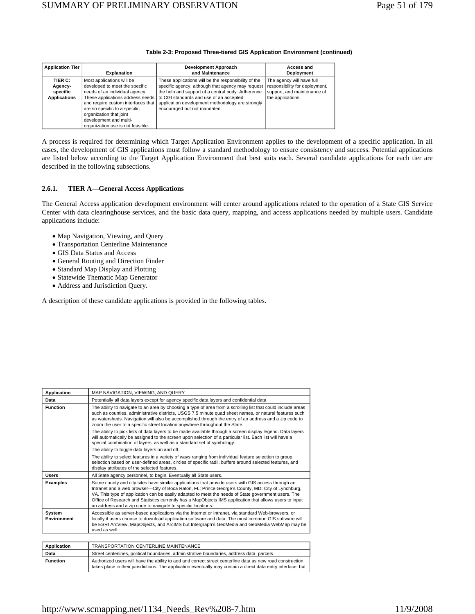## **Table 2-3: Proposed Three-tiered GIS Application Environment (continued)**

| <b>Application Tier</b>                               | <b>Explanation</b>                                                                                                                                                                                                                                                                                 | <b>Development Approach</b><br>and Maintenance                                                                                                                                                                                                                                                | Access and<br>Deployment                                                                                        |
|-------------------------------------------------------|----------------------------------------------------------------------------------------------------------------------------------------------------------------------------------------------------------------------------------------------------------------------------------------------------|-----------------------------------------------------------------------------------------------------------------------------------------------------------------------------------------------------------------------------------------------------------------------------------------------|-----------------------------------------------------------------------------------------------------------------|
| TIER C:<br>Agency-<br>specific<br><b>Applications</b> | Most applications will be<br>developed to meet the specific<br>needs of an individual agency.<br>These applications address needs<br>and require custom interfaces that<br>are so specific to a specific<br>organization that joint<br>development and multi-<br>organization use is not feasible. | These applications will be the responsibility of the<br>specific agency, although that agency may request<br>the help and support of a central body. Adherence<br>to CGI standards and use of an accepted<br>application development methodology are strongly<br>encouraged but not mandated. | The agency will have full<br>responsibility for deployment,<br>support, and maintenance of<br>the applications. |

A process is required for determining which Target Application Environment applies to the development of a specific application. In all cases, the development of GIS applications must follow a standard methodology to ensure consistency and success. Potential applications are listed below according to the Target Application Environment that best suits each. Several candidate applications for each tier are described in the following subsections.

## **2.6.1. TIER A—General Access Applications**

The General Access application development environment will center around applications related to the operation of a State GIS Service Center with data clearinghouse services, and the basic data query, mapping, and access applications needed by multiple users. Candidate applications include:

- Map Navigation, Viewing, and Query
- Transportation Centerline Maintenance
- GIS Data Status and Access
- General Routing and Direction Finder
- Standard Map Display and Plotting
- Statewide Thematic Map Generator
- Address and Jurisdiction Query.

A description of these candidate applications is provided in the following tables.

| Application                                                                                                                                                                                                                                                                                                                                                  | MAP NAVIGATION, VIEWING, AND QUERY                                                                                                                                                                                                                                                                                                                                                                                                                                                        |  |  |
|--------------------------------------------------------------------------------------------------------------------------------------------------------------------------------------------------------------------------------------------------------------------------------------------------------------------------------------------------------------|-------------------------------------------------------------------------------------------------------------------------------------------------------------------------------------------------------------------------------------------------------------------------------------------------------------------------------------------------------------------------------------------------------------------------------------------------------------------------------------------|--|--|
| Data                                                                                                                                                                                                                                                                                                                                                         | Potentially all data layers except for agency specific data layers and confidential data                                                                                                                                                                                                                                                                                                                                                                                                  |  |  |
| <b>Function</b>                                                                                                                                                                                                                                                                                                                                              | The ability to navigate to an area by choosing a type of area from a scrolling list that could include areas<br>such as counties, administrative districts, USGS 7.5 minute quad sheet names, or natural features such<br>as watersheds. Navigation will also be accomplished through the entry of an address and a zip code to<br>zoom the user to a specific street location anywhere throughout the State.                                                                             |  |  |
|                                                                                                                                                                                                                                                                                                                                                              | The ability to pick lists of data layers to be made available through a screen display legend. Data layers<br>will automatically be assigned to the screen upon selection of a particular list. Each list will have a<br>special combination of layers, as well as a standard set of symbology.                                                                                                                                                                                           |  |  |
|                                                                                                                                                                                                                                                                                                                                                              | The ability to toggle data layers on and off.                                                                                                                                                                                                                                                                                                                                                                                                                                             |  |  |
|                                                                                                                                                                                                                                                                                                                                                              | The ability to select features in a variety of ways ranging from individual feature selection to group<br>selection based on user-defined areas, circles of specific radii, buffers around selected features, and<br>display attributes of the selected features.                                                                                                                                                                                                                         |  |  |
| All State agency personnel, to begin. Eventually all State users.<br><b>Users</b>                                                                                                                                                                                                                                                                            |                                                                                                                                                                                                                                                                                                                                                                                                                                                                                           |  |  |
| <b>Examples</b>                                                                                                                                                                                                                                                                                                                                              | Some county and city sites have similar applications that provide users with GIS access through an<br>Intranet and a web browser—City of Boca Raton, FL; Prince George's County, MD; City of Lynchburg,<br>VA. This type of application can be easily adapted to meet the needs of State government users. The<br>Office of Research and Statistics currently has a MapObjects IMS application that allows users to input<br>an address and a zip code to navigate to specific locations. |  |  |
| <b>System</b><br>Accessible as server-based applications via the Internet or Intranet, via standard Web-browsers, or<br>locally if users choose to download application software and data. The most common GIS software will<br>Environment<br>be ESRI ArcView, MapObjects, and ArcIMS but Intergraph's GeoMedia and GeoMedia WebMap may be<br>used as well. |                                                                                                                                                                                                                                                                                                                                                                                                                                                                                           |  |  |
|                                                                                                                                                                                                                                                                                                                                                              |                                                                                                                                                                                                                                                                                                                                                                                                                                                                                           |  |  |
| Application                                                                                                                                                                                                                                                                                                                                                  | TRANSPORTATION CENTERLINE MAINTENANCE                                                                                                                                                                                                                                                                                                                                                                                                                                                     |  |  |
| Data                                                                                                                                                                                                                                                                                                                                                         | Street centerlines, political boundaries, administrative boundaries, address data, parcels                                                                                                                                                                                                                                                                                                                                                                                                |  |  |

| Function | Authorized users will have the ability to add and correct street centerline data as new road construction     |
|----------|---------------------------------------------------------------------------------------------------------------|
|          | takes place in their jurisdictions. The application eventually may contain a direct data entry interface, but |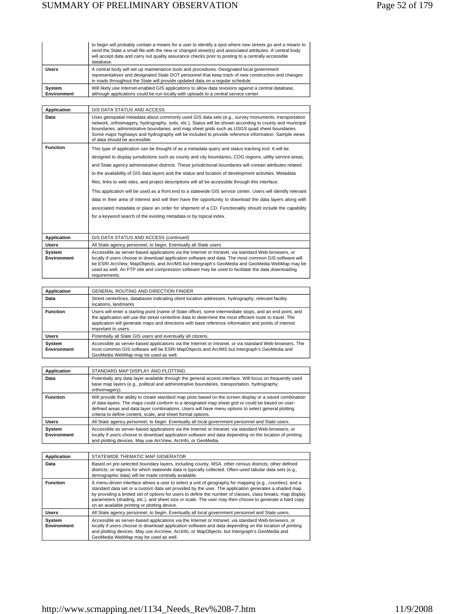|                       | to begin will probably contain a means for a user to identify a spot where new streets go and a means to<br>send the State a small file with the new or changed street(s) and associated attributes. A central body<br>will accept data and carry out quality assurance checks prior to posting to a centrally accessible<br>database. |
|-----------------------|----------------------------------------------------------------------------------------------------------------------------------------------------------------------------------------------------------------------------------------------------------------------------------------------------------------------------------------|
| <b>Users</b>          | A central body will set up maintenance tools and procedures. Designated local government<br>representatives and designated State DOT personnel that keep track of new construction and changes<br>in roads throughout the State will provide updated data on a regular schedule.                                                       |
| System<br>Environment | Will likely use Internet-enabled GIS applications to allow data revisions against a central database,<br>although applications could be run locally with uploads to a central service center.                                                                                                                                          |

| <b>Application</b>           | GIS DATA STATUS AND ACCESS                                                                                                                                                                                                                                                                                                                                                                                                                                                                                                                                                                                                                                                                                                                                                 |
|------------------------------|----------------------------------------------------------------------------------------------------------------------------------------------------------------------------------------------------------------------------------------------------------------------------------------------------------------------------------------------------------------------------------------------------------------------------------------------------------------------------------------------------------------------------------------------------------------------------------------------------------------------------------------------------------------------------------------------------------------------------------------------------------------------------|
| Data                         | Uses geospatial metadata about commonly used GIS data sets (e.g., survey monuments, transportation<br>network, orthoimagery, hydrography, soils, etc.). Status will be shown according to county and municipal<br>boundaries, administrative boundaries, and map sheet grids such as USGS quad sheet boundaries.<br>Some major highways and hydrography will be included to provide reference information. Sample views<br>of data should be accessible.                                                                                                                                                                                                                                                                                                                   |
| <b>Function</b>              | This type of application can be thought of as a metadata guery and status tracking tool. It will be<br>designed to display jurisdictions such as county and city boundaries, COG regions, utility service areas,<br>and State agency administrative districts. These jurisdictional boundaries will contain attributes related<br>to the availability of GIS data layers and the status and location of development activities. Metadata<br>files, links to web sites, and project descriptions will all be accessible through this interface.<br>This application will be used as a front end to a statewide GIS service center. Users will identify relevant<br>data in their area of interest and will then have the opportunity to download the data layers along with |
|                              | associated metadata or place an order for shipment of a CD. Functionality should include the capability<br>for a keyword search of the existing metadata or by topical index.                                                                                                                                                                                                                                                                                                                                                                                                                                                                                                                                                                                              |
| Application                  | GIS DATA STATUS AND ACCESS (continued)                                                                                                                                                                                                                                                                                                                                                                                                                                                                                                                                                                                                                                                                                                                                     |
| <b>Users</b>                 | All State agency personnel, to begin. Eventually all State users.                                                                                                                                                                                                                                                                                                                                                                                                                                                                                                                                                                                                                                                                                                          |
| System<br><b>Environment</b> | Accessible as server-based applications via the Internet or Intranet, via standard Web-browsers, or<br>locally if users choose to download application software and data. The most common GIS software will                                                                                                                                                                                                                                                                                                                                                                                                                                                                                                                                                                |

| Environment | locally if users choose to download application software and data. The most common GIS software will<br>be ESRI ArcView, MapObjects, and ArcIMS but Intergraph's GeoMedia and GeoMedia WebMap may be<br>used as well. An FTP site and compression software may be used to facilitate the data downloading<br>requirements. |
|-------------|----------------------------------------------------------------------------------------------------------------------------------------------------------------------------------------------------------------------------------------------------------------------------------------------------------------------------|
|             |                                                                                                                                                                                                                                                                                                                            |
|             |                                                                                                                                                                                                                                                                                                                            |

| Application<br><b>GENERAL ROUTING AND DIRECTION FINDER</b> |                                                                                                                                                                                                                                                                                                                                                     |  |
|------------------------------------------------------------|-----------------------------------------------------------------------------------------------------------------------------------------------------------------------------------------------------------------------------------------------------------------------------------------------------------------------------------------------------|--|
| Data                                                       | Street centerlines, databases indicating client location addresses, hydrography, relevant facility<br>locations, landmarks                                                                                                                                                                                                                          |  |
| <b>Function</b>                                            | Users will enter a starting point (name of State office), some intermediate stops, and an end point, and<br>the application will use the street centerline data to determine the most efficient route to travel. The<br>application will generate maps and directions with base reference information and points of interest<br>important to users. |  |
| <b>Users</b>                                               | Potentially all State GIS users and eventually all citizens.                                                                                                                                                                                                                                                                                        |  |
| System<br>Environment                                      | Accessible as server-based applications via the Internet or Intranet, or via standard Web-browsers. The<br>most common GIS software will be ESRI MapObjects and ArcIMS but Intergraph's GeoMedia and<br>GeoMedia WebMap may be used as well.                                                                                                        |  |

| Application                                                                                                                                                                                                                                                                                                                                                                                           | STANDARD MAP DISPLAY AND PLOTTING                                                                                                                                                                                                                                              |
|-------------------------------------------------------------------------------------------------------------------------------------------------------------------------------------------------------------------------------------------------------------------------------------------------------------------------------------------------------------------------------------------------------|--------------------------------------------------------------------------------------------------------------------------------------------------------------------------------------------------------------------------------------------------------------------------------|
| Data                                                                                                                                                                                                                                                                                                                                                                                                  | Potentially any data layer available through the general access interface. Will focus on frequently used<br>base map layers (e.g., political and administrative boundaries, transportation, hydrography,<br>orthoimagery).                                                     |
| Will provide the ability to create standard map plots based on the screen display or a saved combination<br><b>Function</b><br>of data layers. The maps could conform to a designated map sheet grid or could be based on user-<br>defined areas and data layer combinations. Users will have menu options to select general plotting<br>criteria to define content, scale, and sheet format options. |                                                                                                                                                                                                                                                                                |
| <b>Users</b>                                                                                                                                                                                                                                                                                                                                                                                          | All State agency personnel, to begin. Eventually all local government personnel and State users.                                                                                                                                                                               |
| System<br><b>Environment</b>                                                                                                                                                                                                                                                                                                                                                                          | Accessible as server-based applications via the Internet or Intranet, via standard Web-browsers, or<br>locally if users choose to download application software and data depending on the location of printing<br>and plotting devices. May use ArcView, ArcInfo, or GeoMedia. |

| Application                                                                                                                                                                                                                                                                                                                                                                                                                                                                                              | STATEWIDE THEMATIC MAP GENERATOR                                                                                                                                                                                                                                                                                                                       |
|----------------------------------------------------------------------------------------------------------------------------------------------------------------------------------------------------------------------------------------------------------------------------------------------------------------------------------------------------------------------------------------------------------------------------------------------------------------------------------------------------------|--------------------------------------------------------------------------------------------------------------------------------------------------------------------------------------------------------------------------------------------------------------------------------------------------------------------------------------------------------|
| Data                                                                                                                                                                                                                                                                                                                                                                                                                                                                                                     | Based on pre-selected boundary layers, including county, MSA, other census districts; other defined<br>districts; or regions for which statewide data is typically collected. Often-used tabular data sets (e.g.,<br>demographic data) will be made centrally available.                                                                               |
| <b>Function</b><br>A menu-driven interface allows a user to select a unit of geography for mapping (e.g., counties), and a<br>standard data set or a custom data set provided by the user. The application generates a shaded map<br>by providing a limited set of options for users to define the number of classes, class breaks, map display<br>parameters (shading, etc.), and sheet size or scale. The user may then choose to generate a hard copy<br>on an available printing or plotting device. |                                                                                                                                                                                                                                                                                                                                                        |
| <b>Users</b>                                                                                                                                                                                                                                                                                                                                                                                                                                                                                             | All State agency personnel, to begin. Eventually all local government personnel and State users.                                                                                                                                                                                                                                                       |
| System<br>Environment                                                                                                                                                                                                                                                                                                                                                                                                                                                                                    | Accessible as server-based applications via the Internet or Intranet, via standard Web-browsers, or<br>locally if users choose to download application software and data depending on the location of printing<br>and plotting devices. May use ArcView, ArcInfo, or MapObjects. but Intergraph's GeoMedia and<br>GeoMedia WebMap may be used as well. |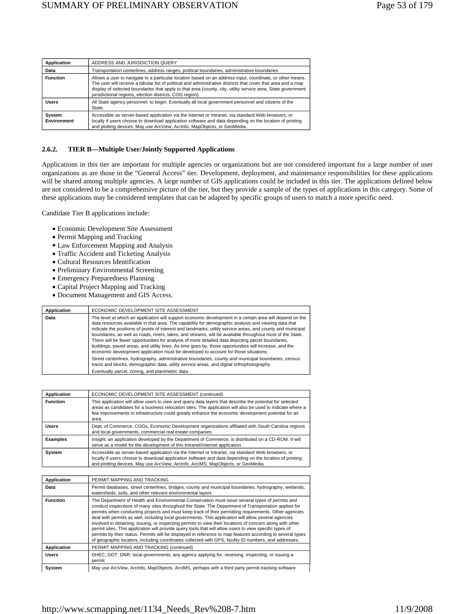| Application           | ADDRESS AND JURISDICTION QUERY                                                                                                                                                                                                                                                                                                                                                                         |
|-----------------------|--------------------------------------------------------------------------------------------------------------------------------------------------------------------------------------------------------------------------------------------------------------------------------------------------------------------------------------------------------------------------------------------------------|
| Data                  | Transportation centerlines, address ranges, political boundaries, administrative boundaries                                                                                                                                                                                                                                                                                                            |
| <b>Function</b>       | Allows a user to navigate to a particular location based on an address input, coordinate, or other means.<br>The user will receive a tabular list of political and administrative districts that cover that area and a map<br>display of selected boundaries that apply to that area (county, city, utility service area, State government<br>jurisdictional regions, election districts, COG region). |
| <b>Users</b>          | All State agency personnel, to begin. Eventually all local government personnel and citizens of the<br>State.                                                                                                                                                                                                                                                                                          |
| System<br>Environment | Accessible as server-based application via the Internet or Intranet, via standard Web-browsers, or<br>locally if users choose to download application software and data depending on the location of printing<br>and plotting devices. May use ArcView, ArcInfo, MapObjects, or GeoMedia.                                                                                                              |

#### **2.6.2. TIER B—Multiple User/Jointly Supported Applications**

Applications in this tier are important for multiple agencies or organizations but are not considered important for a large number of user organizations as are those in the "General Access" tier. Development, deployment, and maintenance responsibilities for these applications will be shared among multiple agencies. A large number of GIS applications could be included in this tier. The applications defined below are not considered to be a comprehensive picture of the tier, but they provide a sample of the types of applications in this category. Some of these applications may be considered templates that can be adapted by specific groups of users to match a more specific need.

Candidate Tier B applications include:

- Economic Development Site Assessment
- Permit Mapping and Tracking
- Law Enforcement Mapping and Analysis
- Traffic Accident and Ticketing Analysis
- Cultural Resources Identification
- Preliminary Environmental Screening
- Emergency Preparedness Planning
- Capital Project Mapping and Tracking
- Document Management and GIS Access.

| Application | ECONOMIC DEVELOPMENT SITE ASSESSMENT                                                                                                                                                                                                                                                                                                                                                                                                                                                                                                                                                                                                                                                                                                               |
|-------------|----------------------------------------------------------------------------------------------------------------------------------------------------------------------------------------------------------------------------------------------------------------------------------------------------------------------------------------------------------------------------------------------------------------------------------------------------------------------------------------------------------------------------------------------------------------------------------------------------------------------------------------------------------------------------------------------------------------------------------------------------|
| Data        | The level at which an application will support economic development in a certain area will depend on the<br>data resources available in that area. The capability for demographic analysis and viewing data that<br>indicate the positions of points of interest and landmarks, utility service areas, and county and municipal<br>boundaries, as well as roads, rivers, lakes, and streams, will be available throughout most of the State.<br>There will be fewer opportunities for analysis of more detailed data depicting parcel boundaries,<br>buildings, paved areas, and utility lines. As time goes by, those opportunities will increase, and the<br>economic development application must be developed to account for those situations. |
|             | Street centerlines, hydrography, administrative boundaries, county and municipal boundaries, census<br>tracts and blocks, demographic data, utility service areas, and digital orthophotography.                                                                                                                                                                                                                                                                                                                                                                                                                                                                                                                                                   |
|             | Eventually parcel, zoning, and planimetric data.                                                                                                                                                                                                                                                                                                                                                                                                                                                                                                                                                                                                                                                                                                   |

| Application     | ECONOMIC DEVELOPMENT SITE ASSESSMENT (continued)                                                                                                                                                                                                                                                                                      |
|-----------------|---------------------------------------------------------------------------------------------------------------------------------------------------------------------------------------------------------------------------------------------------------------------------------------------------------------------------------------|
| <b>Function</b> | This application will allow users to view and query data layers that describe the potential for selected<br>areas as candidates for a business relocation sites. The application will also be used to indicate where a<br>few improvements in infrastructure could greatly enhance the economic development potential for an<br>area. |
| <b>Users</b>    | Dept. of Commerce, COGs, Economic Development organizations affiliated with South Carolina regions<br>and local governments, commercial real estate companies                                                                                                                                                                         |
| <b>Examples</b> | Insight, an application developed by the Department of Commerce, is distributed on a CD-ROM. It will<br>serve as a model for the development of this Intranet/Internet application.                                                                                                                                                   |
| System          | Accessible as server-based application via the Internet or Intranet, via standard Web-browsers, or<br>locally if users choose to download application software and data depending on the location of printing<br>and plotting devices. May use ArcView, ArcInfo, ArcIMS, MapObjects, or GeoMedia.                                     |

| Application     | PERMIT MAPPING AND TRACKING                                                                                                                                                                                                                                                                                                                                                                                                                                                                                                                                                                                                                                                                                                                                                                                                                                             |
|-----------------|-------------------------------------------------------------------------------------------------------------------------------------------------------------------------------------------------------------------------------------------------------------------------------------------------------------------------------------------------------------------------------------------------------------------------------------------------------------------------------------------------------------------------------------------------------------------------------------------------------------------------------------------------------------------------------------------------------------------------------------------------------------------------------------------------------------------------------------------------------------------------|
| Data            | Permit databases, street centerlines, bridges, county and municipal boundaries, hydrography, wetlands,<br>watersheds, soils, and other relevant environmental lavers                                                                                                                                                                                                                                                                                                                                                                                                                                                                                                                                                                                                                                                                                                    |
| <b>Function</b> | The Department of Health and Environmental Conservation must issue several types of permits and<br>conduct inspections of many sites throughout the State. The Department of Transportation applies for<br>permits when conducting projects and must keep track of their permitting requirements. Other agencies<br>deal with permits as well, including local governments. This application will allow several agencies<br>involved in obtaining, issuing, or inspecting permits to view their locations of concern along with other<br>permit sites. This application will provide query tools that will allow users to view specific types of<br>permits by their status. Permits will be displayed in reference to map features according to several types<br>of geographic locators, including coordinates collected with GPS, facility ID numbers, and addresses. |
| Application     | PERMIT MAPPING AND TRACKING (continued)                                                                                                                                                                                                                                                                                                                                                                                                                                                                                                                                                                                                                                                                                                                                                                                                                                 |
| <b>Users</b>    | DHEC; DOT; DNR; local governments; any agency applying for, receiving, inspecting, or issuing a<br>permit                                                                                                                                                                                                                                                                                                                                                                                                                                                                                                                                                                                                                                                                                                                                                               |
| System          | May use ArcView, ArcInfo, MapObjects, ArcIMS, perhaps with a third party permit tracking software                                                                                                                                                                                                                                                                                                                                                                                                                                                                                                                                                                                                                                                                                                                                                                       |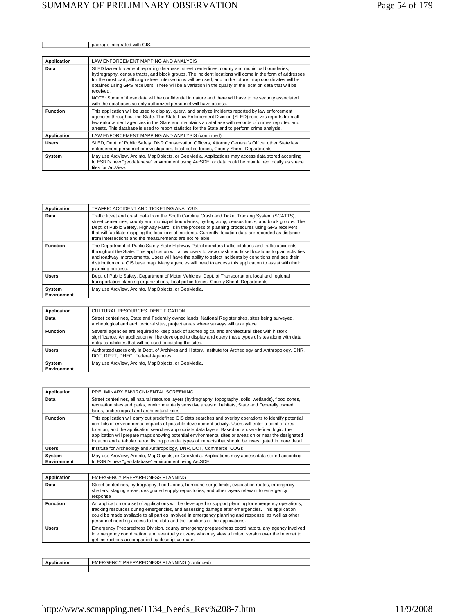|                    | package integrated with GIS.                                                                                                                                                                                                                                                                                                                                                                                                                   |
|--------------------|------------------------------------------------------------------------------------------------------------------------------------------------------------------------------------------------------------------------------------------------------------------------------------------------------------------------------------------------------------------------------------------------------------------------------------------------|
|                    |                                                                                                                                                                                                                                                                                                                                                                                                                                                |
| Application        | LAW ENFORCEMENT MAPPING AND ANALYSIS                                                                                                                                                                                                                                                                                                                                                                                                           |
| Data               | SLED law enforcement reporting database, street centerlines, county and municipal boundaries,<br>hydrography, census tracts, and block groups. The incident locations will come in the form of addresses<br>for the most part, although street intersections will be used, and in the future, map coordinates will be<br>obtained using GPS receivers. There will be a variation in the quality of the location data that will be<br>received. |
|                    | NOTE: Some of these data will be confidential in nature and there will have to be security associated<br>with the databases so only authorized personnel will have access.                                                                                                                                                                                                                                                                     |
| <b>Function</b>    | This application will be used to display, query, and analyze incidents reported by law enforcement<br>agencies throughout the State. The State Law Enforcement Division (SLED) receives reports from all<br>law enforcement agencies in the State and maintains a database with records of crimes reported and<br>arrests. This database is used to report statistics for the State and to perform crime analysis.                             |
| <b>Application</b> | LAW ENFORCEMENT MAPPING AND ANALYSIS (continued)                                                                                                                                                                                                                                                                                                                                                                                               |
| <b>Users</b>       | SLED, Dept. of Public Safety, DNR Conservation Officers, Attorney General's Office, other State law<br>enforcement personnel or investigators, local police forces, County Sheriff Departments                                                                                                                                                                                                                                                 |
| System             | May use ArcView, ArcInfo, MapObjects, or GeoMedia. Applications may access data stored according<br>to ESRI's new "geodatabase" environment using ArcSDE, or data could be maintained locally as shape<br>files for ArcView.                                                                                                                                                                                                                   |

| Application           | TRAFFIC ACCIDENT AND TICKETING ANALYSIS                                                                                                                                                                                                                                                                                                                                                                                                                                                      |
|-----------------------|----------------------------------------------------------------------------------------------------------------------------------------------------------------------------------------------------------------------------------------------------------------------------------------------------------------------------------------------------------------------------------------------------------------------------------------------------------------------------------------------|
| Data                  | Traffic ticket and crash data from the South Carolina Crash and Ticket Tracking System (SCATTS),<br>street centerlines, county and municipal boundaries, hydrography, census tracts, and block groups. The<br>Dept. of Public Safety, Highway Patrol is in the process of planning procedures using GPS receivers<br>that will facilitate mapping the locations of incidents. Currently, location data are recorded as distance<br>from intersections and the measurements are not reliable. |
| <b>Function</b>       | The Department of Public Safety State Highway Patrol monitors traffic citations and traffic accidents<br>throughout the State. This application will allow users to view crash and ticket locations to plan activities<br>and roadway improvements. Users will have the ability to select incidents by conditions and see their<br>distribution on a GIS base map. Many agencies will need to access this application to assist with their<br>planning process.                              |
| <b>Users</b>          | Dept. of Public Safety, Department of Motor Vehicles, Dept. of Transportation, local and regional<br>transportation planning organizations, local police forces, County Sheriff Departments                                                                                                                                                                                                                                                                                                  |
| System<br>Environment | May use ArcView, ArcInfo, MapObjects, or GeoMedia.                                                                                                                                                                                                                                                                                                                                                                                                                                           |

| Application           | CULTURAL RESOURCES IDENTIFICATION                                                                                                                                                                                                                                            |
|-----------------------|------------------------------------------------------------------------------------------------------------------------------------------------------------------------------------------------------------------------------------------------------------------------------|
| Data                  | Street centerlines, State and Federally owned lands, National Register sites, sites being surveyed,<br>archeological and architectural sites, project areas where surveys will take place                                                                                    |
| <b>Function</b>       | Several agencies are required to keep track of archeological and architectural sites with historic<br>significance. An application will be developed to display and query these types of sites along with data<br>entry capabilities that will be used to catalog the sites. |
| <b>Users</b>          | Authorized users only in Dept. of Archives and History, Institute for Archeology and Anthropology, DNR,<br>DOT, DPRT, DHEC, Federal Agencies                                                                                                                                 |
| System<br>Environment | May use ArcView, ArcInfo, MapObjects, or GeoMedia.                                                                                                                                                                                                                           |

| Application                  | PRELIMINARY ENVIRONMENTAL SCREENING                                                                                                                                                                                                                                                                                                                                                                                                                                                                                                                |
|------------------------------|----------------------------------------------------------------------------------------------------------------------------------------------------------------------------------------------------------------------------------------------------------------------------------------------------------------------------------------------------------------------------------------------------------------------------------------------------------------------------------------------------------------------------------------------------|
| Data                         | Street centerlines, all natural resource layers (hydrography, topography, soils, wetlands), flood zones,<br>recreation sites and parks, environmentally sensitive areas or habitats, State and Federally owned<br>lands, archeological and architectural sites.                                                                                                                                                                                                                                                                                    |
| <b>Function</b>              | This application will carry out predefined GIS data searches and overlay operations to identify potential<br>conflicts or environmental impacts of possible development activity. Users will enter a point or area<br>location, and the application searches appropriate data layers. Based on a user-defined logic, the<br>application will prepare maps showing potential environmental sites or areas on or near the designated<br>location and a tabular report listing potential types of impacts that should be investigated in more detail. |
| <b>Users</b>                 | Institute for Archeology and Anthropology, DNR, DOT, Commerce, COGs                                                                                                                                                                                                                                                                                                                                                                                                                                                                                |
| System<br><b>Environment</b> | May use ArcView, ArcInfo, MapObjects, or GeoMedia. Applications may access data stored according<br>to ESRI's new "geodatabase" environment using ArcSDE.                                                                                                                                                                                                                                                                                                                                                                                          |

| Application     | EMERGENCY PREPAREDNESS PLANNING                                                                                                                                                                                                                                                                                                                                                                   |
|-----------------|---------------------------------------------------------------------------------------------------------------------------------------------------------------------------------------------------------------------------------------------------------------------------------------------------------------------------------------------------------------------------------------------------|
| Data            | Street centerlines, hydrography, flood zones, hurricane surge limits, evacuation routes, emergency<br>shelters, staging areas, designated supply repositories, and other layers relevant to emergency<br>response                                                                                                                                                                                 |
| <b>Function</b> | An application or a set of applications will be developed to support planning for emergency operations,<br>tracking resources during emergencies, and assessing damage after emergencies. This application<br>could be made available to all parties involved in emergency planning and response, as well as other<br>personnel needing access to the data and the functions of the applications. |
| <b>Users</b>    | Emergency Preparedness Division, county emergency preparedness coordinators, any agency involved<br>in emergency coordination, and eventually citizens who may view a limited version over the Internet to<br>get instructions accompanied by descriptive maps                                                                                                                                    |

| וכז<br><b>DDL</b><br><b>DNF</b><br>ື້<br>ntinued.<br>-RG-FNC<br>ANNINIA<br>EME<br>. ت |
|---------------------------------------------------------------------------------------|
|                                                                                       |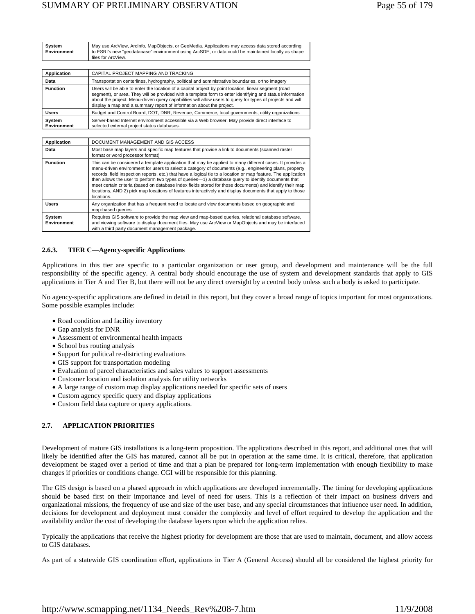| System      | May use ArcView, ArcInfo, MapObjects, or GeoMedia. Applications may access data stored according   |
|-------------|----------------------------------------------------------------------------------------------------|
| Environment | to ESRI's new "geodatabase" environment using ArcSDE, or data could be maintained locally as shape |
|             | files for ArcView.                                                                                 |

| Application           | CAPITAL PROJECT MAPPING AND TRACKING                                                                                                                                                                                                                                                                                                                                                                     |
|-----------------------|----------------------------------------------------------------------------------------------------------------------------------------------------------------------------------------------------------------------------------------------------------------------------------------------------------------------------------------------------------------------------------------------------------|
| Data                  | Transportation centerlines, hydrography, political and administrative boundaries, ortho imagery                                                                                                                                                                                                                                                                                                          |
| <b>Function</b>       | Users will be able to enter the location of a capital project by point location, linear segment (road<br>segment), or area. They will be provided with a template form to enter identifying and status information<br>about the project. Menu-driven query capabilities will allow users to query for types of projects and will<br>display a map and a summary report of information about the project. |
| <b>Users</b>          | Budget and Control Board, DOT, DNR, Revenue, Commerce, local governments, utility organizations                                                                                                                                                                                                                                                                                                          |
| System<br>Environment | Server-based Internet environment accessible via a Web browser. May provide direct interface to<br>selected external project status databases.                                                                                                                                                                                                                                                           |

| <b>Application</b>    | DOCUMENT MANAGEMENT AND GIS ACCESS                                                                                                                                                                                                                                                                                                                                                                                                                                                                                                                                                                                                                                                |
|-----------------------|-----------------------------------------------------------------------------------------------------------------------------------------------------------------------------------------------------------------------------------------------------------------------------------------------------------------------------------------------------------------------------------------------------------------------------------------------------------------------------------------------------------------------------------------------------------------------------------------------------------------------------------------------------------------------------------|
| Data                  | Most base map layers and specific map features that provide a link to documents (scanned raster<br>format or word processor format)                                                                                                                                                                                                                                                                                                                                                                                                                                                                                                                                               |
| <b>Function</b>       | This can be considered a template application that may be applied to many different cases. It provides a<br>menu-driven environment for users to select a category of documents (e.g., engineering plans, property<br>records, field inspection reports, etc.) that have a logical tie to a location or map feature. The application<br>then allows the user to perform two types of queries-1) a database query to identify documents that<br>meet certain criteria (based on database index fields stored for those documents) and identify their map<br>locations, AND 2) pick map locations of features interactively and display documents that apply to those<br>locations. |
| Users                 | Any organization that has a frequent need to locate and view documents based on geographic and<br>map-based queries                                                                                                                                                                                                                                                                                                                                                                                                                                                                                                                                                               |
| System<br>Environment | Requires GIS software to provide the map view and map-based queries, relational database software,<br>and viewing software to display document files. May use ArcView or MapObjects and may be interfaced<br>with a third party document management package.                                                                                                                                                                                                                                                                                                                                                                                                                      |

## **2.6.3. TIER C—Agency-specific Applications**

Applications in this tier are specific to a particular organization or user group, and development and maintenance will be the full responsibility of the specific agency. A central body should encourage the use of system and development standards that apply to GIS applications in Tier A and Tier B, but there will not be any direct oversight by a central body unless such a body is asked to participate.

No agency-specific applications are defined in detail in this report, but they cover a broad range of topics important for most organizations. Some possible examples include:

- Road condition and facility inventory
- Gap analysis for DNR
- Assessment of environmental health impacts
- School bus routing analysis
- Support for political re-districting evaluations
- GIS support for transportation modeling
- Evaluation of parcel characteristics and sales values to support assessments
- Customer location and isolation analysis for utility networks
- A large range of custom map display applications needed for specific sets of users
- Custom agency specific query and display applications
- Custom field data capture or query applications.

## **2.7. APPLICATION PRIORITIES**

Development of mature GIS installations is a long-term proposition. The applications described in this report, and additional ones that will likely be identified after the GIS has matured, cannot all be put in operation at the same time. It is critical, therefore, that application development be staged over a period of time and that a plan be prepared for long-term implementation with enough flexibility to make changes if priorities or conditions change. CGI will be responsible for this planning.

The GIS design is based on a phased approach in which applications are developed incrementally. The timing for developing applications should be based first on their importance and level of need for users. This is a reflection of their impact on business drivers and organizational missions, the frequency of use and size of the user base, and any special circumstances that influence user need. In addition, decisions for development and deployment must consider the complexity and level of effort required to develop the application and the availability and/or the cost of developing the database layers upon which the application relies.

Typically the applications that receive the highest priority for development are those that are used to maintain, document, and allow access to GIS databases.

As part of a statewide GIS coordination effort, applications in Tier A (General Access) should all be considered the highest priority for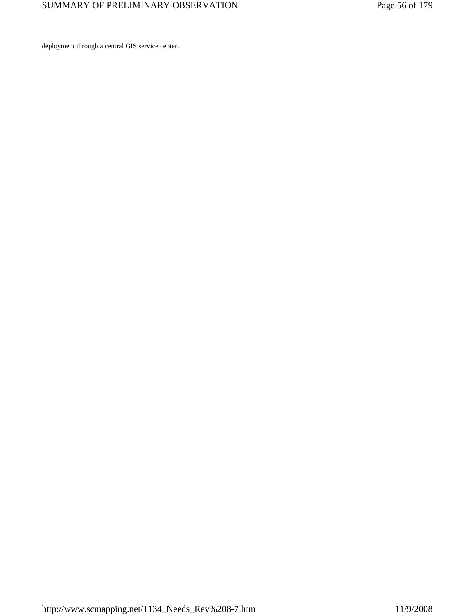deployment through a central GIS service center.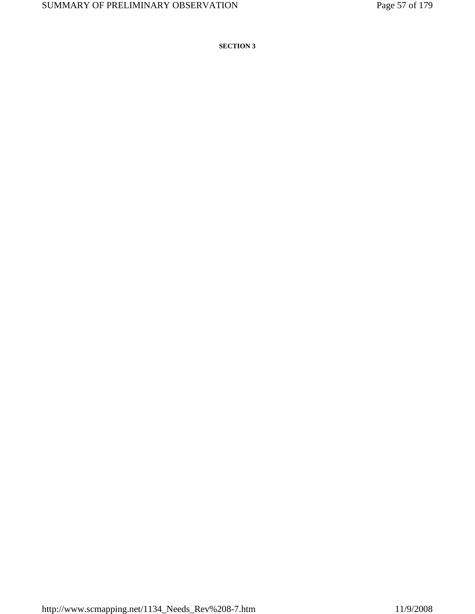**SECTION 3**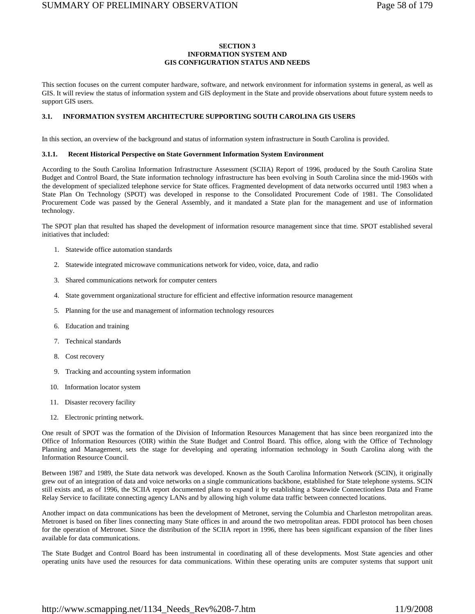## **SECTION 3 INFORMATION SYSTEM AND GIS CONFIGURATION STATUS AND NEEDS**

This section focuses on the current computer hardware, software, and network environment for information systems in general, as well as GIS. It will review the status of information system and GIS deployment in the State and provide observations about future system needs to support GIS users.

### **3.1. INFORMATION SYSTEM ARCHITECTURE SUPPORTING SOUTH CAROLINA GIS USERS**

In this section, an overview of the background and status of information system infrastructure in South Carolina is provided.

#### **3.1.1. Recent Historical Perspective on State Government Information System Environment**

According to the South Carolina Information Infrastructure Assessment (SCIIA) Report of 1996, produced by the South Carolina State Budget and Control Board, the State information technology infrastructure has been evolving in South Carolina since the mid-1960s with the development of specialized telephone service for State offices. Fragmented development of data networks occurred until 1983 when a State Plan On Technology (SPOT) was developed in response to the Consolidated Procurement Code of 1981. The Consolidated Procurement Code was passed by the General Assembly, and it mandated a State plan for the management and use of information technology.

The SPOT plan that resulted has shaped the development of information resource management since that time. SPOT established several initiatives that included:

- 1. Statewide office automation standards
- 2. Statewide integrated microwave communications network for video, voice, data, and radio
- 3. Shared communications network for computer centers
- 4. State government organizational structure for efficient and effective information resource management
- 5. Planning for the use and management of information technology resources
- 6. Education and training
- 7. Technical standards
- 8. Cost recovery
- 9. Tracking and accounting system information
- 10. Information locator system
- 11. Disaster recovery facility
- 12. Electronic printing network.

One result of SPOT was the formation of the Division of Information Resources Management that has since been reorganized into the Office of Information Resources (OIR) within the State Budget and Control Board. This office, along with the Office of Technology Planning and Management, sets the stage for developing and operating information technology in South Carolina along with the Information Resource Council.

Between 1987 and 1989, the State data network was developed. Known as the South Carolina Information Network (SCIN), it originally grew out of an integration of data and voice networks on a single communications backbone, established for State telephone systems. SCIN still exists and, as of 1996, the SCIIA report documented plans to expand it by establishing a Statewide Connectionless Data and Frame Relay Service to facilitate connecting agency LANs and by allowing high volume data traffic between connected locations.

Another impact on data communications has been the development of Metronet, serving the Columbia and Charleston metropolitan areas. Metronet is based on fiber lines connecting many State offices in and around the two metropolitan areas. FDDI protocol has been chosen for the operation of Metronet. Since the distribution of the SCIIA report in 1996, there has been significant expansion of the fiber lines available for data communications.

The State Budget and Control Board has been instrumental in coordinating all of these developments. Most State agencies and other operating units have used the resources for data communications. Within these operating units are computer systems that support unit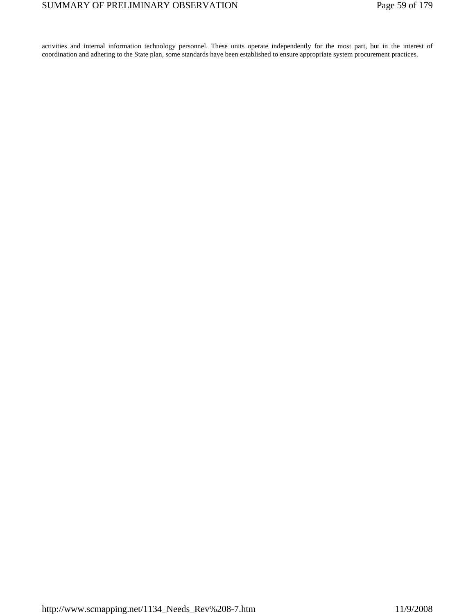activities and internal information technology personnel. These units operate independently for the most part, but in the interest of coordination and adhering to the State plan, some standards have been established to ensure appropriate system procurement practices.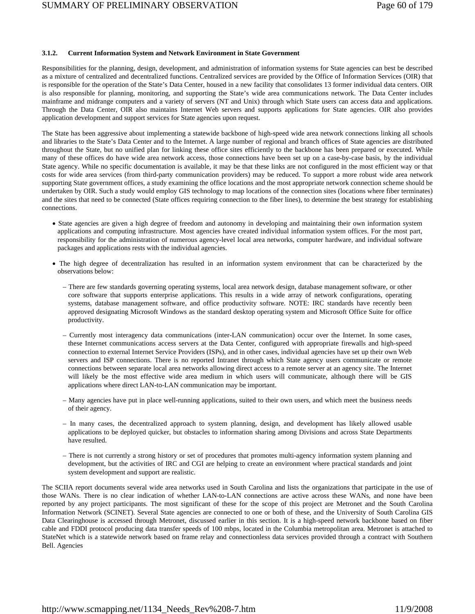#### **3.1.2. Current Information System and Network Environment in State Government**

Responsibilities for the planning, design, development, and administration of information systems for State agencies can best be described as a mixture of centralized and decentralized functions. Centralized services are provided by the Office of Information Services (OIR) that is responsible for the operation of the State's Data Center, housed in a new facility that consolidates 13 former individual data centers. OIR is also responsible for planning, monitoring, and supporting the State's wide area communications network. The Data Center includes mainframe and midrange computers and a variety of servers (NT and Unix) through which State users can access data and applications. Through the Data Center, OIR also maintains Internet Web servers and supports applications for State agencies. OIR also provides application development and support services for State agencies upon request.

The State has been aggressive about implementing a statewide backbone of high-speed wide area network connections linking all schools and libraries to the State's Data Center and to the Internet. A large number of regional and branch offices of State agencies are distributed throughout the State, but no unified plan for linking these office sites efficiently to the backbone has been prepared or executed. While many of these offices do have wide area network access, those connections have been set up on a case-by-case basis, by the individual State agency. While no specific documentation is available, it may be that these links are not configured in the most efficient way or that costs for wide area services (from third-party communication providers) may be reduced. To support a more robust wide area network supporting State government offices, a study examining the office locations and the most appropriate network connection scheme should be undertaken by OIR. Such a study would employ GIS technology to map locations of the connection sites (locations where fiber terminates) and the sites that need to be connected (State offices requiring connection to the fiber lines), to determine the best strategy for establishing connections.

- State agencies are given a high degree of freedom and autonomy in developing and maintaining their own information system applications and computing infrastructure. Most agencies have created individual information system offices. For the most part, responsibility for the administration of numerous agency-level local area networks, computer hardware, and individual software packages and applications rests with the individual agencies.
- The high degree of decentralization has resulted in an information system environment that can be characterized by the observations below:
	- There are few standards governing operating systems, local area network design, database management software, or other core software that supports enterprise applications. This results in a wide array of network configurations, operating systems, database management software, and office productivity software. NOTE: IRC standards have recently been approved designating Microsoft Windows as the standard desktop operating system and Microsoft Office Suite for office productivity.
	- Currently most interagency data communications (inter-LAN communication) occur over the Internet. In some cases, these Internet communications access servers at the Data Center, configured with appropriate firewalls and high-speed connection to external Internet Service Providers (ISPs), and in other cases, individual agencies have set up their own Web servers and ISP connections. There is no reported Intranet through which State agency users communicate or remote connections between separate local area networks allowing direct access to a remote server at an agency site. The Internet will likely be the most effective wide area medium in which users will communicate, although there will be GIS applications where direct LAN-to-LAN communication may be important.
	- Many agencies have put in place well-running applications, suited to their own users, and which meet the business needs of their agency.
	- In many cases, the decentralized approach to system planning, design, and development has likely allowed usable applications to be deployed quicker, but obstacles to information sharing among Divisions and across State Departments have resulted.
	- There is not currently a strong history or set of procedures that promotes multi-agency information system planning and development, but the activities of IRC and CGI are helping to create an environment where practical standards and joint system development and support are realistic.

The SCIIA report documents several wide area networks used in South Carolina and lists the organizations that participate in the use of those WANs. There is no clear indication of whether LAN-to-LAN connections are active across these WANs, and none have been reported by any project participants. The most significant of these for the scope of this project are Metronet and the South Carolina Information Network (SCINET). Several State agencies are connected to one or both of these, and the University of South Carolina GIS Data Clearinghouse is accessed through Metronet, discussed earlier in this section. It is a high-speed network backbone based on fiber cable and FDDI protocol producing data transfer speeds of 100 mbps, located in the Columbia metropolitan area. Metronet is attached to StateNet which is a statewide network based on frame relay and connectionless data services provided through a contract with Southern Bell. Agencies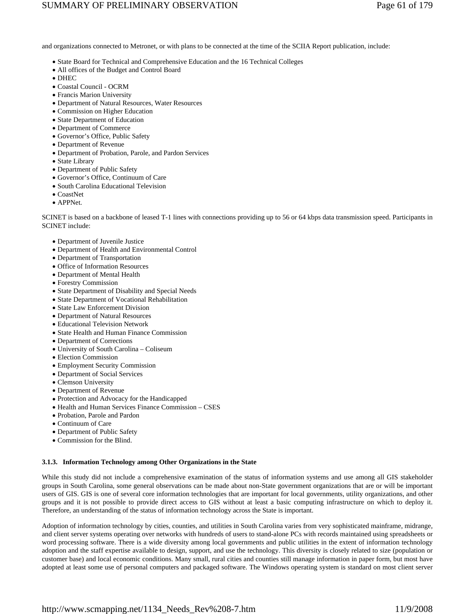# SUMMARY OF PRELIMINARY OBSERVATION Page 61 of 179

and organizations connected to Metronet, or with plans to be connected at the time of the SCIIA Report publication, include:

- State Board for Technical and Comprehensive Education and the 16 Technical Colleges
- All offices of the Budget and Control Board
- DHEC
- Coastal Council OCRM
- Francis Marion University
- Department of Natural Resources, Water Resources
- Commission on Higher Education
- State Department of Education
- Department of Commerce
- Governor's Office, Public Safety
- Department of Revenue
- Department of Probation, Parole, and Pardon Services
- State Library
- Department of Public Safety
- Governor's Office, Continuum of Care
- South Carolina Educational Television
- CoastNet
- APPNet.

SCINET is based on a backbone of leased T-1 lines with connections providing up to 56 or 64 kbps data transmission speed. Participants in SCINET include:

- Department of Juvenile Justice
- Department of Health and Environmental Control
- Department of Transportation
- Office of Information Resources
- Department of Mental Health
- Forestry Commission
- State Department of Disability and Special Needs
- State Department of Vocational Rehabilitation
- State Law Enforcement Division
- Department of Natural Resources
- Educational Television Network
- State Health and Human Finance Commission
- Department of Corrections
- University of South Carolina Coliseum
- Election Commission
- Employment Security Commission
- Department of Social Services
- Clemson University
- Department of Revenue
- Protection and Advocacy for the Handicapped
- Health and Human Services Finance Commission CSES
- Probation, Parole and Pardon
- Continuum of Care
- Department of Public Safety
- Commission for the Blind.

## **3.1.3. Information Technology among Other Organizations in the State**

While this study did not include a comprehensive examination of the status of information systems and use among all GIS stakeholder groups in South Carolina, some general observations can be made about non-State government organizations that are or will be important users of GIS. GIS is one of several core information technologies that are important for local governments, utility organizations, and other groups and it is not possible to provide direct access to GIS without at least a basic computing infrastructure on which to deploy it. Therefore, an understanding of the status of information technology across the State is important.

Adoption of information technology by cities, counties, and utilities in South Carolina varies from very sophisticated mainframe, midrange, and client server systems operating over networks with hundreds of users to stand-alone PCs with records maintained using spreadsheets or word processing software. There is a wide diversity among local governments and public utilities in the extent of information technology adoption and the staff expertise available to design, support, and use the technology. This diversity is closely related to size (population or customer base) and local economic conditions. Many small, rural cities and counties still manage information in paper form, but most have adopted at least some use of personal computers and packaged software. The Windows operating system is standard on most client server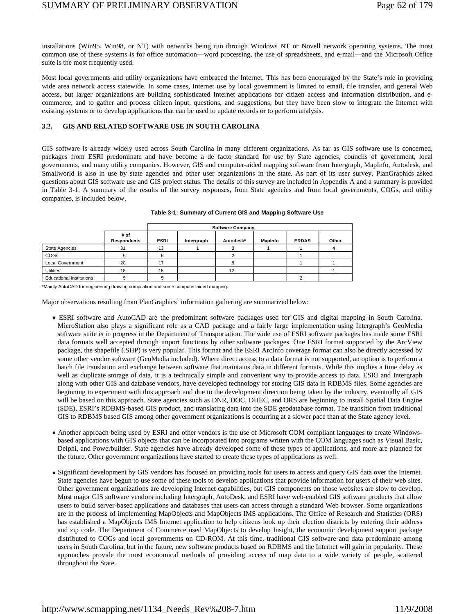installations (Win95, Win98, or NT) with networks being run through Windows NT or Novell network operating systems. The most common use of these systems is for office automation—word processing, the use of spreadsheets, and e-mail—and the Microsoft Office suite is the most frequently used.

Most local governments and utility organizations have embraced the Internet. This has been encouraged by the State's role in providing wide area network access statewide. In some cases, Internet use by local government is limited to email, file transfer, and general Web access, but larger organizations are building sophisticated Internet applications for citizen access and information distribution, and ecommerce, and to gather and process citizen input, questions, and suggestions, but they have been slow to integrate the Internet with existing systems or to develop applications that can be used to update records or to perform analysis.

### **3.2. GIS AND RELATED SOFTWARE USE IN SOUTH CAROLINA**

GIS software is already widely used across South Carolina in many different organizations. As far as GIS software use is concerned, packages from ESRI predominate and have become a de facto standard for use by State agencies, councils of government, local governments, and many utility companies. However, GIS and computer-aided mapping software from Intergraph, MapInfo, Autodesk, and Smallworld is also in use by state agencies and other user organizations in the state. As part of its user survey, PlanGraphics asked questions about GIS software use and GIS project status. The details of this survey are included in Appendix A and a summary is provided in Table 3-1. A summary of the results of the survey responses, from State agencies and from local governments, COGs, and utility companies, is included below.

|                                 |                            | <b>Software Company</b> |            |           |         |              |       |
|---------------------------------|----------------------------|-------------------------|------------|-----------|---------|--------------|-------|
|                                 | # of<br><b>Respondents</b> | <b>ESRI</b>             | Intergraph | Autodesk* | MapInfo | <b>ERDAS</b> | Other |
| <b>State Agencies</b>           | 31                         | 13                      |            |           |         |              |       |
| COGs                            |                            |                         |            |           |         |              |       |
| <b>Local Government</b>         | 20                         | 17                      |            |           |         |              |       |
| <b>Utilities</b>                | 18                         | 15                      |            | 12        |         |              |       |
| <b>Educational Institutions</b> |                            |                         |            |           |         |              |       |

|  |  |  |  |  | Table 3-1: Summary of Current GIS and Mapping Software Use |
|--|--|--|--|--|------------------------------------------------------------|
|--|--|--|--|--|------------------------------------------------------------|

\*Mainly AutoCAD for engineering drawing compilation and some computer-aided mapping.

Major observations resulting from PlanGraphics' information gathering are summarized below:

- ESRI software and AutoCAD are the predominant software packages used for GIS and digital mapping in South Carolina. MicroStation also plays a significant role as a CAD package and a fairly large implementation using Intergraph's GeoMedia software suite is in progress in the Department of Transportation. The wide use of ESRI software packages has made some ESRI data formats well accepted through import functions by other software packages. One ESRI format supported by the ArcView package, the shapefile (.SHP) is very popular. This format and the ESRI ArcInfo coverage format can also be directly accessed by some other vendor software (GeoMedia included). Where direct access to a data format is not supported, an option is to perform a batch file translation and exchange between software that maintains data in different formats. While this implies a time delay as well as duplicate storage of data, it is a technically simple and convenient way to provide access to data. ESRI and Intergraph along with other GIS and database vendors, have developed technology for storing GIS data in RDBMS files. Some agencies are beginning to experiment with this approach and due to the development direction being taken by the industry, eventually all GIS will be based on this approach. State agencies such as DNR, DOC, DHEC, and ORS are beginning to install Spatial Data Engine (SDE), ESRI's RDBMS-based GIS product, and translating data into the SDE geodatabase format. The transition from traditional GIS to RDBMS based GIS among other government organizations is occurring at a slower pace than at the State agency level.
- Another approach being used by ESRI and other vendors is the use of Microsoft COM compliant languages to create Windowsbased applications with GIS objects that can be incorporated into programs written with the COM languages such as Visual Basic, Delphi, and Powerbuilder. State agencies have already developed some of these types of applications, and more are planned for the future. Other government organizations have started to create these types of applications as well.
- Significant development by GIS vendors has focused on providing tools for users to access and query GIS data over the Internet. State agencies have begun to use some of these tools to develop applications that provide information for users of their web sites. Other government organizations are developing Internet capabilities, but GIS components on those websites are slow to develop. Most major GIS software vendors including Intergraph, AutoDesk, and ESRI have web-enabled GIS software products that allow users to build server-based applications and databases that users can access through a standard Web browser. Some organizations are in the process of implementing MapObjects and MapObjects IMS applications. The Office of Research and Statistics (ORS) has established a MapObjects IMS Internet application to help citizens look up their election districts by entering their address and zip code. The Department of Commerce used MapObjects to develop Insight, the economic development support package distributed to COGs and local governments on CD-ROM. At this time, traditional GIS software and data predominate among users in South Carolina, but in the future, new software products based on RDBMS and the Internet will gain in popularity. These approaches provide the most economical methods of providing access of map data to a wide variety of people, scattered throughout the State.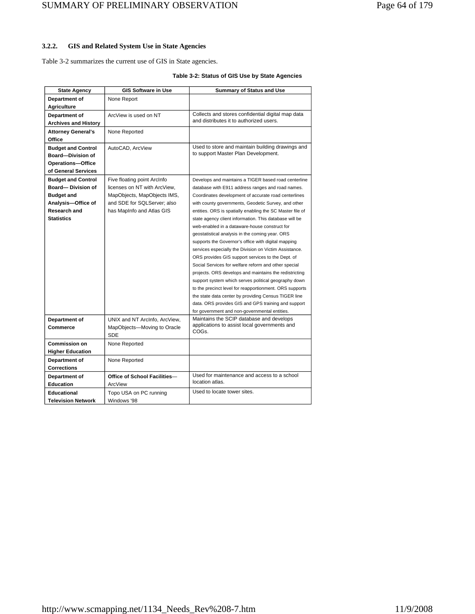## **3.2.2. GIS and Related System Use in State Agencies**

Table 3-2 summarizes the current use of GIS in State agencies.

## **Table 3-2: Status of GIS Use by State Agencies**

| <b>State Agency</b>         | <b>GIS Software in Use</b>    | <b>Summary of Status and Use</b>                          |
|-----------------------------|-------------------------------|-----------------------------------------------------------|
| Department of               | None Report                   |                                                           |
| <b>Agriculture</b>          |                               |                                                           |
| Department of               | ArcView is used on NT         | Collects and stores confidential digital map data         |
| <b>Archives and History</b> |                               | and distributes it to authorized users.                   |
| <b>Attorney General's</b>   | None Reported                 |                                                           |
| Office                      |                               |                                                           |
| <b>Budget and Control</b>   | AutoCAD, ArcView              | Used to store and maintain building drawings and          |
| <b>Board-Division of</b>    |                               | to support Master Plan Development.                       |
| <b>Operations-Office</b>    |                               |                                                           |
| of General Services         |                               |                                                           |
| <b>Budget and Control</b>   | Five floating point ArcInfo   | Develops and maintains a TIGER based road centerline      |
| Board-Division of           | licenses on NT with ArcView,  | database with E911 address ranges and road names.         |
| <b>Budget and</b>           | MapObjects, MapObjects IMS,   | Coordinates development of accurate road centerlines      |
| Analysis-Office of          | and SDE for SQLServer; also   | with county governments, Geodetic Survey, and other       |
| <b>Research and</b>         | has MapInfo and Atlas GIS     | entities. ORS is spatially enabling the SC Master file of |
| <b>Statistics</b>           |                               | state agency client information. This database will be    |
|                             |                               | web-enabled in a dataware-house construct for             |
|                             |                               | geostatistical analysis in the coming year. ORS           |
|                             |                               | supports the Governor's office with digital mapping       |
|                             |                               | services especially the Division on Victim Assistance.    |
|                             |                               | ORS provides GIS support services to the Dept. of         |
|                             |                               | Social Services for welfare reform and other special      |
|                             |                               | projects. ORS develops and maintains the redistricting    |
|                             |                               | support system which serves political geography down      |
|                             |                               | to the precinct level for reapportionment. ORS supports   |
|                             |                               | the state data center by providing Census TIGER line      |
|                             |                               | data. ORS provides GIS and GPS training and support       |
|                             |                               | for government and non-governmental entities.             |
| Department of               | UNIX and NT ArcInfo, ArcView, | Maintains the SCIP database and develops                  |
| <b>Commerce</b>             | MapObjects-Moving to Oracle   | applications to assist local governments and<br>COGs.     |
|                             | <b>SDE</b>                    |                                                           |
| <b>Commission on</b>        | None Reported                 |                                                           |
| <b>Higher Education</b>     |                               |                                                           |
| Department of               | None Reported                 |                                                           |
| <b>Corrections</b>          |                               |                                                           |
| Department of               | Office of School Facilities-  | Used for maintenance and access to a school               |
| <b>Education</b>            | ArcView                       | location atlas.                                           |
| Educational                 | Topo USA on PC running        | Used to locate tower sites.                               |
| <b>Television Network</b>   | Windows '98                   |                                                           |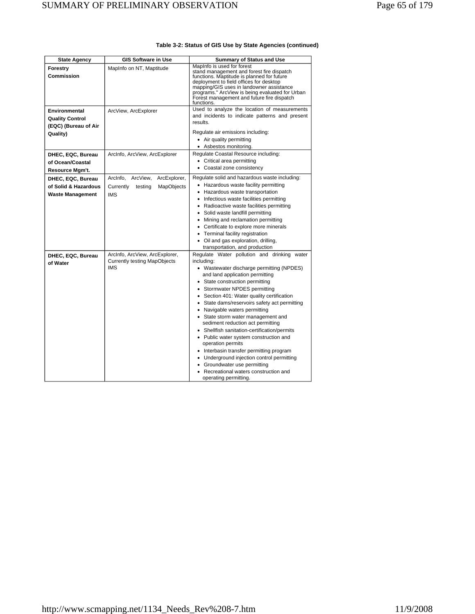| <b>State Agency</b>                                                         | <b>GIS Software in Use</b>                                                            | <b>Summary of Status and Use</b>                                                                                                                                                                                                                                                                                                                                                                                                                                                                                                                                                                                                                                                                                                   |
|-----------------------------------------------------------------------------|---------------------------------------------------------------------------------------|------------------------------------------------------------------------------------------------------------------------------------------------------------------------------------------------------------------------------------------------------------------------------------------------------------------------------------------------------------------------------------------------------------------------------------------------------------------------------------------------------------------------------------------------------------------------------------------------------------------------------------------------------------------------------------------------------------------------------------|
| Forestry<br><b>Commission</b>                                               | MapInfo on NT, Maptitude                                                              | MapInfo is used for forest<br>stand management and forest fire dispatch<br>functions. Maptitude is planned for future<br>deployment to field offices for desktop<br>mapping/GIS uses in landowner assistance<br>programs." ArcView is being evaluated for Urban<br>Forest management and future fire dispatch<br>functions.                                                                                                                                                                                                                                                                                                                                                                                                        |
| Environmental<br><b>Quality Control</b><br>(EQC) (Bureau of Air<br>Quality) | ArcView, ArcExplorer                                                                  | Used to analyze the location of measurements<br>and incidents to indicate patterns and present<br>results.<br>Regulate air emissions including:<br>• Air quality permitting<br>• Asbestos monitoring.                                                                                                                                                                                                                                                                                                                                                                                                                                                                                                                              |
| DHEC, EQC, Bureau<br>of Ocean/Coastal<br>Resource Mgm't.                    | ArcInfo, ArcView, ArcExplorer                                                         | Regulate Coastal Resource including:<br>• Critical area permitting<br>• Coastal zone consistency                                                                                                                                                                                                                                                                                                                                                                                                                                                                                                                                                                                                                                   |
| DHEC, EQC, Bureau<br>of Solid & Hazardous<br><b>Waste Management</b>        | ArcInfo, ArcView,<br>ArcExplorer,<br>Currently<br>testing<br>MapObjects<br><b>IMS</b> | Regulate solid and hazardous waste including:<br>• Hazardous waste facility permitting<br>• Hazardous waste transportation<br>• Infectious waste facilities permitting<br>• Radioactive waste facilities permitting<br>• Solid waste landfill permitting<br>Mining and reclamation permitting<br>• Certificate to explore more minerals<br>• Terminal facility registration<br>• Oil and gas exploration, drilling,<br>transportation, and production                                                                                                                                                                                                                                                                              |
| DHEC, EQC, Bureau<br>of Water                                               | ArcInfo, ArcView, ArcExplorer,<br><b>Currently testing MapObjects</b><br><b>IMS</b>   | Regulate Water pollution and drinking water<br>including:<br>• Wastewater discharge permitting (NPDES)<br>and land application permitting<br>• State construction permitting<br>Stormwater NPDES permitting<br>• Section 401: Water quality certification<br>• State dams/reservoirs safety act permitting<br>• Navigable waters permitting<br>• State storm water management and<br>sediment reduction act permitting<br>• Shellfish sanitation-certification/permits<br>• Public water system construction and<br>operation permits<br>• Interbasin transfer permitting program<br>• Underground injection control permitting<br>• Groundwater use permitting<br>• Recreational waters construction and<br>operating permitting. |

## **Table 3-2: Status of GIS Use by State Agencies (continued)**

 $\overline{\phantom{0}}$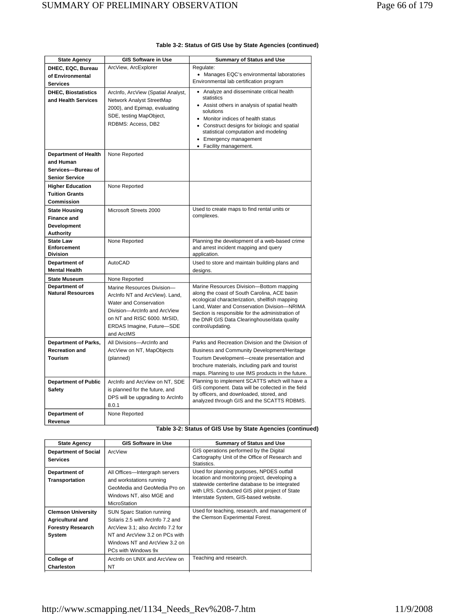| <b>State Agency</b>                                                                                                                                                     | <b>GIS Software in Use</b>                                                                                                                                                                       | <b>Summary of Status and Use</b>                                                                                                                                                                                                                                                                                  |
|-------------------------------------------------------------------------------------------------------------------------------------------------------------------------|--------------------------------------------------------------------------------------------------------------------------------------------------------------------------------------------------|-------------------------------------------------------------------------------------------------------------------------------------------------------------------------------------------------------------------------------------------------------------------------------------------------------------------|
| DHEC, EQC, Bureau                                                                                                                                                       | ArcView, ArcExplorer                                                                                                                                                                             | Regulate:                                                                                                                                                                                                                                                                                                         |
| of Environmental                                                                                                                                                        |                                                                                                                                                                                                  | • Manages EQC's environmental laboratories                                                                                                                                                                                                                                                                        |
| Services                                                                                                                                                                |                                                                                                                                                                                                  | Environmental lab certification program                                                                                                                                                                                                                                                                           |
| <b>DHEC, Biostatistics</b><br>and Health Services<br><b>Department of Health</b><br>and Human<br>Services-Bureau of<br><b>Senior Service</b><br><b>Higher Education</b> | ArcInfo, ArcView (Spatial Analyst,<br>Network Analyst StreetMap<br>2000), and Epimap, evaluating<br>SDE, testing MapObject,<br>RDBMS: Access, DB2<br>None Reported<br>None Reported              | • Analyze and disseminate critical health<br>statistics<br>• Assist others in analysis of spatial health<br>solutions<br>• Monitor indices of health status<br>• Construct designs for biologic and spatial<br>statistical computation and modeling<br>• Emergency management<br>• Facility management.           |
| <b>Tuition Grants</b>                                                                                                                                                   |                                                                                                                                                                                                  |                                                                                                                                                                                                                                                                                                                   |
| Commission                                                                                                                                                              |                                                                                                                                                                                                  |                                                                                                                                                                                                                                                                                                                   |
| <b>State Housing</b>                                                                                                                                                    | Microsoft Streets 2000                                                                                                                                                                           | Used to create maps to find rental units or<br>complexes.                                                                                                                                                                                                                                                         |
| <b>Finance and</b>                                                                                                                                                      |                                                                                                                                                                                                  |                                                                                                                                                                                                                                                                                                                   |
| <b>Development</b>                                                                                                                                                      |                                                                                                                                                                                                  |                                                                                                                                                                                                                                                                                                                   |
| Authority<br><b>State Law</b>                                                                                                                                           | None Reported                                                                                                                                                                                    | Planning the development of a web-based crime                                                                                                                                                                                                                                                                     |
| Enforcement<br><b>Division</b>                                                                                                                                          |                                                                                                                                                                                                  | and arrest incident mapping and query<br>application.                                                                                                                                                                                                                                                             |
| Department of                                                                                                                                                           | AutoCAD                                                                                                                                                                                          | Used to store and maintain building plans and                                                                                                                                                                                                                                                                     |
| <b>Mental Health</b>                                                                                                                                                    |                                                                                                                                                                                                  | designs.                                                                                                                                                                                                                                                                                                          |
| <b>State Museum</b>                                                                                                                                                     | None Reported                                                                                                                                                                                    |                                                                                                                                                                                                                                                                                                                   |
| Department of<br><b>Natural Resources</b>                                                                                                                               | Marine Resources Division-<br>ArcInfo NT and ArcView). Land,<br>Water and Conservation<br>Division-ArcInfo and ArcView<br>on NT and RISC 6000. MrSID,<br>ERDAS Imagine, Future-SDE<br>and ArcIMS | Marine Resources Division-Bottom mapping<br>along the coast of South Carolina, ACE basin<br>ecological characterization, shellfish mapping<br>Land, Water and Conservation Division-NRIMA<br>Section is responsible for the administration of<br>the DNR GIS Data Clearinghouse/data quality<br>control/updating. |
| <b>Department of Parks,</b>                                                                                                                                             | All Divisions-ArcInfo and                                                                                                                                                                        | Parks and Recreation Division and the Division of                                                                                                                                                                                                                                                                 |
| <b>Recreation and</b>                                                                                                                                                   | ArcView on NT, MapObjects                                                                                                                                                                        | Business and Community Development/Heritage                                                                                                                                                                                                                                                                       |
| Tourism                                                                                                                                                                 | (planned)                                                                                                                                                                                        | Tourism Development-create presentation and                                                                                                                                                                                                                                                                       |
|                                                                                                                                                                         |                                                                                                                                                                                                  | brochure materials, including park and tourist                                                                                                                                                                                                                                                                    |
|                                                                                                                                                                         |                                                                                                                                                                                                  | maps. Planning to use IMS products in the future.                                                                                                                                                                                                                                                                 |
| <b>Department of Public</b><br>Safety                                                                                                                                   | ArcInfo and ArcView on NT, SDE<br>is planned for the future, and<br>DPS will be upgrading to ArcInfo<br>8.0.1                                                                                    | Planning to implement SCATTS which will have a<br>GIS component. Data will be collected in the field<br>by officers, and downloaded, stored, and<br>analyzed through GIS and the SCATTS RDBMS.                                                                                                                    |
| Department of                                                                                                                                                           | None Reported                                                                                                                                                                                    |                                                                                                                                                                                                                                                                                                                   |
| Revenue                                                                                                                                                                 |                                                                                                                                                                                                  |                                                                                                                                                                                                                                                                                                                   |

## **Table 3-2: Status of GIS Use by State Agencies (continued)**

**Table 3-2: Status of GIS Use by State Agencies (continued)** 

| <b>State Agency</b>                                                                        | <b>GIS Software in Use</b>                                                                                                                                                                          | <b>Summary of Status and Use</b>                                                                                                                                                                                                        |
|--------------------------------------------------------------------------------------------|-----------------------------------------------------------------------------------------------------------------------------------------------------------------------------------------------------|-----------------------------------------------------------------------------------------------------------------------------------------------------------------------------------------------------------------------------------------|
| <b>Department of Social</b><br><b>Services</b>                                             | ArcView                                                                                                                                                                                             | GIS operations performed by the Digital<br>Cartography Unit of the Office of Research and<br>Statistics.                                                                                                                                |
| Department of<br>Transportation                                                            | All Offices-Intergraph servers<br>and workstations running<br>GeoMedia and GeoMedia Pro on<br>Windows NT, also MGE and<br>MicroStation                                                              | Used for planning purposes, NPDES outfall<br>location and monitoring project, developing a<br>statewide centerline database to be integrated<br>with LRS. Conducted GIS pilot project of State<br>Interstate System, GIS-based website. |
| <b>Clemson University</b><br><b>Agricultural and</b><br><b>Forestry Research</b><br>System | <b>SUN Sparc Station running</b><br>Solaris 2.5 with ArcInfo 7.2 and<br>ArcView 3.1; also ArcInfo 7.2 for<br>NT and ArcView 3.2 on PCs with<br>Windows NT and ArcView 3.2 on<br>PCs with Windows 9x | Used for teaching, research, and management of<br>the Clemson Experimental Forest.                                                                                                                                                      |
| College of<br>Charleston                                                                   | Arcinfo on UNIX and ArcView on<br>NΤ                                                                                                                                                                | Teaching and research.                                                                                                                                                                                                                  |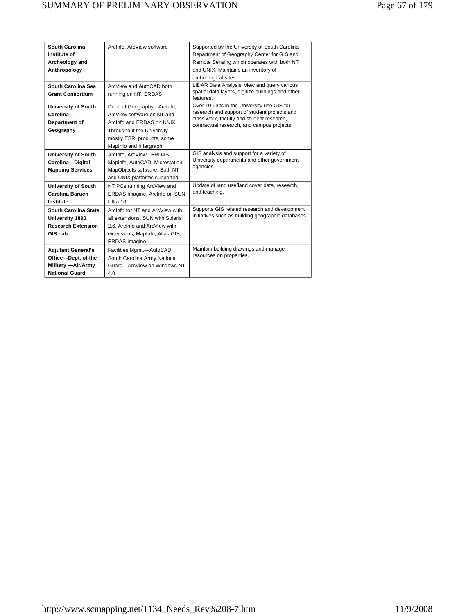| South Carolina<br>Institute of<br>Archeology and<br>Anthropology                                 | ArcInfo, ArcView software                                                                                                                                                       | Supported by the University of South Carolina<br>Department of Geography Center for GIS and<br>Remote Sensing which operates with both NT<br>and UNIX. Maintains an inventory of<br>archeological sites. |
|--------------------------------------------------------------------------------------------------|---------------------------------------------------------------------------------------------------------------------------------------------------------------------------------|----------------------------------------------------------------------------------------------------------------------------------------------------------------------------------------------------------|
| South Carolina Sea<br><b>Grant Consortium</b>                                                    | ArcView and AutoCAD both<br>running on NT, ERDAS                                                                                                                                | LIDAR Data Analysis, view and query various<br>spatial data layers, digitize buildings and other<br>features.                                                                                            |
| University of South<br>Carolina-<br>Department of<br>Geography                                   | Dept. of Geography - ArcInfo,<br>ArcView software on NT and<br>Arcinfo and ERDAS on UNIX<br>Throughout the University -<br>mostly ESRI products, some<br>MapInfo and Intergraph | Over 10 units in the University use GIS for<br>research and support of student projects and<br>class work, faculty and student research,<br>contractual research, and campus projects                    |
| <b>University of South</b><br>Carolina-Digital<br><b>Mapping Services</b>                        | ArcInfo, ArcView, ERDAS,<br>Mapinfo, AutoCAD, Microstation,<br>MapObjects software. Both NT<br>and UNIX platforms supported.                                                    | GIS analysis and support for a variety of<br>University departments and other government<br>agencies.                                                                                                    |
| <b>University of South</b><br><b>Carolina Baruch</b><br>Institute                                | NT PCs running ArcView and<br>ERDAS Imagine, ArcInfo on SUN<br>Ultra 10                                                                                                         | Update of land use/land cover data, research,<br>and teaching.                                                                                                                                           |
| <b>South Carolina State</b><br>University 1890<br><b>Research Extension</b><br><b>GIS Lab</b>    | Arcinfo for NT and ArcView with<br>all extensions, SUN with Solaris<br>2.6. ArcInfo and ArcView with<br>extensions, MapInfo, Atlas GIS,<br><b>ERDAS</b> Imagine                 | Supports GIS related research and development<br>initiatives such as building geographic databases.                                                                                                      |
| <b>Adjutant General's</b><br>Office-Dept. of the<br>Military - Air/Army<br><b>National Guard</b> | Facilities Mgmt.-AutoCAD<br>South Carolina Army National<br>Guard-ArcView on Windows NT<br>4.0                                                                                  | Maintain building drawings and manage<br>resources on properties.                                                                                                                                        |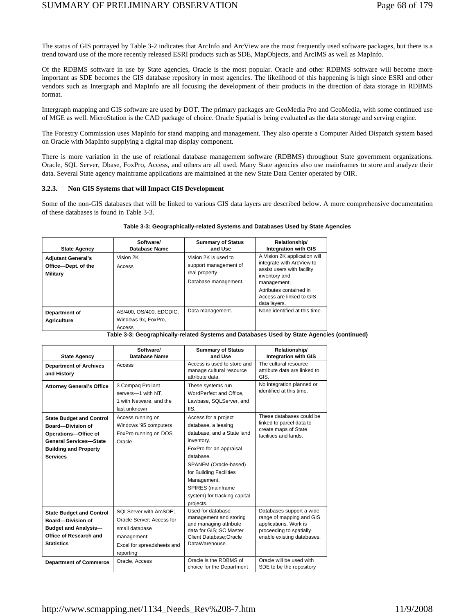The status of GIS portrayed by Table 3-2 indicates that ArcInfo and ArcView are the most frequently used software packages, but there is a trend toward use of the more recently released ESRI products such as SDE, MapObjects, and ArcIMS as well as MapInfo.

Of the RDBMS software in use by State agencies, Oracle is the most popular. Oracle and other RDBMS software will become more important as SDE becomes the GIS database repository in most agencies. The likelihood of this happening is high since ESRI and other vendors such as Intergraph and MapInfo are all focusing the development of their products in the direction of data storage in RDBMS format.

Intergraph mapping and GIS software are used by DOT. The primary packages are GeoMedia Pro and GeoMedia, with some continued use of MGE as well. MicroStation is the CAD package of choice. Oracle Spatial is being evaluated as the data storage and serving engine.

The Forestry Commission uses MapInfo for stand mapping and management. They also operate a Computer Aided Dispatch system based on Oracle with MapInfo supplying a digital map display component.

There is more variation in the use of relational database management software (RDBMS) throughout State government organizations. Oracle, SQL Server, Dbase, FoxPro, Access, and others are all used. Many State agencies also use mainframes to store and analyze their data. Several State agency mainframe applications are maintained at the new State Data Center operated by OIR.

### **3.2.3. Non GIS Systems that will Impact GIS Development**

Some of the non-GIS databases that will be linked to various GIS data layers are described below. A more comprehensive documentation of these databases is found in Table 3-3.

| <b>State Agency</b>                                                 | Software/<br>Database Name                               | <b>Summary of Status</b><br>and Use                                                     | <b>Relationship/</b><br><b>Integration with GIS</b>                                                                                                                                            |
|---------------------------------------------------------------------|----------------------------------------------------------|-----------------------------------------------------------------------------------------|------------------------------------------------------------------------------------------------------------------------------------------------------------------------------------------------|
| <b>Adjutant General's</b><br>Office-Dept. of the<br><b>Military</b> | Vision 2K<br>Access                                      | Vision 2K is used to<br>support management of<br>real property.<br>Database management. | A Vision 2K application will<br>integrate with ArcView to<br>assist users with facility<br>inventory and<br>management.<br>Attributes contained in<br>Access are linked to GIS<br>data layers. |
| Department of<br><b>Agriculture</b>                                 | AS/400, OS/400, EDCDIC,<br>Windows 9x, FoxPro,<br>Access | Data management.                                                                        | None identified at this time.                                                                                                                                                                  |

#### **Table 3-3: Geographically-related Systems and Databases Used by State Agencies**

#### **Table 3-3: Geographically-related Systems and Databases Used by State Agencies (continued)**

| <b>State Agency</b>                                                                                                                                                     | Software/<br>Database Name                                                                                                      | <b>Summary of Status</b><br>and Use                                                                                                                                                                                                                                  | Relationship/<br><b>Integration with GIS</b>                                                                                           |
|-------------------------------------------------------------------------------------------------------------------------------------------------------------------------|---------------------------------------------------------------------------------------------------------------------------------|----------------------------------------------------------------------------------------------------------------------------------------------------------------------------------------------------------------------------------------------------------------------|----------------------------------------------------------------------------------------------------------------------------------------|
| <b>Department of Archives</b><br>and History                                                                                                                            | Access                                                                                                                          | Access is used to store and<br>manage cultural resource<br>attribute data.                                                                                                                                                                                           | The cultural resource<br>attribute data are linked to<br>GIS.                                                                          |
| <b>Attorney General's Office</b>                                                                                                                                        | 3 Compag Proliant<br>servers-1 with NT,<br>1 with Netware, and the<br>last unknown                                              | These systems run<br>WordPerfect and Office.<br>Lawbase, SQLServer, and<br>IIS.                                                                                                                                                                                      | No integration planned or<br>identified at this time.                                                                                  |
| <b>State Budget and Control</b><br><b>Board-Division of</b><br>Operations-Office of<br><b>General Services-State</b><br><b>Building and Property</b><br><b>Services</b> | Access running on<br>Windows '95 computers<br>FoxPro running on DOS<br>Oracle                                                   | Access for a project<br>database, a leasing<br>database, and a State land<br>inventory.<br>FoxPro for an appraisal<br>database.<br>SPANFM (Oracle-based)<br>for Building Facilities<br>Management.<br>SPIRES (mainframe<br>system) for tracking capital<br>projects. | These databases could be<br>linked to parcel data to<br>create maps of State<br>facilities and lands.                                  |
| <b>State Budget and Control</b><br><b>Board-Division of</b><br><b>Budget and Analysis-</b><br>Office of Research and<br><b>Statistics</b>                               | SQLServer with ArcSDE;<br>Oracle Server: Access for<br>small database<br>management;<br>Excel for spreadsheets and<br>reporting | Used for database<br>management and storing<br>and managing attribute<br>data for GIS; SC Master<br><b>Client Database; Oracle</b><br>DataWarehouse.                                                                                                                 | Databases support a wide<br>range of mapping and GIS<br>applications. Work is<br>proceeding to spatially<br>enable existing databases. |
| <b>Department of Commerce</b>                                                                                                                                           | Oracle, Access                                                                                                                  | Oracle is the RDBMS of<br>choice for the Department                                                                                                                                                                                                                  | Oracle will be used with<br>SDE to be the repository                                                                                   |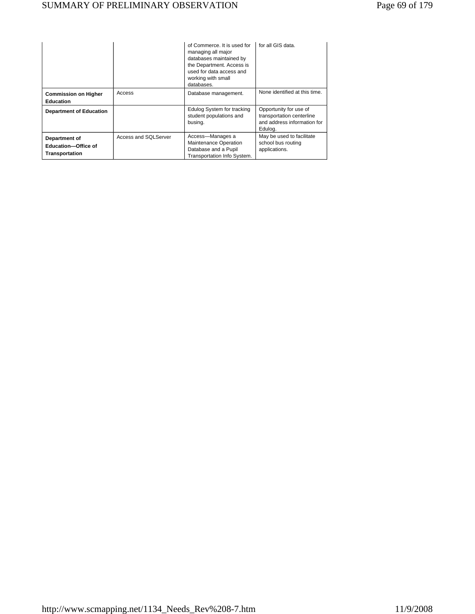|                                                                      |                      | of Commerce. It is used for<br>managing all major<br>databases maintained by<br>the Department. Access is<br>used for data access and<br>working with small<br>databases. | for all GIS data.                                                                             |
|----------------------------------------------------------------------|----------------------|---------------------------------------------------------------------------------------------------------------------------------------------------------------------------|-----------------------------------------------------------------------------------------------|
| <b>Commission on Higher</b><br><b>Education</b>                      | Access               | Database management.                                                                                                                                                      | None identified at this time.                                                                 |
| <b>Department of Education</b>                                       |                      | Edulog System for tracking<br>student populations and<br>busing.                                                                                                          | Opportunity for use of<br>transportation centerline<br>and address information for<br>Edulog. |
| Department of<br><b>Education-Office of</b><br><b>Transportation</b> | Access and SQLServer | Access-Manages a<br>Maintenance Operation<br>Database and a Pupil<br>Transportation Info System.                                                                          | May be used to facilitate<br>school bus routing<br>applications.                              |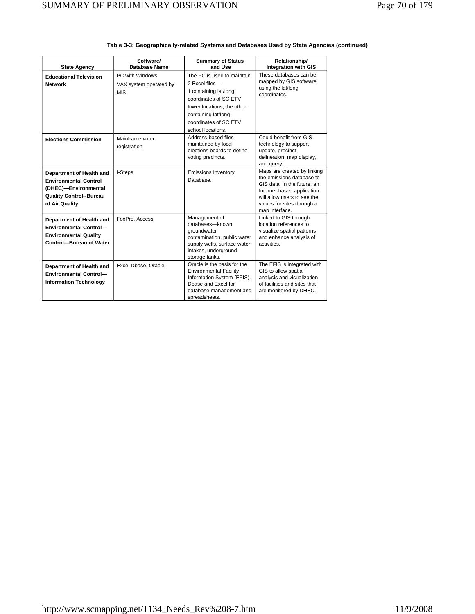|                                                                                                                                      | Software/                                               | <b>Summary of Status</b>                                                                                                                                                                          | Relationship/                                                                                                                                                                                        |
|--------------------------------------------------------------------------------------------------------------------------------------|---------------------------------------------------------|---------------------------------------------------------------------------------------------------------------------------------------------------------------------------------------------------|------------------------------------------------------------------------------------------------------------------------------------------------------------------------------------------------------|
| <b>State Agency</b>                                                                                                                  | Database Name                                           | and Use                                                                                                                                                                                           | <b>Integration with GIS</b>                                                                                                                                                                          |
| <b>Educational Television</b><br><b>Network</b>                                                                                      | PC with Windows<br>VAX system operated by<br><b>MIS</b> | The PC is used to maintain<br>2 Excel files-<br>1 containing lat/long<br>coordinates of SC ETV<br>tower locations, the other<br>containing lat/long<br>coordinates of SC ETV<br>school locations. | These databases can be<br>mapped by GIS software<br>using the lat/long<br>coordinates.                                                                                                               |
| <b>Elections Commission</b>                                                                                                          | Mainframe voter<br>registration                         | Address-based files<br>maintained by local<br>elections boards to define<br>voting precincts.                                                                                                     | Could benefit from GIS<br>technology to support<br>update, precinct<br>delineation, map display,<br>and query.                                                                                       |
| Department of Health and<br><b>Environmental Control</b><br>(DHEC)-Environmental<br><b>Quality Control--Bureau</b><br>of Air Quality | I-Steps                                                 | <b>Emissions Inventory</b><br>Database.                                                                                                                                                           | Maps are created by linking<br>the emissions database to<br>GIS data. In the future, an<br>Internet-based application<br>will allow users to see the<br>values for sites through a<br>map interface. |
| Department of Health and<br><b>Environmental Control-</b><br><b>Environmental Quality</b><br><b>Control-Bureau of Water</b>          | FoxPro. Access                                          | Management of<br>databases-known<br>groundwater<br>contamination, public water<br>supply wells, surface water<br>intakes, underground<br>storage tanks.                                           | Linked to GIS through<br>location references to<br>visualize spatial patterns<br>and enhance analysis of<br>activities.                                                                              |
| Department of Health and<br><b>Environmental Control-</b><br><b>Information Technology</b>                                           | Excel Dbase, Oracle                                     | Oracle is the basis for the<br><b>Environmental Facility</b><br>Information System (EFIS).<br>Dhase and Excel for<br>database management and<br>spreadsheets.                                     | The EFIS is integrated with<br>GIS to allow spatial<br>analysis and visualization<br>of facilities and sites that<br>are monitored by DHEC.                                                          |

| Table 3-3: Geographically-related Systems and Databases Used by State Agencies (continued) |  |  |
|--------------------------------------------------------------------------------------------|--|--|
|                                                                                            |  |  |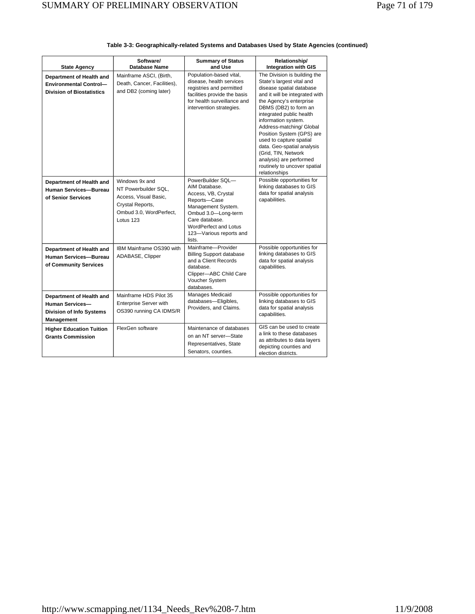|                                                                                               | Software/                                                                                                                   | <b>Summary of Status</b>                                                                                                                                                                                      | Relationship/                                                                                                                                                                                                                                                                                                                                                                                                                                       |
|-----------------------------------------------------------------------------------------------|-----------------------------------------------------------------------------------------------------------------------------|---------------------------------------------------------------------------------------------------------------------------------------------------------------------------------------------------------------|-----------------------------------------------------------------------------------------------------------------------------------------------------------------------------------------------------------------------------------------------------------------------------------------------------------------------------------------------------------------------------------------------------------------------------------------------------|
| <b>State Agency</b>                                                                           | Database Name                                                                                                               | and Use                                                                                                                                                                                                       | <b>Integration with GIS</b>                                                                                                                                                                                                                                                                                                                                                                                                                         |
| Department of Health and<br><b>Environmental Control-</b><br><b>Division of Biostatistics</b> | Mainframe ASCI, (Birth,<br>Death, Cancer, Facilities),<br>and DB2 (coming later)                                            | Population-based vital,<br>disease, health services<br>registries and permitted<br>facilities provide the basis<br>for health surveillance and<br>intervention strategies.                                    | The Division is building the<br>State's largest vital and<br>disease spatial database<br>and it will be integrated with<br>the Agency's enterprise<br>DBMS (DB2) to form an<br>integrated public health<br>information system.<br>Address-matching/ Global<br>Position System (GPS) are<br>used to capture spatial<br>data. Geo-spatial analysis<br>(Grid, TIN, Network<br>analysis) are performed<br>routinely to uncover spatial<br>relationships |
| Department of Health and<br>Human Services-Bureau<br>of Senior Services                       | Windows 9x and<br>NT Powerbuilder SQL.<br>Access, Visual Basic,<br>Crystal Reports,<br>Ombud 3.0, WordPerfect,<br>Lotus 123 | PowerBuilder SQL-<br>AIM Database.<br>Access, VB, Crystal<br>Reports-Case<br>Management System.<br>Ombud 3.0-Long-term<br>Care database.<br><b>WordPerfect and Lotus</b><br>123-Various reports and<br>lists. | Possible opportunities for<br>linking databases to GIS<br>data for spatial analysis<br>capabilities.                                                                                                                                                                                                                                                                                                                                                |
| Department of Health and<br><b>Human Services-Bureau</b><br>of Community Services             | IBM Mainframe OS390 with<br>ADABASE, Clipper                                                                                | Mainframe-Provider<br><b>Billing Support database</b><br>and a Client Records<br>database.<br>Clipper-ABC Child Care<br>Voucher System<br>databases.                                                          | Possible opportunities for<br>linking databases to GIS<br>data for spatial analysis<br>capabilities.                                                                                                                                                                                                                                                                                                                                                |
| Department of Health and<br><b>Human Services-</b><br>Division of Info Systems<br>Management  | Mainframe HDS Pilot 35<br><b>Enterprise Server with</b><br>OS390 running CA IDMS/R                                          | Manages Medicaid<br>databases-Eligibles,<br>Providers, and Claims.                                                                                                                                            | Possible opportunities for<br>linking databases to GIS<br>data for spatial analysis<br>capabilities.                                                                                                                                                                                                                                                                                                                                                |
| <b>Higher Education Tuition</b><br><b>Grants Commission</b>                                   | FlexGen software                                                                                                            | Maintenance of databases<br>on an NT server-State<br>Representatives, State<br>Senators, counties.                                                                                                            | GIS can be used to create<br>a link to these databases<br>as attributes to data layers<br>depicting counties and<br>election districts.                                                                                                                                                                                                                                                                                                             |

## **Table 3-3: Geographically-related Systems and Databases Used by State Agencies (continued)**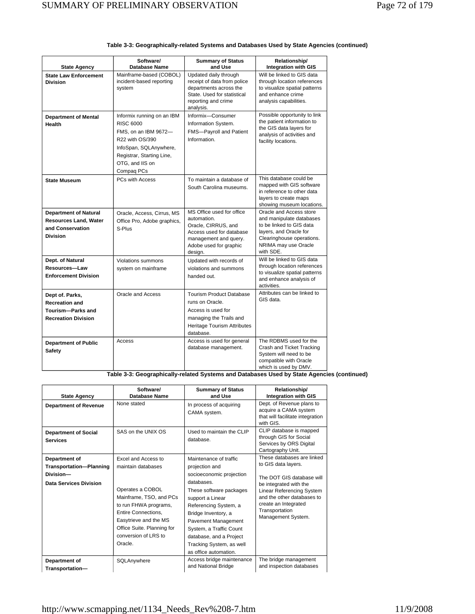| <b>State Agency</b>                                                                                 | Software/<br><b>Database Name</b>                                                                                                                                          | <b>Summary of Status</b><br>and Use                                                                                                                       | Relationship/<br><b>Integration with GIS</b>                                                                                                                                |
|-----------------------------------------------------------------------------------------------------|----------------------------------------------------------------------------------------------------------------------------------------------------------------------------|-----------------------------------------------------------------------------------------------------------------------------------------------------------|-----------------------------------------------------------------------------------------------------------------------------------------------------------------------------|
| <b>State Law Enforcement</b><br><b>Division</b>                                                     | Mainframe-based (COBOL)<br>incident-based reporting<br>system                                                                                                              | Updated daily through<br>receipt of data from police<br>departments across the<br>State. Used for statistical<br>reporting and crime<br>analysis.         | Will be linked to GIS data<br>through location references<br>to visualize spatial patterns<br>and enhance crime<br>analysis capabilities.                                   |
| <b>Department of Mental</b><br>Health                                                               | Informix running on an IBM<br>RISC 6000<br>FMS, on an IBM 9672-<br>R22 with OS/390<br>InfoSpan, SQLAnywhere,<br>Registrar, Starting Line,<br>OTG, and IIS on<br>Compaq PCs | Informix-Consumer<br>Information System.<br>FMS-Payroll and Patient<br>Information.                                                                       | Possible opportunity to link<br>the patient information to<br>the GIS data layers for<br>analysis of activities and<br>facility locations.                                  |
| <b>State Museum</b>                                                                                 | PCs with Access                                                                                                                                                            | To maintain a database of<br>South Carolina museums.                                                                                                      | This database could be<br>mapped with GIS software<br>in reference to other data<br>layers to create maps<br>showing museum locations.                                      |
| <b>Department of Natural</b><br><b>Resources Land, Water</b><br>and Conservation<br><b>Division</b> | Oracle, Access, Cirrus, MS<br>Office Pro, Adobe graphics,<br>S-Plus                                                                                                        | MS Office used for office<br>automation.<br>Oracle, CIRRUS, and<br>Access used for database<br>management and query.<br>Adobe used for graphic<br>design. | Oracle and Access store<br>and manipulate databases<br>to be linked to GIS data<br>layers, and Oracle for<br>Clearinghouse operations.<br>NRIMA may use Oracle<br>with SDE. |
| Dept. of Natural<br>Resources-Law<br><b>Enforcement Division</b>                                    | Violations summons<br>system on mainframe                                                                                                                                  | Updated with records of<br>violations and summons<br>handed out.                                                                                          | Will be linked to GIS data<br>through location references<br>to visualize spatial patterns<br>and enhance analysis of<br>activities.                                        |
| Dept of. Parks,<br><b>Recreation and</b><br>Tourism-Parks and<br><b>Recreation Division</b>         | Oracle and Access                                                                                                                                                          | <b>Tourism Product Database</b><br>runs on Oracle.<br>Access is used for<br>managing the Trails and<br>Heritage Tourism Attributes<br>database.           | Attributes can be linked to<br>GIS data.                                                                                                                                    |
| <b>Department of Public</b><br><b>Safety</b>                                                        | Access                                                                                                                                                                     | Access is used for general<br>database management.                                                                                                        | The RDBMS used for the<br>Crash and Ticket Tracking<br>System will need to be<br>compatible with Oracle<br>which is used by DMV.                                            |

#### **Table 3-3: Geographically-related Systems and Databases Used by State Agencies (continued)**

**Table 3-3: Geographically-related Systems and Databases Used by State Agencies (continued)** 

| <b>State Agency</b>                                                                    | Software/<br>Database Name                                                                                                                                                                                                                | <b>Summary of Status</b><br>and Use                                                                                                                                                                                                                                                                                 | Relationship/<br><b>Integration with GIS</b>                                                                                                                                                                                               |
|----------------------------------------------------------------------------------------|-------------------------------------------------------------------------------------------------------------------------------------------------------------------------------------------------------------------------------------------|---------------------------------------------------------------------------------------------------------------------------------------------------------------------------------------------------------------------------------------------------------------------------------------------------------------------|--------------------------------------------------------------------------------------------------------------------------------------------------------------------------------------------------------------------------------------------|
| <b>Department of Revenue</b>                                                           | None stated                                                                                                                                                                                                                               | In process of acquiring<br>CAMA system.                                                                                                                                                                                                                                                                             | Dept. of Revenue plans to<br>acquire a CAMA system<br>that will facilitate integration<br>with GIS.                                                                                                                                        |
| <b>Department of Social</b><br><b>Services</b>                                         | SAS on the UNIX OS                                                                                                                                                                                                                        | Used to maintain the CLIP<br>database.                                                                                                                                                                                                                                                                              | CLIP database is mapped<br>through GIS for Social<br>Services by ORS Digital<br>Cartography Unit.                                                                                                                                          |
| Department of<br><b>Transportation-Planning</b><br>Division-<br>Data Services Division | Excel and Access to<br>maintain databases<br>Operates a COBOL<br>Mainframe, TSO, and PCs<br>to run FHWA programs,<br><b>Entire Connections.</b><br>Easytrieve and the MS<br>Office Suite. Planning for<br>conversion of LRS to<br>Oracle. | Maintenance of traffic<br>projection and<br>socioeconomic projection<br>databases.<br>These software packages<br>support a Linear<br>Referencing System, a<br>Bridge Inventory, a<br>Pavement Management<br>System, a Traffic Count<br>database, and a Project<br>Tracking System, as well<br>as office automation. | These databases are linked<br>to GIS data layers.<br>The DOT GIS database will<br>be integrated with the<br><b>Linear Referencing System</b><br>and the other databases to<br>create an Integrated<br>Transportation<br>Management System. |
| Department of<br>Transportation-                                                       | SQLAnywhere                                                                                                                                                                                                                               | Access bridge maintenance<br>and National Bridge                                                                                                                                                                                                                                                                    | The bridge management<br>and inspection databases                                                                                                                                                                                          |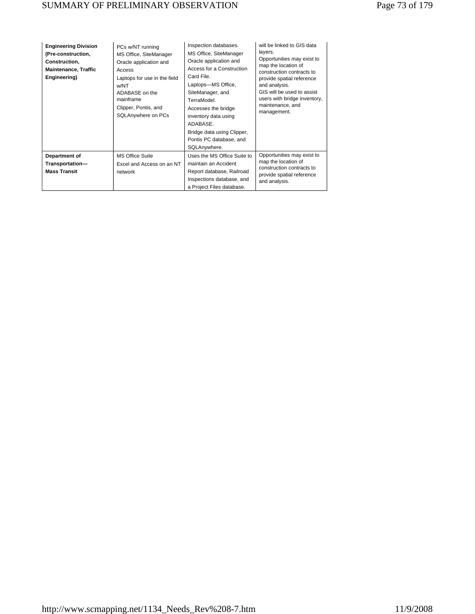# SUMMARY OF PRELIMINARY OBSERVATION Page 73 of 179

| <b>Engineering Division</b><br>(Pre-construction,<br>Construction,<br><b>Maintenance, Traffic</b><br>Engineering) | PCs w/NT running<br>MS Office, SiteManager<br>Oracle application and<br>Access<br>Laptops for use in the field<br>w/NT<br>ADABASE on the<br>mainframe<br>Clipper, Pontis, and<br>SQLAnywhere on PCs | Inspection databases.<br>MS Office, SiteManager<br>Oracle application and<br>Access for a Construction<br>Card File.<br>Laptops-MS Office,<br>SiteManager, and<br>TerraModel<br>Accesses the bridge<br>inventory data using<br>ADABASE.<br>Bridge data using Clipper,<br>Pontis PC database, and<br>SQLAnywhere. | will be linked to GIS data<br>layers.<br>Opportunities may exist to<br>map the location of<br>construction contracts to<br>provide spatial reference<br>and analysis.<br>GIS will be used to assist<br>users with bridge inventory,<br>maintenance, and<br>management. |
|-------------------------------------------------------------------------------------------------------------------|-----------------------------------------------------------------------------------------------------------------------------------------------------------------------------------------------------|------------------------------------------------------------------------------------------------------------------------------------------------------------------------------------------------------------------------------------------------------------------------------------------------------------------|------------------------------------------------------------------------------------------------------------------------------------------------------------------------------------------------------------------------------------------------------------------------|
| Department of<br>Transportation-<br><b>Mass Transit</b>                                                           | <b>MS Office Suite</b><br>Excel and Access on an NT<br>network                                                                                                                                      | Uses the MS Office Suite to<br>maintain an Accident<br>Report database, Railroad<br>Inspections database, and<br>a Project Files database.                                                                                                                                                                       | Opportunities may exist to<br>map the location of<br>construction contracts to<br>provide spatial reference<br>and analysis.                                                                                                                                           |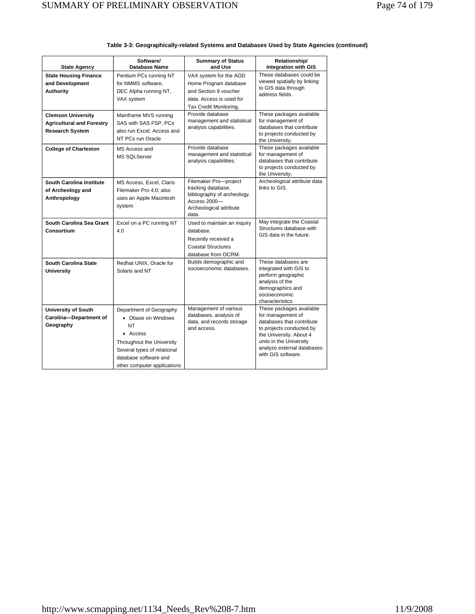| <b>State Agency</b>                                                                     | Software/<br><b>Database Name</b>                                                                                                                                                   | <b>Summary of Status</b><br>and Use                                                                                            | Relationship/<br><b>Integration with GIS</b>                                                                                                                                                                     |
|-----------------------------------------------------------------------------------------|-------------------------------------------------------------------------------------------------------------------------------------------------------------------------------------|--------------------------------------------------------------------------------------------------------------------------------|------------------------------------------------------------------------------------------------------------------------------------------------------------------------------------------------------------------|
| <b>State Housing Finance</b><br>and Development<br><b>Authority</b>                     | Pentium PCs running NT<br>for NMMS software,<br>DEC Alpha running NT,<br>VAX system                                                                                                 | VAX system for the AOD<br>Home Program database<br>and Section 8 voucher<br>data. Access is used for<br>Tax Credit Monitoring. | These databases could be<br>viewed spatially by linking<br>to GIS data through<br>address fields.                                                                                                                |
| <b>Clemson University</b><br><b>Agricultural and Forestry</b><br><b>Research System</b> | Mainframe MVS running<br>SAS with SAS FSP, PCs<br>also run Excel, Access and<br>NT PCs run Oracle                                                                                   | Provide database<br>management and statistical<br>analysis capabilities.                                                       | These packages available<br>for management of<br>databases that contribute<br>to projects conducted by<br>the University.                                                                                        |
| <b>College of Charleston</b>                                                            | MS Access and<br><b>MS SQLServer</b>                                                                                                                                                | Provide database<br>management and statistical<br>analysis capabilities.                                                       | These packages available<br>for management of<br>databases that contribute<br>to projects conducted by<br>the University.                                                                                        |
| South Carolina Institute<br>of Archeology and<br>Anthropology                           | MS Access, Excel, Claris<br>Filemaker Pro 4.0; also<br>uses an Apple Macintosh<br>system                                                                                            | Filemaker Pro-project<br>tracking database,<br>bibliography of archeology.<br>Access 2000-<br>Archeological attribute<br>data. | Archeological attribute data<br>links to GIS.                                                                                                                                                                    |
| South Carolina Sea Grant<br>Consortium                                                  | Excel on a PC running NT<br>4.0                                                                                                                                                     | Used to maintain an inquiry<br>database.<br>Recently received a<br><b>Coastal Structures</b><br>database from OCRM.            | May integrate the Coastal<br>Structures database with<br>GIS data in the future.                                                                                                                                 |
| South Carolina State<br><b>University</b>                                               | Redhat UNIX, Oracle for<br>Solaris and NT                                                                                                                                           | Builds demographic and<br>socioeconomic databases.                                                                             | These databases are<br>integrated with GIS to<br>perform geographic<br>analysis of the<br>demographics and<br>socioeconomic<br>characteristics.                                                                  |
| <b>University of South</b><br>Carolina-Department of<br>Geography                       | Department of Geography<br>• Dbase on Windows<br>NΤ<br>• Access<br>Throughout the University<br>Several types of relational<br>database software and<br>other computer applications | Management of various<br>databases, analysis of<br>data, and records storage<br>and access.                                    | These packages available<br>for management of<br>databases that contribute<br>to projects conducted by<br>the University. About 4<br>units in the University<br>analyze external databases<br>with GIS software. |

### **Table 3-3: Geographically-related Systems and Databases Used by State Agencies (continued)**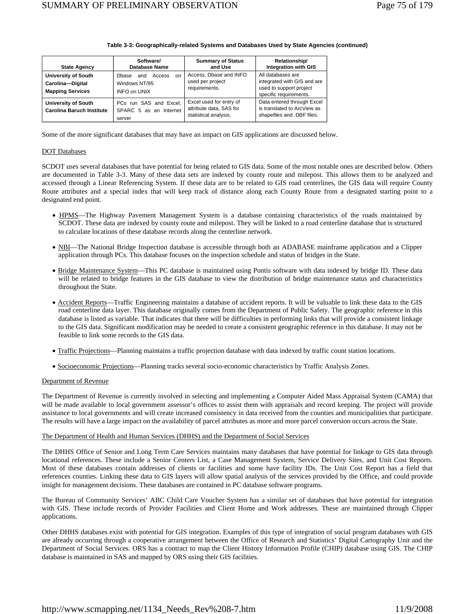| <b>State Agency</b>                                                       | Software/<br><b>Database Name</b>                                               | <b>Summary of Status</b><br>and Use                                         | Relationship/<br><b>Integration with GIS</b>                                                          |
|---------------------------------------------------------------------------|---------------------------------------------------------------------------------|-----------------------------------------------------------------------------|-------------------------------------------------------------------------------------------------------|
| <b>University of South</b><br>Carolina-Digital<br><b>Mapping Services</b> | Access<br>Dbase<br>and<br><sub>on</sub><br>Windows NT/95<br><b>INFO on UNIX</b> | Access, Dbase and INFO<br>used per project<br>requirements.                 | All databases are<br>integrated with GIS and are<br>used to support project<br>specific requirements. |
| <b>University of South</b><br><b>Carolina Baruch Institute</b>            | PCs run SAS and Excel.<br>SPARC 5 as an Internet<br>server                      | Excel used for entry of<br>attribute data. SAS for<br>statistical analysis. | Data entered through Excel<br>is translated to ArcView as<br>shapefiles and .DBF files.               |

### **Table 3-3: Geographically-related Systems and Databases Used by State Agencies (continued)**

Some of the more significant databases that may have an impact on GIS applications are discussed below.

### DOT Databases

SCDOT uses several databases that have potential for being related to GIS data. Some of the most notable ones are described below. Others are documented in Table 3-3. Many of these data sets are indexed by county route and milepost. This allows them to be analyzed and accessed through a Linear Referencing System. If these data are to be related to GIS road centerlines, the GIS data will require County Route attributes and a special index that will keep track of distance along each County Route from a designated starting point to a designated end point.

- HPMS—The Highway Pavement Management System is a database containing characteristics of the roads maintained by SCDOT. These data are indexed by county route and milepost. They will be linked to a road centerline database that is structured to calculate locations of these database records along the centerline network.
- NBI—The National Bridge Inspection database is accessible through both an ADABASE mainframe application and a Clipper application through PCs. This database focuses on the inspection schedule and status of bridges in the State.
- Bridge Maintenance System—This PC database is maintained using Pontis software with data indexed by bridge ID. These data will be related to bridge features in the GIS database to view the distribution of bridge maintenance status and characteristics throughout the State.
- Accident Reports—Traffic Engineering maintains a database of accident reports. It will be valuable to link these data to the GIS road centerline data layer. This database originally comes from the Department of Public Safety. The geographic reference in this database is listed as variable. That indicates that there will be difficulties in performing links that will provide a consistent linkage to the GIS data. Significant modification may be needed to create a consistent geographic reference in this database. It may not be feasible to link some records to the GIS data.
- Traffic Projections—Planning maintains a traffic projection database with data indexed by traffic count station locations.
- Socioeconomic Projections—Planning tracks several socio-economic characteristics by Traffic Analysis Zones.

### Department of Revenue

The Department of Revenue is currently involved in selecting and implementing a Computer Aided Mass Appraisal System (CAMA) that will be made available to local government assessor's offices to assist them with appraisals and record keeping. The project will provide assistance to local governments and will create increased consistency in data received from the counties and municipalities that participate. The results will have a large impact on the availability of parcel attributes as more and more parcel conversion occurs across the State.

### The Department of Health and Human Services (DHHS) and the Department of Social Services

The DHHS Office of Senior and Long Term Care Services maintains many databases that have potential for linkage to GIS data through locational references. These include a Senior Centers List, a Case Management System, Service Delivery Sites, and Unit Cost Reports. Most of these databases contain addresses of clients or facilities and some have facility IDs. The Unit Cost Report has a field that references counties. Linking these data to GIS layers will allow spatial analysis of the services provided by the Office, and could provide insight for management decisions. These databases are contained in PC database software programs.

The Bureau of Community Services' ABC Child Care Voucher System has a similar set of databases that have potential for integration with GIS. These include records of Provider Facilities and Client Home and Work addresses. These are maintained through Clipper applications.

Other DHHS databases exist with potential for GIS integration. Examples of this type of integration of social program databases with GIS are already occurring through a cooperative arrangement between the Office of Research and Statistics' Digital Cartography Unit and the Department of Social Services. ORS has a contract to map the Client History Information Profile (CHIP) database using GIS. The CHIP database is maintained in SAS and mapped by ORS using their GIS facilities.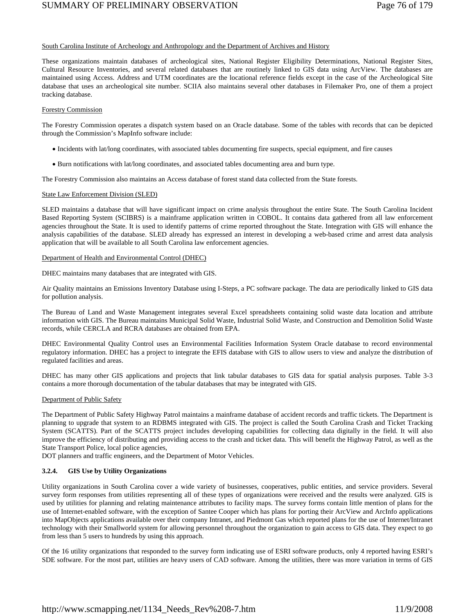### South Carolina Institute of Archeology and Anthropology and the Department of Archives and History

These organizations maintain databases of archeological sites, National Register Eligibility Determinations, National Register Sites, Cultural Resource Inventories, and several related databases that are routinely linked to GIS data using ArcView. The databases are maintained using Access. Address and UTM coordinates are the locational reference fields except in the case of the Archeological Site database that uses an archeological site number. SCIIA also maintains several other databases in Filemaker Pro, one of them a project tracking database.

### Forestry Commission

The Forestry Commission operates a dispatch system based on an Oracle database. Some of the tables with records that can be depicted through the Commission's MapInfo software include:

- Incidents with lat/long coordinates, with associated tables documenting fire suspects, special equipment, and fire causes
- Burn notifications with lat/long coordinates, and associated tables documenting area and burn type.

The Forestry Commission also maintains an Access database of forest stand data collected from the State forests.

### State Law Enforcement Division (SLED)

SLED maintains a database that will have significant impact on crime analysis throughout the entire State. The South Carolina Incident Based Reporting System (SCIBRS) is a mainframe application written in COBOL. It contains data gathered from all law enforcement agencies throughout the State. It is used to identify patterns of crime reported throughout the State. Integration with GIS will enhance the analysis capabilities of the database. SLED already has expressed an interest in developing a web-based crime and arrest data analysis application that will be available to all South Carolina law enforcement agencies.

### Department of Health and Environmental Control (DHEC)

DHEC maintains many databases that are integrated with GIS.

Air Quality maintains an Emissions Inventory Database using I-Steps, a PC software package. The data are periodically linked to GIS data for pollution analysis.

The Bureau of Land and Waste Management integrates several Excel spreadsheets containing solid waste data location and attribute information with GIS. The Bureau maintains Municipal Solid Waste, Industrial Solid Waste, and Construction and Demolition Solid Waste records, while CERCLA and RCRA databases are obtained from EPA.

DHEC Environmental Quality Control uses an Environmental Facilities Information System Oracle database to record environmental regulatory information. DHEC has a project to integrate the EFIS database with GIS to allow users to view and analyze the distribution of regulated facilities and areas.

DHEC has many other GIS applications and projects that link tabular databases to GIS data for spatial analysis purposes. Table 3-3 contains a more thorough documentation of the tabular databases that may be integrated with GIS.

### Department of Public Safety

The Department of Public Safety Highway Patrol maintains a mainframe database of accident records and traffic tickets. The Department is planning to upgrade that system to an RDBMS integrated with GIS. The project is called the South Carolina Crash and Ticket Tracking System (SCATTS). Part of the SCATTS project includes developing capabilities for collecting data digitally in the field. It will also improve the efficiency of distributing and providing access to the crash and ticket data. This will benefit the Highway Patrol, as well as the State Transport Police, local police agencies,

DOT planners and traffic engineers, and the Department of Motor Vehicles.

### **3.2.4. GIS Use by Utility Organizations**

Utility organizations in South Carolina cover a wide variety of businesses, cooperatives, public entities, and service providers. Several survey form responses from utilities representing all of these types of organizations were received and the results were analyzed. GIS is used by utilities for planning and relating maintenance attributes to facility maps. The survey forms contain little mention of plans for the use of Internet-enabled software, with the exception of Santee Cooper which has plans for porting their ArcView and ArcInfo applications into MapObjects applications available over their company Intranet, and Piedmont Gas which reported plans for the use of Internet/Intranet technology with their Smallworld system for allowing personnel throughout the organization to gain access to GIS data. They expect to go from less than 5 users to hundreds by using this approach.

Of the 16 utility organizations that responded to the survey form indicating use of ESRI software products, only 4 reported having ESRI's SDE software. For the most part, utilities are heavy users of CAD software. Among the utilities, there was more variation in terms of GIS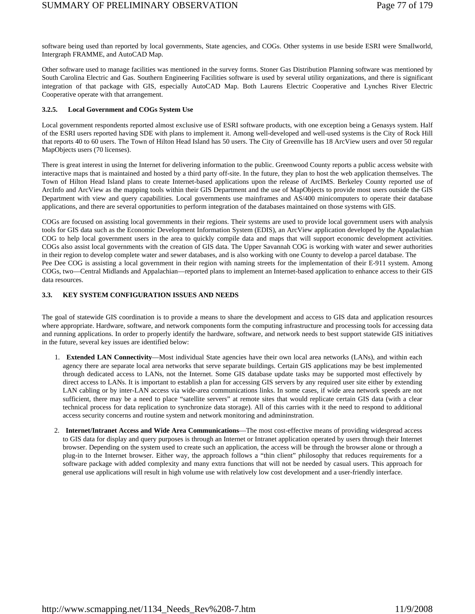software being used than reported by local governments, State agencies, and COGs. Other systems in use beside ESRI were Smallworld, Intergraph FRAMME, and AutoCAD Map.

Other software used to manage facilities was mentioned in the survey forms. Stoner Gas Distribution Planning software was mentioned by South Carolina Electric and Gas. Southern Engineering Facilities software is used by several utility organizations, and there is significant integration of that package with GIS, especially AutoCAD Map. Both Laurens Electric Cooperative and Lynches River Electric Cooperative operate with that arrangement.

### **3.2.5. Local Government and COGs System Use**

Local government respondents reported almost exclusive use of ESRI software products, with one exception being a Genasys system. Half of the ESRI users reported having SDE with plans to implement it. Among well-developed and well-used systems is the City of Rock Hill that reports 40 to 60 users. The Town of Hilton Head Island has 50 users. The City of Greenville has 18 ArcView users and over 50 regular MapObjects users (70 licenses).

There is great interest in using the Internet for delivering information to the public. Greenwood County reports a public access website with interactive maps that is maintained and hosted by a third party off-site. In the future, they plan to host the web application themselves. The Town of Hilton Head Island plans to create Internet-based applications upon the release of ArcIMS. Berkeley County reported use of ArcInfo and ArcView as the mapping tools within their GIS Department and the use of MapObjects to provide most users outside the GIS Department with view and query capabilities. Local governments use mainframes and AS/400 minicomputers to operate their database applications, and there are several opportunities to perform integration of the databases maintained on those systems with GIS.

COGs are focused on assisting local governments in their regions. Their systems are used to provide local government users with analysis tools for GIS data such as the Economic Development Information System (EDIS), an ArcView application developed by the Appalachian COG to help local government users in the area to quickly compile data and maps that will support economic development activities. COGs also assist local governments with the creation of GIS data. The Upper Savannah COG is working with water and sewer authorities in their region to develop complete water and sewer databases, and is also working with one County to develop a parcel database. The Pee Dee COG is assisting a local government in their region with naming streets for the implementation of their E-911 system. Among COGs, two—Central Midlands and Appalachian—reported plans to implement an Internet-based application to enhance access to their GIS data resources.

### **3.3. KEY SYSTEM CONFIGURATION ISSUES AND NEEDS**

The goal of statewide GIS coordination is to provide a means to share the development and access to GIS data and application resources where appropriate. Hardware, software, and network components form the computing infrastructure and processing tools for accessing data and running applications. In order to properly identify the hardware, software, and network needs to best support statewide GIS initiatives in the future, several key issues are identified below:

- 1. **Extended LAN Connectivity**—Most individual State agencies have their own local area networks (LANs), and within each agency there are separate local area networks that serve separate buildings. Certain GIS applications may be best implemented through dedicated access to LANs, not the Internet. Some GIS database update tasks may be supported most effectively by direct access to LANs. It is important to establish a plan for accessing GIS servers by any required user site either by extending LAN cabling or by inter-LAN access via wide-area communications links. In some cases, if wide area network speeds are not sufficient, there may be a need to place "satellite servers" at remote sites that would replicate certain GIS data (with a clear technical process for data replication to synchronize data storage). All of this carries with it the need to respond to additional access security concerns and routine system and network monitoring and admininstration.
- 2. **Internet/Intranet Access and Wide Area Communications**—The most cost-effective means of providing widespread access to GIS data for display and query purposes is through an Internet or Intranet application operated by users through their Internet browser. Depending on the system used to create such an application, the access will be through the browser alone or through a plug-in to the Internet browser. Either way, the approach follows a "thin client" philosophy that reduces requirements for a software package with added complexity and many extra functions that will not be needed by casual users. This approach for general use applications will result in high volume use with relatively low cost development and a user-friendly interface.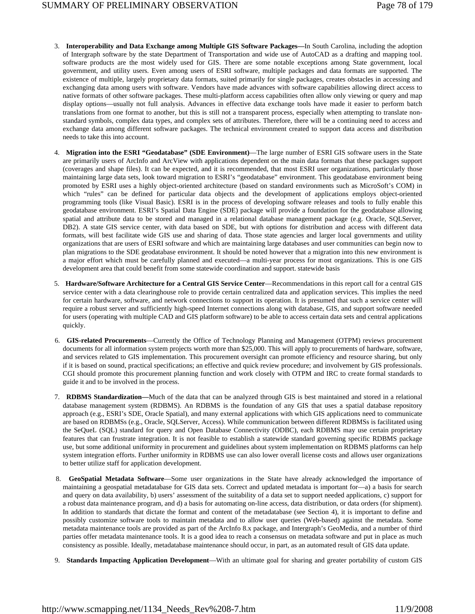- 3. **Interoperability and Data Exchange among Multiple GIS Software Packages—**In South Carolina, including the adoption of Intergraph software by the state Department of Transportation and wide use of AutoCAD as a drafting and mapping tool. software products are the most widely used for GIS. There are some notable exceptions among State government, local government, and utility users. Even among users of ESRI software, multiple packages and data formats are supported. The existence of multiple, largely proprietary data formats, suited primarily for single packages, creates obstacles in accessing and exchanging data among users with software. Vendors have made advances with software capabilities allowing direct access to native formats of other software packages. These multi-platform access capabilities often allow only viewing or query and map display options—usually not full analysis. Advances in effective data exchange tools have made it easier to perform batch translations from one format to another, but this is still not a transparent process, especially when attempting to translate nonstandard symbols, complex data types, and complex sets of attributes. Therefore, there will be a continuing need to access and exchange data among different software packages. The technical environment created to support data access and distribution needs to take this into account.
- 4. **Migration into the ESRI "Geodatabase" (SDE Environment)**—The large number of ESRI GIS software users in the State are primarily users of ArcInfo and ArcView with applications dependent on the main data formats that these packages support (coverages and shape files). It can be expected, and it is recommended, that most ESRI user organizations, particularly those maintaining large data sets, look toward migration to ESRI's "geodatabase" environment. This geodatabase environment being promoted by ESRI uses a highly object-oriented architecture (based on standard environments such as MicroSoft's COM) in which "rules" can be defined for particular data objects and the development of applications employs object-oriented programming tools (like Visual Basic). ESRI is in the process of developing software releases and tools to fully enable this geodatabase environment. ESRI's Spatial Data Engine (SDE) package will provide a foundation for the geodatabase allowing spatial and attribute data to be stored and managed in a relational database management package (e.g. Oracle, SQLServer, DB2). A state GIS service center, with data based on SDE, but with options for distribution and access with different data formats, will best facilitate wide GIS use and sharing of data. Those state agencies and larger local governments and utility organizations that are users of ESRI software and which are maintaining large databases and user communities can begin now to plan migrations to the SDE geodatabase environment. It should be noted however that a migration into this new environment is a major effort which must be carefully planned and executed—a multi-year process for most organizations. This is one GIS development area that could benefit from some statewide coordination and support. statewide basis
- 5. **Hardware/Software Architecture for a Central GIS Service Center**—Recommendations in this report call for a central GIS service center with a data clearinghouse role to provide certain centralized data and application services. This implies the need for certain hardware, software, and network connections to support its operation. It is presumed that such a service center will require a robust server and sufficiently high-speed Internet connections along with database, GIS, and support software needed for users (operating with multiple CAD and GIS platform software) to be able to access certain data sets and central applications quickly.
- 6. **GIS-related Procurements**—Currently the Office of Technology Planning and Management (OTPM) reviews procurement documents for all information system projects worth more than \$25,000. This will apply to procurements of hardware, software, and services related to GIS implementation. This procurement oversight can promote efficiency and resource sharing, but only if it is based on sound, practical specifications; an effective and quick review procedure; and involvement by GIS professionals. CGI should promote this procurement planning function and work closely with OTPM and IRC to create formal standards to guide it and to be involved in the process.
- 7. **RDBMS Standardization—**Much of the data that can be analyzed through GIS is best maintained and stored in a relational database management system (RDBMS). An RDBMS is the foundation of any GIS that uses a spatial database repository approach (e.g., ESRI's SDE, Oracle Spatial), and many external applications with which GIS applications need to communicate are based on RDBMSs (e.g., Oracle, SQLServer, Access). While communication between different RDBMSs is facilitated using the SeQueL (SQL) standard for query and Open Database Connectivity (ODBC), each RDBMS may use certain proprietary features that can frustrate integration. It is not feasible to establish a statewide standard governing specific RDBMS package use, but some additional uniformity in procurement and guidelines about system implementation on RDBMS platforms can help system integration efforts. Further uniformity in RDBMS use can also lower overall license costs and allows user organizations to better utilize staff for application development.
- 8. **GeoSpatial Metadata Software**—Some user organizations in the State have already acknowledged the importance of maintaining a geospatial metadatabase for GIS data sets. Correct and updated metadata is important for—a) a basis for search and query on data availability, b) users' assessment of the suitability of a data set to support needed applications, c) support for a robust data maintenance program, and d) a basis for automating on-line access, data distribution, or data orders (for shipment). In addition to standards that dictate the format and content of the metadatabase (see Section 4), it is important to define and possibly customize software tools to maintain metadata and to allow user queries (Web-based) against the metadata. Some metadata maintenance tools are provided as part of the ArcInfo 8.x package, and Intergraph's GeoMedia, and a number of third parties offer metadata maintenance tools. It is a good idea to reach a consensus on metadata software and put in place as much consistency as possible. Ideally, metadatabase maintenance should occur, in part, as an automated result of GIS data update.
- 9. **Standards Impacting Application Development**—With an ultimate goal for sharing and greater portability of custom GIS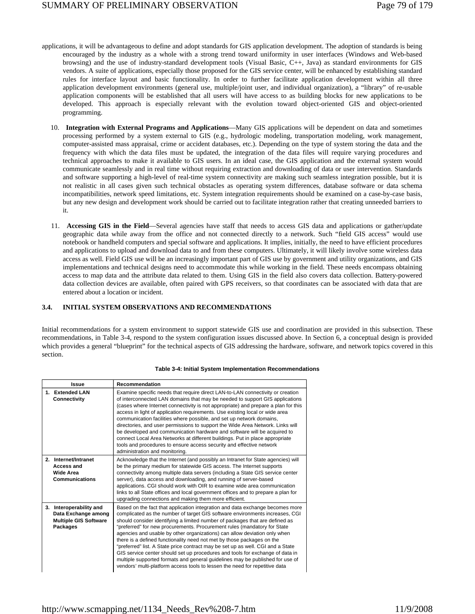- applications, it will be advantageous to define and adopt standards for GIS application development. The adoption of standards is being encouraged by the industry as a whole with a strong trend toward uniformity in user interfaces (Windows and Web-based browsing) and the use of industry-standard development tools (Visual Basic, C++, Java) as standard environments for GIS vendors. A suite of applications, especially those proposed for the GIS service center, will be enhanced by establishing standard rules for interface layout and basic functionality. In order to further facilitate application development within all three application development environments (general use, multiple/joint user, and individual organization), a "library" of re-usable application components will be established that all users will have access to as building blocks for new applications to be developed. This approach is especially relevant with the evolution toward object-oriented GIS and object-oriented programming.
	- 10. **Integration with External Programs and Applications**—Many GIS applications will be dependent on data and sometimes processing performed by a system external to GIS (e.g., hydrologic modeling, transportation modeling, work management, computer-assisted mass appraisal, crime or accident databases, etc.). Depending on the type of system storing the data and the frequency with which the data files must be updated, the integration of the data files will require varying procedures and technical approaches to make it available to GIS users. In an ideal case, the GIS application and the external system would communicate seamlessly and in real time without requiring extraction and downloading of data or user intervention. Standards and software supporting a high-level of real-time system connectivity are making such seamless integration possible, but it is not realistic in all cases given such technical obstacles as operating system differences, database software or data schema incompatibilities, network speed limitations, etc. System integration requirements should be examined on a case-by-case basis, but any new design and development work should be carried out to facilitate integration rather that creating unneeded barriers to it.
	- 11. **Accessing GIS in the Field**—Several agencies have staff that needs to access GIS data and applications or gather/update geographic data while away from the office and not connected directly to a network. Such "field GIS access" would use notebook or handheld computers and special software and applications. It implies, initially, the need to have efficient procedures and applications to upload and download data to and from these computers. Ultimately, it will likely involve some wireless data access as well. Field GIS use will be an increasingly important part of GIS use by government and utility organizations, and GIS implementations and technical designs need to accommodate this while working in the field. These needs encompass obtaining access to map data and the attribute data related to them. Using GIS in the field also covers data collection. Battery-powered data collection devices are available, often paired with GPS receivers, so that coordinates can be associated with data that are entered about a location or incident.

### **3.4. INITIAL SYSTEM OBSERVATIONS AND RECOMMENDATIONS**

Initial recommendations for a system environment to support statewide GIS use and coordination are provided in this subsection. These recommendations, in Table 3-4, respond to the system configuration issues discussed above. In Section 6, a conceptual design is provided which provides a general "blueprint" for the technical aspects of GIS addressing the hardware, software, and network topics covered in this section.

|    | <b>Issue</b>                                                                            | Recommendation                                                                                                                                                                                                                                                                                                                                                                                                                                                                                                                                                                                                                                                                                                                                                                                                       |
|----|-----------------------------------------------------------------------------------------|----------------------------------------------------------------------------------------------------------------------------------------------------------------------------------------------------------------------------------------------------------------------------------------------------------------------------------------------------------------------------------------------------------------------------------------------------------------------------------------------------------------------------------------------------------------------------------------------------------------------------------------------------------------------------------------------------------------------------------------------------------------------------------------------------------------------|
|    | 1. Extended LAN<br>Connectivity                                                         | Examine specific needs that require direct LAN-to-LAN connectivity or creation<br>of interconnected LAN domains that may be needed to support GIS applications<br>(cases where Internet connectivity is not appropriate) and prepare a plan for this<br>access in light of application requirements. Use existing local or wide area<br>communication facilities where possible, and set up network domains,<br>directories, and user permissions to support the Wide Area Network. Links will<br>be developed and communication hardware and software will be acquired to<br>connect Local Area Networks at different buildings. Put in place appropriate<br>tools and procedures to ensure access security and effective network<br>administration and monitoring.                                                 |
| 2. | Internet/Intranet<br>Access and<br>Wide Area<br><b>Communications</b>                   | Acknowledge that the Internet (and possibly an Intranet for State agencies) will<br>be the primary medium for statewide GIS access. The Internet supports<br>connectivity among multiple data servers (including a State GIS service center<br>server), data access and downloading, and running of server-based<br>applications. CGI should work with OIR to examine wide area communication<br>links to all State offices and local government offices and to prepare a plan for<br>upgrading connections and making them more efficient.                                                                                                                                                                                                                                                                          |
| 3. | Interoperability and<br>Data Exchange among<br><b>Multiple GIS Software</b><br>Packages | Based on the fact that application integration and data exchange becomes more<br>complicated as the number of target GIS software environments increases, CGI<br>should consider identifying a limited number of packages that are defined as<br>"preferred" for new procurements. Procurement rules (mandatory for State<br>agencies and usable by other organizations) can allow deviation only when<br>there is a defined functionality need not met by those packages on the<br>"preferred" list. A State price contract may be set up as well. CGI and a State<br>GIS service center should set up procedures and tools for exchange of data in<br>multiple supported formats and general guidelines may be published for use of<br>vendors' multi-platform access tools to lessen the need for repetitive data |

#### **Table 3-4: Initial System Implementation Recommendations**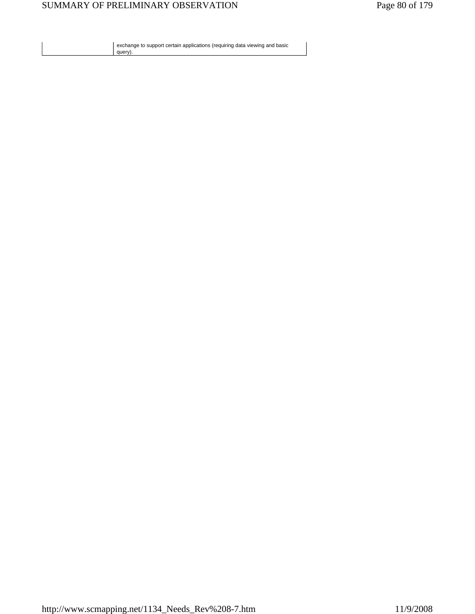exchange to support certain applications (requiring data viewing and basic query).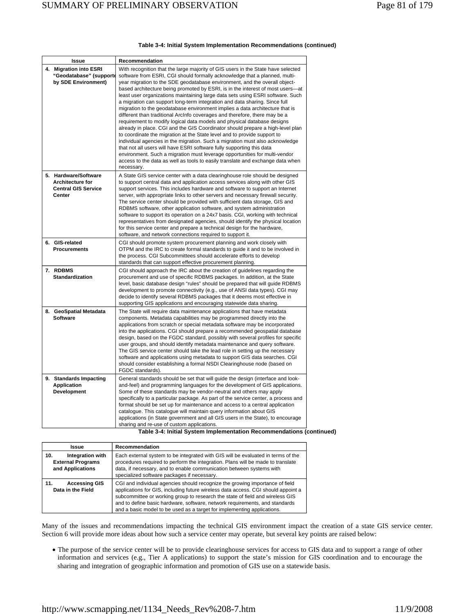|  | Table 3-4: Initial System Implementation Recommendations (continued) |  |
|--|----------------------------------------------------------------------|--|
|  |                                                                      |  |

| Issue                                                                                   | Recommendation                                                                                                                                                                                                                                                                                                                                                                                                                                                                                                                                                                                                                                                                                                                                                                                                                                                                                                                                                                                                                                                                                                                                                                                                                               |
|-----------------------------------------------------------------------------------------|----------------------------------------------------------------------------------------------------------------------------------------------------------------------------------------------------------------------------------------------------------------------------------------------------------------------------------------------------------------------------------------------------------------------------------------------------------------------------------------------------------------------------------------------------------------------------------------------------------------------------------------------------------------------------------------------------------------------------------------------------------------------------------------------------------------------------------------------------------------------------------------------------------------------------------------------------------------------------------------------------------------------------------------------------------------------------------------------------------------------------------------------------------------------------------------------------------------------------------------------|
| 4. Migration into ESRI<br>"Geodatabase" (support<br>by SDE Environment)                 | With recognition that the large majority of GIS users in the State have selected<br>software from ESRI, CGI should formally acknowledge that a planned, multi-<br>year migration to the SDE geodatabase environment, and the overall object-<br>based architecture being promoted by ESRI, is in the interest of most users-at<br>least user organizations maintaining large data sets using ESRI software. Such<br>a migration can support long-term integration and data sharing. Since full<br>migration to the geodatabase environment implies a data architecture that is<br>different than traditional ArcInfo coverages and therefore, there may be a<br>requirement to modify logical data models and physical database designs<br>already in place. CGI and the GIS Coordinator should prepare a high-level plan<br>to coordinate the migration at the State level and to provide support to<br>individual agencies in the migration. Such a migration must also acknowledge<br>that not all users will have ESRI software fully supporting this data<br>environment. Such a migration must leverage opportunities for multi-vendor<br>access to the data as well as tools to easily translate and exchange data when<br>necessary. |
| 5. Hardware/Software<br><b>Architecture for</b><br><b>Central GIS Service</b><br>Center | A State GIS service center with a data clearinghouse role should be designed<br>to support central data and application access services along with other GIS<br>support services. This includes hardware and software to support an Internet<br>server, with appropriate links to other servers and necessary firewall security.<br>The service center should be provided with sufficient data storage, GIS and<br>RDBMS software, other application software, and system administration<br>software to support its operation on a 24x7 basis. CGI, working with technical<br>representatives from designated agencies, should identify the physical location<br>for this service center and prepare a technical design for the hardware,<br>software, and network connections required to support it.                                                                                                                                                                                                                                                                                                                                                                                                                                       |
| 6. GIS-related<br><b>Procurements</b>                                                   | CGI should promote system procurement planning and work closely with<br>OTPM and the IRC to create formal standards to guide it and to be involved in<br>the process. CGI Subcommittees should accelerate efforts to develop<br>standards that can support effective procurement planning.                                                                                                                                                                                                                                                                                                                                                                                                                                                                                                                                                                                                                                                                                                                                                                                                                                                                                                                                                   |
| 7. RDBMS<br><b>Standardization</b>                                                      | CGI should approach the IRC about the creation of guidelines regarding the<br>procurement and use of specific RDBMS packages. In addition, at the State<br>level, basic database design "rules" should be prepared that will guide RDBMS<br>development to promote connectivity (e.g., use of ANSI data types). CGI may<br>decide to identify several RDBMS packages that it deems most effective in<br>supporting GIS applications and encouraging statewide data sharing.                                                                                                                                                                                                                                                                                                                                                                                                                                                                                                                                                                                                                                                                                                                                                                  |
| 8. GeoSpatial Metadata<br><b>Software</b>                                               | The State will require data maintenance applications that have metadata<br>components. Metadata capabilities may be programmed directly into the<br>applications from scratch or special metadata software may be incorporated<br>into the applications. CGI should prepare a recommended geospatial database<br>design, based on the FGDC standard, possibly with several profiles for specific<br>user groups, and should identify metadata maintenance and query software.<br>The GIS service center should take the lead role in setting up the necessary<br>software and applications using metadata to support GIS data searches. CGI<br>should consider establishing a formal NSDI Clearinghouse node (based on<br>FGDC standards).                                                                                                                                                                                                                                                                                                                                                                                                                                                                                                   |
| 9. Standards Impacting<br><b>Application</b><br><b>Development</b>                      | General standards should be set that will guide the design (interface and look-<br>and-feel) and programming languages for the development of GIS applications.<br>Some of these standards may be vendor-neutral and others may apply<br>specifically to a particular package. As part of the service center, a process and<br>format should be set up for maintenance and access to a central application<br>catalogue. This catalogue will maintain query information about GIS<br>applications (in State government and all GIS users in the State), to encourage<br>sharing and re-use of custom applications.<br>Table 3-4; Initial System Implementation Recommendations (co                                                                                                                                                                                                                                                                                                                                                                                                                                                                                                                                                           |

|  |  |  | Table 3-4: Initial System Implementation Recommendations (continued) |  |
|--|--|--|----------------------------------------------------------------------|--|
|--|--|--|----------------------------------------------------------------------|--|

| Issue                                                                   | Recommendation                                                                                                                                                                                                                                                                                                                                                                                               |
|-------------------------------------------------------------------------|--------------------------------------------------------------------------------------------------------------------------------------------------------------------------------------------------------------------------------------------------------------------------------------------------------------------------------------------------------------------------------------------------------------|
| Integration with<br>10.<br><b>External Programs</b><br>and Applications | Each external system to be integrated with GIS will be evaluated in terms of the<br>procedures required to perform the integration. Plans will be made to translate<br>data, if necessary, and to enable communication between systems with<br>specialized software packages if necessary.                                                                                                                   |
| <b>Accessing GIS</b><br>11.<br>Data in the Field                        | CGI and individual agencies should recognize the growing importance of field<br>applications for GIS, including future wireless data access. CGI should appoint a<br>subcommittee or working group to research the state of field and wireless GIS<br>and to define basic hardware, software, network requirements, and standards<br>and a basic model to be used as a target for implementing applications. |

Many of the issues and recommendations impacting the technical GIS environment impact the creation of a state GIS service center. Section 6 will provide more ideas about how such a service center may operate, but several key points are raised below:

• The purpose of the service center will be to provide clearinghouse services for access to GIS data and to support a range of other information and services (e.g., Tier A applications) to support the state's mission for GIS coordination and to encourage the sharing and integration of geographic information and promotion of GIS use on a statewide basis.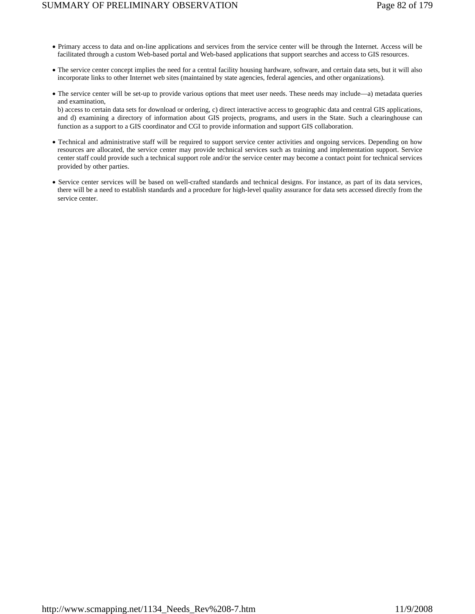- Primary access to data and on-line applications and services from the service center will be through the Internet. Access will be facilitated through a custom Web-based portal and Web-based applications that support searches and access to GIS resources.
- The service center concept implies the need for a central facility housing hardware, software, and certain data sets, but it will also incorporate links to other Internet web sites (maintained by state agencies, federal agencies, and other organizations).
- The service center will be set-up to provide various options that meet user needs. These needs may include—a) metadata queries and examination,

b) access to certain data sets for download or ordering, c) direct interactive access to geographic data and central GIS applications, and d) examining a directory of information about GIS projects, programs, and users in the State. Such a clearinghouse can function as a support to a GIS coordinator and CGI to provide information and support GIS collaboration.

- Technical and administrative staff will be required to support service center activities and ongoing services. Depending on how resources are allocated, the service center may provide technical services such as training and implementation support. Service center staff could provide such a technical support role and/or the service center may become a contact point for technical services provided by other parties.
- Service center services will be based on well-crafted standards and technical designs. For instance, as part of its data services, there will be a need to establish standards and a procedure for high-level quality assurance for data sets accessed directly from the service center.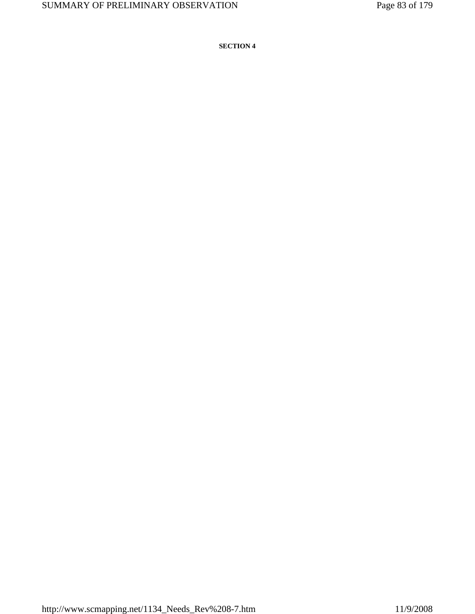**SECTION 4**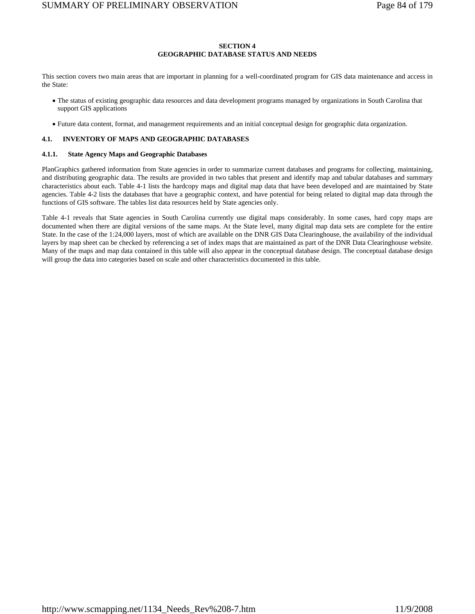### **SECTION 4 GEOGRAPHIC DATABASE STATUS AND NEEDS**

This section covers two main areas that are important in planning for a well-coordinated program for GIS data maintenance and access in the State:

- The status of existing geographic data resources and data development programs managed by organizations in South Carolina that support GIS applications
- Future data content, format, and management requirements and an initial conceptual design for geographic data organization.

### **4.1. INVENTORY OF MAPS AND GEOGRAPHIC DATABASES**

### **4.1.1. State Agency Maps and Geographic Databases**

PlanGraphics gathered information from State agencies in order to summarize current databases and programs for collecting, maintaining, and distributing geographic data. The results are provided in two tables that present and identify map and tabular databases and summary characteristics about each. Table 4-1 lists the hardcopy maps and digital map data that have been developed and are maintained by State agencies. Table 4-2 lists the databases that have a geographic context, and have potential for being related to digital map data through the functions of GIS software. The tables list data resources held by State agencies only.

Table 4-1 reveals that State agencies in South Carolina currently use digital maps considerably. In some cases, hard copy maps are documented when there are digital versions of the same maps. At the State level, many digital map data sets are complete for the entire State. In the case of the 1:24,000 layers, most of which are available on the DNR GIS Data Clearinghouse, the availability of the individual layers by map sheet can be checked by referencing a set of index maps that are maintained as part of the DNR Data Clearinghouse website. Many of the maps and map data contained in this table will also appear in the conceptual database design. The conceptual database design will group the data into categories based on scale and other characteristics documented in this table.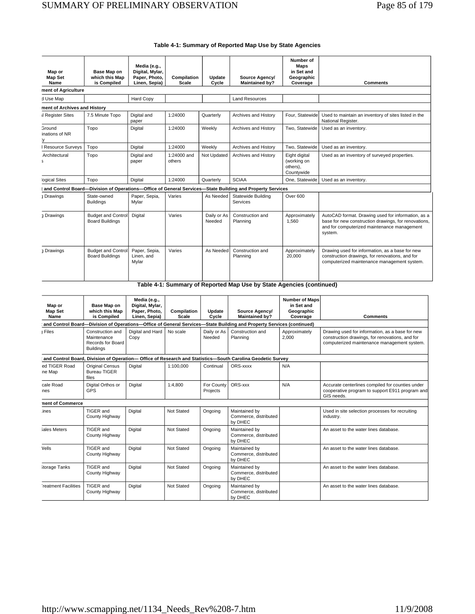| Map or<br><b>Map Set</b><br>Name          | Base Map on<br>which this Map<br>is Compiled        | Media (e.g.,<br>Digital, Mylar,<br>Paper, Photo,<br>Linen, Sepia) | Compilation<br>Scale    | Update<br>Cycle       | Source Agency/<br><b>Maintained by?</b>                                                                  | Number of<br><b>Maps</b><br>in Set and<br>Geographic<br>Coverage | <b>Comments</b>                                                                                                                                                      |
|-------------------------------------------|-----------------------------------------------------|-------------------------------------------------------------------|-------------------------|-----------------------|----------------------------------------------------------------------------------------------------------|------------------------------------------------------------------|----------------------------------------------------------------------------------------------------------------------------------------------------------------------|
| ment of Agriculture                       |                                                     |                                                                   |                         |                       |                                                                                                          |                                                                  |                                                                                                                                                                      |
| d Use Map                                 |                                                     | <b>Hard Copy</b>                                                  |                         |                       | <b>Land Resources</b>                                                                                    |                                                                  |                                                                                                                                                                      |
| ment of Archives and History              |                                                     |                                                                   |                         |                       |                                                                                                          |                                                                  |                                                                                                                                                                      |
| Il Register Sites                         | 7.5 Minute Topo                                     | Digital and<br>paper                                              | 1:24000                 | Quarterly             | Archives and History                                                                                     | Four, Statewide                                                  | Used to maintain an inventory of sites listed in the<br>National Register.                                                                                           |
| <b>Ground</b><br>inations of NR           | Topo                                                | Digital                                                           | 1:24000                 | Weekly                | Archives and History                                                                                     | Two. Statewide                                                   | Used as an inventory.                                                                                                                                                |
| I Resource Survevs                        | Topo                                                | Digital                                                           | 1:24000                 | Weekly                | Archives and History                                                                                     | Two. Statewide                                                   | Used as an inventory.                                                                                                                                                |
| Architectural<br>$\overline{\phantom{a}}$ | Topo                                                | Digital and<br>paper                                              | $1:24000$ and<br>others | Not Updated           | Archives and History                                                                                     | Eight digital<br>(working on<br>others),<br>Countywide           | Used as an inventory of surveyed properties.                                                                                                                         |
| logical Sites                             | Topo                                                | Digital                                                           | 1:24000                 | Quarterly             | <b>SCIAA</b>                                                                                             | One, Statewide                                                   | Used as an inventory.                                                                                                                                                |
|                                           |                                                     |                                                                   |                         |                       | and Control Board-Division of Operations-Office of General Services-State Building and Property Services |                                                                  |                                                                                                                                                                      |
| 1 Drawings                                | State-owned<br><b>Buildings</b>                     | Paper, Sepia,<br>Mvlar                                            | Varies                  | As Needed             | Statewide Building<br>Services                                                                           | Over 600                                                         |                                                                                                                                                                      |
| 1 Drawings                                | Budget and Control<br><b>Board Buildings</b>        | Digital                                                           | Varies                  | Daily or As<br>Needed | Construction and<br>Planning                                                                             | Approximately<br>1,560                                           | AutoCAD format. Drawing used for information, as a<br>base for new construction drawings, for renovations,<br>and for computerized maintenance management<br>system. |
| <b>Drawings</b>                           | <b>Budget and Control</b><br><b>Board Buildings</b> | Paper, Sepia,<br>Linen, and<br>Mylar                              | Varies                  | As Needed             | Construction and<br>Planning                                                                             | Approximately<br>20,000                                          | Drawing used for information, as a base for new<br>construction drawings, for renovations, and for<br>computerized maintenance management system.                    |

| Map or<br><b>Map Set</b><br>Name | Base Map on<br>which this Map<br>is Compiled                             | Media (e.g.,<br>Digital, Mylar,<br>Paper, Photo,<br>Linen, Sepia) | Compilation<br>Scale | Update<br>Cycle        | Source Agency/<br><b>Maintained by?</b>                                                                              | <b>Number of Maps</b><br>in Set and<br>Geographic<br>Coverage | <b>Comments</b>                                                                                                                                   |
|----------------------------------|--------------------------------------------------------------------------|-------------------------------------------------------------------|----------------------|------------------------|----------------------------------------------------------------------------------------------------------------------|---------------------------------------------------------------|---------------------------------------------------------------------------------------------------------------------------------------------------|
|                                  |                                                                          |                                                                   |                      |                        | and Control Board-Division of Operations-Office of General Services-State Building and Property Services (continued) |                                                               |                                                                                                                                                   |
| I Files                          | Construction and<br>Maintenance<br>Records for Board<br><b>Buildings</b> | Digital and Hard<br>Copy                                          | No scale             | Daily or As<br>Needed  | Construction and<br>Planning                                                                                         | Approximately<br>2,000                                        | Drawing used for information, as a base for new<br>construction drawings, for renovations, and for<br>computerized maintenance management system. |
|                                  |                                                                          |                                                                   |                      |                        | and Control Board, Division of Operation- Office of Research and Statistics-South Carolina Geodetic Survey           |                                                               |                                                                                                                                                   |
| ed TIGER Road<br>ne Map          | <b>Original Census</b><br><b>Bureau TIGER</b><br>files                   | Digital                                                           | 1:100,000            | Continual              | ORS-xxxx                                                                                                             | N/A                                                           |                                                                                                                                                   |
| cale Road<br>nes                 | Digital Orthos or<br><b>GPS</b>                                          | Digital                                                           | 1:4.800              | For County<br>Projects | ORS-xxx                                                                                                              | N/A                                                           | Accurate centerlines compiled for counties under<br>cooperative program to support E911 program and<br>GIS needs.                                 |
| nent of Commerce                 |                                                                          |                                                                   |                      |                        |                                                                                                                      |                                                               |                                                                                                                                                   |
| .ines                            | TIGER and<br>County Highway                                              | Digital                                                           | Not Stated           | Ongoing                | Maintained by<br>Commerce, distributed<br>by DHEC                                                                    |                                                               | Used in site selection processes for recruiting<br>industry.                                                                                      |
| <b>Sales Meters</b>              | TIGER and<br>County Highway                                              | Digital                                                           | Not Stated           | Ongoing                | Maintained by<br>Commerce, distributed<br>by DHEC                                                                    |                                                               | An asset to the water lines database.                                                                                                             |
| Vells                            | TIGER and<br>County Highway                                              | Digital                                                           | Not Stated           | Ongoing                | Maintained by<br>Commerce, distributed<br>by DHEC                                                                    |                                                               | An asset to the water lines database.                                                                                                             |
| Storage Tanks                    | TIGER and<br>County Highway                                              | Digital                                                           | Not Stated           | Ongoing                | Maintained by<br>Commerce, distributed<br>by DHEC                                                                    |                                                               | An asset to the water lines database.                                                                                                             |
| reatment Facilities              | TIGER and<br>County Highway                                              | Digital                                                           | Not Stated           | Ongoing                | Maintained by<br>Commerce, distributed<br>by DHEC                                                                    |                                                               | An asset to the water lines database.                                                                                                             |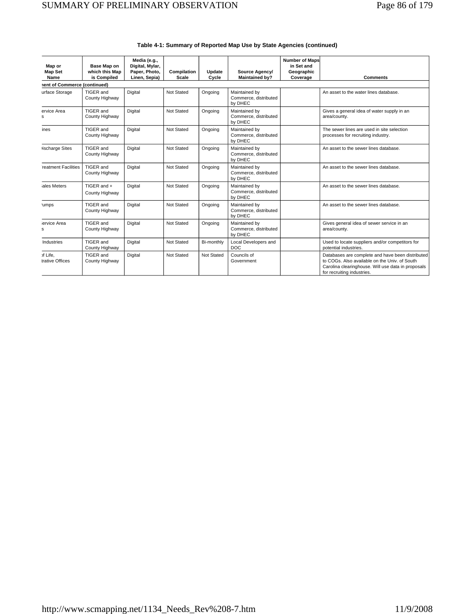| Map or<br><b>Map Set</b><br>Name | Base Map on<br>which this Map<br>is Compiled | Media (e.g.,<br>Digital, Mylar,<br>Paper, Photo,<br>Linen, Sepia) | Compilation<br>Scale | Update<br>Cycle | Source Agency/<br><b>Maintained by?</b>           | Number of Maps<br>in Set and<br>Geographic<br>Coverage | <b>Comments</b>                                                                                                                                                                       |
|----------------------------------|----------------------------------------------|-------------------------------------------------------------------|----------------------|-----------------|---------------------------------------------------|--------------------------------------------------------|---------------------------------------------------------------------------------------------------------------------------------------------------------------------------------------|
| nent of Commerce (continued)     |                                              |                                                                   |                      |                 |                                                   |                                                        |                                                                                                                                                                                       |
| urface Storage                   | TIGER and<br>County Highway                  | Digital                                                           | Not Stated           | Ongoing         | Maintained by<br>Commerce, distributed<br>by DHEC |                                                        | An asset to the water lines database.                                                                                                                                                 |
| ervice Area<br>s                 | TIGER and<br>County Highway                  | Digital                                                           | Not Stated           | Ongoing         | Maintained by<br>Commerce, distributed<br>by DHEC |                                                        | Gives a general idea of water supply in an<br>area/county.                                                                                                                            |
| ines                             | TIGER and<br>County Highway                  | Digital                                                           | Not Stated           | Ongoing         | Maintained by<br>Commerce, distributed<br>by DHEC |                                                        | The sewer lines are used in site selection<br>processes for recruiting industry.                                                                                                      |
| <b>lischarge Sites</b>           | TIGER and<br>County Highway                  | Digital                                                           | Not Stated           | Ongoing         | Maintained by<br>Commerce, distributed<br>by DHEC |                                                        | An asset to the sewer lines database.                                                                                                                                                 |
| reatment Facilities              | TIGER and<br>County Highway                  | Digital                                                           | Not Stated           | Ongoing         | Maintained by<br>Commerce, distributed<br>by DHEC |                                                        | An asset to the sewer lines database.                                                                                                                                                 |
| ales Meters                      | TIGER and +<br>County Highway                | Digital                                                           | Not Stated           | Ongoing         | Maintained by<br>Commerce, distributed<br>by DHEC |                                                        | An asset to the sewer lines database.                                                                                                                                                 |
| 'umps                            | TIGER and<br>County Highway                  | Digital                                                           | Not Stated           | Ongoing         | Maintained by<br>Commerce, distributed<br>by DHEC |                                                        | An asset to the sewer lines database.                                                                                                                                                 |
| ervice Area<br>s                 | TIGER and<br>County Highway                  | Digital                                                           | Not Stated           | Ongoing         | Maintained by<br>Commerce, distributed<br>by DHEC |                                                        | Gives general idea of sewer service in an<br>area/countv.                                                                                                                             |
| Industries                       | TIGER and<br>County Highway                  | Digital                                                           | Not Stated           | Bi-monthly      | Local Developers and<br><b>DOC</b>                |                                                        | Used to locate suppliers and/or competitors for<br>potential industries.                                                                                                              |
| of Life,<br>trative Offices      | TIGER and<br>County Highway                  | Digital                                                           | Not Stated           | Not Stated      | Councils of<br>Government                         |                                                        | Databases are complete and have been distributed<br>to COGs. Also available on the Univ, of South<br>Carolina clearinghouse. Will use data in proposals<br>for recruiting industries. |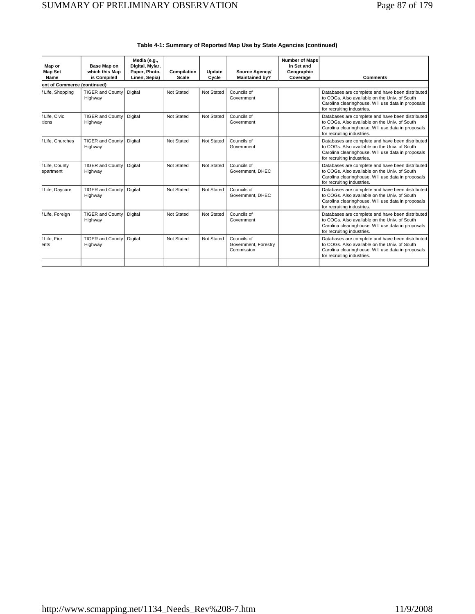| Map or<br><b>Map Set</b><br>Name | Base Map on<br>which this Map<br>is Compiled | Media (e.g.,<br>Digital, Mylar,<br>Paper, Photo,<br>Linen, Sepia) | Compilation<br>Scale | Update<br>Cycle | Source Agency/<br><b>Maintained by?</b>           | <b>Number of Maps</b><br>in Set and<br>Geographic<br>Coverage | <b>Comments</b>                                                                                                                                                                       |
|----------------------------------|----------------------------------------------|-------------------------------------------------------------------|----------------------|-----------------|---------------------------------------------------|---------------------------------------------------------------|---------------------------------------------------------------------------------------------------------------------------------------------------------------------------------------|
| ent of Commerce (continued)      |                                              |                                                                   |                      |                 |                                                   |                                                               |                                                                                                                                                                                       |
| f Life, Shopping                 | <b>TIGER and County</b><br>Highway           | Digital                                                           | Not Stated           | Not Stated      | Councils of<br>Government                         |                                                               | Databases are complete and have been distributed<br>to COGs. Also available on the Univ. of South<br>Carolina clearinghouse. Will use data in proposals<br>for recruiting industries. |
| f Life, Civic<br>tions           | <b>TIGER and County</b><br>Highway           | Digital                                                           | Not Stated           | Not Stated      | Councils of<br>Government                         |                                                               | Databases are complete and have been distributed<br>to COGs. Also available on the Univ. of South<br>Carolina clearinghouse. Will use data in proposals<br>for recruiting industries. |
| f Life. Churches                 | <b>TIGER and County</b><br>Highway           | Digital                                                           | Not Stated           | Not Stated      | Councils of<br>Government                         |                                                               | Databases are complete and have been distributed<br>to COGs. Also available on the Univ. of South<br>Carolina clearinghouse. Will use data in proposals<br>for recruiting industries. |
| f Life, County<br>epartment      | <b>TIGER and County</b><br>Highway           | Digital                                                           | Not Stated           | Not Stated      | Councils of<br>Government, DHEC                   |                                                               | Databases are complete and have been distributed<br>to COGs. Also available on the Univ. of South<br>Carolina clearinghouse. Will use data in proposals<br>for recruiting industries. |
| f Life, Daycare                  | <b>TIGER and County</b><br>Highway           | Digital                                                           | Not Stated           | Not Stated      | Councils of<br>Government, DHEC                   |                                                               | Databases are complete and have been distributed<br>to COGs. Also available on the Univ. of South<br>Carolina clearinghouse. Will use data in proposals<br>for recruiting industries. |
| f Life, Foreign                  | <b>TIGER and County</b><br>Highway           | Digital                                                           | Not Stated           | Not Stated      | Councils of<br>Government                         |                                                               | Databases are complete and have been distributed<br>to COGs. Also available on the Univ. of South<br>Carolina clearinghouse. Will use data in proposals<br>for recruiting industries. |
| f Life, Fire<br>ents             | <b>TIGER and County</b><br>Highway           | Digital                                                           | Not Stated           | Not Stated      | Councils of<br>Government, Forestry<br>Commission |                                                               | Databases are complete and have been distributed<br>to COGs. Also available on the Univ. of South<br>Carolina clearinghouse. Will use data in proposals<br>for recruiting industries. |
|                                  |                                              |                                                                   |                      |                 |                                                   |                                                               |                                                                                                                                                                                       |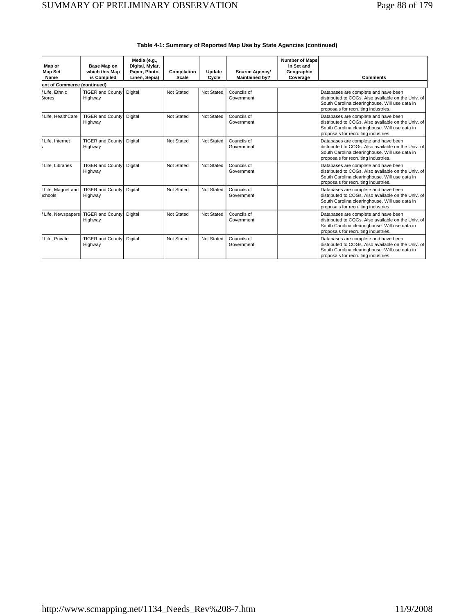| Map or<br><b>Map Set</b><br>Name     | Base Map on<br>which this Map<br>is Compiled | Media (e.g.,<br>Digital, Mylar,<br>Paper, Photo,<br>Linen, Sepia) | Compilation<br><b>Scale</b> | Update<br>Cycle | Source Agency/<br><b>Maintained by?</b> | <b>Number of Maps</b><br>in Set and<br>Geographic<br>Coverage | <b>Comments</b>                                                                                                                                                                       |
|--------------------------------------|----------------------------------------------|-------------------------------------------------------------------|-----------------------------|-----------------|-----------------------------------------|---------------------------------------------------------------|---------------------------------------------------------------------------------------------------------------------------------------------------------------------------------------|
| ent of Commerce (continued)          |                                              |                                                                   |                             |                 |                                         |                                                               |                                                                                                                                                                                       |
| f Life, Ethnic<br><b>Stores</b>      | <b>TIGER and County</b><br>Highway           | Digital                                                           | Not Stated                  | Not Stated      | Councils of<br>Government               |                                                               | Databases are complete and have been<br>distributed to COGs. Also available on the Univ. of<br>South Carolina clearinghouse. Will use data in<br>proposals for recruiting industries. |
| f Life. HealthCare                   | <b>TIGER and County</b><br>Highway           | Digital                                                           | Not Stated                  | Not Stated      | Councils of<br>Government               |                                                               | Databases are complete and have been<br>distributed to COGs. Also available on the Univ. of<br>South Carolina clearinghouse. Will use data in<br>proposals for recruiting industries. |
| f Life, Internet                     | <b>TIGER and County</b><br>Highway           | Digital                                                           | Not Stated                  | Not Stated      | Councils of<br>Government               |                                                               | Databases are complete and have been<br>distributed to COGs. Also available on the Univ. of<br>South Carolina clearinghouse. Will use data in<br>proposals for recruiting industries. |
| f Life. Libraries                    | <b>TIGER and County</b><br>Highway           | Digital                                                           | Not Stated                  | Not Stated      | Councils of<br>Government               |                                                               | Databases are complete and have been<br>distributed to COGs. Also available on the Univ. of<br>South Carolina clearinghouse. Will use data in<br>proposals for recruiting industries. |
| f Life, Magnet and<br><b>Schools</b> | <b>TIGER and County</b><br>Highway           | Digital                                                           | Not Stated                  | Not Stated      | Councils of<br>Government               |                                                               | Databases are complete and have been<br>distributed to COGs. Also available on the Univ. of<br>South Carolina clearinghouse. Will use data in<br>proposals for recruiting industries. |
| f Life, Newspapers                   | <b>TIGER and County</b><br>Highway           | Digital                                                           | Not Stated                  | Not Stated      | Councils of<br>Government               |                                                               | Databases are complete and have been<br>distributed to COGs. Also available on the Univ. of<br>South Carolina clearinghouse. Will use data in<br>proposals for recruiting industries. |
| f Life. Private                      | <b>TIGER and County</b><br>Highway           | Digital                                                           | Not Stated                  | Not Stated      | Councils of<br>Government               |                                                               | Databases are complete and have been<br>distributed to COGs. Also available on the Univ. of<br>South Carolina clearinghouse. Will use data in<br>proposals for recruiting industries. |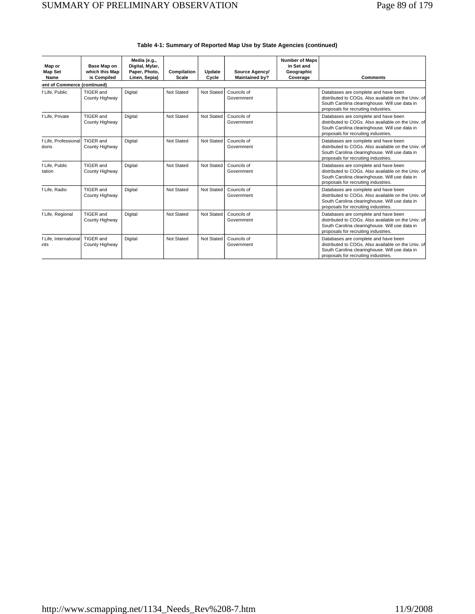| Map or<br><b>Map Set</b><br>Name | Base Map on<br>which this Map<br>is Compiled | Media (e.g.,<br>Digital, Mylar,<br>Paper, Photo,<br>Linen, Sepia) | Compilation<br>Scale | Update<br>Cycle | Source Agency/<br><b>Maintained by?</b> | <b>Number of Maps</b><br>in Set and<br>Geographic<br>Coverage | <b>Comments</b>                                                                                                                                                                       |
|----------------------------------|----------------------------------------------|-------------------------------------------------------------------|----------------------|-----------------|-----------------------------------------|---------------------------------------------------------------|---------------------------------------------------------------------------------------------------------------------------------------------------------------------------------------|
| ent of Commerce (continued)      |                                              |                                                                   |                      |                 |                                         |                                                               |                                                                                                                                                                                       |
| f Life, Public                   | TIGER and<br>County Highway                  | Digital                                                           | Not Stated           | Not Stated      | Councils of<br>Government               |                                                               | Databases are complete and have been<br>distributed to COGs. Also available on the Univ. of<br>South Carolina clearinghouse. Will use data in<br>proposals for recruiting industries. |
| f Life, Private                  | TIGER and<br>County Highway                  | Digital                                                           | Not Stated           | Not Stated      | Councils of<br>Government               |                                                               | Databases are complete and have been<br>distributed to COGs. Also available on the Univ. of<br>South Carolina clearinghouse. Will use data in<br>proposals for recruiting industries. |
| f Life, Professional<br>tions    | TIGER and<br>County Highway                  | Digital                                                           | Not Stated           | Not Stated      | Councils of<br>Government               |                                                               | Databases are complete and have been<br>distributed to COGs. Also available on the Univ. of<br>South Carolina clearinghouse. Will use data in<br>proposals for recruiting industries. |
| f Life, Public<br>tation         | TIGER and<br>County Highway                  | Digital                                                           | Not Stated           | Not Stated      | Councils of<br>Government               |                                                               | Databases are complete and have been<br>distributed to COGs. Also available on the Univ. of<br>South Carolina clearinghouse. Will use data in<br>proposals for recruiting industries. |
| f Life, Radio                    | TIGER and<br>County Highway                  | Digital                                                           | Not Stated           | Not Stated      | Councils of<br>Government               |                                                               | Databases are complete and have been<br>distributed to COGs. Also available on the Univ. of<br>South Carolina clearinghouse. Will use data in<br>proposals for recruiting industries. |
| f Life, Regional                 | TIGER and<br>County Highway                  | Digital                                                           | Not Stated           | Not Stated      | Councils of<br>Government               |                                                               | Databases are complete and have been<br>distributed to COGs. Also available on the Univ. of<br>South Carolina clearinghouse. Will use data in<br>proposals for recruiting industries. |
| f Life, International<br>nts     | TIGER and<br>County Highway                  | Digital                                                           | Not Stated           | Not Stated      | Councils of<br>Government               |                                                               | Databases are complete and have been<br>distributed to COGs. Also available on the Univ. of<br>South Carolina clearinghouse. Will use data in<br>proposals for recruiting industries. |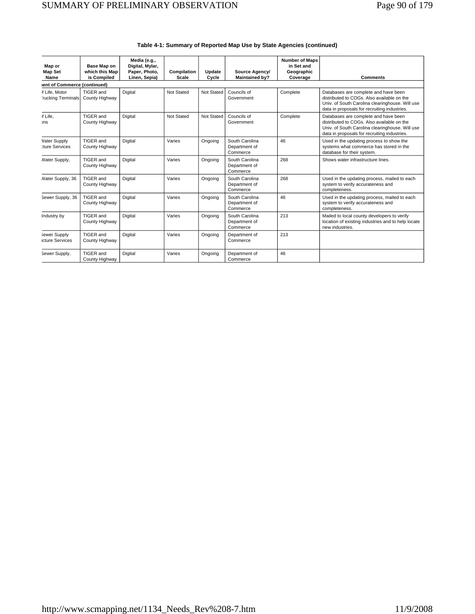| Map or<br><b>Map Set</b>               | Base Map on<br>which this Map | Media (e.g.,<br>Digital, Mylar,<br>Paper, Photo, | Compilation  | Update     | Source Agency/                              | <b>Number of Maps</b><br>in Set and<br>Geographic |                                                                                                                                                                                       |
|----------------------------------------|-------------------------------|--------------------------------------------------|--------------|------------|---------------------------------------------|---------------------------------------------------|---------------------------------------------------------------------------------------------------------------------------------------------------------------------------------------|
| Name                                   | is Compiled                   | Linen, Sepia)                                    | <b>Scale</b> | Cycle      | <b>Maintained by?</b>                       | Coverage                                          | <b>Comments</b>                                                                                                                                                                       |
| lent of Commerce (continued)           |                               |                                                  |              |            |                                             |                                                   |                                                                                                                                                                                       |
| f Life, Motor<br>rucking Terminals     | TIGER and<br>County Highway   | Digital                                          | Not Stated   | Not Stated | Councils of<br>Government                   | Complete                                          | Databases are complete and have been<br>distributed to COGs. Also available on the<br>Univ. of South Carolina clearinghouse. Will use<br>data in proposals for recruiting industries. |
| f Life,<br><b>ons</b>                  | TIGER and<br>County Highway   | Digital                                          | Not Stated   | Not Stated | Councils of<br>Government                   | Complete                                          | Databases are complete and have been<br>distributed to COGs. Also available on the<br>Univ. of South Carolina clearinghouse. Will use<br>data in proposals for recruiting industries. |
| Vater Supply<br><b>ture Services</b>   | TIGER and<br>County Highway   | Digital                                          | Varies       | Ongoing    | South Carolina<br>Department of<br>Commerce | 46                                                | Used in the updating process to show the<br>systems what commerce has stored in the<br>database for their system.                                                                     |
| Nater Supply,                          | TIGER and<br>County Highway   | Digital                                          | Varies       | Ongoing    | South Carolina<br>Department of<br>Commerce | 268                                               | Shows water infrastructure lines.                                                                                                                                                     |
| Nater Supply, 36                       | TIGER and<br>County Highway   | Digital                                          | Varies       | Ongoing    | South Carolina<br>Department of<br>Commerce | 268                                               | Used in the updating process, mailed to each<br>system to verify accurateness and<br>completeness.                                                                                    |
| Sewer Supply, 36                       | TIGER and<br>County Highway   | Digital                                          | Varies       | Ongoing    | South Carolina<br>Department of<br>Commerce | 46                                                | Used in the updating process, mailed to each<br>system to verify accurateness and<br>completeness.                                                                                    |
| Industry by                            | TIGER and<br>County Highway   | Digital                                          | Varies       | Ongoing    | South Carolina<br>Department of<br>Commerce | 213                                               | Mailed to local county developers to verify<br>location of existing industries and to help locate<br>new industries.                                                                  |
| Sewer Supply<br><b>Icture Services</b> | TIGER and<br>County Highway   | Digital                                          | Varies       | Ongoing    | Department of<br>Commerce                   | 213                                               |                                                                                                                                                                                       |
| Sewer Supply,                          | TIGER and<br>County Highway   | Digital                                          | Varies       | Ongoing    | Department of<br>Commerce                   | 46                                                |                                                                                                                                                                                       |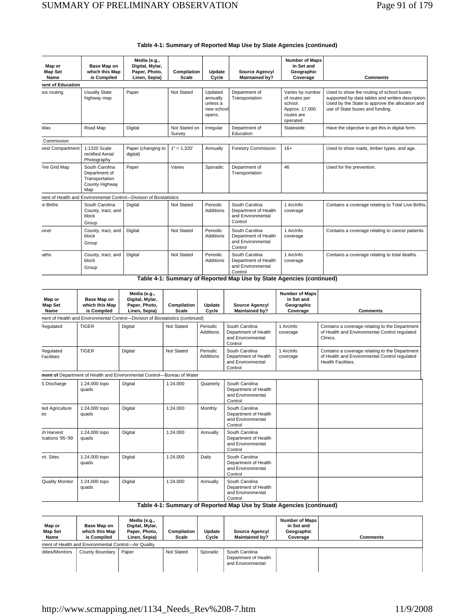| Map or<br><b>Map Set</b><br>Name | Base Map on<br>which this Map<br>is Compiled                               | Media (e.g.,<br>Digital, Mylar,<br>Paper, Photo,<br>Linen, Sepia)  | Compilation<br><b>Scale</b> | Update<br>Cycle                                         | Source Agency/<br><b>Maintained by?</b>                                | <b>Number of Maps</b><br>in Set and<br>Geographic<br>Coverage                            | <b>Comments</b>                                                                                                                                                                     |
|----------------------------------|----------------------------------------------------------------------------|--------------------------------------------------------------------|-----------------------------|---------------------------------------------------------|------------------------------------------------------------------------|------------------------------------------------------------------------------------------|-------------------------------------------------------------------------------------------------------------------------------------------------------------------------------------|
| nent of Education                |                                                                            |                                                                    |                             |                                                         |                                                                        |                                                                                          |                                                                                                                                                                                     |
| <b>us</b> routing                | <b>Usually State</b><br>highway map                                        | Paper                                                              | Not Stated                  | Updated<br>annually<br>unless a<br>new school<br>opens. | Department of<br>Transportation                                        | Varies by number<br>of routes per<br>school.<br>Approx. 17,000<br>routes are<br>operated | Used to show the routing of school buses<br>supported by data tables and written description.<br>Used by the State to approve the allocation and<br>use of State buses and funding. |
| <b>Atlas</b>                     | Road Map                                                                   | Digital                                                            | Not Stated on<br>Survey     | Irregular                                               | Department of<br>Education                                             | Statewide                                                                                | Have the objective to get this in digital form.                                                                                                                                     |
| Commission                       |                                                                            |                                                                    |                             |                                                         |                                                                        |                                                                                          |                                                                                                                                                                                     |
| rest Compartment                 | 1:1320 Scale<br>rectified Aerial<br>Photography                            | Paper (changing to<br>digital)                                     | $1" = 1,320'$               | Annually                                                | <b>Forestry Commission</b>                                             | $16+$                                                                                    | Used to show roads, timber types, and age.                                                                                                                                          |
| Fire Grid Map                    | South Carolina<br>Department of<br>Transportation<br>County Highway<br>Map | Paper                                                              | Varies                      | Sporadic                                                | Department of<br>Transportation                                        | 46                                                                                       | Used for fire prevention.                                                                                                                                                           |
|                                  |                                                                            | nent of Health and Environmental Control-Division of Biostatistics |                             |                                                         |                                                                        |                                                                                          |                                                                                                                                                                                     |
| e Births                         | South Carolina<br>County, tract, and<br>block<br>Group                     | Digital                                                            | Not Stated                  | Periodic<br><b>Additions</b>                            | South Carolina<br>Department of Health<br>and Environmental<br>Control | 1 Arcinfo<br>coverage                                                                    | Contains a coverage relating to Total Live Births.                                                                                                                                  |
| ncer                             | County, tract, and<br>block<br>Group                                       | Digital                                                            | Not Stated                  | Periodic<br><b>Additions</b>                            | South Carolina<br>Department of Health<br>and Environmental<br>Control | 1 Arcinfo<br>coverage                                                                    | Contains a coverage relating to cancer patients                                                                                                                                     |
| aths                             | County, tract, and<br>block<br>Group                                       | Digital                                                            | Not Stated                  | Periodic<br><b>Additions</b>                            | South Carolina<br>Department of Health<br>and Environmental<br>Control | 1 Arcinfo<br>coverage                                                                    | Contains a coverage relating to total deaths.                                                                                                                                       |

**Table 4-1: Summary of Reported Map Use by State Agencies (continued)** 

| Map or<br><b>Map Set</b>       | Base Map on<br>which this Map | Media (e.g.,<br>Digital, Mylar,<br>Paper, Photo,                               | Compilation  | Update                | Source Agency/                                                         | <b>Number of Maps</b><br>in Set and<br>Geographic |                                                                                                                              |
|--------------------------------|-------------------------------|--------------------------------------------------------------------------------|--------------|-----------------------|------------------------------------------------------------------------|---------------------------------------------------|------------------------------------------------------------------------------------------------------------------------------|
| Name                           | is Compiled                   | Linen, Sepia)                                                                  | <b>Scale</b> | Cycle                 | <b>Maintained by?</b>                                                  | Coverage                                          | <b>Comments</b>                                                                                                              |
|                                |                               | nent of Health and Environmental Control-Division of Biostatistics (continued) |              |                       |                                                                        |                                                   |                                                                                                                              |
| Regulated                      | <b>TIGER</b>                  | Digital                                                                        | Not Stated   | Periodic<br>Additions | South Carolina<br>Department of Health<br>and Environmental<br>Control | 1 Arcinfo<br>coverage                             | Contains a coverage relating to the Department<br>of Health and Environmental Control regulated<br>Clinics.                  |
| Regulated<br><b>Facilities</b> | <b>TIGER</b>                  | Digital                                                                        | Not Stated   | Periodic<br>Additions | South Carolina<br>Department of Health<br>and Environmental<br>Control | 1 Arcinfo<br>coverage                             | Contains a coverage relating to the Department<br>of Health and Environmental Control regulated<br><b>Health Facilities.</b> |
|                                |                               | ment of Department of Health and Environmental Control-Bureau of Water         |              |                       |                                                                        |                                                   |                                                                                                                              |
| S Discharge                    | 1:24,000 topo<br>quads        | Digital                                                                        | 1:24,000     | Quarterly             | South Carolina<br>Department of Health<br>and Environmental<br>Control |                                                   |                                                                                                                              |
| ted Agriculture<br>es          | 1:24,000 topo<br>quads        | Digital                                                                        | 1:24.000     | Monthly               | South Carolina<br>Department of Health<br>and Environmental<br>Control |                                                   |                                                                                                                              |
| sh Harvest<br>ications '95-'99 | 1:24,000 topo<br>quads        | Digital                                                                        | 1:24,000     | Annually              | South Carolina<br>Department of Health<br>and Environmental<br>Control |                                                   |                                                                                                                              |
| ert. Sites                     | 1:24,000 topo<br>quads        | Digital                                                                        | 1:24.000     | Daily                 | South Carolina<br>Department of Health<br>and Environmental<br>Control |                                                   |                                                                                                                              |
| <b>Quality Monitor</b>         | 1:24,000 topo<br>quads        | Digital                                                                        | 1:24.000     | Annually              | South Carolina<br>Department of Health<br>and Environmental<br>Control |                                                   |                                                                                                                              |

| Map or<br><b>Map Set</b><br>Name | Base Map on<br>which this Map<br>is Compiled         | Media (e.g.,<br>Digital, Mylar,<br>Paper, Photo,<br>Linen, Sepia) | Compilation<br>Scale | Update<br>Cycle | Source Agency/<br><b>Maintained by?</b>                     | <b>Number of Maps</b><br>in Set and<br>Geographic<br>Coverage | <b>Comments</b> |  |  |
|----------------------------------|------------------------------------------------------|-------------------------------------------------------------------|----------------------|-----------------|-------------------------------------------------------------|---------------------------------------------------------------|-----------------|--|--|
|                                  | ment of Health and Environmental Control-Air Quality |                                                                   |                      |                 |                                                             |                                                               |                 |  |  |
| :ilities/Monitors                | County Boundary                                      | Paper                                                             | Not Stated           | Sporadic        | South Carolina<br>Department of Health<br>and Environmental |                                                               |                 |  |  |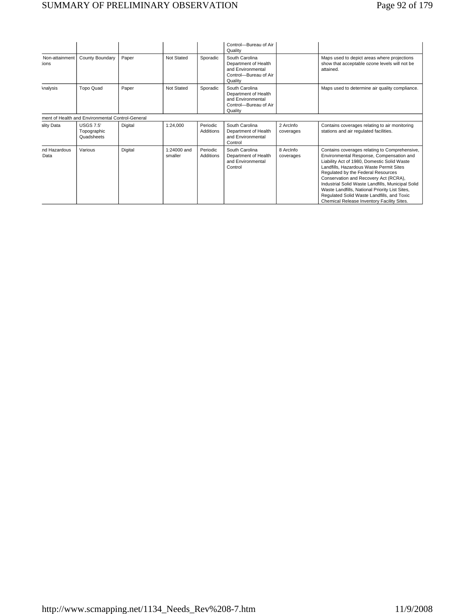# SUMMARY OF PRELIMINARY OBSERVATION Page 92 of 179

|                         |                                                  |         |                          |                       | Control-Bureau of Air<br>Quality                                                                |                        |                                                                                                                                                                                                                                                                                                                                                                                                                                                                       |
|-------------------------|--------------------------------------------------|---------|--------------------------|-----------------------|-------------------------------------------------------------------------------------------------|------------------------|-----------------------------------------------------------------------------------------------------------------------------------------------------------------------------------------------------------------------------------------------------------------------------------------------------------------------------------------------------------------------------------------------------------------------------------------------------------------------|
| Non-attainment<br>:ions | County Boundary                                  | Paper   | Not Stated               | Sporadic              | South Carolina<br>Department of Health<br>and Environmental<br>Control-Bureau of Air<br>Quality |                        | Maps used to depict areas where projections<br>show that acceptable ozone levels will not be<br>attained.                                                                                                                                                                                                                                                                                                                                                             |
| <b>Analysis</b>         | <b>Topo Quad</b>                                 | Paper   | Not Stated               | Sporadic              | South Carolina<br>Department of Health<br>and Environmental<br>Control-Bureau of Air<br>Quality |                        | Maps used to determine air quality compliance.                                                                                                                                                                                                                                                                                                                                                                                                                        |
|                         | ment of Health and Environmental Control-General |         |                          |                       |                                                                                                 |                        |                                                                                                                                                                                                                                                                                                                                                                                                                                                                       |
| ality Data              | <b>USGS 7.5'</b><br>Topographic<br>Quadsheets    | Digital | 1:24,000                 | Periodic<br>Additions | South Carolina<br>Department of Health<br>and Environmental<br>Control                          | 2 Arcinfo<br>coverages | Contains coverages relating to air monitoring<br>stations and air regulated facilities.                                                                                                                                                                                                                                                                                                                                                                               |
| nd Hazardous<br>Data    | Various                                          | Digital | $1:24000$ and<br>smaller | Periodic<br>Additions | South Carolina<br>Department of Health<br>and Environmental<br>Control                          | 8 Arcinfo<br>coverages | Contains coverages relating to Comprehensive,<br>Environmental Response, Compensation and<br>Liability Act of 1980, Domestic Solid Waste<br>Landfills, Hazardous Waste Permit Sites<br>Regulated by the Federal Resources<br>Conservation and Recovery Act (RCRA),<br>Industrial Solid Waste Landfills, Municipal Solid<br>Waste Landfills, National Priority List Sites,<br>Regulated Solid Waste Landfills, and Toxic<br>Chemical Release Inventory Facility Sites. |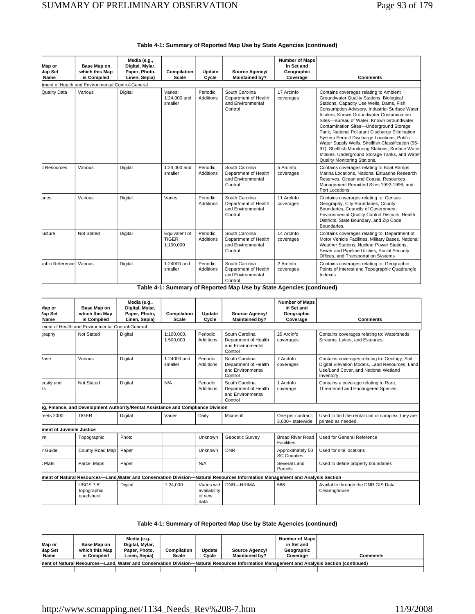| Table 4-1: Summary of Reported Map Use by State Agencies (continued) |  |
|----------------------------------------------------------------------|--|
|----------------------------------------------------------------------|--|

| Map or<br>Map Set<br>Name | Base Map on<br>which this Map<br>is Compiled      | Media (e.g.,<br>Digital, Mylar,<br>Paper, Photo,<br>Linen, Sepia) | Compilation<br><b>Scale</b>          | Update<br>Cycle              | Source Agency/<br><b>Maintained by?</b>                                | <b>Number of Maps</b><br>in Set and<br>Geographic<br>Coverage | <b>Comments</b>                                                                                                                                                                                                                                                                                                                                                                                                                                                                                                                                                                                                |
|---------------------------|---------------------------------------------------|-------------------------------------------------------------------|--------------------------------------|------------------------------|------------------------------------------------------------------------|---------------------------------------------------------------|----------------------------------------------------------------------------------------------------------------------------------------------------------------------------------------------------------------------------------------------------------------------------------------------------------------------------------------------------------------------------------------------------------------------------------------------------------------------------------------------------------------------------------------------------------------------------------------------------------------|
|                           | tment of Health and Environmental Control-General |                                                                   |                                      |                              |                                                                        |                                                               |                                                                                                                                                                                                                                                                                                                                                                                                                                                                                                                                                                                                                |
| Quality Data              | Various                                           | Digital                                                           | Varies:<br>1:24,000 and<br>smaller   | Periodic<br><b>Additions</b> | South Carolina<br>Department of Health<br>and Environmental<br>Control | 17 Arcinfo<br>coverages                                       | Contains coverages relating to Ambient<br>Groundwater Quality Stations, Biological<br>Stations, Capacity Use Wells, Dams, Fish<br>Consumption Advisory, Industrial Surface Water<br>Intakes. Known Groundwater Contamination<br>Sites-Bureau of Water, Known Groundwater<br>Contamination Sites-Underground Storage<br>Tank, National Pollutant Discharge Elimination<br>System Permit/ Discharge Locations, Public<br>Water Supply Wells, Shellfish Classification (95-<br>97), Shellfish Monitoring Stations, Surface Water<br>Intakes, Underground Storage Tanks, and Water<br>Quality Monitoring Stations. |
| <b>Il Resources</b>       | Various                                           | Digital                                                           | 1:24,000 and<br>smaller              | Periodic<br><b>Additions</b> | South Carolina<br>Department of Health<br>and Environmental<br>Control | 5 Arcinfo<br>coverages                                        | Contains coverages relating to Boat Ramps,<br>Marina Locations, National Estuarine Research<br>Reserves, Ocean and Coastal Resources<br>Management Permitted Sites 1992-1996, and<br>Port Locations.                                                                                                                                                                                                                                                                                                                                                                                                           |
| aries                     | Various                                           | Digital                                                           | Varies                               | Periodic<br><b>Additions</b> | South Carolina<br>Department of Health<br>and Environmental<br>Control | 11 Arcinfo<br>coverages                                       | Contains coverages relating to: Census<br>Geography, City Boundaries, County<br>Boundaries, Councils of Government,<br>Environmental Quality Control Districts, Health<br>Districts, State Boundary, and Zip Code<br>Boundaries.                                                                                                                                                                                                                                                                                                                                                                               |
| ucture                    | Not Stated                                        | Digital                                                           | Equivalent of<br>TIGER.<br>1:100,000 | Periodic<br><b>Additions</b> | South Carolina<br>Department of Health<br>and Environmental<br>Control | 14 Arcinfo<br>coverages                                       | Contains coverages relating to: Department of<br>Motor Vehicle Facilities, Military Bases, National<br>Weather Stations, Nuclear Power Stations,<br>Sewer and Pipeline Utilities, Social Security<br>Offices, and Transportation Systems                                                                                                                                                                                                                                                                                                                                                                       |
| aphic Referencel          | Various                                           | Digital                                                           | 1:24000 and<br>smaller               | Periodic<br>Additions        | South Carolina<br>Department of Health<br>and Environmental<br>Control | 2 Arcinfo<br>coverages                                        | Contains coverages relating to: Geographic<br>Points of Interest and Topographic Quadrangle<br>Indexes                                                                                                                                                                                                                                                                                                                                                                                                                                                                                                         |

|  | Table 4-1: Summary of Reported Map Use by State Agencies (continued) |  |
|--|----------------------------------------------------------------------|--|
|  |                                                                      |  |
|  |                                                                      |  |

| <b>Map or</b><br>lap Set<br>Name | Base Map on<br>which this Map<br>is Compiled                                     | Media (e.g.,<br>Digital, Mylar,<br>Paper, Photo,<br>Linen, Sepia) | Compilation<br>Scale     | Update<br>Cycle                               | Source Agency/<br><b>Maintained by?</b>                                                                                       | <b>Number of Maps</b><br>in Set and<br>Geographic<br>Coverage | <b>Comments</b>                                                                                                                                        |
|----------------------------------|----------------------------------------------------------------------------------|-------------------------------------------------------------------|--------------------------|-----------------------------------------------|-------------------------------------------------------------------------------------------------------------------------------|---------------------------------------------------------------|--------------------------------------------------------------------------------------------------------------------------------------------------------|
|                                  | ment of Health and Environmental Control-General                                 |                                                                   |                          |                                               |                                                                                                                               |                                                               |                                                                                                                                                        |
| graphy                           | Not Stated                                                                       | Digital                                                           | 1:100,000,<br>1:500.000  | Periodic<br>Additions                         | South Carolina<br>Department of Health<br>and Environmental<br>Control                                                        | 20 Arcinfo<br>coverages                                       | Contains coverages relating to: Watersheds,<br>Streams, Lakes, and Estuaries.                                                                          |
| <b>Base</b>                      | Various                                                                          | Digital                                                           | $1:24000$ and<br>smaller | Periodic<br><b>Additions</b>                  | South Carolina<br>Department of Health<br>and Environmental<br>Control                                                        | 7 Arcinfo<br>coverages                                        | Contains coverages relating to: Geology, Soil,<br>Digital Elevation Models, Land Resources, Land<br>Use/Land Cover, and National Wetland<br>Inventory. |
| ersity and<br>ts                 | Not Stated                                                                       | Digital                                                           | N/A                      | Periodic<br>Additions                         | South Carolina<br>Department of Health<br>and Environmental<br>Control                                                        | 1 Arcinfo<br>coverage                                         | Contains a coverage relating to Rare,<br>Threatened and Endangered Species.                                                                            |
|                                  | 1g, Finance, and Development Authority/Rental Assistance and Compliance Division |                                                                   |                          |                                               |                                                                                                                               |                                                               |                                                                                                                                                        |
| reets 2000                       | <b>TIGER</b>                                                                     | Digital                                                           | Varies                   | Daily                                         | Microsoft                                                                                                                     | One per contract;<br>3.000+ statewide                         | Used to find the rental unit or complex; they are<br>printed as needed.                                                                                |
| ment of Juvenile Justice         |                                                                                  |                                                                   |                          |                                               |                                                                                                                               |                                                               |                                                                                                                                                        |
| vn                               | Topographic                                                                      | Photo                                                             |                          | Unknown                                       | Geodetic Survey                                                                                                               | <b>Broad River Road</b><br><b>Facilities</b>                  | Used for General Reference                                                                                                                             |
| r Guide                          | County Road Map                                                                  | Paper                                                             |                          | Unknown                                       | <b>DNR</b>                                                                                                                    | Approximately 50<br><b>SC Counties</b>                        | Used for site locations                                                                                                                                |
| ; Plats                          | Parcel Maps                                                                      | Paper                                                             |                          | N/A                                           |                                                                                                                               | Several Land<br>Parcels                                       | Used to define property boundaries                                                                                                                     |
|                                  |                                                                                  |                                                                   |                          |                                               | ment of Natural Resources-Land, Water and Conservation Division-Natural Resources Information Management and Analysis Section |                                                               |                                                                                                                                                        |
|                                  | <b>USGS 7.5'</b><br>topographic<br>quadsheet                                     | Digital                                                           | 1:24.000                 | Varies with<br>availability<br>of new<br>data | DNR-NRIMA                                                                                                                     | 566                                                           | Available through the DNR GIS Data<br>Clearinghouse                                                                                                    |

| Map or<br>Map Set<br>Name | Base Map on<br>which this Map<br>is Compiled | Media (e.g.,<br>Digital, Mylar,<br>Paper, Photo,<br>Linen. Sepia) | Compilation<br>Scale | Update<br>Cycle | Source Agency/<br><b>Maintained by?</b><br>nent of Natural Resources—Land, Water and Conservation Division—Natural Resources Information Management and Analysis Section (continued) | Number of Maps<br>in Set and<br>Geographic<br>Coverage | <b>Comments</b> |
|---------------------------|----------------------------------------------|-------------------------------------------------------------------|----------------------|-----------------|--------------------------------------------------------------------------------------------------------------------------------------------------------------------------------------|--------------------------------------------------------|-----------------|
|                           |                                              |                                                                   |                      |                 |                                                                                                                                                                                      |                                                        |                 |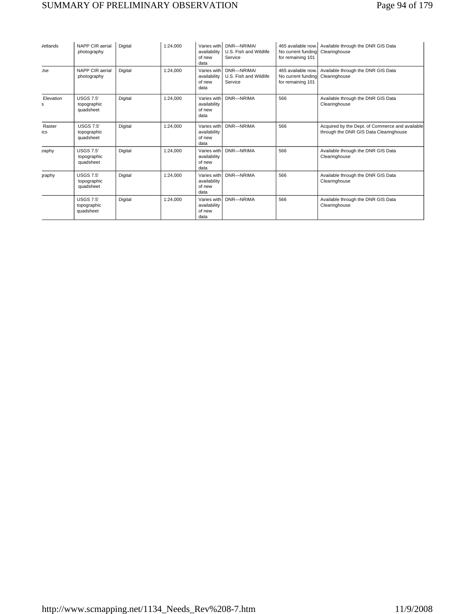# SUMMARY OF PRELIMINARY OBSERVATION Page 94 of 179

| <b>/etlands</b> | NAPP CIR aerial<br>photography               | Digital | 1:24,000 | availability<br>of new<br>data                | Varies with DNR-NRIMA<br>U.S. Fish and Wildlife<br>Service | 465 available now.<br>No current funding<br>for remaining 101 | Available through the DNR GIS Data<br>Clearinghouse                                       |
|-----------------|----------------------------------------------|---------|----------|-----------------------------------------------|------------------------------------------------------------|---------------------------------------------------------------|-------------------------------------------------------------------------------------------|
| Jse             | NAPP CIR aerial<br>photography               | Digital | 1:24.000 | Varies with<br>availability<br>of new<br>data | DNR-NRIMA/<br>U.S. Fish and Wildlife<br>Service            | 465 available now.<br>No current funding<br>for remaining 101 | Available through the DNR GIS Data<br>Clearinghouse                                       |
| Elevation<br>s  | <b>USGS 7.5'</b><br>topographic<br>quadsheet | Digital | 1:24.000 | Varies with<br>availability<br>of new<br>data | DNR-NRIMA                                                  | 566                                                           | Available through the DNR GIS Data<br>Clearinghouse                                       |
| Raster<br>ics   | <b>USGS 7.5'</b><br>topographic<br>quadsheet | Digital | 1:24.000 | Varies with<br>availability<br>of new<br>data | DNR-NRIMA                                                  | 566                                                           | Acquired by the Dept. of Commerce and available<br>through the DNR GIS Data Clearinghouse |
| raphy           | <b>USGS 7.5'</b><br>topographic<br>quadsheet | Digital | 1:24.000 | Varies with<br>availability<br>of new<br>data | DNR-NRIMA                                                  | 566                                                           | Available through the DNR GIS Data<br>Clearinghouse                                       |
| <b>a</b> raphy  | <b>USGS 7.5'</b><br>topographic<br>quadsheet | Digital | 1:24.000 | Varies with<br>availability<br>of new<br>data | DNR-NRIMA                                                  | 566                                                           | Available through the DNR GIS Data<br>Clearinghouse                                       |
|                 | <b>USGS 7.5'</b><br>topographic<br>quadsheet | Digital | 1:24,000 | Varies with<br>availability<br>of new<br>data | DNR-NRIMA                                                  | 566                                                           | Available through the DNR GIS Data<br>Clearinghouse                                       |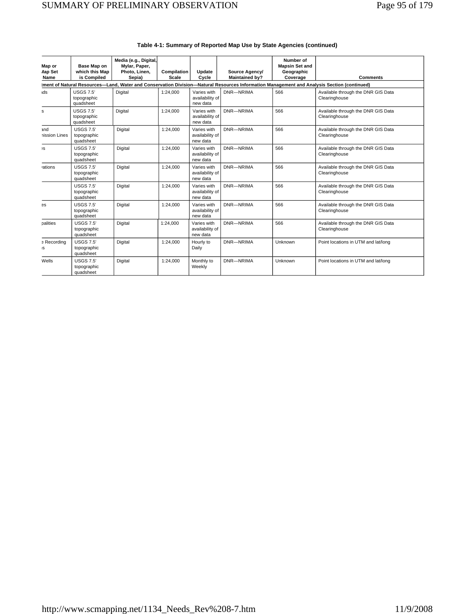| Map or<br><b>Aap Set</b><br>Name | Base Map on<br>which this Map<br>is Compiled                                                                                              | Media (e.g., Digital,<br>Mylar, Paper,<br>Photo, Linen,<br>Sepia) | Compilation<br><b>Scale</b> | Update<br>Cycle                            | Source Agency/<br><b>Maintained by?</b> | Number of<br><b>Mapsin Set and</b><br>Geographic<br>Coverage | <b>Comments</b>                                     |  |  |  |  |
|----------------------------------|-------------------------------------------------------------------------------------------------------------------------------------------|-------------------------------------------------------------------|-----------------------------|--------------------------------------------|-----------------------------------------|--------------------------------------------------------------|-----------------------------------------------------|--|--|--|--|
|                                  | ment of Natural Resources-Land, Water and Conservation Division-Natural Resources Information Management and Analysis Section (continued) |                                                                   |                             |                                            |                                         |                                                              |                                                     |  |  |  |  |
| ıds                              | <b>USGS 7.5'</b><br>topographic<br>quadsheet                                                                                              | Digital                                                           | 1:24.000                    | Varies with<br>availability of<br>new data | DNR-NRIMA                               | 566                                                          | Available through the DNR GIS Data<br>Clearinghouse |  |  |  |  |
| s                                | <b>USGS 7.5'</b><br>topographic<br>quadsheet                                                                                              | Digital                                                           | 1:24,000                    | Varies with<br>availability of<br>new data | DNR-NRIMA                               | 566                                                          | Available through the DNR GIS Data<br>Clearinghouse |  |  |  |  |
| and<br>nission Lines             | <b>USGS 7.5'</b><br>topographic<br>quadsheet                                                                                              | Digital                                                           | 1:24.000                    | Varies with<br>availability of<br>new data | DNR-NRIMA                               | 566                                                          | Available through the DNR GIS Data<br>Clearinghouse |  |  |  |  |
| эS                               | <b>USGS 7.5'</b><br>topographic<br>quadsheet                                                                                              | Digital                                                           | 1:24.000                    | Varies with<br>availability of<br>new data | DNR-NRIMA                               | 566                                                          | Available through the DNR GIS Data<br>Clearinghouse |  |  |  |  |
| <i>rations</i>                   | <b>USGS 7.5'</b><br>topographic<br>quadsheet                                                                                              | Digital                                                           | 1:24,000                    | Varies with<br>availability of<br>new data | DNR-NRIMA                               | 566                                                          | Available through the DNR GIS Data<br>Clearinghouse |  |  |  |  |
|                                  | <b>USGS 7.5'</b><br>topographic<br>quadsheet                                                                                              | Digital                                                           | 1:24,000                    | Varies with<br>availability of<br>new data | DNR-NRIMA                               | 566                                                          | Available through the DNR GIS Data<br>Clearinghouse |  |  |  |  |
| es                               | <b>USGS 7.5'</b><br>topographic<br>quadsheet                                                                                              | Digital                                                           | 1:24,000                    | Varies with<br>availability of<br>new data | DNR-NRIMA                               | 566                                                          | Available through the DNR GIS Data<br>Clearinghouse |  |  |  |  |
| palities                         | <b>USGS 7.5'</b><br>topographic<br>quadsheet                                                                                              | Digital                                                           | 1:24,000                    | Varies with<br>availability of<br>new data | DNR-NRIMA                               | 566                                                          | Available through the DNR GIS Data<br>Clearinghouse |  |  |  |  |
| <b>B</b> Recording<br>IS         | <b>USGS 7.5'</b><br>topographic<br>quadsheet                                                                                              | Digital                                                           | 1:24,000                    | Hourly to<br>Daily                         | DNR-NRIMA                               | Unknown                                                      | Point locations in UTM and lat/long                 |  |  |  |  |
| Wells                            | <b>USGS 7.5'</b><br>topographic<br>quadsheet                                                                                              | Digital                                                           | 1:24.000                    | Monthly to<br>Weekly                       | DNR-NRIMA                               | Unknown                                                      | Point locations in UTM and lat/long                 |  |  |  |  |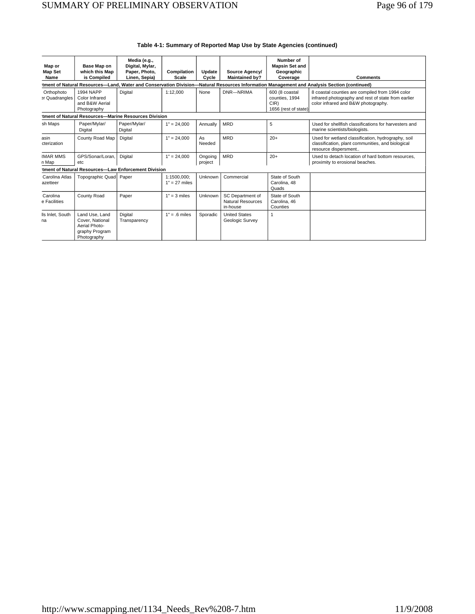|                                                                                                                                            |                                                                                     | Media (e.g.,                                         |                                |                    |                                                          | Number of                                                        |                                                                                                                                               |  |  |  |
|--------------------------------------------------------------------------------------------------------------------------------------------|-------------------------------------------------------------------------------------|------------------------------------------------------|--------------------------------|--------------------|----------------------------------------------------------|------------------------------------------------------------------|-----------------------------------------------------------------------------------------------------------------------------------------------|--|--|--|
| Map or<br><b>Map Set</b>                                                                                                                   | Base Map on<br>which this Map                                                       | Digital, Mylar,<br>Paper, Photo,                     | Compilation                    | Update             | Source Agency/                                           | <b>Mapsin Set and</b><br>Geographic                              |                                                                                                                                               |  |  |  |
| Name                                                                                                                                       | is Compiled                                                                         | Linen, Sepia)                                        | Scale                          | Cycle              | <b>Maintained by?</b>                                    | Coverage                                                         | <b>Comments</b>                                                                                                                               |  |  |  |
| tment of Natural Resources-Land, Water and Conservation Division-Natural Resources Information Management and Analysis Section (continued) |                                                                                     |                                                      |                                |                    |                                                          |                                                                  |                                                                                                                                               |  |  |  |
| Orthophoto<br>er Quadrangles                                                                                                               | <b>1994 NAPP</b><br>Color Infrared<br>and B&W Aerial<br>Photography                 | Digital                                              | 1:12.000                       | None               | DNR-NRIMA                                                | 600 (8 coastal<br>counties, 1994<br>CIR)<br>1656 (rest of state) | 8 coastal counties are compiled from 1994 color<br>infrared photography and rest of state from earlier<br>color infrared and B&W photography. |  |  |  |
|                                                                                                                                            |                                                                                     | tment of Natural Resources-Marine Resources Division |                                |                    |                                                          |                                                                  |                                                                                                                                               |  |  |  |
| sh Maps                                                                                                                                    | Paper/Mylar/<br>Digital                                                             | Paper/Mylar/<br>Digital                              | $1" = 24.000$                  | Annually           | <b>MRD</b>                                               | 5                                                                | Used for shellfish classifications for harvesters and<br>marine scientists/biologists.                                                        |  |  |  |
| asin<br>cterization                                                                                                                        | County Road Map                                                                     | Digital                                              | $1" = 24,000$                  | As<br>Needed       | <b>MRD</b>                                               | $20+$                                                            | Used for wetland classification, hydrography, soil<br>classification, plant communities, and biological<br>resource dispersment               |  |  |  |
| <b>IMAR MMS</b><br>n Map                                                                                                                   | GPS/Sonar/Loran.<br>etc                                                             | Digital                                              | $1" = 24.000$                  | Ongoing<br>project | <b>MRD</b>                                               | $20+$                                                            | Used to detach location of hard bottom resources.<br>proximity to erosional beaches.                                                          |  |  |  |
|                                                                                                                                            |                                                                                     | tment of Natural Resources-Law Enforcement Division  |                                |                    |                                                          |                                                                  |                                                                                                                                               |  |  |  |
| Carolina Atlas<br>azetteer                                                                                                                 | Topographic Quad                                                                    | Paper                                                | 1:1500.000:<br>$1" = 27$ miles | Unknown            | Commercial                                               | State of South<br>Carolina, 48<br>Quads                          |                                                                                                                                               |  |  |  |
| Carolina<br>e Facilities                                                                                                                   | County Road                                                                         | Paper                                                | $1" = 3$ miles                 | Unknown            | SC Department of<br><b>Natural Resources</b><br>in-house | State of South<br>Carolina, 46<br>Counties                       |                                                                                                                                               |  |  |  |
| Is Inlet, South<br>na                                                                                                                      | Land Use, Land<br>Cover, National<br>Aerial Photo-<br>graphy Program<br>Photography | Digital<br>Transparency                              | $1" = .6$ miles                | Sporadic           | <b>United States</b><br>Geologic Survey                  |                                                                  |                                                                                                                                               |  |  |  |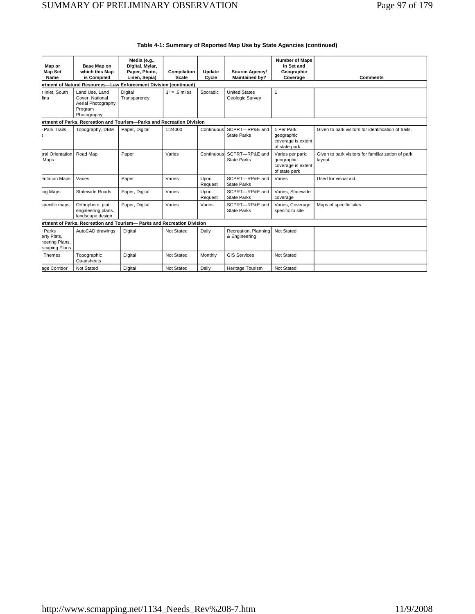| Map or<br><b>Map Set</b><br>Name                                         | Base Map on<br>which this Map<br>is Compiled                                      | Media (e.g.,<br>Digital, Mylar,<br>Paper, Photo,<br>Linen, Sepia) | Compilation<br><b>Scale</b> | Update<br>Cycle | Source Agency/<br><b>Maintained by?</b> | <b>Number of Maps</b><br>in Set and<br>Geographic<br>Coverage         | <b>Comments</b>                                               |  |  |  |
|--------------------------------------------------------------------------|-----------------------------------------------------------------------------------|-------------------------------------------------------------------|-----------------------------|-----------------|-----------------------------------------|-----------------------------------------------------------------------|---------------------------------------------------------------|--|--|--|
| <b>artment of Natural Resources-Law Enforcement Division (continued)</b> |                                                                                   |                                                                   |                             |                 |                                         |                                                                       |                                                               |  |  |  |
| 1 Inlet, South<br>lina                                                   | Land Use, Land<br>Cover, National<br>Aerial Photography<br>Program<br>Photography | Digital<br>Transparency                                           | $1" = .6$ miles             | Sporadic        | <b>United States</b><br>Geologic Survey | $\mathbf{1}$                                                          |                                                               |  |  |  |
|                                                                          | artment of Parks, Recreation and Tourism-Parks and Recreation Division            |                                                                   |                             |                 |                                         |                                                                       |                                                               |  |  |  |
| Park Trails<br>3                                                         | Topography, DEM                                                                   | Paper, Digital                                                    | 1:24000                     | Continuous      | SCPRT-RP&E and<br><b>State Parks</b>    | 1 Per Park:<br>geographic<br>coverage is extent<br>of state park      | Given to park visitors for identification of trails.          |  |  |  |
| eral Orientation<br>Maps                                                 | Road Map                                                                          | Paper                                                             | Varies                      | Continuous      | SCPRT-RP&E and<br><b>State Parks</b>    | Varies per park:<br>qeographic<br>coverage is extent<br>of state park | Given to park visitors for familiarization of park<br>layout. |  |  |  |
| entation Maps                                                            | Varies                                                                            | Paper                                                             | Varies                      | Upon<br>Request | SCPRT-RP&E and<br><b>State Parks</b>    | Varies                                                                | Used for visual aid.                                          |  |  |  |
| ing Maps                                                                 | <b>Statewide Roads</b>                                                            | Paper, Digital                                                    | Varies                      | Upon<br>Request | SCPRT-RP&E and<br><b>State Parks</b>    | Varies, Statewide<br>coverage                                         |                                                               |  |  |  |
| specific maps                                                            | Orthophoto, plat,<br>engineering plans,<br>landscape design                       | Paper, Digital                                                    | Varies                      | Varies          | SCPRT-RP&E and<br><b>State Parks</b>    | Varies, Coverage<br>specific to site                                  | Maps of specific sites.                                       |  |  |  |
|                                                                          | artment of Parks, Recreation and Tourism- Parks and Recreation Division           |                                                                   |                             |                 |                                         |                                                                       |                                                               |  |  |  |
| : Parks<br>erty Plats,<br>neering Plans,<br>scaping Plans                | AutoCAD drawings                                                                  | Digital                                                           | Not Stated                  | Daily           | Recreation, Planning<br>& Engineering   | Not Stated                                                            |                                                               |  |  |  |
| : Themes                                                                 | Topographic<br>Quadsheets                                                         | Digital                                                           | Not Stated                  | Monthly         | <b>GIS Services</b>                     | Not Stated                                                            |                                                               |  |  |  |
| age Corridor                                                             | Not Stated                                                                        | Digital                                                           | Not Stated                  | Daily           | <b>Heritage Tourism</b>                 | <b>Not Stated</b>                                                     |                                                               |  |  |  |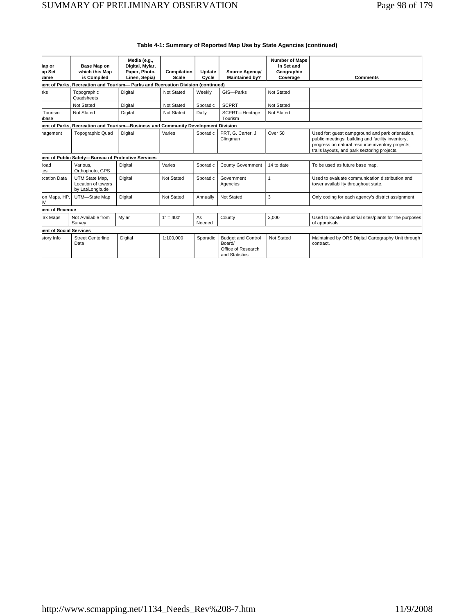| lap or<br>ap Set<br><b>Jame</b> | Base Map on<br>which this Map<br>is Compiled                                      | Media (e.g.,<br>Digital, Mylar,<br>Paper, Photo,<br>Linen, Sepia) | Compilation<br><b>Scale</b> | Update<br>Cycle | Source Agency/<br><b>Maintained by?</b>                                     | <b>Number of Maps</b><br>in Set and<br>Geographic<br>Coverage | <b>Comments</b>                                                                                                                                                                                           |  |  |  |  |
|---------------------------------|-----------------------------------------------------------------------------------|-------------------------------------------------------------------|-----------------------------|-----------------|-----------------------------------------------------------------------------|---------------------------------------------------------------|-----------------------------------------------------------------------------------------------------------------------------------------------------------------------------------------------------------|--|--|--|--|
|                                 | lent of Parks, Recreation and Tourism- Parks and Recreation Division (continued)  |                                                                   |                             |                 |                                                                             |                                                               |                                                                                                                                                                                                           |  |  |  |  |
| rks                             | Topographic<br>Quadsheets                                                         | Digital                                                           | Not Stated                  | Weekly          | GIS-Parks                                                                   | Not Stated                                                    |                                                                                                                                                                                                           |  |  |  |  |
|                                 | Not Stated                                                                        | Digital                                                           | <b>Not Stated</b>           | Sporadic        | <b>SCPRT</b>                                                                | Not Stated                                                    |                                                                                                                                                                                                           |  |  |  |  |
| Tourism<br>abase                | Not Stated                                                                        | Digital                                                           | Not Stated                  | Daily           | SCPRT-Heritage<br>Tourism                                                   | <b>Not Stated</b>                                             |                                                                                                                                                                                                           |  |  |  |  |
|                                 | lent of Parks, Recreation and Tourism-Business and Community Development Division |                                                                   |                             |                 |                                                                             |                                                               |                                                                                                                                                                                                           |  |  |  |  |
| nagement                        | <b>Topographic Quad</b>                                                           | Digital                                                           | Varies                      | Sporadic        | PRT. G. Carter. J.<br>Clingman                                              | Over 50                                                       | Used for: quest campground and park orientation,<br>public meetings, building and facility inventory,<br>progress on natural resource inventory projects,<br>trails layouts, and park sectoring projects. |  |  |  |  |
|                                 | lent of Public Safety-Bureau of Protective Services                               |                                                                   |                             |                 |                                                                             |                                                               |                                                                                                                                                                                                           |  |  |  |  |
| <b>coad</b><br><b>ies</b>       | Various.<br>Orthophoto, GPS                                                       | Digital                                                           | Varies                      | Sporadic        | <b>County Government</b>                                                    | 14 to date                                                    | To be used as future base map.                                                                                                                                                                            |  |  |  |  |
| ocation Data                    | UTM State Map,<br>Location of towers<br>by Lat/Longitude                          | Digital                                                           | Not Stated                  | Sporadic        | Government<br>Agencies                                                      | $\mathbf{1}$                                                  | Used to evaluate communication distribution and<br>tower availability throughout state.                                                                                                                   |  |  |  |  |
| on Maps, HP.<br>IV              | UTM-State Map                                                                     | Digital                                                           | Not Stated                  | Annually        | <b>Not Stated</b>                                                           | 3                                                             | Only coding for each agency's district assignment                                                                                                                                                         |  |  |  |  |
| lent of Revenue                 |                                                                                   |                                                                   |                             |                 |                                                                             |                                                               |                                                                                                                                                                                                           |  |  |  |  |
| ax Maps                         | Not Available from<br>Survey                                                      | Mvlar                                                             | $1" = 400'$                 | As<br>Needed    | County                                                                      | 3.000                                                         | Used to locate industrial sites/plants for the purposes<br>of appraisals.                                                                                                                                 |  |  |  |  |
| lent of Social Services         |                                                                                   |                                                                   |                             |                 |                                                                             |                                                               |                                                                                                                                                                                                           |  |  |  |  |
| story Info                      | <b>Street Centerline</b><br>Data                                                  | Digital                                                           | 1:100.000                   | Sporadic        | <b>Budget and Control</b><br>Board/<br>Office of Research<br>and Statistics | Not Stated                                                    | Maintained by ORS Digital Cartography Unit through<br>contract.                                                                                                                                           |  |  |  |  |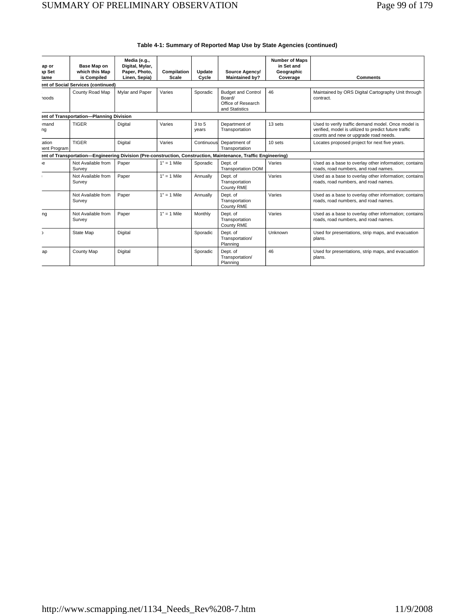| ap or<br>ap Set<br>lame                 | Base Map on<br>which this Map<br>is Compiled | Media (e.g.,<br>Digital, Mylar,<br>Paper, Photo,<br>Linen, Sepia) | Compilation<br>Scale | Update<br>Cycle | Source Agency/<br><b>Maintained by?</b>                                                                       | <b>Number of Maps</b><br>in Set and<br>Geographic<br>Coverage | <b>Comments</b>                                                                                                                                      |  |  |  |
|-----------------------------------------|----------------------------------------------|-------------------------------------------------------------------|----------------------|-----------------|---------------------------------------------------------------------------------------------------------------|---------------------------------------------------------------|------------------------------------------------------------------------------------------------------------------------------------------------------|--|--|--|
|                                         | ent of Social Services (continued)           |                                                                   |                      |                 |                                                                                                               |                                                               |                                                                                                                                                      |  |  |  |
| <b>noods</b>                            | County Road Map                              | Mylar and Paper                                                   | Varies               | Sporadic        | <b>Budget and Control</b><br>Board/<br>Office of Research<br>and Statistics                                   | 46                                                            | Maintained by ORS Digital Cartography Unit through<br>contract.                                                                                      |  |  |  |
| ant of Transportation-Planning Division |                                              |                                                                   |                      |                 |                                                                                                               |                                                               |                                                                                                                                                      |  |  |  |
| mand<br>ng                              | <b>TIGER</b>                                 | Digital                                                           | Varies               | 3 to 5<br>years | Department of<br>Transportation                                                                               | 13 sets                                                       | Used to verify traffic demand model. Once model is<br>verified, model is utilized to predict future traffic<br>counts and new or upgrade road needs. |  |  |  |
| ation<br>tent Program                   | <b>TIGER</b>                                 | Digital                                                           | Varies               | Continuous      | Department of<br>Transportation                                                                               | 10 sets                                                       | Locates proposed project for next five years.                                                                                                        |  |  |  |
|                                         |                                              |                                                                   |                      |                 | ant of Transportation—Engineering Division (Pre-construction, Construction, Maintenance, Traffic Engineering) |                                                               |                                                                                                                                                      |  |  |  |
| e                                       | Not Available from<br>Survey                 | Paper                                                             | $1" = 1$ Mile        | Sporadic        | Dept. of<br><b>Transportation DOM</b>                                                                         | Varies                                                        | Used as a base to overlay other information; contains<br>roads, road numbers, and road names.                                                        |  |  |  |
|                                         | Not Available from<br>Survey                 | Paper                                                             | $1" = 1$ Mile        | Annually        | Dept. of<br>Transportation<br>County RME                                                                      | Varies                                                        | Used as a base to overlay other information; contains<br>roads, road numbers, and road names.                                                        |  |  |  |
|                                         | Not Available from<br>Survey                 | Paper                                                             | $1" = 1$ Mile        | Annually        | Dept. of<br>Transportation<br>County RME                                                                      | Varies                                                        | Used as a base to overlay other information; contains<br>roads, road numbers, and road names.                                                        |  |  |  |
| ng                                      | Not Available from<br>Survey                 | Paper                                                             | $1" = 1$ Mile        | Monthly         | Dept. of<br>Transportation<br>County RME                                                                      | Varies                                                        | Used as a base to overlay other information; contains<br>roads, road numbers, and road names.                                                        |  |  |  |
|                                         | State Map                                    | Digital                                                           |                      | Sporadic        | Dept. of<br>Transportation/<br>Planning                                                                       | Unknown                                                       | Used for presentations, strip maps, and evacuation<br>plans.                                                                                         |  |  |  |
| ap                                      | County Map                                   | Digital                                                           |                      | Sporadic        | Dept. of<br>Transportation/<br>Planning                                                                       | 46                                                            | Used for presentations, strip maps, and evacuation<br>plans.                                                                                         |  |  |  |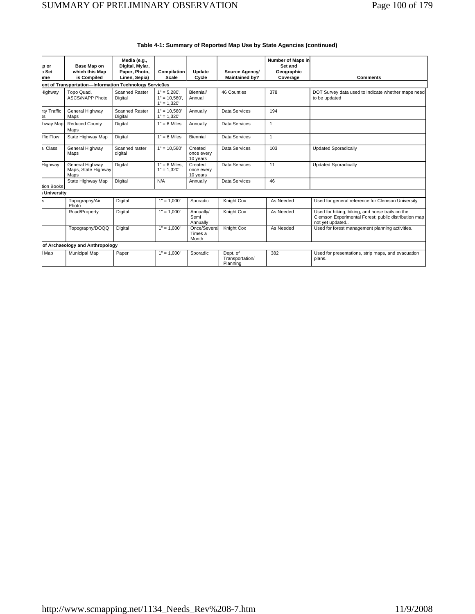| ip or                                                  | Base Map on                                    | Media (e.g.,<br>Digital, Mylar,  |                                                     |                                   |                                         | Number of Maps in<br>Set and |                                                                                                                             |  |  |
|--------------------------------------------------------|------------------------------------------------|----------------------------------|-----------------------------------------------------|-----------------------------------|-----------------------------------------|------------------------------|-----------------------------------------------------------------------------------------------------------------------------|--|--|
| p Set                                                  | which this Map<br>is Compiled                  | Paper, Photo,<br>Linen, Sepia)   | Compilation<br>Scale                                | Update<br>Cycle                   | Source Agency/<br><b>Maintained by?</b> | Geographic<br>Coverage       | <b>Comments</b>                                                                                                             |  |  |
| ame                                                    |                                                |                                  |                                                     |                                   |                                         |                              |                                                                                                                             |  |  |
| ent of Transportation-Information Technology Servic3es |                                                |                                  |                                                     |                                   |                                         |                              |                                                                                                                             |  |  |
| Highway                                                | Topo Quad,<br><b>ASCS/NAPP Photo</b>           | <b>Scanned Raster</b><br>Digital | $1" = 5,280'$ ,<br>$1" = 10.560'.$<br>$1" = 1,320'$ | Biennial/<br>Annual               | 46 Counties                             | 378                          | DOT Survey data used to indicate whether maps need<br>to be updated                                                         |  |  |
| <b>hty Traffic</b><br>)S                               | General Highway<br>Maps                        | <b>Scanned Raster</b><br>Digital | $1" = 10.560'$<br>$1" = 1,320'$                     | Annually                          | Data Services                           | 194                          |                                                                                                                             |  |  |
| hway Map                                               | <b>Reduced County</b><br>Maps                  | Digital                          | $1" = 6$ Miles                                      | Annually                          | Data Services                           | $\overline{1}$               |                                                                                                                             |  |  |
| ffic Flow                                              | State Highway Map                              | Digital                          | $1" = 6$ Miles                                      | Biennial                          | Data Services                           | $\overline{1}$               |                                                                                                                             |  |  |
| al Class                                               | General Highway<br>Maps                        | Scanned raster<br>digital        | $1" = 10,560'$                                      | Created<br>once every<br>10 years | Data Services                           | 103                          | <b>Updated Sporadically</b>                                                                                                 |  |  |
| Highway                                                | General Highway<br>Maps, State Highway<br>Maps | Digital                          | $1" = 6$ Miles,<br>$1" = 1.320'$                    | Created<br>once every<br>10 years | Data Services                           | 11                           | <b>Updated Sporadically</b>                                                                                                 |  |  |
| tion Books                                             | State Highway Map                              | Digital                          | N/A                                                 | Annually                          | Data Services                           | 46                           |                                                                                                                             |  |  |
| I University                                           |                                                |                                  |                                                     |                                   |                                         |                              |                                                                                                                             |  |  |
| s                                                      | Topography/Air<br>Photo                        | Digital                          | $1" = 1,000'$                                       | Sporadic                          | Knight Cox                              | As Needed                    | Used for general reference for Clemson University                                                                           |  |  |
|                                                        | Road/Property                                  | Digital                          | $1" = 1,000'$                                       | Annually/<br>Semi<br>Annually     | Knight Cox                              | As Needed                    | Used for hiking, biking, and horse trails on the<br>Clemson Experimental Forest; public distribution map<br>not yet updated |  |  |
|                                                        | Topography/DOQQ                                | Digital                          | $1" = 1.000'$                                       | Once/Several<br>Times a<br>Month  | Knight Cox                              | As Needed                    | Used for forest management planning activities.                                                                             |  |  |
|                                                        | of Archaeology and Anthropology                |                                  |                                                     |                                   |                                         |                              |                                                                                                                             |  |  |
| I Map                                                  | Municipal Map                                  | Paper                            | $1" = 1,000'$                                       | Sporadic                          | Dept. of<br>Transportation/<br>Planning | 382                          | Used for presentations, strip maps, and evacuation<br>plans.                                                                |  |  |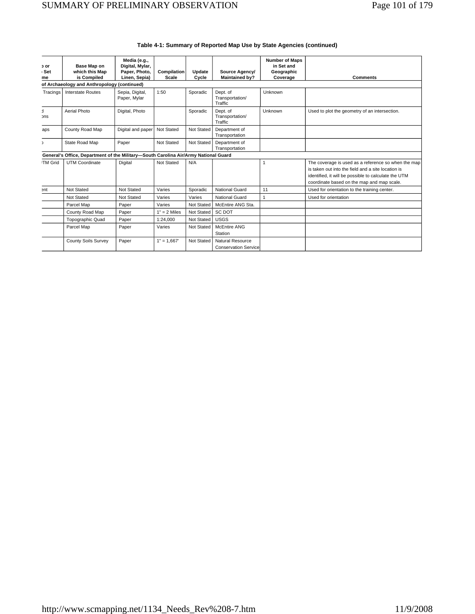| or.<br>Set<br>me | Base Map on<br>which this Map<br>is Compiled                                        | Media (e.g.,<br>Digital, Mylar,<br>Paper, Photo,<br>Linen, Sepia) | Compilation<br>Scale | Update<br>Cycle | Source Agency/<br><b>Maintained by?</b>         | <b>Number of Maps</b><br>in Set and<br>Geographic<br>Coverage | <b>Comments</b>                                                                                                                                                                                                 |
|------------------|-------------------------------------------------------------------------------------|-------------------------------------------------------------------|----------------------|-----------------|-------------------------------------------------|---------------------------------------------------------------|-----------------------------------------------------------------------------------------------------------------------------------------------------------------------------------------------------------------|
|                  | of Archaeology and Anthropology (continued)                                         |                                                                   |                      |                 |                                                 |                                                               |                                                                                                                                                                                                                 |
| Tracings         | <b>Interstate Routes</b>                                                            | Sepia, Digital,<br>Paper, Mylar                                   | 1:50                 | Sporadic        | Dept. of<br>Transportation/<br>Traffic          | Unknown                                                       |                                                                                                                                                                                                                 |
| t.<br>ons        | Aerial Photo                                                                        | Digital, Photo                                                    |                      | Sporadic        | Dept. of<br>Transportation/<br>Traffic          | Unknown                                                       | Used to plot the geometry of an intersection.                                                                                                                                                                   |
| aps              | County Road Map                                                                     | Digital and paper                                                 | Not Stated           | Not Stated      | Department of<br>Transportation                 |                                                               |                                                                                                                                                                                                                 |
| $\mathcal{L}$    | State Road Map                                                                      | Paper                                                             | Not Stated           | Not Stated      | Department of<br>Transportation                 |                                                               |                                                                                                                                                                                                                 |
|                  | General's Office, Department of the Military-South Carolina Air/Army National Guard |                                                                   |                      |                 |                                                 |                                                               |                                                                                                                                                                                                                 |
| <b>TM Grid</b>   | <b>UTM Coordinate</b>                                                               | Digital                                                           | Not Stated           | N/A             |                                                 | $\mathbf{1}$                                                  | The coverage is used as a reference so when the map<br>is taken out into the field and a site location is<br>identified, it will be possible to calculate the UTM<br>coordinate based on the map and map scale. |
| ent              | Not Stated                                                                          | Not Stated                                                        | Varies               | Sporadic        | National Guard                                  | 11                                                            | Used for orientation to the training center.                                                                                                                                                                    |
|                  | Not Stated                                                                          | Not Stated                                                        | Varies               | Varies          | <b>National Guard</b>                           | $\mathbf{1}$                                                  | Used for orientation                                                                                                                                                                                            |
|                  | Parcel Map                                                                          | Paper                                                             | Varies               | Not Stated      | McEntire ANG Sta.                               |                                                               |                                                                                                                                                                                                                 |
|                  | County Road Map                                                                     | Paper                                                             | $1" = 2$ Miles       | Not Stated      | <b>SC DOT</b>                                   |                                                               |                                                                                                                                                                                                                 |
|                  | <b>Topographic Quad</b>                                                             | Paper                                                             | 1:24,000             | Not Stated      | <b>USGS</b>                                     |                                                               |                                                                                                                                                                                                                 |
|                  | Parcel Map                                                                          | Paper                                                             | Varies               | Not Stated      | <b>McEntire ANG</b><br>Station                  |                                                               |                                                                                                                                                                                                                 |
|                  | <b>County Soils Survey</b>                                                          | Paper                                                             | $1" = 1.667'$        | Not Stated      | Natural Resource<br><b>Conservation Service</b> |                                                               |                                                                                                                                                                                                                 |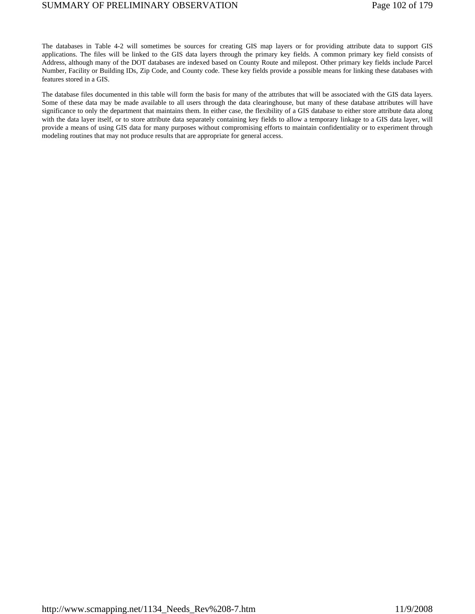The databases in Table 4-2 will sometimes be sources for creating GIS map layers or for providing attribute data to support GIS applications. The files will be linked to the GIS data layers through the primary key fields. A common primary key field consists of Address, although many of the DOT databases are indexed based on County Route and milepost. Other primary key fields include Parcel Number, Facility or Building IDs, Zip Code, and County code. These key fields provide a possible means for linking these databases with features stored in a GIS.

The database files documented in this table will form the basis for many of the attributes that will be associated with the GIS data layers. Some of these data may be made available to all users through the data clearinghouse, but many of these database attributes will have significance to only the department that maintains them. In either case, the flexibility of a GIS database to either store attribute data along with the data layer itself, or to store attribute data separately containing key fields to allow a temporary linkage to a GIS data layer, will provide a means of using GIS data for many purposes without compromising efforts to maintain confidentiality or to experiment through modeling routines that may not produce results that are appropriate for general access.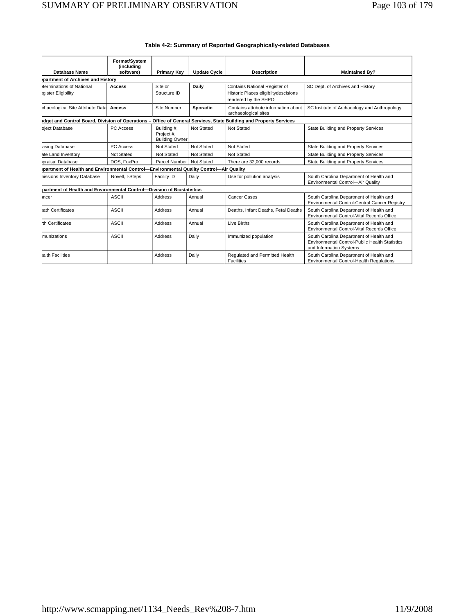| Table 4-2: Summary of Reported Geographically-related Databases |  |  |  |
|-----------------------------------------------------------------|--|--|--|
|                                                                 |  |  |  |

|                                                                                        | Format/System           |                                                    |                     |                                                                  |                                                                                                                             |  |  |  |  |
|----------------------------------------------------------------------------------------|-------------------------|----------------------------------------------------|---------------------|------------------------------------------------------------------|-----------------------------------------------------------------------------------------------------------------------------|--|--|--|--|
| Database Name                                                                          | (including<br>software) | <b>Primary Key</b>                                 | <b>Update Cycle</b> | <b>Description</b>                                               | <b>Maintained By?</b>                                                                                                       |  |  |  |  |
| partment of Archives and History                                                       |                         |                                                    |                     |                                                                  |                                                                                                                             |  |  |  |  |
| eterminations of National                                                              | <b>Access</b>           | Site or                                            | Daily               | Contains National Register of                                    | SC Dept. of Archives and History                                                                                            |  |  |  |  |
| egister Eligibility                                                                    |                         | Structure ID                                       |                     | Historic Places eligibiltydescisions<br>rendered by the SHPO     |                                                                                                                             |  |  |  |  |
| chaeological Site Attribute Data                                                       | Access                  | Site Number                                        | <b>Sporadic</b>     | Contains attribute information about<br>archaeological sites     | SC Institute of Archaeology and Anthropology                                                                                |  |  |  |  |
| idget and Control Board, Division of Operations -                                      |                         |                                                    |                     | Office of General Services, State Building and Property Services |                                                                                                                             |  |  |  |  |
| oject Database                                                                         | PC Access               | Building #,<br>Project #,<br><b>Building Owner</b> | Not Stated          | Not Stated                                                       | State Building and Property Services                                                                                        |  |  |  |  |
| asing Database                                                                         | PC Access               | Not Stated                                         | Not Stated          | Not Stated                                                       | State Building and Property Services                                                                                        |  |  |  |  |
| ate Land Inventory                                                                     | Not Stated              | Not Stated                                         | Not Stated          | Not Stated                                                       | State Building and Property Services                                                                                        |  |  |  |  |
| praisal Database                                                                       | DOS. FoxPro             | Parcel Number   Not Stated                         |                     | There are 32,000 records.                                        | State Building and Property Services                                                                                        |  |  |  |  |
| partment of Health and Environmental Control-Environmental Quality Control-Air Quality |                         |                                                    |                     |                                                                  |                                                                                                                             |  |  |  |  |
| nissions Inventory Database                                                            | Novell, I-Steps         | Facility ID                                        | Daily               | Use for pollution analysis                                       | South Carolina Department of Health and<br>Environmental Control-Air Quality                                                |  |  |  |  |
| partment of Health and Environmental Control-Division of Biostatistics                 |                         |                                                    |                     |                                                                  |                                                                                                                             |  |  |  |  |
| ancer                                                                                  | <b>ASCII</b>            | Address                                            | Annual              | Cancer Cases                                                     | South Carolina Department of Health and<br>Environmental Control-Central Cancer Registry                                    |  |  |  |  |
| sath Certificates                                                                      | <b>ASCII</b>            | Address                                            | Annual              | Deaths, Infant Deaths, Fetal Deaths                              | South Carolina Department of Health and<br>Environmental Control-Vital Records Office                                       |  |  |  |  |
| th Certificates                                                                        | ASCII                   | Address                                            | Annual              | Live Births                                                      | South Carolina Department of Health and<br>Environmental Control-Vital Records Office                                       |  |  |  |  |
| munizations                                                                            | ASCII                   | <b>Address</b>                                     | Daily               | Immunized population                                             | South Carolina Department of Health and<br><b>Environmental Control-Public Health Statistics</b><br>and Information Systems |  |  |  |  |
| salth Facilities                                                                       |                         | <b>Address</b>                                     | Daily               | Regulated and Permitted Health<br>Facilities                     | South Carolina Department of Health and<br><b>Environmental Control-Health Regulations</b>                                  |  |  |  |  |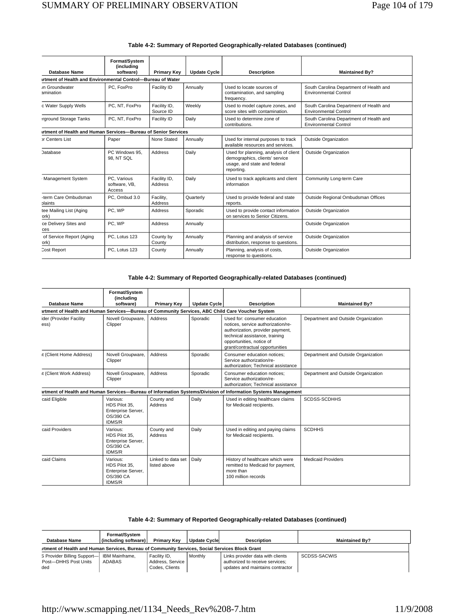| Database Name                                                  | Format/System<br>(including<br>software) | <b>Update Cycle</b><br><b>Primary Key</b><br><b>Description</b> |           |                                                                                                                       | <b>Maintained By?</b>                                                   |  |  |  |  |  |
|----------------------------------------------------------------|------------------------------------------|-----------------------------------------------------------------|-----------|-----------------------------------------------------------------------------------------------------------------------|-------------------------------------------------------------------------|--|--|--|--|--|
| irtment of Health and Environmental Control-Bureau of Water    |                                          |                                                                 |           |                                                                                                                       |                                                                         |  |  |  |  |  |
| <i>In</i> Groundwater<br>amination                             | PC, FoxPro                               | Facility ID                                                     | Annually  | Used to locate sources of<br>contamination, and sampling<br>frequency.                                                | South Carolina Department of Health and<br><b>Environmental Control</b> |  |  |  |  |  |
| c Water Supply Wells                                           | PC, NT, FoxPro                           | Facility ID,<br>Source ID                                       | Weekly    | Used to model capture zones, and<br>score sites with contamination.                                                   | South Carolina Department of Health and<br><b>Environmental Control</b> |  |  |  |  |  |
| rground Storage Tanks                                          | PC, NT, FoxPro                           | Facility ID                                                     | Daily     | Used to determine zone of<br>contributions.                                                                           | South Carolina Department of Health and<br><b>Environmental Control</b> |  |  |  |  |  |
| irtment of Health and Human Services-Bureau of Senior Services |                                          |                                                                 |           |                                                                                                                       |                                                                         |  |  |  |  |  |
| or Centers List                                                | Paper                                    | None Stated                                                     | Annually  | Used for internal purposes to track<br>available resources and services.                                              | <b>Outside Organization</b>                                             |  |  |  |  |  |
| <b>Database</b>                                                | PC Windows 95.<br>98. NT SQL             | <b>Address</b>                                                  | Daily     | Used for planning, analysis of client<br>demographics, clients' service<br>usage, and state and federal<br>reporting. | <b>Outside Organization</b>                                             |  |  |  |  |  |
| <b>Management System</b>                                       | PC. Various<br>software, VB,<br>Access   | Facility ID,<br><b>Address</b>                                  | Daily     | Used to track applicants and client<br>information                                                                    | Community Long-term Care                                                |  |  |  |  |  |
| -term Care Ombudsman<br>plaints                                | PC, Ombud 3.0                            | Facility,<br>Address                                            | Quarterly | Used to provide federal and state<br>reports.                                                                         | Outside Regional Ombudsman Offices                                      |  |  |  |  |  |
| tee Mailing List (Aging<br>ork)                                | PC, WP                                   | Address                                                         | Sporadic  | Used to provide contact information<br>on services to Senior Citizens.                                                | <b>Outside Organization</b>                                             |  |  |  |  |  |
| ce Delivery Sites and<br>ces                                   | PC, WP                                   | <b>Address</b>                                                  | Annually  |                                                                                                                       | <b>Outside Organization</b>                                             |  |  |  |  |  |
| of Service Report (Aging<br>ork)                               | PC, Lotus 123                            | County by<br>County                                             | Annually  | Planning and analysis of service<br>distribution, response to questions.                                              | Outside Organization                                                    |  |  |  |  |  |
| <b>Cost Report</b>                                             | PC. Lotus 123                            | County                                                          | Annually  | Planning, analysis of costs,<br>response to questions.                                                                | <b>Outside Organization</b>                                             |  |  |  |  |  |

### **Table 4-2: Summary of Reported Geographically-related Databases (continued)**

### **Table 4-2: Summary of Reported Geographically-related Databases (continued)**

| Database Name                   | Format/System<br>(including<br>software)                                                         | <b>Primary Key</b>                 | <b>Update Cycle</b> | <b>Description</b>                                                                                                                                                                                      | <b>Maintained By?</b>               |  |  |
|---------------------------------|--------------------------------------------------------------------------------------------------|------------------------------------|---------------------|---------------------------------------------------------------------------------------------------------------------------------------------------------------------------------------------------------|-------------------------------------|--|--|
|                                 | artment of Health and Human Services-Bureau of Community Services, ABC Child Care Voucher System |                                    |                     |                                                                                                                                                                                                         |                                     |  |  |
| ider (Provider Facility<br>ess) | Novell Groupware,<br>Clipper                                                                     | Address                            | Sporadic            | Used for: consumer education<br>notices, service authorization/re-<br>authorization, provider payment,<br>technical assistance, training<br>opportunities, notice of<br>grant/contractual opportunities | Department and Outside Organization |  |  |
| it (Client Home Address)        | Novell Groupware,<br>Clipper                                                                     | Address                            | Sporadic            | Consumer education notices:<br>Service authorization/re-<br>authorization; Technical assistance                                                                                                         | Department and Outside Organization |  |  |
| it (Client Work Address)        | Novell Groupware,<br>Clipper                                                                     | Address                            | Sporadic            | Consumer education notices:<br>Service authorization/re-<br>authorization; Technical assistance                                                                                                         | Department and Outside Organization |  |  |
|                                 |                                                                                                  |                                    |                     | artment of Health and Human Services-Bureau of Information Systems/Division of Information Systems Management                                                                                           |                                     |  |  |
| caid Eligible                   | Various:<br>HDS Pilot 35.<br>Enterprise Server,<br>OS/390 CA<br><b>IDMS/R</b>                    | County and<br>Address              | Daily               | Used in editing healthcare claims<br>for Medicaid recipients.                                                                                                                                           | SCDSS-SCDHHS                        |  |  |
| caid Providers                  | Various:<br>HDS Pilot 35.<br>Enterprise Server,<br>OS/390 CA<br><b>IDMS/R</b>                    | County and<br>Address              | Daily               | Used in editing and paying claims<br>for Medicaid recipients.                                                                                                                                           | <b>SCDHHS</b>                       |  |  |
| caid Claims                     | Various:<br>HDS Pilot 35.<br>Enterprise Server,<br>OS/390 CA<br><b>IDMS/R</b>                    | Linked to data set<br>listed above | Daily               | History of healthcare which were<br>remitted to Medicaid for payment,<br>more than<br>100 million records                                                                                               | <b>Medicaid Providers</b>           |  |  |

### **Table 4-2: Summary of Reported Geographically-related Databases (continued)**

| Database Name                                                                                  | Format/System<br>(including software) | <b>Primary Key</b>                                 | <b>Update Cycle</b> | <b>Description</b>                                                                                      | <b>Maintained By?</b> |
|------------------------------------------------------------------------------------------------|---------------------------------------|----------------------------------------------------|---------------------|---------------------------------------------------------------------------------------------------------|-----------------------|
| rtment of Health and Human Services, Bureau of Community Services, Social Services Block Grant |                                       |                                                    |                     |                                                                                                         |                       |
| S Provider Billing Support-<br>Post-DHHS Post Units<br>ded                                     | <b>IBM Mainframe.</b><br>ADABAS       | Facility ID.<br>Address, Service<br>Codes, Clients | Monthly             | Links provider data with clients<br>authorized to receive services:<br>updates and maintains contractor | SCDSS-SACWIS          |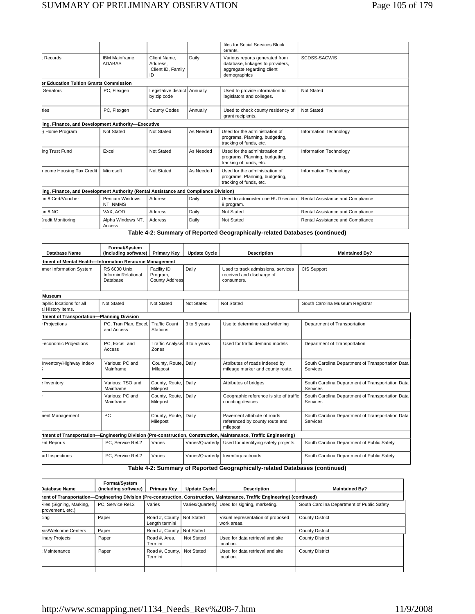|                                                                                      |                                 |                                                     |           | files for Social Services Block<br>Grants.                                                                       |                                  |
|--------------------------------------------------------------------------------------|---------------------------------|-----------------------------------------------------|-----------|------------------------------------------------------------------------------------------------------------------|----------------------------------|
| t Records                                                                            | IBM Mainframe.<br><b>ADABAS</b> | Client Name.<br>Address.<br>Client ID, Family<br>ID | Daily     | Various reports generated from<br>database, linkages to providers,<br>aggregate regarding client<br>demographics | SCDSS-SACWIS                     |
| er Education Tuition Grants Commission                                               |                                 |                                                     |           |                                                                                                                  |                                  |
| Senators                                                                             | PC, Flexgen                     | Legislative district Annually<br>by zip code        |           | Used to provide information to<br>legislators and colleges.                                                      | Not Stated                       |
| ties                                                                                 | PC, Flexgen                     | <b>County Codes</b>                                 | Annually  | Used to check county residency of<br>grant recipients.                                                           | Not Stated                       |
| ing, Finance, and Development Authority-Executive                                    |                                 |                                                     |           |                                                                                                                  |                                  |
| I) Home Program                                                                      | Not Stated                      | Not Stated                                          | As Needed | Used for the administration of<br>programs. Planning, budgeting,<br>tracking of funds, etc.                      | Information Technology           |
| ing Trust Fund                                                                       | Excel                           | Not Stated                                          | As Needed | Used for the administration of<br>programs. Planning, budgeting,<br>tracking of funds, etc.                      | Information Technology           |
| ncome Housing Tax Credit                                                             | Microsoft                       | Not Stated                                          | As Needed | Used for the administration of<br>programs. Planning, budgeting,<br>tracking of funds, etc.                      | Information Technology           |
| ling, Finance, and Development Authority (Rental Assistance and Compliance Division) |                                 |                                                     |           |                                                                                                                  |                                  |
| on 8 Cert/Voucher                                                                    | Pentium Windows<br>NT, NMMS     | <b>Address</b>                                      | Daily     | Used to administer one HUD section<br>8 program.                                                                 | Rental Assistance and Compliance |
| on 8 NC                                                                              | VAX. AOD                        | <b>Address</b>                                      | Daily     | Not Stated                                                                                                       | Rental Assistance and Compliance |
| Credit Monitoring                                                                    | Alpha Windows NT,<br>Access     | <b>Address</b>                                      | Daily     | <b>Not Stated</b>                                                                                                | Rental Assistance and Compliance |

**Table 4-2: Summary of Reported Geographically-related Databases (continued)** 

| <b>Database Name</b>                                   | Format/System<br>(including software)                   | <b>Primary Key</b>                               | <b>Update Cycle</b> | <b>Description</b>                                                                                              | <b>Maintained By?</b>                                        |
|--------------------------------------------------------|---------------------------------------------------------|--------------------------------------------------|---------------------|-----------------------------------------------------------------------------------------------------------------|--------------------------------------------------------------|
| tment of Mental Health-Information Resource Management |                                                         |                                                  |                     |                                                                                                                 |                                                              |
| <b>Imer Information System</b>                         | RS 6000 Unix.<br><b>Informix Relational</b><br>Database | Facility ID<br>Program,<br><b>County Address</b> | Daily               | Used to track admissions, services<br>received and discharge of<br>consumers.                                   | <b>CIS Support</b>                                           |
| <b>Museum</b>                                          |                                                         |                                                  |                     |                                                                                                                 |                                                              |
| aphic locations for all<br>al History items.           | Not Stated                                              | Not Stated                                       | Not Stated          | Not Stated                                                                                                      | South Carolina Museum Registrar                              |
| tment of Transportation-Planning Division              |                                                         |                                                  |                     |                                                                                                                 |                                                              |
| Projections                                            | PC, Tran Plan, Excel,<br>and Access                     | <b>Traffic Count</b><br><b>Stations</b>          | 3 to 5 years        | Use to determine road widening                                                                                  | Department of Transportation                                 |
| I-economic Projections                                 | PC, Excel, and<br>Access                                | Traffic Analysis 3 to 5 years<br>Zones           |                     | Used for traffic demand models                                                                                  | Department of Transportation                                 |
| Inventory/Highway Index/                               | Various: PC and<br>Mainframe                            | County, Route,<br>Milepost                       | Daily               | Attributes of roads indexed by<br>mileage marker and county route.                                              | South Carolina Department of Transportation Data<br>Services |
| a Inventory                                            | Various: TSO and<br>Mainframe                           | County, Route,<br>Milepost                       | Daily               | Attributes of bridges                                                                                           | South Carolina Department of Transportation Data<br>Services |
|                                                        | Various: PC and<br>Mainframe                            | County, Route,<br>Milepost                       | Daily               | Geographic reference is site of traffic<br>counting devices                                                     | South Carolina Department of Transportation Data<br>Services |
| nent Management                                        | PC                                                      | County, Route,<br>Milepost                       | Daily               | Pavement attribute of roads<br>referenced by county route and<br>milepost.                                      | South Carolina Department of Transportation Data<br>Services |
|                                                        |                                                         |                                                  |                     | tment of Transportation-Engineering Division (Pre-construction, Construction, Maintenance, Traffic Engineering) |                                                              |
| ent Reports                                            | PC, Service Rel.2                                       | Varies                                           | Varies/Quarterly    | Used for identifying safety projects.                                                                           | South Carolina Department of Public Safety                   |
| ad Inspections                                         | PC. Service Rel.2                                       | Varies                                           | Varies/Quarterly    | Inventory railroads.                                                                                            | South Carolina Department of Public Safety                   |

### **Table 4-2: Summary of Reported Geographically-related Databases (continued)**

| <b>Database Name</b>                         | Format/System<br>(including software) | <b>Primary Key</b>                      | Update Cycle | <b>Description</b>                                                                                                         | <b>Maintained By?</b>                      |
|----------------------------------------------|---------------------------------------|-----------------------------------------|--------------|----------------------------------------------------------------------------------------------------------------------------|--------------------------------------------|
|                                              |                                       |                                         |              | nent of Transportation—Engineering Division (Pre-construction, Construction, Maintenance, Traffic Engineering) (continued) |                                            |
| Files (Signing, Marking,<br>provement, etc.) | PC. Service Rel.2                     | Varies                                  |              | Varies/Quarterly Used for signing, marketing.                                                                              | South Carolina Department of Public Safety |
| cing                                         | Paper                                 | Road #, County<br>Length termini        | Not Stated   | Visual representation of proposed<br>work areas.                                                                           | <b>County District</b>                     |
| as/Welcome Centers                           | Paper                                 | Road #, County                          | Not Stated   |                                                                                                                            | <b>County District</b>                     |
| linary Projects                              | Paper                                 | Road #. Area.<br>Termini                | Not Stated   | Used for data retrieval and site<br>location.                                                                              | <b>County District</b>                     |
| : Maintenance                                | Paper                                 | Road #, County,   Not Stated<br>Termini |              | Used for data retrieval and site<br>location.                                                                              | <b>County District</b>                     |
|                                              |                                       |                                         |              |                                                                                                                            |                                            |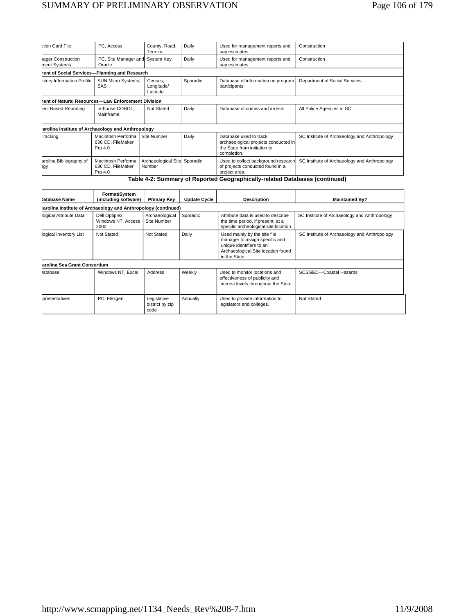# SUMMARY OF PRELIMINARY OBSERVATION Page 106 of 179

| ction Card File                                                             | PC, Access                                           | County, Road,<br>Termini                | Daily    | Used for management reports and<br>pay estimates.                                                             | Construction                                 |
|-----------------------------------------------------------------------------|------------------------------------------------------|-----------------------------------------|----------|---------------------------------------------------------------------------------------------------------------|----------------------------------------------|
| hager Construction<br>ment Systems                                          | PC, Site Manager and System Key<br>Oracle            |                                         | Daily    | Used for management reports and<br>pay estimates.                                                             | Construction                                 |
| nent of Social Services-Planning and Research                               |                                                      |                                         |          |                                                                                                               |                                              |
| istory Information Profile                                                  | <b>SUN Micro Systems,</b><br>SAS                     | Census.<br>Longitude/<br>Latitude       | Sporadic | Database of information on program<br>participants                                                            | Department of Social Services                |
| nent of Natural Resources-Law Enforcement Division                          |                                                      |                                         |          |                                                                                                               |                                              |
| lent Based Reporting                                                        | In-house COBOL,<br>Mainframe                         | Not Stated                              | Daily    | Database of crimes and arrests                                                                                | All Police Agencies in SC                    |
| arolina Institute of Archaeology and Anthropology                           |                                                      |                                         |          |                                                                                                               |                                              |
| <b>Fracking</b>                                                             | Macintosh Performa<br>636 CD, FileMaker<br>Pro $4.0$ | Site Number                             | Daily    | Database used to track<br>archaeological projects conducted in<br>the State from initiation to<br>completion. | SC Institute of Archaeology and Anthropology |
| arolina Bibliography of<br><b>ogy</b>                                       | Macintosh Performa<br>636 CD, FileMaker<br>Pro 4.0   | Archaeological Sitel Sporadic<br>Number |          | Used to collect background research<br>of projects conducted found in a<br>project area.                      | SC Institute of Archaeology and Anthropology |
| Table 4-2: Summary of Reported Geographically-related Databases (continued) |                                                      |                                         |          |                                                                                                               |                                              |

| Jatabase Name                                                  | Format/System<br>(including software)        | <b>Primary Kev</b>                     | <b>Update Cycle</b> | <b>Description</b>                                                                                                                                | <b>Maintained Bv?</b>                        |
|----------------------------------------------------------------|----------------------------------------------|----------------------------------------|---------------------|---------------------------------------------------------------------------------------------------------------------------------------------------|----------------------------------------------|
| :arolina Institute of Archaeology and Anthropology (continued) |                                              |                                        |                     |                                                                                                                                                   |                                              |
| logical Attribute Data                                         | Dell Optiplex,<br>Windows NT, Access<br>2000 | Archaeological<br>Site Number          | Sporadic            | Attribute data is used to describe<br>the time period, if present, at a<br>specific archeological site location.                                  | SC Institute of Archaeology and Anthropology |
| logical Inventory List                                         | Not Stated                                   | Not Stated                             | Daily               | Used mainly by the site file<br>manager to assign specific and<br>unique identifiers to an<br>Archaeological Site location found<br>in the State. | SC Institute of Archaeology and Anthropology |
| arolina Sea Grant Consortium                                   |                                              |                                        |                     |                                                                                                                                                   |                                              |
| atabase                                                        | Windows NT. Excel                            | Address                                | Weekly              | Used to monitor locations and<br>effectiveness of publicity and<br>interest levels throughout the State.                                          | SCSGED-Coastal Hazards                       |
| presentatives                                                  | PC, Flexgen                                  | Legislative<br>district by zip<br>code | Annually            | Used to provide information to<br>legislators and colleges.                                                                                       | Not Stated                                   |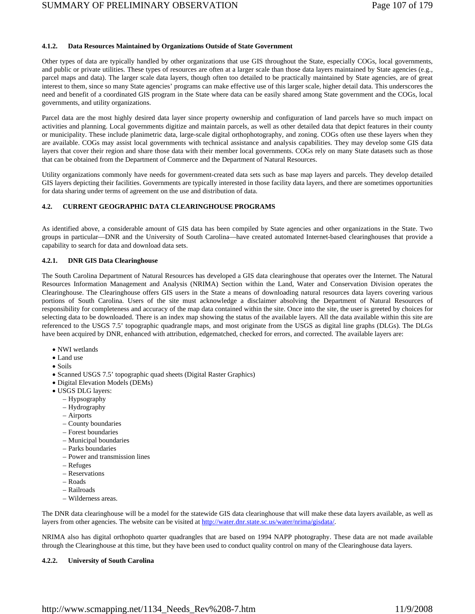### **4.1.2. Data Resources Maintained by Organizations Outside of State Government**

Other types of data are typically handled by other organizations that use GIS throughout the State, especially COGs, local governments, and public or private utilities. These types of resources are often at a larger scale than those data layers maintained by State agencies (e.g., parcel maps and data). The larger scale data layers, though often too detailed to be practically maintained by State agencies, are of great interest to them, since so many State agencies' programs can make effective use of this larger scale, higher detail data. This underscores the need and benefit of a coordinated GIS program in the State where data can be easily shared among State government and the COGs, local governments, and utility organizations.

Parcel data are the most highly desired data layer since property ownership and configuration of land parcels have so much impact on activities and planning. Local governments digitize and maintain parcels, as well as other detailed data that depict features in their county or municipality. These include planimetric data, large-scale digital orthophotography, and zoning. COGs often use these layers when they are available. COGs may assist local governments with technical assistance and analysis capabilities. They may develop some GIS data layers that cover their region and share those data with their member local governments. COGs rely on many State datasets such as those that can be obtained from the Department of Commerce and the Department of Natural Resources.

Utility organizations commonly have needs for government-created data sets such as base map layers and parcels. They develop detailed GIS layers depicting their facilities. Governments are typically interested in those facility data layers, and there are sometimes opportunities for data sharing under terms of agreement on the use and distribution of data.

### **4.2. CURRENT GEOGRAPHIC DATA CLEARINGHOUSE PROGRAMS**

As identified above, a considerable amount of GIS data has been compiled by State agencies and other organizations in the State. Two groups in particular—DNR and the University of South Carolina—have created automated Internet-based clearinghouses that provide a capability to search for data and download data sets.

### **4.2.1. DNR GIS Data Clearinghouse**

The South Carolina Department of Natural Resources has developed a GIS data clearinghouse that operates over the Internet. The Natural Resources Information Management and Analysis (NRIMA) Section within the Land, Water and Conservation Division operates the Clearinghouse. The Clearinghouse offers GIS users in the State a means of downloading natural resources data layers covering various portions of South Carolina. Users of the site must acknowledge a disclaimer absolving the Department of Natural Resources of responsibility for completeness and accuracy of the map data contained within the site. Once into the site, the user is greeted by choices for selecting data to be downloaded. There is an index map showing the status of the available layers. All the data available within this site are referenced to the USGS 7.5' topographic quadrangle maps, and most originate from the USGS as digital line graphs (DLGs). The DLGs have been acquired by DNR, enhanced with attribution, edgematched, checked for errors, and corrected. The available layers are:

- NWI wetlands
- Land use
- Soils
- Scanned USGS 7.5' topographic quad sheets (Digital Raster Graphics)
- Digital Elevation Models (DEMs)
- USGS DLG layers:
	- Hypsography
	- Hydrography
	- Airports
	- County boundaries
	- Forest boundaries
	- Municipal boundaries
	- Parks boundaries
	- Power and transmission lines
	- Refuges
	- Reservations
	- Roads
	- Railroads
	- Wilderness areas.

The DNR data clearinghouse will be a model for the statewide GIS data clearinghouse that will make these data layers available, as well as layers from other agencies. The website can be visited at http://water.dnr.state.sc.us/water/nrima/gisdata/.

NRIMA also has digital orthophoto quarter quadrangles that are based on 1994 NAPP photography. These data are not made available through the Clearinghouse at this time, but they have been used to conduct quality control on many of the Clearinghouse data layers.

### **4.2.2. University of South Carolina**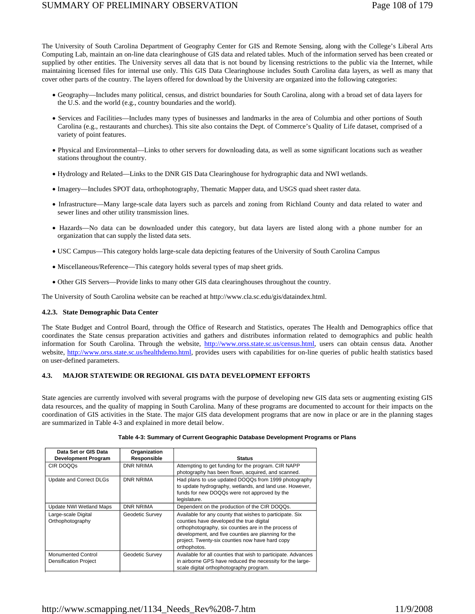## SUMMARY OF PRELIMINARY OBSERVATION Page 108 of 179

The University of South Carolina Department of Geography Center for GIS and Remote Sensing, along with the College's Liberal Arts Computing Lab, maintain an on-line data clearinghouse of GIS data and related tables. Much of the information served has been created or supplied by other entities. The University serves all data that is not bound by licensing restrictions to the public via the Internet, while maintaining licensed files for internal use only. This GIS Data Clearinghouse includes South Carolina data layers, as well as many that cover other parts of the country. The layers offered for download by the University are organized into the following categories:

- Geography—Includes many political, census, and district boundaries for South Carolina, along with a broad set of data layers for the U.S. and the world (e.g., country boundaries and the world).
- Services and Facilities—Includes many types of businesses and landmarks in the area of Columbia and other portions of South Carolina (e.g., restaurants and churches). This site also contains the Dept. of Commerce's Quality of Life dataset, comprised of a variety of point features.
- Physical and Environmental—Links to other servers for downloading data, as well as some significant locations such as weather stations throughout the country.
- Hydrology and Related—Links to the DNR GIS Data Clearinghouse for hydrographic data and NWI wetlands.
- Imagery—Includes SPOT data, orthophotography, Thematic Mapper data, and USGS quad sheet raster data.
- Infrastructure—Many large-scale data layers such as parcels and zoning from Richland County and data related to water and sewer lines and other utility transmission lines.
- Hazards—No data can be downloaded under this category, but data layers are listed along with a phone number for an organization that can supply the listed data sets.
- USC Campus—This category holds large-scale data depicting features of the University of South Carolina Campus
- Miscellaneous/Reference—This category holds several types of map sheet grids.
- Other GIS Servers—Provide links to many other GIS data clearinghouses throughout the country.

The University of South Carolina website can be reached at http://www.cla.sc.edu/gis/dataindex.html.

### **4.2.3. State Demographic Data Center**

The State Budget and Control Board, through the Office of Research and Statistics, operates The Health and Demographics office that coordinates the State census preparation activities and gathers and distributes information related to demographics and public health information for South Carolina. Through the website, http://www.orss.state.sc.us/census.html, users can obtain census data. Another website, http://www.orss.state.sc.us/healthdemo.html, provides users with capabilities for on-line queries of public health statistics based on user-defined parameters.

### **4.3. MAJOR STATEWIDE OR REGIONAL GIS DATA DEVELOPMENT EFFORTS**

State agencies are currently involved with several programs with the purpose of developing new GIS data sets or augmenting existing GIS data resources, and the quality of mapping in South Carolina. Many of these programs are documented to account for their impacts on the coordination of GIS activities in the State. The major GIS data development programs that are now in place or are in the planning stages are summarized in Table 4-3 and explained in more detail below.

| Data Set or GIS Data         | Organization     |                                                               |
|------------------------------|------------------|---------------------------------------------------------------|
| <b>Development Program</b>   | Responsible      | <b>Status</b>                                                 |
| CIR DOQQS                    | <b>DNR NRIMA</b> | Attempting to get funding for the program. CIR NAPP           |
|                              |                  | photography has been flown, acquired, and scanned.            |
| Update and Correct DLGs      | <b>DNR NRIMA</b> | Had plans to use updated DOQQs from 1999 photography          |
|                              |                  | to update hydrography, wetlands, and land use. However,       |
|                              |                  | funds for new DOQQs were not approved by the                  |
|                              |                  | legislature.                                                  |
| Update NWI Wetland Maps      | DNR NRIMA        | Dependent on the production of the CIR DOQQs.                 |
| Large-scale Digital          | Geodetic Survey  | Available for any county that wishes to participate. Six      |
| Orthophotography             |                  | counties have developed the true digital                      |
|                              |                  | orthophotography, six counties are in the process of          |
|                              |                  | development, and five counties are planning for the           |
|                              |                  | project. Twenty-six counties now have hard copy               |
|                              |                  | orthophotos.                                                  |
| <b>Monumented Control</b>    | Geodetic Survey  | Available for all counties that wish to participate. Advances |
| <b>Densification Project</b> |                  | in airborne GPS have reduced the necessity for the large-     |
|                              |                  | scale digital orthophotography program.                       |

### **Table 4-3: Summary of Current Geographic Database Development Programs or Plans**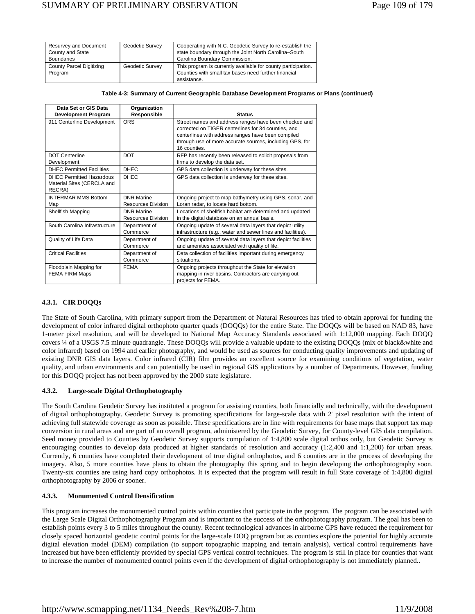| Resurvey and Document<br>County and State<br><b>Boundaries</b> | Geodetic Survey | Cooperating with N.C. Geodetic Survey to re-establish the<br>state boundary through the Joint North Carolina-South<br>Carolina Boundary Commission. |
|----------------------------------------------------------------|-----------------|-----------------------------------------------------------------------------------------------------------------------------------------------------|
| <b>County Parcel Digitizing</b>                                | Geodetic Survey | This program is currently available for county participation.                                                                                       |
| Program                                                        |                 | Counties with small tax bases need further financial                                                                                                |
|                                                                |                 | assistance.                                                                                                                                         |

#### **Table 4-3: Summary of Current Geographic Database Development Programs or Plans (continued)**

| Data Set or GIS Data                                                    | Organization                                   |                                                                                                                                                                                                                                                |
|-------------------------------------------------------------------------|------------------------------------------------|------------------------------------------------------------------------------------------------------------------------------------------------------------------------------------------------------------------------------------------------|
| <b>Development Program</b>                                              | Responsible                                    | <b>Status</b>                                                                                                                                                                                                                                  |
| 911 Centerline Development                                              | <b>ORS</b>                                     | Street names and address ranges have been checked and<br>corrected on TIGER centerlines for 34 counties, and<br>centerlines with address ranges have been compiled<br>through use of more accurate sources, including GPS, for<br>16 counties. |
| <b>DOT Centerline</b>                                                   | <b>DOT</b>                                     | RFP has recently been released to solicit proposals from                                                                                                                                                                                       |
| Development                                                             |                                                | firms to develop the data set.                                                                                                                                                                                                                 |
| <b>DHEC Permitted Facilities</b>                                        | <b>DHEC</b>                                    | GPS data collection is underway for these sites.                                                                                                                                                                                               |
| <b>DHEC Permitted Hazardous</b><br>Material Sites (CERCLA and<br>RECRA) | <b>DHEC</b>                                    | GPS data collection is underway for these sites.                                                                                                                                                                                               |
| <b>INTERMAR MMS Bottom</b><br>Map                                       | <b>DNR Marine</b><br>Resources Division        | Ongoing project to map bathymetry using GPS, sonar, and<br>Loran radar, to locate hard bottom.                                                                                                                                                 |
| Shellfish Mapping                                                       | <b>DNR Marine</b><br><b>Resources Division</b> | Locations of shellfish habitat are determined and updated<br>in the digital database on an annual basis.                                                                                                                                       |
| South Carolina Infrastructure                                           | Department of<br>Commerce                      | Ongoing update of several data layers that depict utility<br>infrastructure (e.g., water and sewer lines and facilities).                                                                                                                      |
| Quality of Life Data                                                    | Department of<br>Commerce                      | Ongoing update of several data layers that depict facilities<br>and amenities associated with quality of life.                                                                                                                                 |
| <b>Critical Facilities</b>                                              | Department of<br>Commerce                      | Data collection of facilities important during emergency<br>situations.                                                                                                                                                                        |
| Floodplain Mapping for<br><b>FEMA FIRM Maps</b>                         | <b>FEMA</b>                                    | Ongoing projects throughout the State for elevation<br>mapping in river basins. Contractors are carrying out<br>projects for FEMA.                                                                                                             |

# **4.3.1. CIR DOQQs**

The State of South Carolina, with primary support from the Department of Natural Resources has tried to obtain approval for funding the development of color infrared digital orthophoto quarter quads (DOQOs) for the entire State. The DOQOs will be based on NAD 83, have 1-meter pixel resolution, and will be developed to National Map Accuracy Standards associated with 1:12,000 mapping. Each DOQQ covers ¼ of a USGS 7.5 minute quadrangle. These DOQQs will provide a valuable update to the existing DOQQs (mix of black&white and color infrared) based on 1994 and earlier photography, and would be used as sources for conducting quality improvements and updating of existing DNR GIS data layers. Color infrared (CIR) film provides an excellent source for examining conditions of vegetation, water quality, and urban environments and can potentially be used in regional GIS applications by a number of Departments. However, funding for this DOQQ project has not been approved by the 2000 state legislature.

# **4.3.2. Large-scale Digital Orthophotography**

The South Carolina Geodetic Survey has instituted a program for assisting counties, both financially and technically, with the development of digital orthophotography. Geodetic Survey is promoting specifications for large-scale data with 2' pixel resolution with the intent of achieving full statewide coverage as soon as possible. These specifications are in line with requirements for base maps that support tax map conversion in rural areas and are part of an overall program, administered by the Geodetic Survey, for County-level GIS data compilation. Seed money provided to Counties by Geodetic Survey supports compilation of 1:4,800 scale digital orthos only, but Geodetic Survey is encouraging counties to develop data produced at higher standards of resolution and accuracy (1:2,400 and 1:1,200) for urban areas. Currently, 6 counties have completed their development of true digital orthophotos, and 6 counties are in the process of developing the imagery. Also, 5 more counties have plans to obtain the photography this spring and to begin developing the orthophotography soon. Twenty-six counties are using hard copy orthophotos. It is expected that the program will result in full State coverage of 1:4,800 digital orthophotography by 2006 or sooner.

# **4.3.3. Monumented Control Densification**

This program increases the monumented control points within counties that participate in the program. The program can be associated with the Large Scale Digital Orthophotography Program and is important to the success of the orthophotography program. The goal has been to establish points every 3 to 5 miles throughout the county. Recent technological advances in airborne GPS have reduced the requirement for closely spaced horizontal geodetic control points for the large-scale DOQ program but as counties explore the potential for highly accurate digital elevation model (DEM) compilation (to support topographic mapping and terrain analysis), vertical control requirements have increased but have been efficiently provided by special GPS vertical control techniques. The program is still in place for counties that want to increase the number of monumented control points even if the development of digital orthophotography is not immediately planned..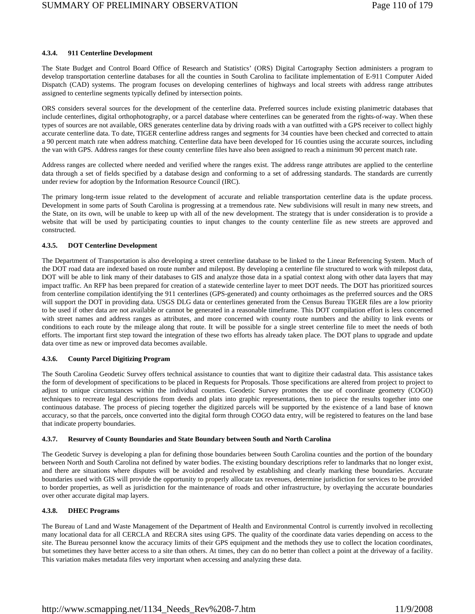# **4.3.4. 911 Centerline Development**

The State Budget and Control Board Office of Research and Statistics' (ORS) Digital Cartography Section administers a program to develop transportation centerline databases for all the counties in South Carolina to facilitate implementation of E-911 Computer Aided Dispatch (CAD) systems. The program focuses on developing centerlines of highways and local streets with address range attributes assigned to centerline segments typically defined by intersection points.

ORS considers several sources for the development of the centerline data. Preferred sources include existing planimetric databases that include centerlines, digital orthophotography, or a parcel database where centerlines can be generated from the rights-of-way. When these types of sources are not available, ORS generates centerline data by driving roads with a van outfitted with a GPS receiver to collect highly accurate centerline data. To date, TIGER centerline address ranges and segments for 34 counties have been checked and corrected to attain a 90 percent match rate when address matching. Centerline data have been developed for 16 counties using the accurate sources, including the van with GPS. Address ranges for these county centerline files have also been assigned to reach a minimum 90 percent match rate.

Address ranges are collected where needed and verified where the ranges exist. The address range attributes are applied to the centerline data through a set of fields specified by a database design and conforming to a set of addressing standards. The standards are currently under review for adoption by the Information Resource Council (IRC).

The primary long-term issue related to the development of accurate and reliable transportation centerline data is the update process. Development in some parts of South Carolina is progressing at a tremendous rate. New subdivisions will result in many new streets, and the State, on its own, will be unable to keep up with all of the new development. The strategy that is under consideration is to provide a website that will be used by participating counties to input changes to the county centerline file as new streets are approved and constructed.

# **4.3.5. DOT Centerline Development**

The Department of Transportation is also developing a street centerline database to be linked to the Linear Referencing System. Much of the DOT road data are indexed based on route number and milepost. By developing a centerline file structured to work with milepost data, DOT will be able to link many of their databases to GIS and analyze those data in a spatial context along with other data layers that may impact traffic. An RFP has been prepared for creation of a statewide centerline layer to meet DOT needs. The DOT has prioritized sources from centerline compilation identifying the 911 centerlines (GPS-generated) and county orthoimages as the preferred sources and the ORS will support the DOT in providing data. USGS DLG data or centerlines generated from the Census Bureau TIGER files are a low priority to be used if other data are not available or cannot be generated in a reasonable timeframe. This DOT compilation effort is less concerned with street names and address ranges as attributes, and more concerned with county route numbers and the ability to link events or conditions to each route by the mileage along that route. It will be possible for a single street centerline file to meet the needs of both efforts. The important first step toward the integration of these two efforts has already taken place. The DOT plans to upgrade and update data over time as new or improved data becomes available.

#### **4.3.6. County Parcel Digitizing Program**

The South Carolina Geodetic Survey offers technical assistance to counties that want to digitize their cadastral data. This assistance takes the form of development of specifications to be placed in Requests for Proposals. Those specifications are altered from project to project to adjust to unique circumstances within the individual counties. Geodetic Survey promotes the use of coordinate geometry (COGO) techniques to recreate legal descriptions from deeds and plats into graphic representations, then to piece the results together into one continuous database. The process of piecing together the digitized parcels will be supported by the existence of a land base of known accuracy, so that the parcels, once converted into the digital form through COGO data entry, will be registered to features on the land base that indicate property boundaries.

#### **4.3.7. Resurvey of County Boundaries and State Boundary between South and North Carolina**

The Geodetic Survey is developing a plan for defining those boundaries between South Carolina counties and the portion of the boundary between North and South Carolina not defined by water bodies. The existing boundary descriptions refer to landmarks that no longer exist, and there are situations where disputes will be avoided and resolved by establishing and clearly marking these boundaries. Accurate boundaries used with GIS will provide the opportunity to properly allocate tax revenues, determine jurisdiction for services to be provided to border properties, as well as jurisdiction for the maintenance of roads and other infrastructure, by overlaying the accurate boundaries over other accurate digital map layers.

# **4.3.8. DHEC Programs**

The Bureau of Land and Waste Management of the Department of Health and Environmental Control is currently involved in recollecting many locational data for all CERCLA and RECRA sites using GPS. The quality of the coordinate data varies depending on access to the site. The Bureau personnel know the accuracy limits of their GPS equipment and the methods they use to collect the location coordinates, but sometimes they have better access to a site than others. At times, they can do no better than collect a point at the driveway of a facility. This variation makes metadata files very important when accessing and analyzing these data.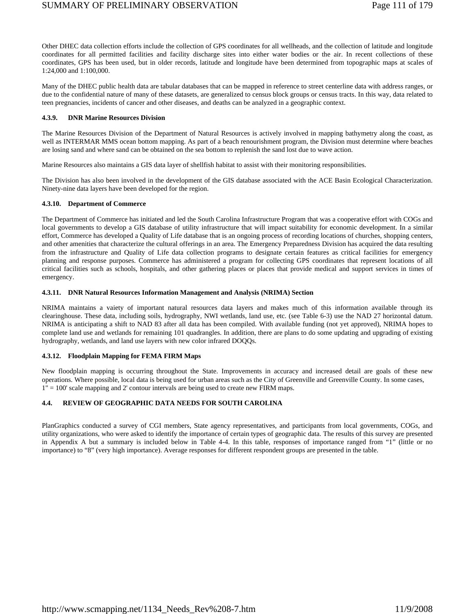Other DHEC data collection efforts include the collection of GPS coordinates for all wellheads, and the collection of latitude and longitude coordinates for all permitted facilities and facility discharge sites into either water bodies or the air. In recent collections of these coordinates, GPS has been used, but in older records, latitude and longitude have been determined from topographic maps at scales of 1:24,000 and 1:100,000.

Many of the DHEC public health data are tabular databases that can be mapped in reference to street centerline data with address ranges, or due to the confidential nature of many of these datasets, are generalized to census block groups or census tracts. In this way, data related to teen pregnancies, incidents of cancer and other diseases, and deaths can be analyzed in a geographic context.

# **4.3.9. DNR Marine Resources Division**

The Marine Resources Division of the Department of Natural Resources is actively involved in mapping bathymetry along the coast, as well as INTERMAR MMS ocean bottom mapping. As part of a beach renourishment program, the Division must determine where beaches are losing sand and where sand can be obtained on the sea bottom to replenish the sand lost due to wave action.

Marine Resources also maintains a GIS data layer of shellfish habitat to assist with their monitoring responsibilities.

The Division has also been involved in the development of the GIS database associated with the ACE Basin Ecological Characterization. Ninety-nine data layers have been developed for the region.

# **4.3.10. Department of Commerce**

The Department of Commerce has initiated and led the South Carolina Infrastructure Program that was a cooperative effort with COGs and local governments to develop a GIS database of utility infrastructure that will impact suitability for economic development. In a similar effort, Commerce has developed a Quality of Life database that is an ongoing process of recording locations of churches, shopping centers, and other amenities that characterize the cultural offerings in an area. The Emergency Preparedness Division has acquired the data resulting from the infrastructure and Quality of Life data collection programs to designate certain features as critical facilities for emergency planning and response purposes. Commerce has administered a program for collecting GPS coordinates that represent locations of all critical facilities such as schools, hospitals, and other gathering places or places that provide medical and support services in times of emergency.

# **4.3.11. DNR Natural Resources Information Management and Analysis (NRIMA) Section**

NRIMA maintains a vaiety of important natural resources data layers and makes much of this information available through its clearinghouse. These data, including soils, hydrography, NWI wetlands, land use, etc. (see Table 6-3) use the NAD 27 horizontal datum. NRIMA is anticipating a shift to NAD 83 after all data has been compiled. With available funding (not yet approved), NRIMA hopes to complete land use and wetlands for remaining 101 quadrangles. In addition, there are plans to do some updating and upgrading of existing hydrography, wetlands, and land use layers with new color infrared DOQQs.

# **4.3.12. Floodplain Mapping for FEMA FIRM Maps**

New floodplain mapping is occurring throughout the State. Improvements in accuracy and increased detail are goals of these new operations. Where possible, local data is being used for urban areas such as the City of Greenville and Greenville County. In some cases, 1" = 100' scale mapping and 2' contour intervals are being used to create new FIRM maps.

# **4.4. REVIEW OF GEOGRAPHIC DATA NEEDS FOR SOUTH CAROLINA**

PlanGraphics conducted a survey of CGI members, State agency representatives, and participants from local governments, COGs, and utility organizations, who were asked to identify the importance of certain types of geographic data. The results of this survey are presented in Appendix A but a summary is included below in Table 4-4. In this table, responses of importance ranged from "1" (little or no importance) to "8" (very high importance). Average responses for different respondent groups are presented in the table.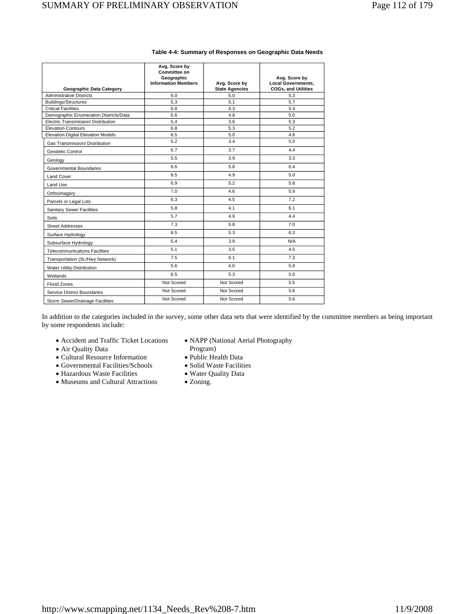|                                        | Avg. Score by<br>Committee on<br>Geographic<br><b>Information Members</b> | Avg. Score by         | Avg. Score by<br><b>Local Governments,</b> |
|----------------------------------------|---------------------------------------------------------------------------|-----------------------|--------------------------------------------|
| <b>Geographic Data Category</b>        |                                                                           | <b>State Agencies</b> | <b>COGs, and Utilities</b>                 |
| <b>Administrative Districts</b>        | 6.0                                                                       | 5.0                   | 5.3                                        |
| <b>Buildings/Structures</b>            | 5.3                                                                       | 5.1                   | 5.7                                        |
| <b>Critical Facilities</b>             | 6.8                                                                       | 4.3                   | 5.4                                        |
| Demographic Enumeration Districts/Data | 6.6                                                                       | 4.8                   | 5.0                                        |
| Electric Transmission/ Distribution    | 5.4                                                                       | 3.6                   | 5.3                                        |
| Elevation-Contours                     | 6.8                                                                       | 5.3                   | 5.2                                        |
| Elevation-Digital Elevation Models     | 6.5                                                                       | 5.0                   | 4.8                                        |
| Gas Transmission/ Distribution         | 5.2                                                                       | 3.4                   | 5.0                                        |
| Geodetic Control                       | 6.7                                                                       | 3.7                   | 4.4                                        |
| Geology                                | 5.5                                                                       | 3.9                   | 3.3                                        |
| Governmental Boundaries                | 6.6                                                                       | 5.8                   | 6.4                                        |
| Land Cover                             | 6.5                                                                       | 4.9                   | 5.0                                        |
| Land Use                               | 6.9                                                                       | 5.2                   | 5.8                                        |
| Orthoimagery                           | 7.0                                                                       | 4.6                   | 5.9                                        |
| Parcels or Legal Lots                  | 6.3                                                                       | 4.5                   | 7.2                                        |
| <b>Sanitary Sewer Facilities</b>       | 5.8                                                                       | 4.1                   | 6.1                                        |
| <b>Soils</b>                           | 5.7                                                                       | 4.9                   | 4.4                                        |
| <b>Street Addresses</b>                | 7.3                                                                       | 5.8                   | 7.0                                        |
| Surface Hydrology                      | 6.5                                                                       | 5.3                   | 6.3                                        |
| Subsurface Hydrology                   | 5.4                                                                       | 3.9                   | N/A                                        |
| <b>Telecommunications Facilities</b>   | 5.1                                                                       | 3.5                   | 4.5                                        |
| Transportation (St./Hwy Network)       | 7.5                                                                       | 6.1                   | 7.3                                        |
| Water Utility Distribution             | 5.6                                                                       | 4.0                   | 5.8                                        |
| Wetlands                               | 6.5                                                                       | 5.3                   | 5.0                                        |
| Flood Zones                            | Not Scored                                                                | Not Scored            | 5.5                                        |
| <b>Service District Boundaries</b>     | Not Scored                                                                | Not Scored            | 5.6                                        |
| Storm Sewer/Drainage Facilities        | Not Scored                                                                | Not Scored            | 5.6                                        |

# **Table 4-4: Summary of Responses on Geographic Data Needs**

In addition to the categories included in the survey, some other data sets that were identified by the committee members as being important by some respondents include:

- Accident and Traffic Ticket Locations
- Air Quality Data
- Cultural Resource Information
- Governmental Facilities/Schools
- Hazardous Waste Facilities
- Museums and Cultural Attractions
- NAPP (National Aerial Photography
	- Program)
- Public Health Data
- Solid Waste Facilities
- Water Quality Data
- Zoning.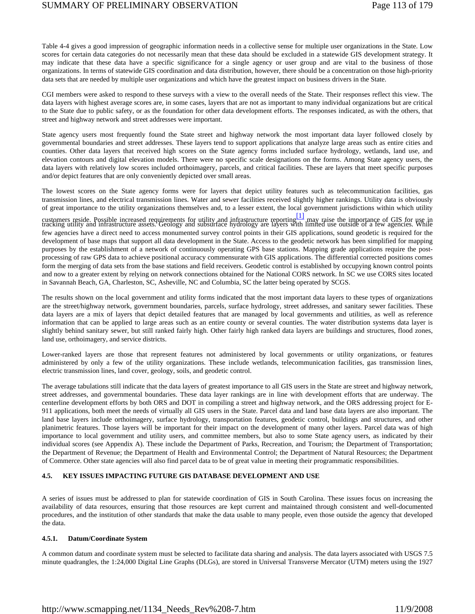Table 4-4 gives a good impression of geographic information needs in a collective sense for multiple user organizations in the State. Low scores for certain data categories do not necessarily mean that these data should be excluded in a statewide GIS development strategy. It may indicate that these data have a specific significance for a single agency or user group and are vital to the business of those organizations. In terms of statewide GIS coordination and data distribution, however, there should be a concentration on those high-priority data sets that are needed by multiple user organizations and which have the greatest impact on business drivers in the State.

CGI members were asked to respond to these surveys with a view to the overall needs of the State. Their responses reflect this view. The data layers with highest average scores are, in some cases, layers that are not as important to many individual organizations but are critical to the State due to public safety, or as the foundation for other data development efforts. The responses indicated, as with the others, that street and highway network and street addresses were important.

State agency users most frequently found the State street and highway network the most important data layer followed closely by governmental boundaries and street addresses. These layers tend to support applications that analyze large areas such as entire cities and counties. Other data layers that received high scores on the State agency forms included surface hydrology, wetlands, land use, and elevation contours and digital elevation models. There were no specific scale designations on the forms. Among State agency users, the data layers with relatively low scores included orthoimagery, parcels, and critical facilities. These are layers that meet specific purposes and/or depict features that are only conveniently depicted over small areas.

The lowest scores on the State agency forms were for layers that depict utility features such as telecommunication facilities, gas transmission lines, and electrical transmission lines. Water and sewer facilities received slightly higher rankings. Utility data is obviously of great importance to the utility organizations themselves and, to a lesser extent, the local government jurisdictions within which utility

customers reside. Possible increased requirements for utility and infrastructure reporting [1] may raise the importance of GIS for use in<br>tracking utility and infrastructure assets. Geology and subsurface hydrology are lay few agencies have a direct need to access monumented survey control points in their GIS applications, sound geodetic is required for the development of base maps that support all data development in the State. Access to the geodetic network has been simplified for mapping purposes by the establishment of a network of continuously operating GPS base stations. Mapping grade applications require the postprocessing of raw GPS data to achieve positional accuracy commensurate with GIS applications. The differential corrected positions comes form the merging of data sets from the base stations and field receivers. Geodetic control is established by occupying known control points and now to a greater extent by relying on network connections obtained for the National CORS network. In SC we use CORS sites located in Savannah Beach, GA, Charleston, SC, Asheville, NC and Columbia, SC the latter being operated by SCGS.

The results shown on the local government and utility forms indicated that the most important data layers to these types of organizations are the street/highway network, government boundaries, parcels, surface hydrology, street addresses, and sanitary sewer facilities. These data layers are a mix of layers that depict detailed features that are managed by local governments and utilities, as well as reference information that can be applied to large areas such as an entire county or several counties. The water distribution systems data layer is slightly behind sanitary sewer, but still ranked fairly high. Other fairly high ranked data layers are buildings and structures, flood zones, land use, orthoimagery, and service districts.

Lower-ranked layers are those that represent features not administered by local governments or utility organizations, or features administered by only a few of the utility organizations. These include wetlands, telecommunication facilities, gas transmission lines, electric transmission lines, land cover, geology, soils, and geodetic control.

The average tabulations still indicate that the data layers of greatest importance to all GIS users in the State are street and highway network, street addresses, and governmental boundaries. These data layer rankings are in line with development efforts that are underway. The centerline development efforts by both ORS and DOT in compiling a street and highway network, and the ORS addressing project for E-911 applications, both meet the needs of virtually all GIS users in the State. Parcel data and land base data layers are also important. The land base layers include orthoimagery, surface hydrology, transportation features, geodetic control, buildings and structures, and other planimetric features. Those layers will be important for their impact on the development of many other layers. Parcel data was of high importance to local government and utility users, and committee members, but also to some State agency users, as indicated by their individual scores (see Appendix A). These include the Department of Parks, Recreation, and Tourism; the Department of Transportation; the Department of Revenue; the Department of Health and Environmental Control; the Department of Natural Resources; the Department of Commerce. Other state agencies will also find parcel data to be of great value in meeting their programmatic responsibilities.

# **4.5. KEY ISSUES IMPACTING FUTURE GIS DATABASE DEVELOPMENT AND USE**

A series of issues must be addressed to plan for statewide coordination of GIS in South Carolina. These issues focus on increasing the availability of data resources, ensuring that those resources are kept current and maintained through consistent and well-documented procedures, and the institution of other standards that make the data usable to many people, even those outside the agency that developed the data.

#### **4.5.1. Datum/Coordinate System**

A common datum and coordinate system must be selected to facilitate data sharing and analysis. The data layers associated with USGS 7.5 minute quadrangles, the 1:24,000 Digital Line Graphs (DLGs), are stored in Universal Transverse Mercator (UTM) meters using the 1927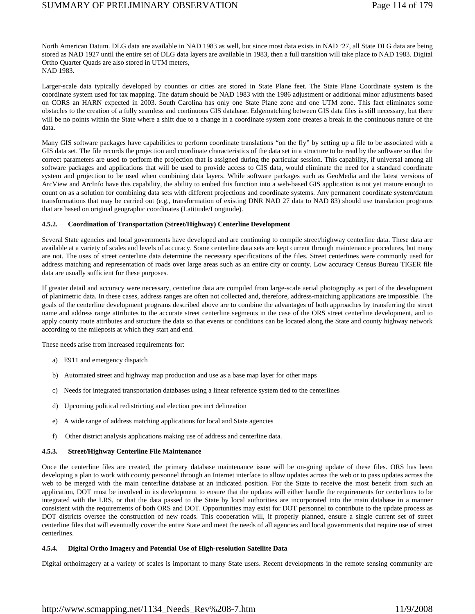North American Datum. DLG data are available in NAD 1983 as well, but since most data exists in NAD '27, all State DLG data are being stored as NAD 1927 until the entire set of DLG data layers are available in 1983, then a full transition will take place to NAD 1983. Digital Ortho Quarter Quads are also stored in UTM meters, NAD 1983.

Larger-scale data typically developed by counties or cities are stored in State Plane feet. The State Plane Coordinate system is the coordinate system used for tax mapping. The datum should be NAD 1983 with the 1986 adjustment or additional minor adjustments based on CORS an HARN expected in 2003. South Carolina has only one State Plane zone and one UTM zone. This fact eliminates some obstacles to the creation of a fully seamless and continuous GIS database. Edgematching between GIS data files is still necessary, but there will be no points within the State where a shift due to a change in a coordinate system zone creates a break in the continuous nature of the data.

Many GIS software packages have capabilities to perform coordinate translations "on the fly" by setting up a file to be associated with a GIS data set. The file records the projection and coordinate characteristics of the data set in a structure to be read by the software so that the correct parameters are used to perform the projection that is assigned during the particular session. This capability, if universal among all software packages and applications that will be used to provide access to GIS data, would eliminate the need for a standard coordinate system and projection to be used when combining data layers. While software packages such as GeoMedia and the latest versions of ArcView and ArcInfo have this capability, the ability to embed this function into a web-based GIS application is not yet mature enough to count on as a solution for combining data sets with different projections and coordinate systems. Any permanent coordinate system/datum transformations that may be carried out (e.g., transformation of existing DNR NAD 27 data to NAD 83) should use translation programs that are based on original geographic coordinates (Latitiude/Longitude).

# **4.5.2. Coordination of Transportation (Street/Highway) Centerline Development**

Several State agencies and local governments have developed and are continuing to compile street/highway centerline data. These data are available at a variety of scales and levels of accuracy. Some centerline data sets are kept current through maintenance procedures, but many are not. The uses of street centerline data determine the necessary specifications of the files. Street centerlines were commonly used for address matching and representation of roads over large areas such as an entire city or county. Low accuracy Census Bureau TIGER file data are usually sufficient for these purposes.

If greater detail and accuracy were necessary, centerline data are compiled from large-scale aerial photography as part of the development of planimetric data. In these cases, address ranges are often not collected and, therefore, address-matching applications are impossible. The goals of the centerline development programs described above are to combine the advantages of both approaches by transferring the street name and address range attributes to the accurate street centerline segments in the case of the ORS street centerline development, and to apply county route attributes and structure the data so that events or conditions can be located along the State and county highway network according to the mileposts at which they start and end.

These needs arise from increased requirements for:

- a) E911 and emergency dispatch
- b) Automated street and highway map production and use as a base map layer for other maps
- c) Needs for integrated transportation databases using a linear reference system tied to the centerlines
- d) Upcoming political redistricting and election precinct delineation
- e) A wide range of address matching applications for local and State agencies
- f) Other district analysis applications making use of address and centerline data.

#### **4.5.3. Street/Highway Centerline File Maintenance**

Once the centerline files are created, the primary database maintenance issue will be on-going update of these files. ORS has been developing a plan to work with county personnel through an Internet interface to allow updates across the web or to pass updates across the web to be merged with the main centerline database at an indicated position. For the State to receive the most benefit from such an application, DOT must be involved in its development to ensure that the updates will either handle the requirements for centerlines to be integrated with the LRS, or that the data passed to the State by local authorities are incorporated into the main database in a manner consistent with the requirements of both ORS and DOT. Opportunities may exist for DOT personnel to contribute to the update process as DOT districts oversee the construction of new roads. This cooperation will, if properly planned, ensure a single current set of street centerline files that will eventually cover the entire State and meet the needs of all agencies and local governments that require use of street centerlines.

#### **4.5.4. Digital Ortho Imagery and Potential Use of High-resolution Satellite Data**

Digital orthoimagery at a variety of scales is important to many State users. Recent developments in the remote sensing community are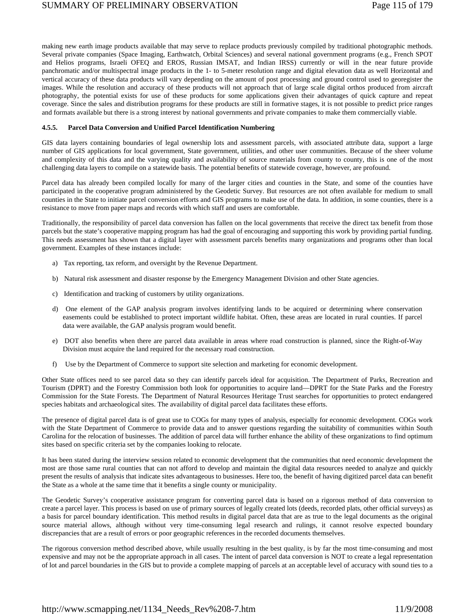making new earth image products available that may serve to replace products previously compiled by traditional photographic methods. Several private companies (Space Imaging, Earthwatch, Orbital Sciences) and several national government programs (e.g., French SPOT and Helios programs, Israeli OFEQ and EROS, Russian IMSAT, and Indian IRSS) currently or will in the near future provide panchromatic and/or multispectral image products in the 1- to 5-meter resolution range and digital elevation data as well Horizontal and vertical accuracy of these data products will vary depending on the amount of post processing and ground control used to georegister the images. While the resolution and accuracy of these products will not approach that of large scale digital orthos produced from aircraft photography, the potential exists for use of these products for some applications given their advantages of quick capture and repeat coverage. Since the sales and distribution programs for these products are still in formative stages, it is not possible to predict price ranges and formats available but there is a strong interest by national governments and private companies to make them commercially viable.

#### **4.5.5. Parcel Data Conversion and Unified Parcel Identification Numbering**

GIS data layers containing boundaries of legal ownership lots and assessment parcels, with associated attribute data, support a large number of GIS applications for local government, State government, utilities, and other user communities. Because of the sheer volume and complexity of this data and the varying quality and availability of source materials from county to county, this is one of the most challenging data layers to compile on a statewide basis. The potential benefits of statewide coverage, however, are profound.

Parcel data has already been compiled locally for many of the larger cities and counties in the State, and some of the counties have participated in the cooperative program administered by the Geodetic Survey. But resources are not often available for medium to small counties in the State to initiate parcel conversion efforts and GIS programs to make use of the data. In addition, in some counties, there is a resistance to move from paper maps and records with which staff and users are comfortable.

Traditionally, the responsibility of parcel data conversion has fallen on the local governments that receive the direct tax benefit from those parcels but the state's cooperative mapping program has had the goal of encouraging and supporting this work by providing partial funding. This needs assessment has shown that a digital layer with assessment parcels benefits many organizations and programs other than local government. Examples of these instances include:

- a) Tax reporting, tax reform, and oversight by the Revenue Department.
- b) Natural risk assessment and disaster response by the Emergency Management Division and other State agencies.
- c) Identification and tracking of customers by utility organizations.
- d) One element of the GAP analysis program involves identifying lands to be acquired or determining where conservation easements could be established to protect important wildlife habitat. Often, these areas are located in rural counties. If parcel data were available, the GAP analysis program would benefit.
- e) DOT also benefits when there are parcel data available in areas where road construction is planned, since the Right-of-Way Division must acquire the land required for the necessary road construction.
- f) Use by the Department of Commerce to support site selection and marketing for economic development.

Other State offices need to see parcel data so they can identify parcels ideal for acquisition. The Department of Parks, Recreation and Tourism (DPRT) and the Forestry Commission both look for opportunities to acquire land—DPRT for the State Parks and the Forestry Commission for the State Forests. The Department of Natural Resources Heritage Trust searches for opportunities to protect endangered species habitats and archaeological sites. The availability of digital parcel data facilitates these efforts.

The presence of digital parcel data is of great use to COGs for many types of analysis, especially for economic development. COGs work with the State Department of Commerce to provide data and to answer questions regarding the suitability of communities within South Carolina for the relocation of businesses. The addition of parcel data will further enhance the ability of these organizations to find optimum sites based on specific criteria set by the companies looking to relocate.

It has been stated during the interview session related to economic development that the communities that need economic development the most are those same rural counties that can not afford to develop and maintain the digital data resources needed to analyze and quickly present the results of analysis that indicate sites advantageous to businesses. Here too, the benefit of having digitized parcel data can benefit the State as a whole at the same time that it benefits a single county or municipality.

The Geodetic Survey's cooperative assistance program for converting parcel data is based on a rigorous method of data conversion to create a parcel layer. This process is based on use of primary sources of legally created lots (deeds, recorded plats, other official surveys) as a basis for parcel boundary identification. This method results in digital parcel data that are as true to the legal documents as the original source material allows, although without very time-consuming legal research and rulings, it cannot resolve expected boundary discrepancies that are a result of errors or poor geographic references in the recorded documents themselves.

The rigorous conversion method described above, while usually resulting in the best quality, is by far the most time-consuming and most expensive and may not be the appropriate approach in all cases. The intent of parcel data conversion is NOT to create a legal representation of lot and parcel boundaries in the GIS but to provide a complete mapping of parcels at an acceptable level of accuracy with sound ties to a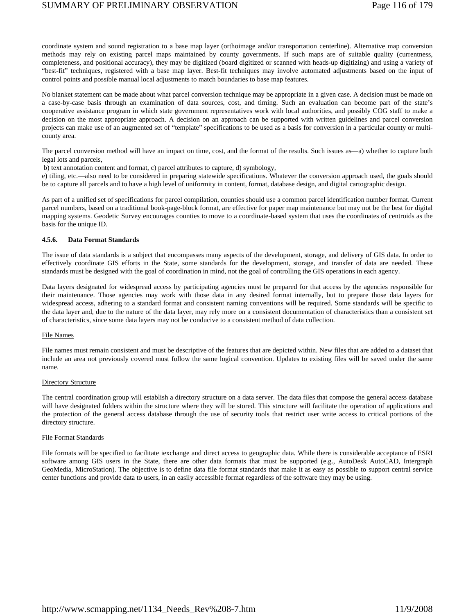coordinate system and sound registration to a base map layer (orthoimage and/or transportation centerline). Alternative map conversion methods may rely on existing parcel maps maintained by county governments. If such maps are of suitable quality (currentness, completeness, and positional accuracy), they may be digitized (board digitized or scanned with heads-up digitizing) and using a variety of "best-fit" techniques, registered with a base map layer. Best-fit techniques may involve automated adjustments based on the input of control points and possible manual local adjustments to match boundaries to base map features.

No blanket statement can be made about what parcel conversion technique may be appropriate in a given case. A decision must be made on a case-by-case basis through an examination of data sources, cost, and timing. Such an evaluation can become part of the state's cooperative assistance program in which state government representatives work with local authorities, and possibly COG staff to make a decision on the most appropriate approach. A decision on an approach can be supported with written guidelines and parcel conversion projects can make use of an augmented set of "template" specifications to be used as a basis for conversion in a particular county or multicounty area.

The parcel conversion method will have an impact on time, cost, and the format of the results. Such issues as—a) whether to capture both legal lots and parcels,

b) text annotation content and format, c) parcel attributes to capture, d) symbology,

e) tiling, etc.—also need to be considered in preparing statewide specifications. Whatever the conversion approach used, the goals should be to capture all parcels and to have a high level of uniformity in content, format, database design, and digital cartographic design.

As part of a unified set of specifications for parcel compilation, counties should use a common parcel identification number format. Current parcel numbers, based on a traditional book-page-block format, are effective for paper map maintenance but may not be the best for digital mapping systems. Geodetic Survey encourages counties to move to a coordinate-based system that uses the coordinates of centroids as the basis for the unique ID.

#### **4.5.6. Data Format Standards**

The issue of data standards is a subject that encompasses many aspects of the development, storage, and delivery of GIS data. In order to effectively coordinate GIS efforts in the State, some standards for the development, storage, and transfer of data are needed. These standards must be designed with the goal of coordination in mind, not the goal of controlling the GIS operations in each agency.

Data layers designated for widespread access by participating agencies must be prepared for that access by the agencies responsible for their maintenance. Those agencies may work with those data in any desired format internally, but to prepare those data layers for widespread access, adhering to a standard format and consistent naming conventions will be required. Some standards will be specific to the data layer and, due to the nature of the data layer, may rely more on a consistent documentation of characteristics than a consistent set of characteristics, since some data layers may not be conducive to a consistent method of data collection.

#### File Names

File names must remain consistent and must be descriptive of the features that are depicted within. New files that are added to a dataset that include an area not previously covered must follow the same logical convention. Updates to existing files will be saved under the same name.

#### **Directory Structure**

The central coordination group will establish a directory structure on a data server. The data files that compose the general access database will have designated folders within the structure where they will be stored. This structure will facilitate the operation of applications and the protection of the general access database through the use of security tools that restrict user write access to critical portions of the directory structure.

#### File Format Standards

File formats will be specified to facilitate iexchange and direct access to geographic data. While there is considerable acceptance of ESRI software among GIS users in the State, there are other data formats that must be supported (e.g., AutoDesk AutoCAD, Intergraph GeoMedia, MicroStation). The objective is to define data file format standards that make it as easy as possible to support central service center functions and provide data to users, in an easily accessible format regardless of the software they may be using.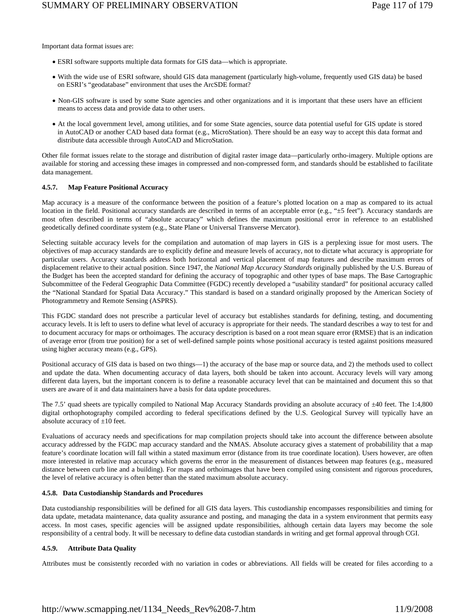Important data format issues are:

- ESRI software supports multiple data formats for GIS data—which is appropriate.
- With the wide use of ESRI software, should GIS data management (particularly high-volume, frequently used GIS data) be based on ESRI's "geodatabase" environment that uses the ArcSDE format?
- Non-GIS software is used by some State agencies and other organizations and it is important that these users have an efficient means to access data and provide data to other users.
- At the local government level, among utilities, and for some State agencies, source data potential useful for GIS update is stored in AutoCAD or another CAD based data format (e.g., MicroStation). There should be an easy way to accept this data format and distribute data accessible through AutoCAD and MicroStation.

Other file format issues relate to the storage and distribution of digital raster image data—particularly ortho-imagery. Multiple options are available for storing and accessing these images in compressed and non-compressed form, and standards should be established to facilitate data management.

# **4.5.7. Map Feature Positional Accuracy**

Map accuracy is a measure of the conformance between the position of a feature's plotted location on a map as compared to its actual location in the field. Positional accuracy standards are described in terms of an acceptable error (e.g., " $\pm$ 5 feet"). Accuracy standards are most often described in terms of "absolute accuracy" which defines the maximum positional error in reference to an established geodetically defined coordinate system (e.g., State Plane or Universal Transverse Mercator).

Selecting suitable accuracy levels for the compilation and automation of map layers in GIS is a perplexing issue for most users. The objectives of map accuracy standards are to explicitly define and measure levels of accuracy, not to dictate what accuracy is appropriate for particular users. Accuracy standards address both horizontal and vertical placement of map features and describe maximum errors of displacement relative to their actual position. Since 1947, the *National Map Accuracy Standards* originally published by the U.S. Bureau of the Budget has been the accepted standard for defining the accuracy of topographic and other types of base maps. The Base Cartographic Subcommittee of the Federal Geographic Data Committee (FGDC) recently developed a "usability standard" for positional accuracy called the "National Standard for Spatial Data Accuracy." This standard is based on a standard originally proposed by the American Society of Photogrammetry and Remote Sensing (ASPRS).

This FGDC standard does not prescribe a particular level of accuracy but establishes standards for defining, testing, and documenting accuracy levels. It is left to users to define what level of accuracy is appropriate for their needs. The standard describes a way to test for and to document accuracy for maps or orthoimages. The accuracy description is based on a root mean square error (RMSE) that is an indication of average error (from true position) for a set of well-defined sample points whose positional accuracy is tested against positions measured using higher accuracy means (e.g., GPS).

Positional accuracy of GIS data is based on two things—1) the accuracy of the base map or source data, and 2) the methods used to collect and update the data. When documenting accuracy of data layers, both should be taken into account. Accuracy levels will vary among different data layers, but the important concern is to define a reasonable accuracy level that can be maintained and document this so that users are aware of it and data maintainers have a basis for data update procedures.

The 7.5' quad sheets are typically compiled to National Map Accuracy Standards providing an absolute accuracy of ±40 feet. The 1:4,800 digital orthophotography compiled according to federal specifications defined by the U.S. Geological Survey will typically have an absolute accuracy of  $\pm 10$  feet.

Evaluations of accuracy needs and specifications for map compilation projects should take into account the difference between absolute accuracy addressed by the FGDC map accuracy standard and the NMAS. Absolute accuracy gives a statement of probabilility that a map feature's coordinate location will fall within a stated maximum error (distance from its true coordinate location). Users however, are often more interested in relative map accuracy which governs the error in the measurement of distances between map features (e.g., measured distance between curb line and a building). For maps and orthoimages that have been compiled using consistent and rigorous procedures, the level of relative accuracy is often better than the stated maximum absolute accuracy.

#### **4.5.8. Data Custodianship Standards and Procedures**

Data custodianship responsibilities will be defined for all GIS data layers. This custodianship encompasses responsibilities and timing for data update, metadata maintenance, data quality assurance and posting, and managing the data in a system environment that permits easy access. In most cases, specific agencies will be assigned update responsibilities, although certain data layers may become the sole responsibility of a central body. It will be necessary to define data custodian standards in writing and get formal approval through CGI.

# **4.5.9. Attribute Data Quality**

Attributes must be consistently recorded with no variation in codes or abbreviations. All fields will be created for files according to a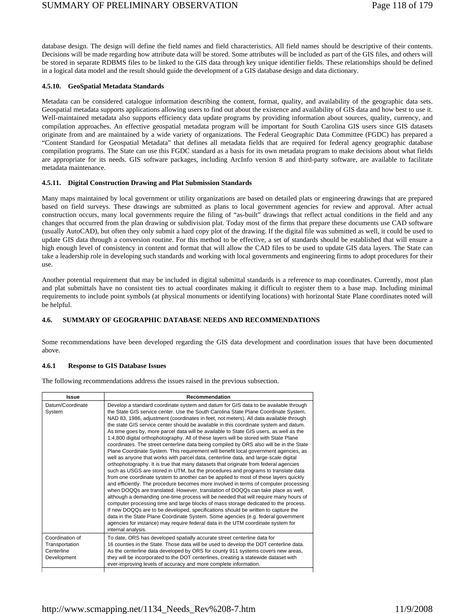database design. The design will define the field names and field characteristics. All field names should be descriptive of their contents. Decisions will be made regarding how attribute data will be stored. Some attributes will be included as part of the GIS files, and others will be stored in separate RDBMS files to be linked to the GIS data through key unique identifier fields. These relationships should be defined in a logical data model and the result should guide the development of a GIS database design and data dictionary.

# **4.5.10. GeoSpatial Metadata Standards**

Metadata can be considered catalogue information describing the content, format, quality, and availability of the geographic data sets. Geospatial metadata supports applications allowing users to find out about the existence and availability of GIS data and how best to use it. Well-maintained metadata also supports efficiency data update programs by providing information about sources, quality, currency, and compilation approaches. An effective geospatial metadata program will be important for South Carolina GIS users since GIS datasets originate from and are maintained by a wide variety of organizations. The Federal Geographic Data Committee (FGDC) has prepared a "Content Standard for Geospatial Metadata" that defines all metadata fields that are required for federal agency geographic database compilation programs. The State can use this FGDC standard as a basis for its own metadata program to make decisions about what fields are appropriate for its needs. GIS software packages, including ArcInfo version 8 and third-party software, are available to facilitate metadata maintenance.

# **4.5.11. Digital Construction Drawing and Plat Submission Standards**

Many maps maintained by local government or utility organizations are based on detailed plats or engineering drawings that are prepared based on field surveys. These drawings are submitted as plans to local government agencies for review and approval. After actual construction occurs, many local governments require the filing of "as-built" drawings that reflect actual conditions in the field and any changes that occurred from the plan drawing or subdivision plat. Today most of the firms that prepare these documents use CAD software (usually AutoCAD), but often they only submit a hard copy plot of the drawing. If the digital file was submitted as well, it could be used to update GIS data through a conversion routine. For this method to be effective, a set of standards should be established that will ensure a high enough level of consistency in content and format that will allow the CAD files to be used to update GIS data layers. The State can take a leadership role in developing such standards and working with local governments and engineering firms to adopt procedures for their use.

Another potential requirement that may be included in digital submittal standards is a reference to map coordinates. Currently, most plan and plat submittals have no consistent ties to actual coordinates making it difficult to register them to a base map. Including minimal requirements to include point symbols (at physical monuments or identifying locations) with horizontal State Plane coordinates noted will be helpful.

# **4.6. SUMMARY OF GEOGRAPHIC DATABASE NEEDS AND RECOMMENDATIONS**

Some recommendations have been developed regarding the GIS data development and coordination issues that have been documented above.

# **4.6.1 Response to GIS Database Issues**

The following recommendations address the issues raised in the previous subsection.

| Issue                                                          | Recommendation                                                                                                                                                                                                                                                                                                                                                                                                                                                                                                                                                                                                                                                                                                                                                                                                                                                                                                                                                                                                                                                                                                                                                                                                                                                                                                                                                                                                                                                                                                                                                                                                                                                                                                                                  |
|----------------------------------------------------------------|-------------------------------------------------------------------------------------------------------------------------------------------------------------------------------------------------------------------------------------------------------------------------------------------------------------------------------------------------------------------------------------------------------------------------------------------------------------------------------------------------------------------------------------------------------------------------------------------------------------------------------------------------------------------------------------------------------------------------------------------------------------------------------------------------------------------------------------------------------------------------------------------------------------------------------------------------------------------------------------------------------------------------------------------------------------------------------------------------------------------------------------------------------------------------------------------------------------------------------------------------------------------------------------------------------------------------------------------------------------------------------------------------------------------------------------------------------------------------------------------------------------------------------------------------------------------------------------------------------------------------------------------------------------------------------------------------------------------------------------------------|
| Datum/Coordinate<br>System                                     | Develop a standard coordinate system and datum for GIS data to be available through<br>the State GIS service center. Use the South Carolina State Plane Coordinate System,<br>NAD 83, 1986, adjustment (coordinates in feet, not meters). All data available through<br>the state GIS service center should be available in this coordinate system and datum.<br>As time goes by, more parcel data will be available to State GIS users, as well as the<br>1:4,800 digital orthophotography. All of these layers will be stored with State Plane<br>coordinates. The street centerline data being compiled by ORS also will be in the State<br>Plane Coordinate System. This requirement will benefit local government agencies, as<br>well as anyone that works with parcel data, centerline data, and large-scale digital<br>orthophotography. It is true that many datasets that originate from federal agencies<br>such as USGS are stored in UTM, but the procedures and programs to translate data<br>from one coordinate system to another can be applied to most of these layers quickly<br>and efficiently. The procedure becomes more involved in terms of computer processing<br>when DOQQs are translated. However, translation of DOQQs can take place as well,<br>although a demanding one-time process will be needed that will require many hours of<br>computer processing time and large blocks of mass storage dedicated to the process.<br>If new DOQQs are to be developed, specifications should be written to capture the<br>data in the State Plane Coordinate System. Some agencies (e.g. federal government<br>agencies for instance) may require federal data in the UTM coordinate system for<br>internal analysis. |
| Coordination of<br>Transportation<br>Centerline<br>Development | To date, ORS has developed spatially accurate street centerline data for<br>16 counties in the State. Those data will be used to develop the DOT centerline data.<br>As the centerline data developed by ORS for county 911 systems covers new areas,<br>they will be incorporated to the DOT centerlines, creating a statewide dataset with<br>ever-improving levels of accuracy and more complete information.                                                                                                                                                                                                                                                                                                                                                                                                                                                                                                                                                                                                                                                                                                                                                                                                                                                                                                                                                                                                                                                                                                                                                                                                                                                                                                                                |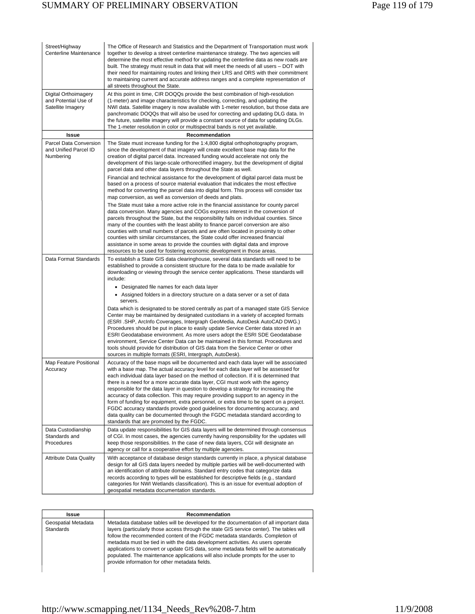| Street/Highway<br>Centerline Maintenance                          | The Office of Research and Statistics and the Department of Transportation must work<br>together to develop a street centerline maintenance strategy. The two agencies will<br>determine the most effective method for updating the centerline data as new roads are<br>built. The strategy must result in data that will meet the needs of all users - DOT with<br>their need for maintaining routes and linking their LRS and ORS with their commitment<br>to maintaining current and accurate address ranges and a complete representation of<br>all streets throughout the State.                                                                                                                                                                                                                                                                                                                                                                                                                                                                                                                 |
|-------------------------------------------------------------------|-------------------------------------------------------------------------------------------------------------------------------------------------------------------------------------------------------------------------------------------------------------------------------------------------------------------------------------------------------------------------------------------------------------------------------------------------------------------------------------------------------------------------------------------------------------------------------------------------------------------------------------------------------------------------------------------------------------------------------------------------------------------------------------------------------------------------------------------------------------------------------------------------------------------------------------------------------------------------------------------------------------------------------------------------------------------------------------------------------|
| Digital Orthoimagery<br>and Potential Use of<br>Satellite Imagery | At this point in time, CIR DOQQs provide the best combination of high-resolution<br>(1-meter) and image characteristics for checking, correcting, and updating the<br>NWI data. Satellite imagery is now available with 1-meter resolution, but those data are<br>panchromatic DOQQs that will also be used for correcting and updating DLG data. In<br>the future, satellite imagery will provide a constant source of data for updating DLGs.<br>The 1-meter resolution in color or multispectral bands is not yet available.                                                                                                                                                                                                                                                                                                                                                                                                                                                                                                                                                                       |
| Issue                                                             | Recommendation                                                                                                                                                                                                                                                                                                                                                                                                                                                                                                                                                                                                                                                                                                                                                                                                                                                                                                                                                                                                                                                                                        |
| Parcel Data Conversion<br>and Unified Parcel ID<br>Numbering      | The State must increase funding for the 1:4,800 digital orthophotography program,<br>since the development of that imagery will create excellent base map data for the<br>creation of digital parcel data. Increased funding would accelerate not only the<br>development of this large-scale orthorectified imagery, but the development of digital<br>parcel data and other data layers throughout the State as well.<br>Financial and technical assistance for the development of digital parcel data must be<br>based on a process of source material evaluation that indicates the most effective<br>method for converting the parcel data into digital form. This process will consider tax                                                                                                                                                                                                                                                                                                                                                                                                     |
|                                                                   | map conversion, as well as conversion of deeds and plats.<br>The State must take a more active role in the financial assistance for county parcel<br>data conversion. Many agencies and COGs express interest in the conversion of<br>parcels throughout the State, but the responsibility falls on individual counties. Since<br>many of the counties with the least ability to finance parcel conversion are also<br>counties with small numbers of parcels and are often located in proximity to other<br>counties with similar circumstances, the State could offer increased financial<br>assistance in some areas to provide the counties with digital data and improve<br>resources to be used for fostering economic development in those areas.                                                                                                                                                                                                                                                                                                                                              |
| Data Format Standards                                             | To establish a State GIS data clearinghouse, several data standards will need to be<br>established to provide a consistent structure for the data to be made available for<br>downloading or viewing through the service center applications. These standards will<br>include:<br>• Designated file names for each data layer<br>• Assigned folders in a directory structure on a data server or a set of data<br>servers.<br>Data which is designated to be stored centrally as part of a managed state GIS Service<br>Center may be maintained by designated custodians in a variety of accepted formats<br>(ESRI .SHP, ArcInfo Coverages, Intergraph GeoMedia, AutoDesk AutoCAD DWG.)<br>Procedures should be put in place to easily update Service Center data stored in an<br>ESRI Geodatabase environment. As more users adopt the ESRI SDE Geodatabase<br>environment, Service Center Data can be maintained in this format. Procedures and<br>tools should provide for distribution of GIS data from the Service Center or other<br>sources in multiple formats (ESRI, Intergraph, AutoDesk). |
| Map Feature Positional<br>Accuracy                                | Accuracy of the base maps will be documented and each data layer will be associated<br>with a base map. The actual accuracy level for each data layer will be assessed for<br>each individual data layer based on the method of collection. If it is determined that<br>there is a need for a more accurate data layer, CGI must work with the agency<br>responsible for the data layer in question to develop a strategy for increasing the<br>accuracy of data collection. This may require providing support to an agency in the<br>form of funding for equipment, extra personnel, or extra time to be spent on a project.<br>FGDC accuracy standards provide good quidelines for documenting accuracy, and<br>data quality can be documented through the FGDC metadata standard according to<br>standards that are promoted by the FGDC.                                                                                                                                                                                                                                                         |
| Data Custodianship<br>Standards and<br>Procedures                 | Data update responsibilities for GIS data layers will be determined through consensus<br>of CGI. In most cases, the agencies currently having responsibility for the updates will<br>keep those responsibilities. In the case of new data layers, CGI will designate an<br>agency or call for a cooperative effort by multiple agencies.                                                                                                                                                                                                                                                                                                                                                                                                                                                                                                                                                                                                                                                                                                                                                              |
| <b>Attribute Data Quality</b>                                     | With acceptance of database design standards currently in place, a physical database<br>design for all GIS data layers needed by multiple parties will be well-documented with<br>an identification of attribute domains. Standard entry codes that categorize data<br>records according to types will be established for descriptive fields (e.g., standard<br>categories for NWI Wetlands classification). This is an issue for eventual adoption of<br>geospatial metadata documentation standards.                                                                                                                                                                                                                                                                                                                                                                                                                                                                                                                                                                                                |

| Issue                                   | Recommendation                                                                                                                                                                                                                                                                                                                                                                                                                                                                                                                                                                         |
|-----------------------------------------|----------------------------------------------------------------------------------------------------------------------------------------------------------------------------------------------------------------------------------------------------------------------------------------------------------------------------------------------------------------------------------------------------------------------------------------------------------------------------------------------------------------------------------------------------------------------------------------|
| Geospatial Metadata<br><b>Standards</b> | Metadata database tables will be developed for the documentation of all important data<br>layers (particularly those access through the state GIS service center). The tables will<br>follow the recommended content of the FGDC metadata standards. Completion of<br>metadata must be tied in with the data development activities. As users operate<br>applications to convert or update GIS data, some metadata fields will be automatically<br>populated. The maintenance applications will also include prompts for the user to<br>provide information for other metadata fields. |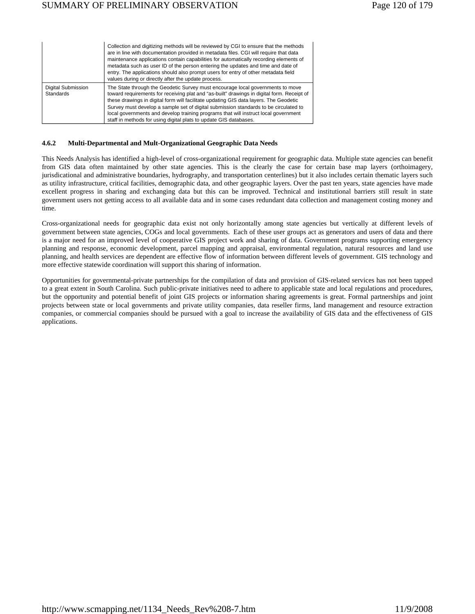|                                        | Collection and digitizing methods will be reviewed by CGI to ensure that the methods<br>are in line with documentation provided in metadata files. CGI will require that data<br>maintenance applications contain capabilities for automatically recording elements of<br>metadata such as user ID of the person entering the updates and time and date of<br>entry. The applications should also prompt users for entry of other metadata field<br>values during or directly after the update process.                   |
|----------------------------------------|---------------------------------------------------------------------------------------------------------------------------------------------------------------------------------------------------------------------------------------------------------------------------------------------------------------------------------------------------------------------------------------------------------------------------------------------------------------------------------------------------------------------------|
| Digital Submission<br><b>Standards</b> | The State through the Geodetic Survey must encourage local governments to move<br>toward requirements for receiving plat and "as-built" drawings in digital form. Receipt of<br>these drawings in digital form will facilitate updating GIS data layers. The Geodetic<br>Survey must develop a sample set of digital submission standards to be circulated to<br>local governments and develop training programs that will instruct local government<br>staff in methods for using digital plats to update GIS databases. |

#### **4.6.2 Multi-Departmental and Mult-Organizational Geographic Data Needs**

This Needs Analysis has identified a high-level of cross-organizational requirement for geographic data. Multiple state agencies can benefit from GIS data often maintained by other state agencies. This is the clearly the case for certain base map layers (orthoimagery, jurisdicational and administrative boundaries, hydrography, and transportation centerlines) but it also includes certain thematic layers such as utility infrastructure, critical facilities, demographic data, and other geographic layers. Over the past ten years, state agencies have made excellent progress in sharing and exchanging data but this can be improved. Technical and institutional barriers still result in state government users not getting access to all available data and in some cases redundant data collection and management costing money and time.

Cross-organizational needs for geographic data exist not only horizontally among state agencies but vertically at different levels of government between state agencies, COGs and local governments. Each of these user groups act as generators and users of data and there is a major need for an improved level of cooperative GIS project work and sharing of data. Government programs supporting emergency planning and response, economic development, parcel mapping and appraisal, environmental regulation, natural resources and land use planning, and health services are dependent are effective flow of information between different levels of government. GIS technology and more effective statewide coordination will support this sharing of information.

Opportunities for governmental-private partnerships for the compilation of data and provision of GIS-related services has not been tapped to a great extent in South Carolina. Such public-private initiatives need to adhere to applicable state and local regulations and procedures, but the opportunity and potential benefit of joint GIS projects or information sharing agreements is great. Formal partnerships and joint projects between state or local governments and private utility companies, data reseller firms, land management and resource extraction companies, or commercial companies should be pursued with a goal to increase the availability of GIS data and the effectiveness of GIS applications.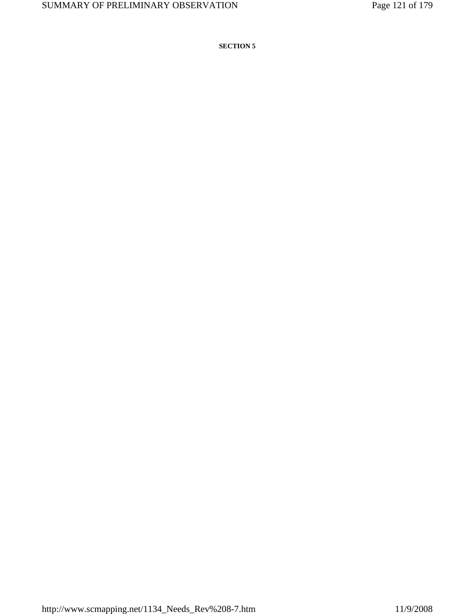**SECTION 5**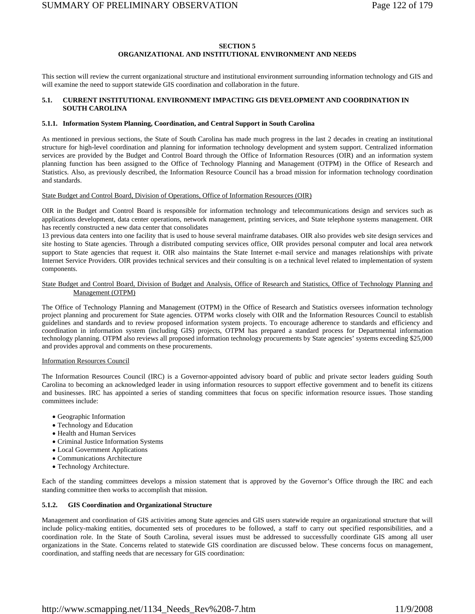# **SECTION 5 ORGANIZATIONAL AND INSTITUTIONAL ENVIRONMENT AND NEEDS**

This section will review the current organizational structure and institutional environment surrounding information technology and GIS and will examine the need to support statewide GIS coordination and collaboration in the future.

# **5.1. CURRENT INSTITUTIONAL ENVIRONMENT IMPACTING GIS DEVELOPMENT AND COORDINATION IN SOUTH CAROLINA**

# **5.1.1. Information System Planning, Coordination, and Central Support in South Carolina**

As mentioned in previous sections, the State of South Carolina has made much progress in the last 2 decades in creating an institutional structure for high-level coordination and planning for information technology development and system support. Centralized information services are provided by the Budget and Control Board through the Office of Information Resources (OIR) and an information system planning function has been assigned to the Office of Technology Planning and Management (OTPM) in the Office of Research and Statistics. Also, as previously described, the Information Resource Council has a broad mission for information technology coordination and standards.

State Budget and Control Board, Division of Operations, Office of Information Resources (OIR)

OIR in the Budget and Control Board is responsible for information technology and telecommunications design and services such as applications development, data center operations, network management, printing services, and State telephone systems management. OIR has recently constructed a new data center that consolidates

13 previous data centers into one facility that is used to house several mainframe databases. OIR also provides web site design services and site hosting to State agencies. Through a distributed computing services office, OIR provides personal computer and local area network support to State agencies that request it. OIR also maintains the State Internet e-mail service and manages relationships with private Internet Service Providers. OIR provides technical services and their consulting is on a technical level related to implementation of system components.

# State Budget and Control Board, Division of Budget and Analysis, Office of Research and Statistics, Office of Technology Planning and Management (OTPM)

The Office of Technology Planning and Management (OTPM) in the Office of Research and Statistics oversees information technology project planning and procurement for State agencies. OTPM works closely with OIR and the Information Resources Council to establish guidelines and standards and to review proposed information system projects. To encourage adherence to standards and efficiency and coordination in information system (including GIS) projects, OTPM has prepared a standard process for Departmental information technology planning. OTPM also reviews all proposed information technology procurements by State agencies' systems exceeding \$25,000 and provides approval and comments on these procurements.

# Information Resources Council

The Information Resources Council (IRC) is a Governor-appointed advisory board of public and private sector leaders guiding South Carolina to becoming an acknowledged leader in using information resources to support effective government and to benefit its citizens and businesses. IRC has appointed a series of standing committees that focus on specific information resource issues. Those standing committees include:

- Geographic Information
- Technology and Education
- Health and Human Services
- Criminal Justice Information Systems
- Local Government Applications
- Communications Architecture
- Technology Architecture.

Each of the standing committees develops a mission statement that is approved by the Governor's Office through the IRC and each standing committee then works to accomplish that mission.

#### **5.1.2. GIS Coordination and Organizational Structure**

Management and coordination of GIS activities among State agencies and GIS users statewide require an organizational structure that will include policy-making entities, documented sets of procedures to be followed, a staff to carry out specified responsibilities, and a coordination role. In the State of South Carolina, several issues must be addressed to successfully coordinate GIS among all user organizations in the State. Concerns related to statewide GIS coordination are discussed below. These concerns focus on management, coordination, and staffing needs that are necessary for GIS coordination: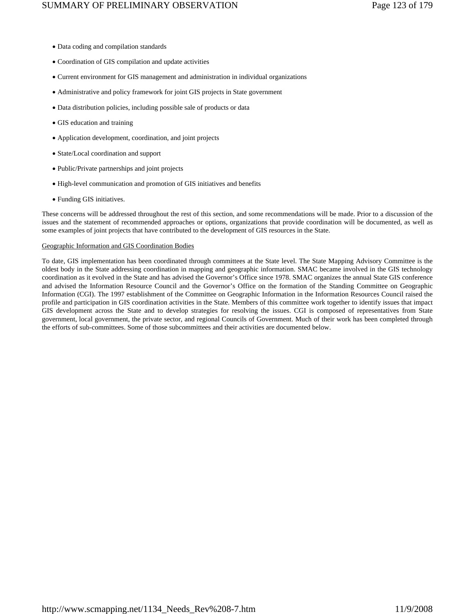- Data coding and compilation standards
- Coordination of GIS compilation and update activities
- Current environment for GIS management and administration in individual organizations
- Administrative and policy framework for joint GIS projects in State government
- Data distribution policies, including possible sale of products or data
- GIS education and training
- Application development, coordination, and joint projects
- State/Local coordination and support
- Public/Private partnerships and joint projects
- High-level communication and promotion of GIS initiatives and benefits
- Funding GIS initiatives.

These concerns will be addressed throughout the rest of this section, and some recommendations will be made. Prior to a discussion of the issues and the statement of recommended approaches or options, organizations that provide coordination will be documented, as well as some examples of joint projects that have contributed to the development of GIS resources in the State.

#### Geographic Information and GIS Coordination Bodies

To date, GIS implementation has been coordinated through committees at the State level. The State Mapping Advisory Committee is the oldest body in the State addressing coordination in mapping and geographic information. SMAC became involved in the GIS technology coordination as it evolved in the State and has advised the Governor's Office since 1978. SMAC organizes the annual State GIS conference and advised the Information Resource Council and the Governor's Office on the formation of the Standing Committee on Geographic Information (CGI). The 1997 establishment of the Committee on Geographic Information in the Information Resources Council raised the profile and participation in GIS coordination activities in the State. Members of this committee work together to identify issues that impact GIS development across the State and to develop strategies for resolving the issues. CGI is composed of representatives from State government, local government, the private sector, and regional Councils of Government. Much of their work has been completed through the efforts of sub-committees. Some of those subcommittees and their activities are documented below.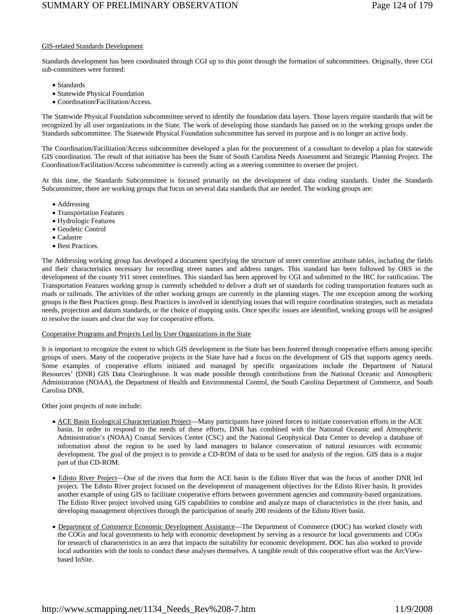# GIS-related Standards Development

Standards development has been coordinated through CGI up to this point through the formation of subcommittees. Originally, three CGI sub-committees were formed:

- Standards
- Statewide Physical Foundation
- Coordination/Facilitation/Access.

The Statewide Physical Foundation subcommittee served to identify the foundation data layers. Those layers require standards that will be recognized by all user organizations in the State. The work of developing those standards has passed on to the working groups under the Standards subcommittee. The Statewide Physical Foundation subcommittee has served its purpose and is no longer an active body.

The Coordination/Facilitation/Access subcommittee developed a plan for the procurement of a consultant to develop a plan for statewide GIS coordination. The result of that initiative has been the State of South Carolina Needs Assessment and Strategic Planning Project. The Coordination/Facilitation/Access subcommittee is currently acting as a steering committee to oversee the project.

At this time, the Standards Subcommittee is focused primarily on the development of data coding standards. Under the Standards Subcommittee, there are working groups that focus on several data standards that are needed. The working groups are:

- Addressing
- Transportation Features
- Hydrologic Features
- Geodetic Control
- Cadastre
- Best Practices.

The Addressing working group has developed a document specifying the structure of street centerline attribute tables, including the fields and their characteristics necessary for recording street names and address ranges. This standard has been followed by ORS in the development of the county 911 street centerlines. This standard has been approved by CGI and submitted to the IRC for ratification. The Transportation Features working group is currently scheduled to deliver a draft set of standards for coding transportation features such as roads or railroads. The activities of the other working groups are currently in the planning stages. The one exception among the working groups is the Best Practices group. Best Practices is involved in identifying issues that will require coordination strategies, such as metadata needs, projection and datum standards, or the choice of mapping units. Once specific issues are identified, working groups will be assigned to resolve the issues and clear the way for cooperative efforts.

#### Cooperative Programs and Projects Led by User Organizations in the State

It is important to recognize the extent to which GIS development in the State has been fostered through cooperative efforts among specific groups of users. Many of the cooperative projects in the State have had a focus on the development of GIS that supports agency needs. Some examples of cooperative efforts initiated and managed by specific organizations include the Department of Natural Resources' (DNR) GIS Data Clearinghouse. It was made possible through contributions from the National Oceanic and Atmospheric Administration (NOAA), the Department of Health and Environmental Control, the South Carolina Department of Commerce, and South Carolina DNR.

Other joint projects of note include:

- ACE Basin Ecological Characterization Project—Many participants have joined forces to initiate conservation efforts in the ACE basin. In order to respond to the needs of these efforts, DNR has combined with the National Oceanic and Atmospheric Administration's (NOAA) Coastal Services Center (CSC) and the National Geophysical Data Center to develop a database of information about the region to be used by land managers to balance conservation of natural resources with economic development. The goal of the project is to provide a CD-ROM of data to be used for analysis of the region. GIS data is a major part of that CD-ROM.
- Edisto River Project—One of the rivers that form the ACE basin is the Edisto River that was the focus of another DNR led project. The Edisto River project focused on the development of management objectives for the Edisto River basin. It provides another example of using GIS to facilitate cooperative efforts between government agencies and community-based organizations. The Edisto River project involved using GIS capabilities to combine and analyze maps of characteristics in the river basin, and developing management objectives through the participation of nearly 200 residents of the Edisto River basin.
- Department of Commerce Economic Development Assistance—The Department of Commerce (DOC) has worked closely with the COGs and local governments to help with economic development by serving as a resource for local governments and COGs for research of characteristics in an area that impacts the suitability for economic development. DOC has also worked to provide local authorities with the tools to conduct these analyses themselves. A tangible result of this cooperative effort was the ArcViewbased InSite.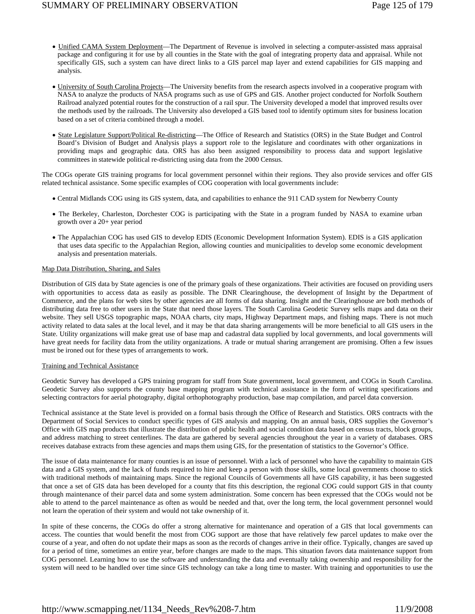- Unified CAMA System Deployment—The Department of Revenue is involved in selecting a computer-assisted mass appraisal package and configuring it for use by all counties in the State with the goal of integrating property data and appraisal. While not specifically GIS, such a system can have direct links to a GIS parcel map layer and extend capabilities for GIS mapping and analysis.
- University of South Carolina Projects—The University benefits from the research aspects involved in a cooperative program with NASA to analyze the products of NASA programs such as use of GPS and GIS. Another project conducted for Norfolk Southern Railroad analyzed potential routes for the construction of a rail spur. The University developed a model that improved results over the methods used by the railroads. The University also developed a GIS based tool to identify optimum sites for business location based on a set of criteria combined through a model.
- State Legislature Support/Political Re-districting—The Office of Research and Statistics (ORS) in the State Budget and Control Board's Division of Budget and Analysis plays a support role to the legislature and coordinates with other organizations in providing maps and geographic data. ORS has also been assigned responsibility to process data and support legislative committees in statewide political re-districting using data from the 2000 Census.

The COGs operate GIS training programs for local government personnel within their regions. They also provide services and offer GIS related technical assistance. Some specific examples of COG cooperation with local governments include:

- Central Midlands COG using its GIS system, data, and capabilities to enhance the 911 CAD system for Newberry County
- The Berkeley, Charleston, Dorchester COG is participating with the State in a program funded by NASA to examine urban growth over a 20+ year period
- The Appalachian COG has used GIS to develop EDIS (Economic Development Information System). EDIS is a GIS application that uses data specific to the Appalachian Region, allowing counties and municipalities to develop some economic development analysis and presentation materials.

# Map Data Distribution, Sharing, and Sales

Distribution of GIS data by State agencies is one of the primary goals of these organizations. Their activities are focused on providing users with opportunities to access data as easily as possible. The DNR Clearinghouse, the development of Insight by the Department of Commerce, and the plans for web sites by other agencies are all forms of data sharing. Insight and the Clearinghouse are both methods of distributing data free to other users in the State that need those layers. The South Carolina Geodetic Survey sells maps and data on their website. They sell USGS topographic maps, NOAA charts, city maps, Highway Department maps, and fishing maps. There is not much activity related to data sales at the local level, and it may be that data sharing arrangements will be more beneficial to all GIS users in the State. Utility organizations will make great use of base map and cadastral data supplied by local governments, and local governments will have great needs for facility data from the utility organizations. A trade or mutual sharing arrangement are promising. Often a few issues must be ironed out for these types of arrangements to work.

#### Training and Technical Assistance

Geodetic Survey has developed a GPS training program for staff from State government, local government, and COGs in South Carolina. Geodetic Survey also supports the county base mapping program with technical assistance in the form of writing specifications and selecting contractors for aerial photography, digital orthophotography production, base map compilation, and parcel data conversion.

Technical assistance at the State level is provided on a formal basis through the Office of Research and Statistics. ORS contracts with the Department of Social Services to conduct specific types of GIS analysis and mapping. On an annual basis, ORS supplies the Governor's Office with GIS map products that illustrate the distribution of public health and social condition data based on census tracts, block groups, and address matching to street centerlines. The data are gathered by several agencies throughout the year in a variety of databases. ORS receives database extracts from these agencies and maps them using GIS, for the presentation of statistics to the Governor's Office.

The issue of data maintenance for many counties is an issue of personnel. With a lack of personnel who have the capability to maintain GIS data and a GIS system, and the lack of funds required to hire and keep a person with those skills, some local governments choose to stick with traditional methods of maintaining maps. Since the regional Councils of Governments all have GIS capability, it has been suggested that once a set of GIS data has been developed for a county that fits this description, the regional COG could support GIS in that county through maintenance of their parcel data and some system administration. Some concern has been expressed that the COGs would not be able to attend to the parcel maintenance as often as would be needed and that, over the long term, the local government personnel would not learn the operation of their system and would not take ownership of it.

In spite of these concerns, the COGs do offer a strong alternative for maintenance and operation of a GIS that local governments can access. The counties that would benefit the most from COG support are those that have relatively few parcel updates to make over the course of a year, and often do not update their maps as soon as the records of changes arrive in their office. Typically, changes are saved up for a period of time, sometimes an entire year, before changes are made to the maps. This situation favors data maintenance support from COG personnel. Learning how to use the software and understanding the data and eventually taking ownership and responsibility for the system will need to be handled over time since GIS technology can take a long time to master. With training and opportunities to use the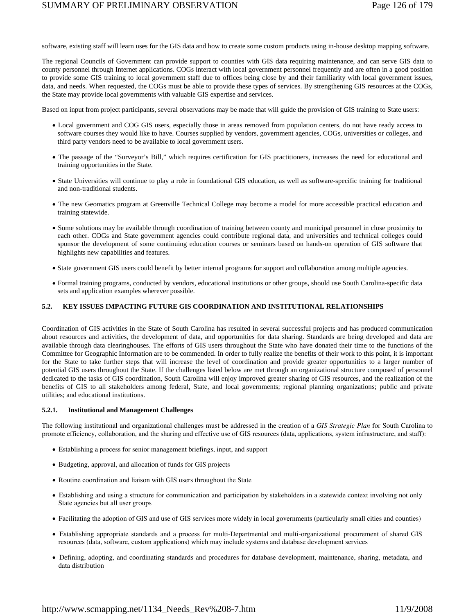software, existing staff will learn uses for the GIS data and how to create some custom products using in-house desktop mapping software.

The regional Councils of Government can provide support to counties with GIS data requiring maintenance, and can serve GIS data to county personnel through Internet applications. COGs interact with local government personnel frequently and are often in a good position to provide some GIS training to local government staff due to offices being close by and their familiarity with local government issues, data, and needs. When requested, the COGs must be able to provide these types of services. By strengthening GIS resources at the COGs, the State may provide local governments with valuable GIS expertise and services.

Based on input from project participants, several observations may be made that will guide the provision of GIS training to State users:

- Local government and COG GIS users, especially those in areas removed from population centers, do not have ready access to software courses they would like to have. Courses supplied by vendors, government agencies, COGs, universities or colleges, and third party vendors need to be available to local government users.
- The passage of the "Surveyor's Bill," which requires certification for GIS practitioners, increases the need for educational and training opportunities in the State.
- State Universities will continue to play a role in foundational GIS education, as well as software-specific training for traditional and non-traditional students.
- The new Geomatics program at Greenville Technical College may become a model for more accessible practical education and training statewide.
- Some solutions may be available through coordination of training between county and municipal personnel in close proximity to each other. COGs and State government agencies could contribute regional data, and universities and technical colleges could sponsor the development of some continuing education courses or seminars based on hands-on operation of GIS software that highlights new capabilities and features.
- State government GIS users could benefit by better internal programs for support and collaboration among multiple agencies.
- Formal training programs, conducted by vendors, educational institutions or other groups, should use South Carolina-specific data sets and application examples wherever possible.

# **5.2. KEY ISSUES IMPACTING FUTURE GIS COORDINATION AND INSTITUTIONAL RELATIONSHIPS**

Coordination of GIS activities in the State of South Carolina has resulted in several successful projects and has produced communication about resources and activities, the development of data, and opportunities for data sharing. Standards are being developed and data are available through data clearinghouses. The efforts of GIS users throughout the State who have donated their time to the functions of the Committee for Geographic Information are to be commended. In order to fully realize the benefits of their work to this point, it is important for the State to take further steps that will increase the level of coordination and provide greater opportunities to a larger number of potential GIS users throughout the State. If the challenges listed below are met through an organizational structure composed of personnel dedicated to the tasks of GIS coordination, South Carolina will enjoy improved greater sharing of GIS resources, and the realization of the benefits of GIS to all stakeholders among federal, State, and local governments; regional planning organizations; public and private utilities; and educational institutions.

#### **5.2.1. Institutional and Management Challenges**

The following institutional and organizational challenges must be addressed in the creation of a *GIS Strategic Plan* for South Carolina to promote efficiency, collaboration, and the sharing and effective use of GIS resources (data, applications, system infrastructure, and staff):

- Establishing a process for senior management briefings, input, and support
- Budgeting, approval, and allocation of funds for GIS projects
- Routine coordination and liaison with GIS users throughout the State
- Establishing and using a structure for communication and participation by stakeholders in a statewide context involving not only State agencies but all user groups
- Facilitating the adoption of GIS and use of GIS services more widely in local governments (particularly small cities and counties)
- Establishing appropriate standards and a process for multi-Departmental and multi-organizational procurement of shared GIS resources (data, software, custom applications) which may include systems and database development services
- Defining, adopting, and coordinating standards and procedures for database development, maintenance, sharing, metadata, and data distribution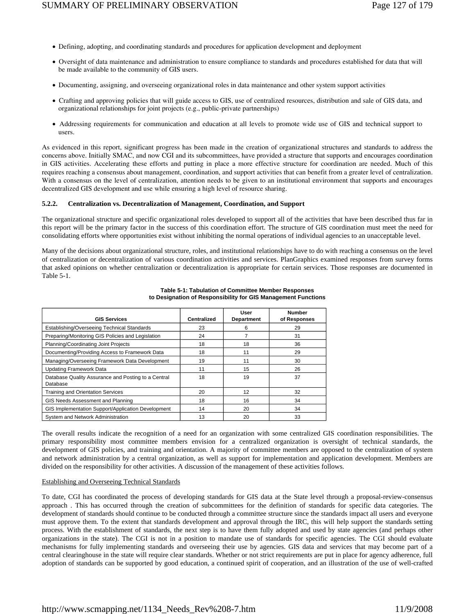- Defining, adopting, and coordinating standards and procedures for application development and deployment
- Oversight of data maintenance and administration to ensure compliance to standards and procedures established for data that will be made available to the community of GIS users.
- Documenting, assigning, and overseeing organizational roles in data maintenance and other system support activities
- Crafting and approving policies that will guide access to GIS, use of centralized resources, distribution and sale of GIS data, and organizational relationships for joint projects (e.g., public-private partnerships)
- Addressing requirements for communication and education at all levels to promote wide use of GIS and technical support to users.

As evidenced in this report, significant progress has been made in the creation of organizational structures and standards to address the concerns above. Initially SMAC, and now CGI and its subcommittees, have provided a structure that supports and encourages coordination in GIS activities. Accelerating these efforts and putting in place a more effective structure for coordination are needed. Much of this requires reaching a consensus about management, coordination, and support activities that can benefit from a greater level of centralization. With a consensus on the level of centralization, attention needs to be given to an institutional environment that supports and encourages decentralized GIS development and use while ensuring a high level of resource sharing.

#### **5.2.2. Centralization vs. Decentralization of Management, Coordination, and Support**

The organizational structure and specific organizational roles developed to support all of the activities that have been described thus far in this report will be the primary factor in the success of this coordination effort. The structure of GIS coordination must meet the need for consolidating efforts where opportunities exist without inhibiting the normal operations of individual agencies to an unacceptable level.

Many of the decisions about organizational structure, roles, and institutional relationships have to do with reaching a consensus on the level of centralization or decentralization of various coordination activities and services. PlanGraphics examined responses from survey forms that asked opinions on whether centralization or decentralization is appropriate for certain services. Those responses are documented in Table 5-1.

| <b>GIS Services</b>                                             | Centralized | User<br><b>Department</b> | <b>Number</b><br>of Responses |
|-----------------------------------------------------------------|-------------|---------------------------|-------------------------------|
| Establishing/Overseeing Technical Standards                     | 23          | 6                         | 29                            |
| Preparing/Monitoring GIS Policies and Legislation               | 24          |                           | 31                            |
| Planning/Coordinating Joint Projects                            | 18          | 18                        | 36                            |
| Documenting/Providing Access to Framework Data                  | 18          | 11                        | 29                            |
| Managing/Overseeing Framework Data Development                  | 19          | 11                        | 30                            |
| <b>Updating Framework Data</b>                                  | 11          | 15                        | 26                            |
| Database Quality Assurance and Posting to a Central<br>Database | 18          | 19                        | 37                            |
| <b>Training and Orientation Services</b>                        | 20          | 12                        | 32                            |
| GIS Needs Assessment and Planning                               | 18          | 16                        | 34                            |
| GIS Implementation Support/Application Development              | 14          | 20                        | 34                            |
| System and Network Administration                               | 13          | 20                        | 33                            |

#### **Table 5-1: Tabulation of Committee Member Responses to Designation of Responsibility for GIS Management Functions**

The overall results indicate the recognition of a need for an organization with some centralized GIS coordination responsibilities. The primary responsibility most committee members envision for a centralized organization is oversight of technical standards, the development of GIS policies, and training and orientation. A majority of committee members are opposed to the centralization of system and network administration by a central organization, as well as support for implementation and application development. Members are divided on the responsibility for other activities. A discussion of the management of these activities follows.

#### Establishing and Overseeing Technical Standards

To date, CGI has coordinated the process of developing standards for GIS data at the State level through a proposal-review-consensus approach . This has occurred through the creation of subcommittees for the definition of standards for specific data categories. The development of standards should continue to be conducted through a committee structure since the standards impact all users and everyone must approve them. To the extent that standards development and approval through the IRC, this will help support the standards setting process. With the establishment of standards, the next step is to have them fully adopted and used by state agencies (and perhaps other organizations in the state). The CGI is not in a position to mandate use of standards for specific agencies. The CGI should evaluate mechanisms for fully implementing standards and overseeing their use by agencies. GIS data and services that may become part of a central clearinghouse in the state will require clear standards. Whether or not strict requirements are put in place for agency adherence, full adoption of standards can be supported by good education, a continued spirit of cooperation, and an illustration of the use of well-crafted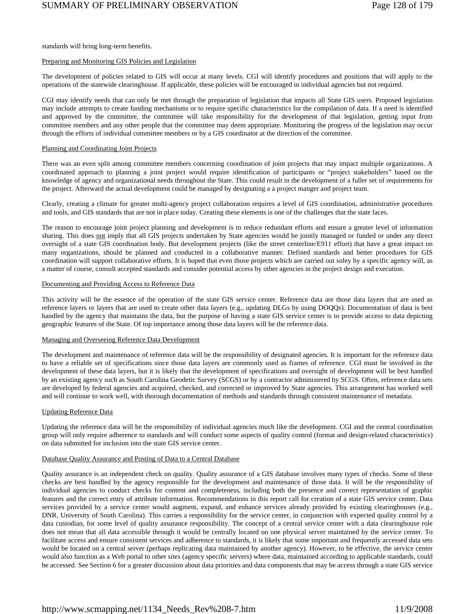standards will bring long-term benefits.

#### Preparing and Monitoring GIS Policies and Legislation

The development of policies related to GIS will occur at many levels. CGI will identify procedures and positions that will apply to the operations of the statewide clearinghouse. If applicable, these policies will be encouraged in individual agencies but not required.

CGI may identify needs that can only be met through the preparation of legislation that impacts all State GIS users. Proposed legislation may include attempts to create funding mechanisms or to require specific characteristics for the compilation of data. If a need is identified and approved by the committee, the committee will take responsibility for the development of that legislation, getting input from committee members and any other people that the committee may deem appropriate. Monitoring the progress of the legislation may occur through the efforts of individual committee members or by a GIS coordinator at the direction of the committee.

#### Planning and Coordinating Joint Projects

There was an even split among committee members concerning coordination of joint projects that may impact multiple organizations. A coordinated approach to planning a joint project would require identification of participants or "project stakeholders" based on the knowledge of agency and organizational needs throughout the State. This could result in the development of a fuller set of requirements for the project. Afterward the actual development could be managed by designating a a project manger and project team.

Clearly, creating a climate for greater multi-agency project collaboration requires a level of GIS coordination, administrative procedures and tools, and GIS standards that are not in place today. Creating these elements is one of the challenges that the state faces.

The reason to encourage joint project planning and development is to reduce redundant efforts and ensure a greater level of information sharing. This does not imply that all GIS projects undertaken by State agencies would be jointly managed or funded or under any direct oversight of a state GIS coordination body. But development projects (like the street centerline/E911 effort) that have a great impact on many organizations, should be planned and conducted in a collaborative manner. Defined standards and better procedures for GIS coordination will support collaborative efforts. It is hoped that even those projects which are carried out soley by a specific agency will, as a matter of course, consult accepted standards and consider potential access by other agencies in the project design and execution.

#### Documenting and Providing Access to Reference Data

This activity will be the essence of the operation of the state GIS service center. Reference data are those data layers that are used as reference layers or layers that are used to create other data layers (e.g., updating DLGs by using DOQQs). Documentation of data is best handled by the agency that maintains the data, but the purpose of having a state GIS service center is to provide access to data depicting geographic features of the State. Of top importance among those data layers will be the reference data.

#### Managing and Overseeing Reference Data Development

The development and maintenance of reference data will be the responsibility of designated agencies. It is important for the reference data to have a reliable set of specifications since those data layers are commonly used as frames of reference. CGI must be involved in the development of these data layers, but it is likely that the development of specifications and oversight of development will be best handled by an existing agency such as South Carolina Geodetic Survey (SCGS) or by a contractor administered by SCGS. Often, reference data sets are developed by federal agencies and acquired, checked, and corrected or improved by State agencies. This arrangement has worked well and will continue to work well, with thorough documentation of methods and standards through consistent maintenance of metadata.

#### Updating Reference Data

Updating the reference data will be the responsibility of individual agencies much like the development. CGI and the central coordination group will only require adherence to standards and will conduct some aspects of quality control (format and design-related characteristics) on data submitted for inclusion into the state GIS service center.

#### Database Quality Assurance and Posting of Data to a Central Database

Quality assurance is an independent check on quality. Quality assurance of a GIS database involves many types of checks. Some of these checks are best handled by the agency responsible for the development and maintenance of those data. It will be the responsibility of individual agencies to conduct checks for content and completeness, including both the presence and correct representation of graphic features and the correct entry of attribute information. Recommendations in this report call for creation of a state GIS service center. Data services provided by a service center would augment, expand, and enhance services already provided by existing clearinghouses (e.g., DNR, University of South Carolina). This carries a responsibility for the service center, in conjunction with expected quality control by a data custodian, for some level of quality assurance responsibility. The concept of a central service center with a data clearinghouse role does not mean that all data accessible through it would be centrally located on one physical server maintained by the service center. To facilitate access and ensure consistent services and adherence to standards, it is likely that some important and frequently accessed data sets would be located on a central server (perhaps replicating data maintained by another agency). However, to be effective, the service center would also function as a Web portal to other sites (agency specific servers) where data, maintained according to applicable standards, could be accessed. See Section 6 for a greater discussion about data priorities and data components that may be access through a state GIS service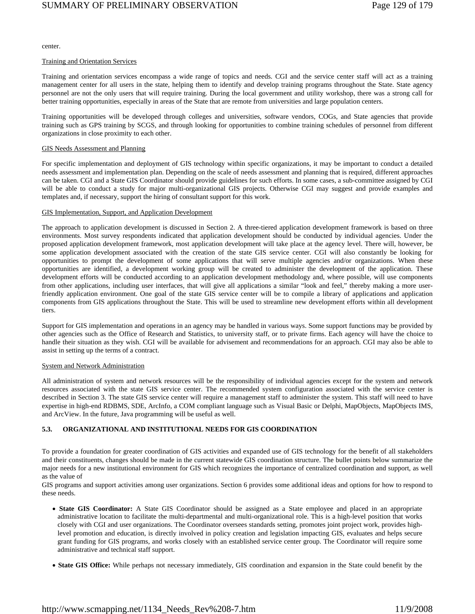center.

#### Training and Orientation Services

Training and orientation services encompass a wide range of topics and needs. CGI and the service center staff will act as a training management center for all users in the state, helping them to identify and develop training programs throughout the State. State agency personnel are not the only users that will require training. During the local government and utility workshop, there was a strong call for better training opportunities, especially in areas of the State that are remote from universities and large population centers.

Training opportunities will be developed through colleges and universities, software vendors, COGs, and State agencies that provide training such as GPS training by SCGS, and through looking for opportunities to combine training schedules of personnel from different organizations in close proximity to each other.

#### GIS Needs Assessment and Planning

For specific implementation and deployment of GIS technology within specific organizations, it may be important to conduct a detailed needs assessment and implementation plan. Depending on the scale of needs assessment and planning that is required, different approaches can be taken. CGI and a State GIS Coordinator should provide guidelines for such efforts. In some cases, a sub-committee assigned by CGI will be able to conduct a study for major multi-organizational GIS projects. Otherwise CGI may suggest and provide examples and templates and, if necessary, support the hiring of consultant support for this work.

#### GIS Implementation, Support, and Application Development

The approach to application development is discussed in Section 2. A three-tiered application development framework is based on three environments. Most survey respondents indicated that application development should be conducted by individual agencies. Under the proposed application development framework, most application development will take place at the agency level. There will, however, be some application development associated with the creation of the state GIS service center. CGI will also constantly be looking for opportunities to prompt the development of some applications that will serve multiple agencies and/or organizations. When these opportunities are identified, a development working group will be created to administer the development of the application. These development efforts will be conducted according to an application development methodology and, where possible, will use components from other applications, including user interfaces, that will give all applications a similar "look and feel," thereby making a more userfriendly application environment. One goal of the state GIS service center will be to compile a library of applications and application components from GIS applications throughout the State. This will be used to streamline new development efforts within all development tiers.

Support for GIS implementation and operations in an agency may be handled in various ways. Some support functions may be provided by other agencies such as the Office of Research and Statistics, to university staff, or to private firms. Each agency will have the choice to handle their situation as they wish. CGI will be available for advisement and recommendations for an approach. CGI may also be able to assist in setting up the terms of a contract.

#### System and Network Administration

All administration of system and network resources will be the responsibility of individual agencies except for the system and network resources associated with the state GIS service center. The recommended system configuration associated with the service center is described in Section 3. The state GIS service center will require a management staff to administer the system. This staff will need to have expertise in high-end RDBMS, SDE, ArcInfo, a COM compliant language such as Visual Basic or Delphi, MapObjects, MapObjects IMS, and ArcView. In the future, Java programming will be useful as well.

# **5.3. ORGANIZATIONAL AND INSTITUTIONAL NEEDS FOR GIS COORDINATION**

To provide a foundation for greater coordination of GIS activities and expanded use of GIS technology for the benefit of all stakeholders and their constituents, changes should be made in the current statewide GIS coordination structure. The bullet points below summarize the major needs for a new institutional environment for GIS which recognizes the importance of centralized coordination and support, as well as the value of

GIS programs and support activities among user organizations. Section 6 provides some additional ideas and options for how to respond to these needs.

- **State GIS Coordinator:** A State GIS Coordinator should be assigned as a State employee and placed in an appropriate administrative location to facilitate the multi-departmental and multi-organizational role. This is a high-level position that works closely with CGI and user organizations. The Coordinator oversees standards setting, promotes joint project work, provides highlevel promotion and education, is directly involved in policy creation and legislation impacting GIS, evaluates and helps secure grant funding for GIS programs, and works closely with an established service center group. The Coordinator will require some administrative and technical staff support.
- **State GIS Office:** While perhaps not necessary immediately, GIS coordination and expansion in the State could benefit by the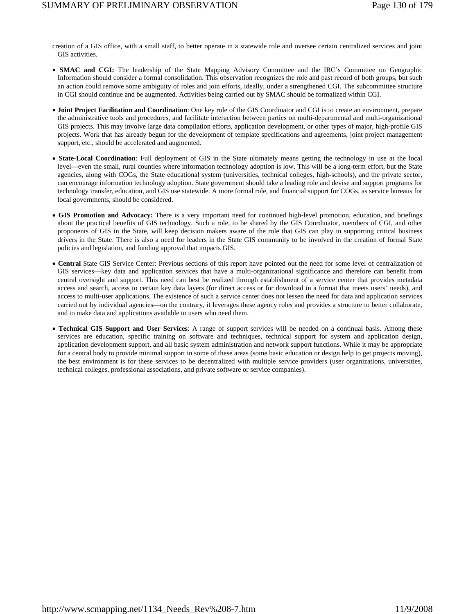creation of a GIS office, with a small staff, to better operate in a statewide role and oversee certain centralized services and joint GIS activities.

- **SMAC and CGI:** The leadership of the State Mapping Advisory Committee and the IRC's Committee on Geographic Information should consider a formal consolidation. This observation recognizes the role and past record of both groups, but such an action could remove some ambiguity of roles and join efforts, ideally, under a strengthened CGI. The subcommittee structure in CGI should continue and be augmented. Activities being carried out by SMAC should be formalized within CGI.
- **Joint Project Facilitation and Coordination**: One key role of the GIS Coordinator and CGI is to create an environment, prepare the administrative tools and procedures, and facilitate interaction between parties on multi-departmental and multi-organizational GIS projects. This may involve large data compilation efforts, application development, or other types of major, high-profile GIS projects. Work that has already begun for the development of template specifications and agreements, joint project management support, etc., should be accelerated and augmented.
- **State-Local Coordination**: Full deployment of GIS in the State ultimately means getting the technology in use at the local level—even the small, rural counties where information technology adoption is low. This will be a long-term effort, but the State agencies, along with COGs, the State educational system (universities, technical colleges, high-schools), and the private sector, can encourage information technology adoption. State government should take a leading role and devise and support programs for technology transfer, education, and GIS use statewide. A more formal role, and financial support for COGs, as service bureaus for local governments, should be considered.
- **GIS Promotion and Advocacy:** There is a very important need for continued high-level promotion, education, and briefings about the practical benefits of GIS technology. Such a role, to be shared by the GIS Coordinator, members of CGI, and other proponents of GIS in the State, will keep decision makers aware of the role that GIS can play in supporting critical business drivers in the State. There is also a need for leaders in the State GIS community to be involved in the creation of formal State policies and legislation, and funding approval that impacts GIS.
- **Central** State GIS Service Center: Previous sections of this report have pointed out the need for some level of centralization of GIS services—key data and application services that have a multi-organizational significance and therefore can benefit from central oversight and support. This need can best be realized through establishment of a service center that provides metadata access and search, access to certain key data layers (for direct access or for download in a format that meets users' needs), and access to multi-user applications. The existence of such a service center does not lessen the need for data and application services carried out by individual agencies—on the contrary, it leverages these agency roles and provides a structure to better collaborate, and to make data and applications available to users who need them.
- **Technical GIS Support and User Services**: A range of support services will be needed on a continual basis. Among these services are education, specific training on software and techniques, technical support for system and application design, application development support, and all basic system administration and network support functions. While it may be appropriate for a central body to provide minimal support in some of these areas (some basic education or design help to get projects moving), the best environment is for these services to be decentralized with multiple service providers (user organizations, universities, technical colleges, professional associations, and private software or service companies).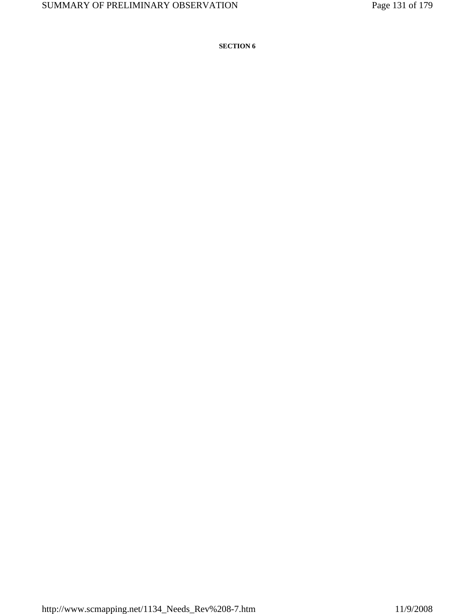**SECTION 6**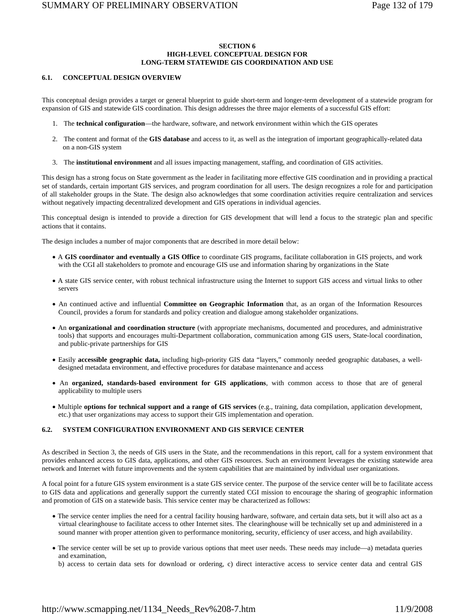# **SECTION 6 HIGH-LEVEL CONCEPTUAL DESIGN FOR LONG-TERM STATEWIDE GIS COORDINATION AND USE**

#### **6.1. CONCEPTUAL DESIGN OVERVIEW**

This conceptual design provides a target or general blueprint to guide short-term and longer-term development of a statewide program for expansion of GIS and statewide GIS coordination. This design addresses the three major elements of a successful GIS effort:

- 1. The **technical configuration**—the hardware, software, and network environment within which the GIS operates
- 2. The content and format of the **GIS database** and access to it, as well as the integration of important geographically-related data on a non-GIS system
- 3. The **institutional environment** and all issues impacting management, staffing, and coordination of GIS activities.

This design has a strong focus on State government as the leader in facilitating more effective GIS coordination and in providing a practical set of standards, certain important GIS services, and program coordination for all users. The design recognizes a role for and participation of all stakeholder groups in the State. The design also acknowledges that some coordination activities require centralization and services without negatively impacting decentralized development and GIS operations in individual agencies.

This conceptual design is intended to provide a direction for GIS development that will lend a focus to the strategic plan and specific actions that it contains.

The design includes a number of major components that are described in more detail below:

- A **GIS coordinator and eventually a GIS Office** to coordinate GIS programs, facilitate collaboration in GIS projects, and work with the CGI all stakeholders to promote and encourage GIS use and information sharing by organizations in the State
- A state GIS service center, with robust technical infrastructure using the Internet to support GIS access and virtual links to other servers
- An continued active and influential **Committee on Geographic Information** that, as an organ of the Information Resources Council, provides a forum for standards and policy creation and dialogue among stakeholder organizations.
- An **organizational and coordination structure** (with appropriate mechanisms, documented and procedures, and administrative tools) that supports and encourages multi-Department collaboration, communication among GIS users, State-local coordination, and public-private partnerships for GIS
- Easily **accessible geographic data,** including high-priority GIS data "layers," commonly needed geographic databases, a welldesigned metadata environment, and effective procedures for database maintenance and access
- An **organized, standards-based environment for GIS applications**, with common access to those that are of general applicability to multiple users
- Multiple **options for technical support and a range of GIS services** (e.g., training, data compilation, application development, etc.) that user organizations may access to support their GIS implementation and operation.

# **6.2. SYSTEM CONFIGURATION ENVIRONMENT AND GIS SERVICE CENTER**

As described in Section 3, the needs of GIS users in the State, and the recommendations in this report, call for a system environment that provides enhanced access to GIS data, applications, and other GIS resources. Such an environment leverages the existing statewide area network and Internet with future improvements and the system capabilities that are maintained by individual user organizations.

A focal point for a future GIS system environment is a state GIS service center. The purpose of the service center will be to facilitate access to GIS data and applications and generally support the currently stated CGI mission to encourage the sharing of geographic information and promotion of GIS on a statewide basis. This service center may be characterized as follows:

- The service center implies the need for a central facility housing hardware, software, and certain data sets, but it will also act as a virtual clearinghouse to facilitate access to other Internet sites. The clearinghouse will be technically set up and administered in a sound manner with proper attention given to performance monitoring, security, efficiency of user access, and high availability.
- The service center will be set up to provide various options that meet user needs. These needs may include—a) metadata queries and examination,
	- b) access to certain data sets for download or ordering, c) direct interactive access to service center data and central GIS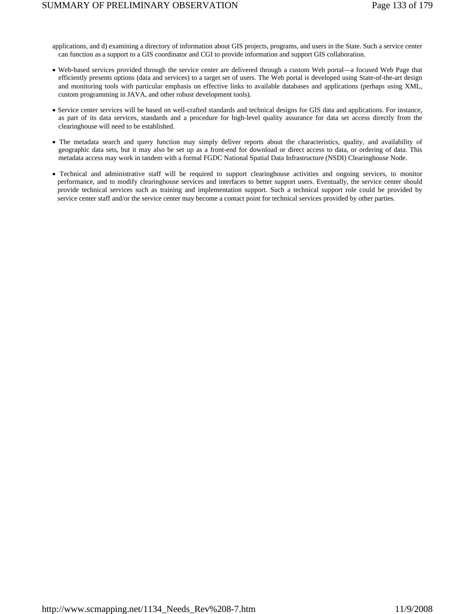- applications, and d) examining a directory of information about GIS projects, programs, and users in the State. Such a service center can function as a support to a GIS coordinator and CGI to provide information and support GIS collaboration.
- Web-based services provided through the service center are delivered through a custom Web portal—a focused Web Page that efficiently presents options (data and services) to a target set of users. The Web portal is developed using State-of-the-art design and monitoring tools with particular emphasis on effective links to available databases and applications (perhaps using XML, custom programming in JAVA, and other robust development tools).
- Service center services will be based on well-crafted standards and technical designs for GIS data and applications. For instance, as part of its data services, standards and a procedure for high-level quality assurance for data set access directly from the clearinghouse will need to be established.
- The metadata search and query function may simply deliver reports about the characteristics, quality, and availability of geographic data sets, but it may also be set up as a front-end for download or direct access to data, or ordering of data. This metadata access may work in tandem with a formal FGDC National Spatial Data Infrastructure (NSDI) Clearinghouse Node.
- Technical and administrative staff will be required to support clearinghouse activities and ongoing services, to monitor performance, and to modify clearinghouse services and interfaces to better support users. Eventually, the service center should provide technical services such as training and implementation support. Such a technical support role could be provided by service center staff and/or the service center may become a contact point for technical services provided by other parties.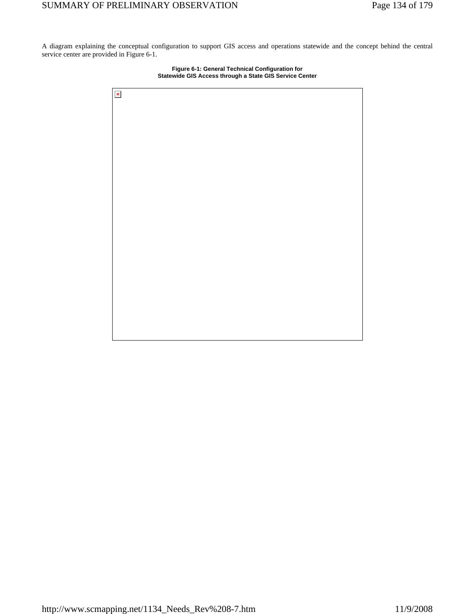A diagram explaining the conceptual configuration to support GIS access and operations statewide and the concept behind the central service center are provided in Figure 6-1.



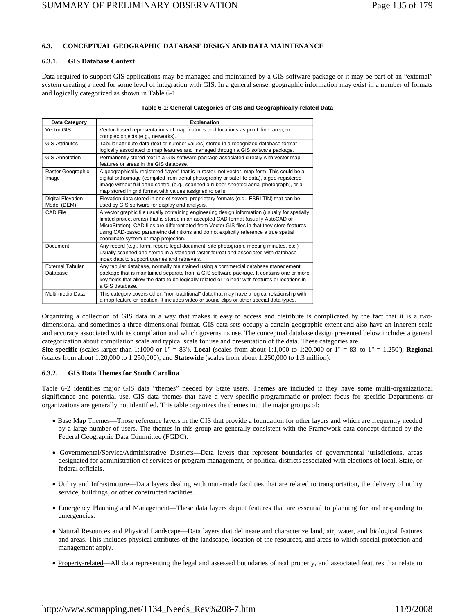# **6.3. CONCEPTUAL GEOGRAPHIC DATABASE DESIGN AND DATA MAINTENANCE**

# **6.3.1. GIS Database Context**

Data required to support GIS applications may be managed and maintained by a GIS software package or it may be part of an "external" system creating a need for some level of integration with GIS. In a general sense, geographic information may exist in a number of formats and logically categorized as shown in Table 6-1.

|  |  | Table 6-1: General Categories of GIS and Geographically-related Data |  |
|--|--|----------------------------------------------------------------------|--|
|--|--|----------------------------------------------------------------------|--|

| Data Category                           | <b>Explanation</b>                                                                                                                                                                                                                                                                                                                                                                                                      |
|-----------------------------------------|-------------------------------------------------------------------------------------------------------------------------------------------------------------------------------------------------------------------------------------------------------------------------------------------------------------------------------------------------------------------------------------------------------------------------|
| Vector GIS                              | Vector-based representations of map features and locations as point, line, area, or<br>complex objects (e.g., networks).                                                                                                                                                                                                                                                                                                |
| <b>GIS Attributes</b>                   | Tabular attribute data (text or number values) stored in a recognized database format<br>logically associated to map features and managed through a GIS software package.                                                                                                                                                                                                                                               |
| <b>GIS Annotation</b>                   | Permanently stored text in a GIS software package associated directly with vector map<br>features or areas in the GIS database.                                                                                                                                                                                                                                                                                         |
| Raster Geographic<br>Image              | A geographically registered "layer" that is in raster, not vector, map form. This could be a<br>digital orthoimage (compiled from aerial photography or satellite data), a geo-registered<br>image without full ortho control (e.g., scanned a rubber-sheeted aerial photograph), or a<br>map stored in grid format with values assigned to cells.                                                                      |
| <b>Digital Elevation</b><br>Model (DEM) | Elevation data stored in one of several proprietary formats (e.g., ESRI TIN) that can be<br>used by GIS software for display and analysis.                                                                                                                                                                                                                                                                              |
| CAD File                                | A vector graphic file usually containing engineering design information (usually for spatially<br>limited project areas) that is stored in an accepted CAD format (usually AutoCAD or<br>MicroStation). CAD files are differentiated from Vector GIS files in that they store features<br>using CAD-based parametric definitions and do not explicitly reference a true spatial<br>coordinate system or map projection. |
| Document                                | Any record (e.g., form, report, legal document, site photograph, meeting minutes, etc.)<br>usually scanned and stored in a standard raster format and associated with database<br>index data to support queries and retrievals.                                                                                                                                                                                         |
| <b>External Tabular</b><br>Database     | Any tabular database, normally maintained using a commercial database management<br>package that is maintained separate from a GIS software package. It contains one or more<br>key fields that allow the data to be logically related or "joined" with features or locations in<br>a GIS database.                                                                                                                     |
| Multi-media Data                        | This category covers other, "non-traditional" data that may have a logical relationship with<br>a map feature or location. It includes video or sound clips or other special data types.                                                                                                                                                                                                                                |

Organizing a collection of GIS data in a way that makes it easy to access and distribute is complicated by the fact that it is a twodimensional and sometimes a three-dimensional format. GIS data sets occupy a certain geographic extent and also have an inherent scale and accuracy associated with its compilation and which governs its use. The conceptual database design presented below includes a general categorization about compilation scale and typical scale for use and presentation of the data. These categories are

**Site-specific** (scales larger than 1:1000 or 1" = 83'), **Local** (scales from about 1:1,000 to 1:20,000 or 1" = 83' to 1" = 1,250'), **Regional** (scales from about 1:20,000 to 1:250,000), and **Statewide** (scales from about 1:250,000 to 1:3 million).

# **6.3.2. GIS Data Themes for South Carolina**

Table 6-2 identifies major GIS data "themes" needed by State users. Themes are included if they have some multi-organizational significance and potential use. GIS data themes that have a very specific programmatic or project focus for specific Departments or organizations are generally not identified. This table organizes the themes into the major groups of:

- Base Map Themes—Those reference layers in the GIS that provide a foundation for other layers and which are frequently needed by a large number of users. The themes in this group are generally consistent with the Framework data concept defined by the Federal Geographic Data Committee (FGDC).
- Governmental/Service/Administrative Districts—Data layers that represent boundaries of governmental jurisdictions, areas designated for administration of services or program management, or political districts associated with elections of local, State, or federal officials.
- Utility and Infrastructure—Data layers dealing with man-made facilities that are related to transportation, the delivery of utility service, buildings, or other constructed facilities.
- Emergency Planning and Management—These data layers depict features that are essential to planning for and responding to emergencies.
- Natural Resources and Physical Landscape—Data layers that delineate and characterize land, air, water, and biological features and areas. This includes physical attributes of the landscape, location of the resources, and areas to which special protection and management apply.
- Property-related—All data representing the legal and assessed boundaries of real property, and associated features that relate to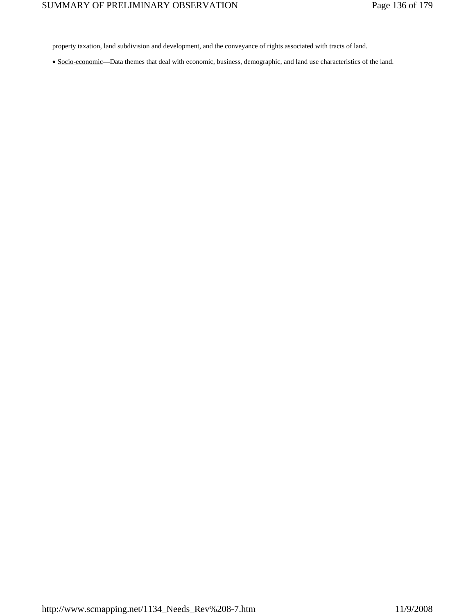property taxation, land subdivision and development, and the conveyance of rights associated with tracts of land.

• Socio-economic—Data themes that deal with economic, business, demographic, and land use characteristics of the land.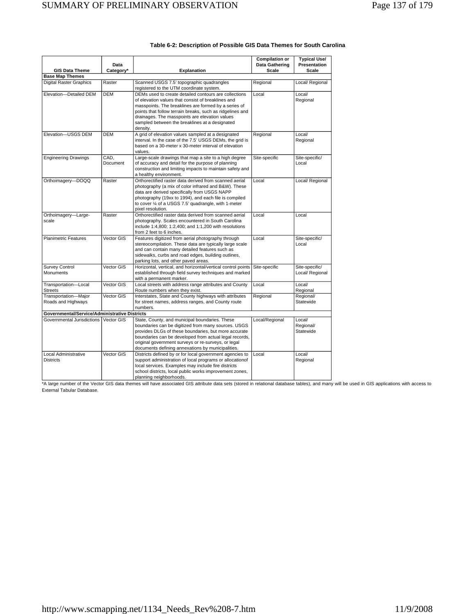| <b>GIS Data Theme</b>                                | Data<br>Category* | <b>Explanation</b>                                                                                                                                                                                                                                                                                                                               | <b>Compilation or</b><br>Data Gathering<br>Scale | <b>Typical Use/</b><br>Presentation<br><b>Scale</b> |
|------------------------------------------------------|-------------------|--------------------------------------------------------------------------------------------------------------------------------------------------------------------------------------------------------------------------------------------------------------------------------------------------------------------------------------------------|--------------------------------------------------|-----------------------------------------------------|
| <b>Base Map Themes</b>                               |                   |                                                                                                                                                                                                                                                                                                                                                  |                                                  |                                                     |
| <b>Digital Raster Graphics</b>                       | Raster            | Scanned USGS 7.5' topographic quadrangles<br>registered to the UTM coordinate system.                                                                                                                                                                                                                                                            | Regional                                         | Local/ Regional                                     |
| Elevation-Detailed DEM                               | <b>DEM</b>        | DEMs used to create detailed contours are collections<br>of elevation values that consist of breaklines and<br>masspoints. The breaklines are formed by a series of<br>points that follow terrain breaks, such as ridgelines and<br>drainages. The masspoints are elevation values<br>sampled between the breaklines at a designated<br>density. | Local                                            | Local/<br>Regional                                  |
| Elevation-USGS DEM                                   | <b>DEM</b>        | A grid of elevation values sampled at a designated<br>interval. In the case of the 7.5' USGS DEMs, the grid is<br>based on a 30-meter x 30-meter interval of elevation<br>values.                                                                                                                                                                | Regional                                         | Local/<br>Regional                                  |
| <b>Engineering Drawings</b>                          | CAD.<br>Document  | Large-scale drawings that map a site to a high degree<br>of accuracy and detail for the purpose of planning<br>construction and limiting impacts to maintain safety and<br>a healthy environment.                                                                                                                                                | Site-specific                                    | Site-specific/<br>Local                             |
| Orthoimagery-DOQQ                                    | Raster            | Orthorectified raster data derived from scanned aerial<br>photography (a mix of color infrared and B&W). These<br>data are derived specifically from USGS NAPP<br>photography (19xx to 1994), and each file is compiled<br>to cover 1/4 of a USGS 7.5' quadrangle, with 1-meter<br>pixel resolution.                                             | Local                                            | Local/ Regional                                     |
| Orthoimagery-Large-<br>scale                         | Raster            | Orthorectified raster data derived from scanned aerial<br>photography. Scales encountered in South Carolina<br>include 1:4,800; 1:2,400; and 1:1,200 with resolutions<br>from 2 feet to 6 inches.                                                                                                                                                | Local                                            | Local                                               |
| <b>Planimetric Features</b>                          | Vector GIS        | Features digitized from aerial photography through<br>stereocompilation. These data are typically large scale<br>and can contain many detailed features such as<br>sidewalks, curbs and road edges, building outlines,<br>parking lots, and other paved areas.                                                                                   | Local                                            | Site-specific/<br>Local                             |
| <b>Survey Control</b><br><b>Monuments</b>            | Vector GIS        | Horizontal, vertical, and horizontal/vertical control points<br>established through field survey techniques and marked<br>with a permanent marker.                                                                                                                                                                                               | Site-specific                                    | Site-specific/<br>Local/ Regional                   |
| Transportation-Local<br><b>Streets</b>               | Vector GIS        | Local streets with address range attributes and County<br>Route numbers when they exist.                                                                                                                                                                                                                                                         | Local                                            | Local/<br>Regional                                  |
| Transportation-Major<br>Roads and Highways           | Vector GIS        | Interstates, State and County highways with attributes<br>for street names, address ranges, and County route<br>numbers.                                                                                                                                                                                                                         | Regional                                         | Regional/<br>Statewide                              |
| <b>Governmental/Service/Administrative Districts</b> |                   |                                                                                                                                                                                                                                                                                                                                                  |                                                  |                                                     |
| Governmental Jurisdictions   Vector GIS              |                   | State, County, and municipal boundaries. These<br>boundaries can be digitized from many sources. USGS<br>provides DLGs of these boundaries, but more accurate<br>boundaries can be developed from actual legal records,<br>original government surveys or re-surveys, or legal<br>documents defining annexations by municipalities.              | Local/Regional                                   | Local/<br>Regional/<br>Statewide                    |
| Local Administrative<br><b>Districts</b>             | Vector GIS        | Districts defined by or for local government agencies to<br>support administration of local programs or allocationof<br>local services. Examples may include fire districts<br>school districts, local public works improvement zones,<br>planning neighborhoods.                                                                                | Local                                            | Local/<br>Regional                                  |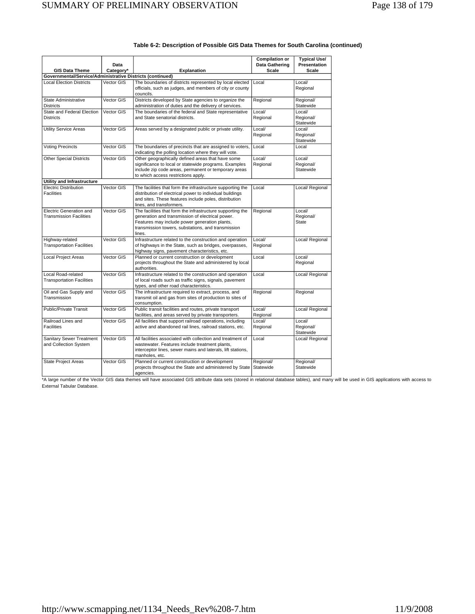| <b>GIS Data Theme</b>                                     | Data<br>Category* | <b>Explanation</b>                                                                                                                                                                                                              | <b>Compilation or</b><br>Data Gathering<br>Scale | <b>Typical Use/</b><br>Presentation<br><b>Scale</b> |
|-----------------------------------------------------------|-------------------|---------------------------------------------------------------------------------------------------------------------------------------------------------------------------------------------------------------------------------|--------------------------------------------------|-----------------------------------------------------|
| Governmental/Service/Administrative Districts (continued) |                   |                                                                                                                                                                                                                                 |                                                  |                                                     |
| <b>Local Election Districts</b>                           | Vector GIS        | The boundaries of districts represented by local elected<br>officials, such as judges, and members of city or county<br>councils.                                                                                               | Local                                            | Local/<br>Regional                                  |
| State Administrative<br><b>Districts</b>                  | Vector GIS        | Districts developed by State agencies to organize the<br>administration of duties and the delivery of services.                                                                                                                 | Regional                                         | Regional/<br>Statewide                              |
| State and Federal Election<br><b>Districts</b>            | Vector GIS        | The boundaries of the federal and State representative<br>and State senatorial districts.                                                                                                                                       | Local/<br>Regional                               | Local/<br>Regional/<br>Statewide                    |
| <b>Utility Service Areas</b>                              | Vector GIS        | Areas served by a designated public or private utility.                                                                                                                                                                         | Local/<br>Regional                               | Local/<br>Regional/<br>Statewide                    |
| <b>Voting Precincts</b>                                   | Vector GIS        | The boundaries of precincts that are assigned to voters,<br>indicating the polling location where they will vote.                                                                                                               | Local                                            | Local                                               |
| <b>Other Special Districts</b>                            | Vector GIS        | Other geographically defined areas that have some<br>significance to local or statewide programs. Examples<br>include zip code areas, permanent or temporary areas<br>to which access restrictions apply.                       | Local/<br>Regional                               | Local/<br>Regional/<br>Statewide                    |
| Utility and Infrastructure                                |                   |                                                                                                                                                                                                                                 |                                                  |                                                     |
| <b>Electric Distribution</b><br><b>Facilities</b>         | Vector GIS        | The facilities that form the infrastructure supporting the<br>distribution of electrical power to individual buildings<br>and sites. These features include poles, distribution<br>lines, and transformers.                     | Local                                            | Local/ Regional                                     |
| Electric Generation and<br><b>Transmission Facilities</b> | Vector GIS        | The facilities that form the infrastructure supporting the<br>generation and transmission of electrical power.<br>Features may include power generation plants,<br>transmission towers, substations, and transmission<br>lines. | Regional                                         | Local/<br>Regional/<br><b>State</b>                 |
| Highway-related<br><b>Transportation Facilities</b>       | Vector GIS        | Infrastructure related to the construction and operation<br>of highways in the State, such as bridges, overpasses,<br>highway signs, pavement characteristics, etc.                                                             | Local/<br>Regional                               | Local/ Regional                                     |
| <b>Local Project Areas</b>                                | Vector GIS        | Planned or current construction or development<br>projects throughout the State and administered by local<br>authorities.                                                                                                       | Local                                            | Local/<br>Regional                                  |
| Local Road-related<br><b>Transportation Facilities</b>    | Vector GIS        | Infrastructure related to the construction and operation<br>of local roads such as traffic signs, signals, pavement<br>types, and other road characteristics.                                                                   | Local                                            | Local/ Regional                                     |
| Oil and Gas Supply and<br>Transmission                    | Vector GIS        | The infrastructure required to extract, process, and<br>transmit oil and gas from sites of production to sites of<br>consumption.                                                                                               | Regional                                         | Regional                                            |
| <b>Public/Private Transit</b>                             | Vector GIS        | Public transit facilities and routes, private transport<br>facilities, and areas served by private transporters.                                                                                                                | Local/<br>Regional                               | Local/ Regional                                     |
| Railroad Lines and<br><b>Facilities</b>                   | Vector GIS        | All facilities that support railroad operations, including<br>active and abandoned rail lines, railroad stations, etc.                                                                                                          | Local/<br>Regional                               | Local/<br>Regional/<br>Statewide                    |
| Sanitary Sewer Treatment<br>and Collection System         | Vector GIS        | All facilities associated with collection and treatment of<br>wastewater. Features include treatment plants,<br>interceptor lines, sewer mains and laterals, lift stations,<br>manholes, etc.                                   | Local                                            | Local/ Regional                                     |
| <b>State Project Areas</b>                                | Vector GIS        | Planned or current construction or development<br>projects throughout the State and administered by State<br>agencies.                                                                                                          | Regional/<br>Statewide                           | Regional/<br>Statewide                              |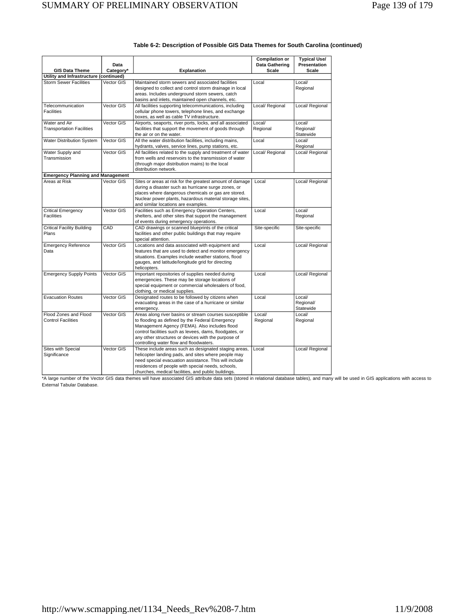|                                                                         | Data       |                                                                                                    | <b>Compilation or</b><br>Data Gathering | <b>Typical Use/</b><br>Presentation |
|-------------------------------------------------------------------------|------------|----------------------------------------------------------------------------------------------------|-----------------------------------------|-------------------------------------|
| <b>GIS Data Theme</b>                                                   | Category*  | <b>Explanation</b>                                                                                 | Scale                                   | Scale                               |
| Utility and Infrastructure (continued)<br><b>Storm Sewer Facilities</b> | Vector GIS | Maintained storm sewers and associated facilities                                                  | Local                                   | Local/                              |
|                                                                         |            | designed to collect and control storm drainage in local                                            |                                         | Regional                            |
|                                                                         |            | areas. Includes underground storm sewers, catch                                                    |                                         |                                     |
|                                                                         |            | basins and inlets, maintained open channels, etc.                                                  |                                         |                                     |
| Telecommunication                                                       | Vector GIS | All facilities supporting telecommunications, including                                            | Local/ Regional                         | Local/ Regional                     |
| <b>Facilities</b>                                                       |            | cellular phone towers, telephone lines, and exchange<br>boxes, as well as cable TV infrastructure. |                                         |                                     |
| Water and Air                                                           | Vector GIS | Airports, seaports, river ports, locks, and all associated                                         | Local/                                  | Local/                              |
| <b>Transportation Facilities</b>                                        |            | facilities that support the movement of goods through<br>the air or on the water.                  | Regional                                | Regional/<br>Statewide              |
| Water Distribution System                                               | Vector GIS | All the water distribution facilities, including mains,                                            | Local                                   | Local/                              |
|                                                                         |            | hydrants, valves, service lines, pump stations, etc.                                               |                                         | Regional                            |
| Water Supply and                                                        | Vector GIS | All facilities related to the supply and treatment of water                                        | Local/ Regional                         | Local/ Regional                     |
| Transmission                                                            |            | from wells and reservoirs to the transmission of water                                             |                                         |                                     |
|                                                                         |            | (through major distribution mains) to the local<br>distribution network.                           |                                         |                                     |
| <b>Emergency Planning and Management</b>                                |            |                                                                                                    |                                         |                                     |
| Areas at Risk                                                           | Vector GIS | Sites or areas at risk for the greatest amount of damage                                           | Local                                   | Local/ Regional                     |
|                                                                         |            | during a disaster such as hurricane surge zones, or                                                |                                         |                                     |
|                                                                         |            | places where dangerous chemicals or gas are stored.                                                |                                         |                                     |
|                                                                         |            | Nuclear power plants, hazardous material storage sites,                                            |                                         |                                     |
|                                                                         |            | and similar locations are examples.                                                                |                                         |                                     |
| <b>Critical Emergency</b>                                               | Vector GIS | Facilities such as Emergency Operation Centers,                                                    | Local                                   | Local/                              |
| Facilities                                                              |            | shelters, and other sites that support the management                                              |                                         | Regional                            |
|                                                                         |            | of events during emergency operations.                                                             |                                         |                                     |
| <b>Critical Facility Building</b>                                       | CAD        | CAD drawings or scanned blueprints of the critical                                                 | Site-specific                           | Site-specific                       |
| Plans                                                                   |            | facilities and other public buildings that may require                                             |                                         |                                     |
| <b>Emergency Reference</b>                                              | Vector GIS | special attention.<br>Locations and data associated with equipment and                             | Local                                   | Local/ Regional                     |
| Data                                                                    |            | features that are used to detect and monitor emergency                                             |                                         |                                     |
|                                                                         |            | situations. Examples include weather stations, flood                                               |                                         |                                     |
|                                                                         |            | gauges, and latitude/longitude grid for directing                                                  |                                         |                                     |
|                                                                         |            | helicopters.                                                                                       |                                         |                                     |
| <b>Emergency Supply Points</b>                                          | Vector GIS | Important repositories of supplies needed during                                                   | Local                                   | Local/ Regional                     |
|                                                                         |            | emergencies. These may be storage locations of                                                     |                                         |                                     |
|                                                                         |            | special equipment or commercial wholesalers of food,                                               |                                         |                                     |
|                                                                         |            | clothing, or medical supplies.                                                                     |                                         |                                     |
| <b>Evacuation Routes</b>                                                | Vector GIS | Designated routes to be followed by citizens when                                                  | Local                                   | Local/                              |
|                                                                         |            | evacuating areas in the case of a hurricane or similar<br>emergency.                               |                                         | Regional/<br>Statewide              |
| Flood Zones and Flood                                                   | Vector GIS | Areas along river basins or stream courses susceptible                                             | Local/                                  | Local/                              |
| <b>Control Facilities</b>                                               |            | to flooding as defined by the Federal Emergency                                                    | Regional                                | Regional                            |
|                                                                         |            | Management Agency (FEMA). Also includes flood                                                      |                                         |                                     |
|                                                                         |            | control facilities such as levees, dams, floodgates, or                                            |                                         |                                     |
|                                                                         |            | any other structures or devices with the purpose of                                                |                                         |                                     |
|                                                                         |            | controlling water flow and floodwaters.                                                            |                                         |                                     |
| Sites with Special                                                      | Vector GIS | These include areas such as designated staging areas,                                              | Local                                   | Local/ Regional                     |
| Significance                                                            |            | helicopter landing pads, and sites where people may                                                |                                         |                                     |
|                                                                         |            | need special evacuation assistance. This will include                                              |                                         |                                     |
|                                                                         |            | residences of people with special needs, schools,                                                  |                                         |                                     |
|                                                                         |            | churches, medical facilities, and public buildings.                                                |                                         |                                     |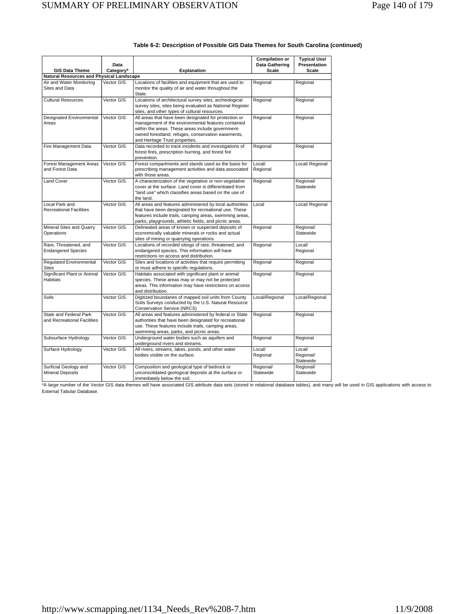| <b>GIS Data Theme</b>                                 | Data<br>Category* | <b>Explanation</b>                                                                                                                                                                                                                                       | <b>Compilation or</b><br>Data Gathering<br><b>Scale</b> | <b>Typical Use/</b><br>Presentation<br>Scale |
|-------------------------------------------------------|-------------------|----------------------------------------------------------------------------------------------------------------------------------------------------------------------------------------------------------------------------------------------------------|---------------------------------------------------------|----------------------------------------------|
| Natural Resources and Physical Landscape              |                   |                                                                                                                                                                                                                                                          |                                                         |                                              |
| Air and Water Monitoring<br>Sites and Data            | Vector GIS        | Locations of facilities and equipment that are used to<br>monitor the quality of air and water throughout the<br>State.                                                                                                                                  | Regional                                                | Regional                                     |
| <b>Cultural Resources</b>                             | Vector GIS        | Locations of architectural survey sites, archeological<br>survey sites, sites being evaluated as National Register<br>sites, and other types of cultural resources.                                                                                      | Regional                                                | Regional                                     |
| Designated Environmental<br>Areas                     | Vector GIS        | All areas that have been designated for protection or<br>management of the environmental features contained<br>within the areas. These areas include government-<br>owned forestland, refuges, conservation easements,<br>and Heritage Trust properties. | Regional                                                | Regional                                     |
| Fire Management Data                                  | Vector GIS        | Data recorded to track incidents and investigations of<br>forest fires, prescription burning, and forest fire<br>prevention.                                                                                                                             | Regional                                                | Regional                                     |
| Forest Management Areas<br>and Forest Data            | Vector GIS        | Forest compartments and stands used as the basis for<br>prescribing management activities and data associated<br>with those areas.                                                                                                                       | Local/<br>Regional                                      | Local/ Regional                              |
| <b>Land Cover</b>                                     | Vector GIS        | A characterization of the vegetative or non-vegetative<br>cover at the surface. Land cover is differentiated from<br>"land use" which classifies areas based on the use of<br>the land.                                                                  | Regional                                                | Regional/<br>Statewide                       |
| Local Park and<br><b>Recreational Facilities</b>      | Vector GIS        | All areas and features administered by local authorities<br>that have been designated for recreational use. These<br>features include trails, camping areas, swimming areas,<br>parks, playgrounds, athletic fields, and picnic areas.                   | Local                                                   | Local/ Regional                              |
| Mineral Sites and Quarry<br>Operations                | Vector GIS        | Delineated areas of known or suspected deposits of<br>economically valuable minerals or rocks and actual<br>sites of mining or quarrying operations.                                                                                                     | Regional                                                | Regional/<br>Statewide                       |
| Rare, Threatened, and<br><b>Endangered Species</b>    | Vector GIS        | Locations of recorded sitings of rare, threatened, and<br>endangered species. This information will have<br>restrictions on access and distribution.                                                                                                     | Regional                                                | Local/<br>Regional                           |
| Regulated Environmental<br><b>Sites</b>               | Vector GIS        | Sites and locations of activities that require permitting<br>or must adhere to specific regulations.                                                                                                                                                     | Regional                                                | Regional                                     |
| Significant Plant or Animal<br><b>Habitats</b>        | Vector GIS        | Habitats associated with significant plant or animal<br>species. These areas may or may not be protected<br>areas. This information may have restrictions on access<br>and distribution.                                                                 | Regional                                                | Regional                                     |
| Soils                                                 | Vector GIS        | Digitized boundaries of mapped soil units from County<br>Soils Surveys conducted by the U.S. Natural Resource<br><b>Conservation Service (NRCS)</b>                                                                                                      | Local/Regional                                          | Local/Regional                               |
| State and Federal Park<br>and Recreational Facilities | Vector GIS        | All areas and features administered by federal or State<br>authorities that have been designated for recreational<br>use. These features include trails, camping areas,<br>swimming areas, parks, and picnic areas.                                      | Regional                                                | Regional                                     |
| Subsurface Hydrology                                  | Vector GIS        | Underground water bodies such as aquifers and<br>underground rivers and streams.                                                                                                                                                                         | Regional                                                | Regional                                     |
| Surface Hydrology                                     | Vector GIS        | All rivers, streams, lakes, ponds, and other water<br>bodies visible on the surface.                                                                                                                                                                     | Local/<br>Regional                                      | Local/<br>Regional/<br>Statewide             |
| Surficial Geology and<br><b>Mineral Deposits</b>      | Vector GIS        | Composition and geological type of bedrock or<br>unconsolidated geological deposits at the surface or<br>immediately below the soil.                                                                                                                     | Regional/<br>Statewide                                  | Regional/<br>Statewide                       |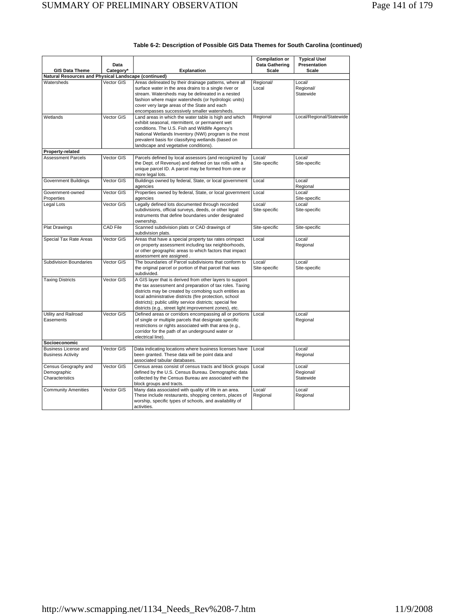|                                                                               | Data            |                                                                                                                                                                                                                                                                                                                                                                | <b>Compilation or</b><br>Data Gathering<br>Scale | <b>Typical Use/</b><br>Presentation<br>Scale |
|-------------------------------------------------------------------------------|-----------------|----------------------------------------------------------------------------------------------------------------------------------------------------------------------------------------------------------------------------------------------------------------------------------------------------------------------------------------------------------------|--------------------------------------------------|----------------------------------------------|
| <b>GIS Data Theme</b><br>Natural Resources and Physical Landscape (continued) | Category*       | <b>Explanation</b>                                                                                                                                                                                                                                                                                                                                             |                                                  |                                              |
| Watersheds                                                                    | Vector GIS      | Areas delineated by their drainage patterns, where all<br>surface water in the area drains to a single river or<br>stream. Watersheds may be delineated in a nested<br>fashion where major watersheds (or hydrologic units)<br>cover very large areas of the State and each<br>encompasses successively smaller watersheds.                                    | Regional/<br>Local                               | Local/<br>Regional/<br>Statewide             |
| Wetlands                                                                      | Vector GIS      | Land areas in which the water table is high and which<br>exhibit seasonal, ntermittent, or permanent wet<br>conditions. The U.S. Fish and Wildlife Agency's<br>National Wetlands Inventory (NWI) program is the most<br>prevalent basis for classifying wetlands (based on<br>landscape and vegetative conditions).                                            | Regional                                         | Local/Regional/Statewide                     |
| Property-related                                                              |                 |                                                                                                                                                                                                                                                                                                                                                                |                                                  |                                              |
| <b>Assessment Parcels</b>                                                     | Vector GIS      | Parcels defined by local assessors (and recognized by<br>the Dept. of Revenue) and defined on tax rolls with a<br>unique parcel ID. A parcel may be formed from one or<br>more legal lots.                                                                                                                                                                     | Local/<br>Site-specific                          | Local/<br>Site-specific                      |
| <b>Government Buildings</b>                                                   | Vector GIS      | Buildings owned by federal, State, or local government<br>agencies                                                                                                                                                                                                                                                                                             | Local                                            | Local/<br>Regional                           |
| Government-owned<br>Properties                                                | Vector GIS      | Properties owned by federal, State, or local government<br>agencies                                                                                                                                                                                                                                                                                            | Local                                            | Local/<br>Site-specific                      |
| Legal Lots                                                                    | Vector GIS      | Legally defined lots documented through recorded<br>subdivisions, official surveys, deeds, or other legal<br>instruments that define boundaries under designated<br>ownership.                                                                                                                                                                                 | Local/<br>Site-specific                          | Local/<br>Site-specific                      |
| <b>Plat Drawings</b>                                                          | <b>CAD File</b> | Scanned subdivision plats or CAD drawings of<br>subdivision plats.                                                                                                                                                                                                                                                                                             | Site-specific                                    | Site-specific                                |
| Special Tax Rate Areas                                                        | Vector GIS      | Areas that have a special property tax rates orimpact<br>on property assessment including tax neighborhoods,<br>or other geographic areas to which factors that impact<br>assessment are assigned.                                                                                                                                                             | Local                                            | Local/<br>Regional                           |
| <b>Subdivision Boundaries</b>                                                 | Vector GIS      | The boundaries of Parcel subdivisions that conform to<br>the original parcel or portion of that parcel that was<br>subdivided.                                                                                                                                                                                                                                 | Local/<br>Site-specific                          | Local/<br>Site-specific                      |
| <b>Taxing Districts</b>                                                       | Vector GIS      | A GIS layer that is derived from other layers to support<br>the tax assessment and preparation of tax roles. Taxing<br>districts may be created by comobing such entities as<br>local administrative districts (fire protection, school<br>districts); public utility service districts; special fee<br>districts (e.g., street light improvement zones), etc. |                                                  |                                              |
| Utility and Railroad<br>Easements                                             | Vector GIS      | Defined areas or corridors encompassing all or portions<br>of single or multiple parcels that designate specific<br>restrictions or rights associated with that area (e.g.,<br>corridor for the path of an underground water or<br>electrical line).                                                                                                           | Local                                            | Local/<br>Regional                           |
| Socioeconomic                                                                 |                 |                                                                                                                                                                                                                                                                                                                                                                |                                                  |                                              |
| Business License and<br><b>Business Activity</b>                              | Vector GIS      | Data indicating locations where business licenses have<br>been granted. These data will be point data and<br>associated tabular databases.                                                                                                                                                                                                                     | Local                                            | Local/<br>Regional                           |
| Census Geography and<br>Demographic<br>Characteristics                        | Vector GIS      | Census areas consist of census tracts and block groups<br>defined by the U.S. Census Bureau. Demographic data<br>collected by the Census Bureau are associated with the<br>block groups and tracts.                                                                                                                                                            | Local                                            | Local/<br>Regional/<br>Statewide             |
| <b>Community Amenities</b>                                                    | Vector GIS      | Many data associated with quality of life in an area.<br>These include restaurants, shopping centers, places of<br>worship, specific types of schools, and availability of<br>activities.                                                                                                                                                                      | Local/<br>Regional                               | Local/<br>Regional                           |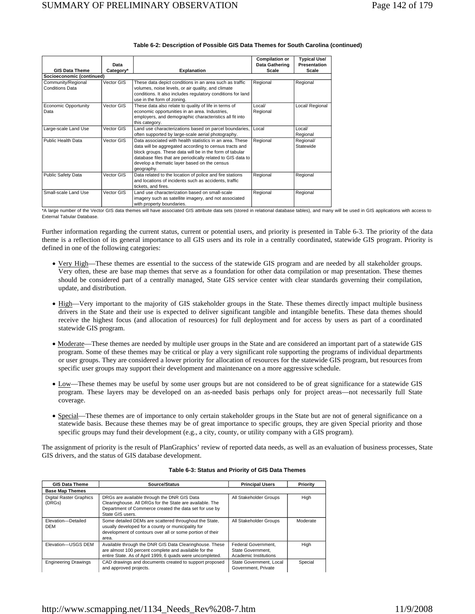|                                              | Data       |                                                                                                                                                                                                                                                                                                            | <b>Compilation or</b><br>Data Gathering | <b>Typical Use/</b><br>Presentation |
|----------------------------------------------|------------|------------------------------------------------------------------------------------------------------------------------------------------------------------------------------------------------------------------------------------------------------------------------------------------------------------|-----------------------------------------|-------------------------------------|
| <b>GIS Data Theme</b>                        | Category*  | <b>Explanation</b>                                                                                                                                                                                                                                                                                         | Scale                                   | Scale                               |
| Socioeconomic (continued)                    |            |                                                                                                                                                                                                                                                                                                            |                                         |                                     |
| Community/Regional<br><b>Conditions Data</b> | Vector GIS | These data depict conditions in an area such as traffic<br>volumes, noise levels, or air quality, and climate<br>conditions. It also includes regulatory conditions for land<br>use in the form of zoning.                                                                                                 | Regional                                | Regional                            |
| Economic Opportunity<br>Data                 | Vector GIS | These data also relate to quality of life in terms of<br>economic opportunities in an area. Industries,<br>employers, and demographic characteristics all fit into<br>this category.                                                                                                                       | Local/<br>Regional                      | Local/ Regional                     |
| Large-scale Land Use                         | Vector GIS | Land use characterizations based on parcel boundaries,<br>often supported by large-scale aerial photography.                                                                                                                                                                                               | Local                                   | Local/<br>Regional                  |
| Public Health Data                           | Vector GIS | Data associated with health statistics in an area. These<br>data will be aggregated according to census tracts and<br>block groups. These data will be in the form of tabular<br>database files that are periodically related to GIS data to<br>develop a thematic layer based on the census<br>geography. | Regional                                | Regional/<br>Statewide              |
| Public Safety Data                           | Vector GIS | Data related to the location of police and fire stations<br>and locations of incidents such as accidents, traffic<br>tickets, and fires.                                                                                                                                                                   | Regional                                | Regional                            |
| Small-scale Land Use                         | Vector GIS | Land use characterization based on small-scale<br>imagery such as satellite imagery, and not associated<br>with property boundaries.                                                                                                                                                                       | Regional                                | Regional                            |

\*A large number of the Vector GIS data themes will have associated GIS attribute data sets (stored in relational database tables), and many will be used in GIS applications with access to External Tabular Database.

Further information regarding the current status, current or potential users, and priority is presented in Table 6-3. The priority of the data theme is a reflection of its general importance to all GIS users and its role in a centrally coordinated, statewide GIS program. Priority is defined in one of the following categories:

- Very High—These themes are essential to the success of the statewide GIS program and are needed by all stakeholder groups. Very often, these are base map themes that serve as a foundation for other data compilation or map presentation. These themes should be considered part of a centrally managed, State GIS service center with clear standards governing their compilation, update, and distribution.
- High—Very important to the majority of GIS stakeholder groups in the State. These themes directly impact multiple business drivers in the State and their use is expected to deliver significant tangible and intangible benefits. These data themes should receive the highest focus (and allocation of resources) for full deployment and for access by users as part of a coordinated statewide GIS program.
- Moderate—These themes are needed by multiple user groups in the State and are considered an important part of a statewide GIS program. Some of these themes may be critical or play a very significant role supporting the programs of individual departments or user groups. They are considered a lower priority for allocation of resources for the statewide GIS program, but resources from specific user groups may support their development and maintenance on a more aggressive schedule.
- Low—These themes may be useful by some user groups but are not considered to be of great significance for a statewide GIS program. These layers may be developed on an as-needed basis perhaps only for project areas—not necessarily full State coverage.
- Special—These themes are of importance to only certain stakeholder groups in the State but are not of general significance on a statewide basis. Because these themes may be of great importance to specific groups, they are given Special priority and those specific groups may fund their development (e.g., a city, county, or utility company with a GIS program).

The assignment of priority is the result of PlanGraphics' review of reported data needs, as well as an evaluation of business processes, State GIS drivers, and the status of GIS database development.

| <b>GIS Data Theme</b>                    | Source/Status                                                                                                                                                                         | <b>Principal Users</b>                                            | Priority |
|------------------------------------------|---------------------------------------------------------------------------------------------------------------------------------------------------------------------------------------|-------------------------------------------------------------------|----------|
| <b>Base Map Themes</b>                   |                                                                                                                                                                                       |                                                                   |          |
| <b>Digital Raster Graphics</b><br>(DRGs) | DRGs are available through the DNR GIS Data<br>Clearinghouse. All DRGs for the State are available. The<br>Department of Commerce created the data set for use by<br>State GIS users. | All Stakeholder Groups                                            | High     |
| Elevation-Detailed<br>DEM                | Some detailed DEMs are scattered throughout the State,<br>usually developed for a county or municipality for<br>development of contours over all or some portion of their<br>area.    | All Stakeholder Groups                                            | Moderate |
| Elevation-USGS DEM                       | Available through the DNR GIS Data Clearinghouse. These<br>are almost 100 percent complete and available for the<br>entire State. As of April 1999, 6 quads were uncompleted.         | Federal Government.<br>State Government.<br>Academic Institutions | High     |
| <b>Engineering Drawings</b>              | CAD drawings and documents created to support proposed<br>and approved projects.                                                                                                      | State Government, Local<br>Government, Private                    | Special  |

#### **Table 6-3: Status and Priority of GIS Data Themes**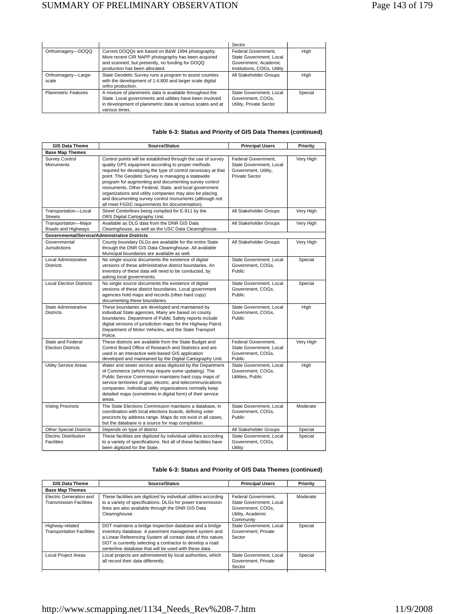|                              |                                                                                                                                                                                                         | Sector                                                                                                |         |
|------------------------------|---------------------------------------------------------------------------------------------------------------------------------------------------------------------------------------------------------|-------------------------------------------------------------------------------------------------------|---------|
| Orthoimagery-DOQQ            | Current DOQQs are based on B&W 1994 photography.<br>More recent CIR NAPP photography has been acquired<br>and scanned, but presently, no funding for DOQQ<br>production has been allocated.             | Federal Government.<br>State Government, Local<br>Government, Academic<br>Institutions, COGs, Utility | High    |
| Orthoimagery-Large-<br>scale | State Geodetic Survey runs a program to assist counties<br>with the development of 1:4,800 and larger scale digital<br>ortho production.                                                                | All Stakeholder Groups                                                                                | Hiah    |
| <b>Planimetric Features</b>  | A mixture of planimetric data is available throughout the<br>State. Local governments and utilities have been involved<br>in development of planimetric data at various scales and at<br>various times. | State Government, Local<br>Government, COGs.<br>Utility, Private Sector                               | Special |

# **Table 6-3: Status and Priority of GIS Data Themes (continued)**

| <b>GIS Data Theme</b>                             | Source/Status                                                                                                                                                                                                                                                                                                                                                                                                                                                                                                                     | <b>Principal Users</b>                                                                   | Priority  |
|---------------------------------------------------|-----------------------------------------------------------------------------------------------------------------------------------------------------------------------------------------------------------------------------------------------------------------------------------------------------------------------------------------------------------------------------------------------------------------------------------------------------------------------------------------------------------------------------------|------------------------------------------------------------------------------------------|-----------|
| <b>Base Map Themes</b>                            |                                                                                                                                                                                                                                                                                                                                                                                                                                                                                                                                   |                                                                                          |           |
| <b>Survey Control</b><br>Monuments                | Control points will be established through the use of survey<br>quality GPS equipment according to proper methods<br>required for developing the type of control necessary at that<br>point. The Geodetic Survey is managing a statewide<br>program for augmenting and documenting survey control<br>monuments. Other Federal, State, and local government<br>organizations and utility companies may also be placing<br>and documenting survey control monuments (although not<br>all meet FGDC requirements for documentation). | Federal Government.<br>State Government, Local<br>Government, Utility,<br>Private Sector | Very High |
| Transportation-Local<br><b>Streets</b>            | Street Centerlines being compiled for E-911 by the<br>ORS Digital Cartography Unit.                                                                                                                                                                                                                                                                                                                                                                                                                                               | All Stakeholder Groups                                                                   | Very High |
| Transportation-Major<br>Roads and Highways        | Available as DLG data from the DNR GIS Data<br>Clearinghouse, as well as the USC Data Clearinghouse.                                                                                                                                                                                                                                                                                                                                                                                                                              | All Stakeholder Groups                                                                   | Very High |
| Governmental/Service/Administrative Districts     |                                                                                                                                                                                                                                                                                                                                                                                                                                                                                                                                   |                                                                                          |           |
| Governmental<br><b>Jurisdictions</b>              | County boundary DLGs are available for the entire State<br>through the DNR GIS Data Clearinghouse. All available<br>Municipal boundaries are available as well.                                                                                                                                                                                                                                                                                                                                                                   | All Stakeholder Groups                                                                   | Very High |
| Local Administrative<br><b>Districts</b>          | No single source documents the existence of digital<br>versions of these administrative district boundaries. An<br>inventory of these data will need to be conducted, by<br>asking local governments.                                                                                                                                                                                                                                                                                                                             | State Government, Local<br>Government, COGs,<br>Public                                   | Special   |
| <b>Local Election Districts</b>                   | No single source documents the existence of digital<br>versions of these district boundaries. Local government<br>agencies hold maps and records (often hard copy)<br>documenting these boundaries.                                                                                                                                                                                                                                                                                                                               | State Government, Local<br>Government, COGs,<br>Public                                   | Special   |
| State Administrative<br><b>Districts</b>          | These boundaries are developed and maintained by<br>individual State agencies. Many are based on county<br>boundaries. Department of Public Safety reports include<br>digital versions of jurisdiction maps for the Highway Patrol,<br>Department of Motor Vehicles, and the State Transport<br>Police.                                                                                                                                                                                                                           | State Government, Local<br>Government, COGs,<br><b>Public</b>                            | High      |
| State and Federal<br><b>Election Districts</b>    | These districts are available from the State Budget and<br>Control Board Office of Research and Statistics and are<br>used in an interactive web-based GIS application<br>developed and maintained by the Digital Cartography Unit.                                                                                                                                                                                                                                                                                               | Federal Government.<br>State Government, Local<br>Government, COGs,<br>Public            | Very High |
| <b>Utility Service Areas</b>                      | Water and sewer service areas digitized by the Department<br>of Commerce (which may require some updating). The<br>Public Service Commission maintains hard copy maps of<br>service territories of gas, electric, and telecommunications<br>companies. Individual utility organizations normally keep<br>detailed maps (sometimes in digital form) of their service<br>areas.                                                                                                                                                     | State Government, Local<br>Government, COGs,<br>Utilities, Public                        | High      |
| <b>Voting Precincts</b>                           | The State Elections Commission maintains a database, in<br>coordination with local elections boards, defining voter<br>precincts by address range. Maps do not exist in all cases,<br>but the database is a source for map compilation.                                                                                                                                                                                                                                                                                           | State Government, Local<br>Government, COGs,<br>Public                                   | Moderate  |
| <b>Other Special Districts</b>                    | Depends on type of district                                                                                                                                                                                                                                                                                                                                                                                                                                                                                                       | All Stakeholder Groups                                                                   | Special   |
| <b>Electric Distribution</b><br><b>Facilities</b> | These facilities are digitized by individual utilities according<br>to a variety of specifications. Not all of these facilities have<br>been digitized for the State.                                                                                                                                                                                                                                                                                                                                                             | State Government, Local<br>Government, COGs,<br>Utility                                  | Special   |

# **Table 6-3: Status and Priority of GIS Data Themes (continued)**

| <b>GIS Data Theme</b>                                     | Source/Status                                                                                                                                                                                                                                                                                          | <b>Principal Users</b>                                                                                | Priority |
|-----------------------------------------------------------|--------------------------------------------------------------------------------------------------------------------------------------------------------------------------------------------------------------------------------------------------------------------------------------------------------|-------------------------------------------------------------------------------------------------------|----------|
| <b>Base Map Themes</b>                                    |                                                                                                                                                                                                                                                                                                        |                                                                                                       |          |
| Electric Generation and<br><b>Transmission Facilities</b> | These facilities are digitized by individual utilities according<br>to a variety of specifications. DLGs for power transmission<br>lines are also available through the DNR GIS Data<br>Clearinghouse.                                                                                                 | Federal Government.<br>State Government, Local<br>Government, COGs.<br>Utility, Academic<br>Community | Moderate |
| Highway-related<br><b>Transportation Facilities</b>       | DOT maintains a bridge inspection database and a bridge<br>inventory database. A pavement management system and<br>a Linear Referencing System all contain data of this nature.<br>DOT is currently selecting a contractor to develop a road<br>centerline database that will be used with these data. | State Government, Local<br>Government, Private<br>Sector                                              | Special  |
| Local Project Areas                                       | Local projects are administered by local authorities, which<br>all record their data differently.                                                                                                                                                                                                      | State Government, Local<br>Government, Private<br>Sector                                              | Special  |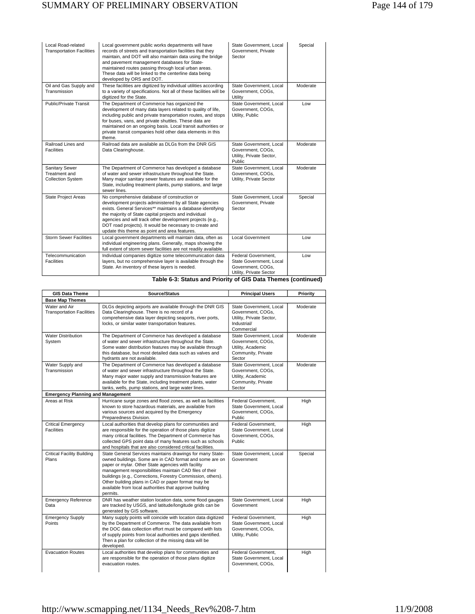| Local Road-related<br><b>Transportation Facilities</b>      | Local government public works departments will have<br>records of streets and transportation facilities that they<br>maintain, and DOT will also maintain data using the bridge<br>and pavement management databases for State-<br>maintained routes passing through local urban areas.<br>These data will be linked to the centerline data being<br>developed by ORS and DOT.                           | State Government, Local<br>Government, Private<br>Sector                                       | Special  |
|-------------------------------------------------------------|----------------------------------------------------------------------------------------------------------------------------------------------------------------------------------------------------------------------------------------------------------------------------------------------------------------------------------------------------------------------------------------------------------|------------------------------------------------------------------------------------------------|----------|
| Oil and Gas Supply and<br>Transmission                      | These facilities are digitized by individual utilities according<br>to a variety of specifications. Not all of these facilities will be<br>digitized for the State.                                                                                                                                                                                                                                      | State Government, Local<br>Government, COGs,<br>Utility                                        | Moderate |
| Public/Private Transit                                      | The Department of Commerce has organized the<br>development of many data layers related to quality of life,<br>including public and private transportation routes, and stops<br>for buses, vans, and private shuttles. These data are<br>maintained on an ongoing basis. Local transit authorities or<br>private transit companies hold other data elements in this<br>theme.                            | State Government, Local<br>Government, COGs,<br>Utility, Public                                | Low      |
| Railroad Lines and<br><b>Facilities</b>                     | Railroad data are available as DLGs from the DNR GIS<br>Data Clearinghouse.                                                                                                                                                                                                                                                                                                                              | State Government, Local<br>Government, COGs.<br>Utility, Private Sector,<br>Public             | Moderate |
| Sanitary Sewer<br>Treatment and<br><b>Collection System</b> | The Department of Commerce has developed a database<br>of water and sewer infrastructure throughout the State.<br>Many major sanitary sewer features are available for the<br>State, including treatment plants, pump stations, and large<br>sewer lines.                                                                                                                                                | State Government, Local<br>Government, COGs,<br>Utility, Private Sector                        | Moderate |
| State Project Areas                                         | No comprehensive database of construction or<br>development projects administered by all State agencies<br>exists. General Services** maintains a database identifying<br>the majority of State capital projects and individual<br>agencies and will track other development projects (e.g.,<br>DOT road projects). It would be necessary to create and<br>update this theme as point and area features. | State Government, Local<br>Government, Private<br>Sector                                       | Special  |
| <b>Storm Sewer Facilities</b>                               | Local government departments will maintain data, often as<br>individual engineering plans. Generally, maps showing the<br>full extent of storm sewer facilities are not readily available.                                                                                                                                                                                                               | <b>Local Government</b>                                                                        | Low      |
| Telecommunication<br><b>Facilities</b>                      | Individual companies digitize some telecommunication data<br>layers, but no comprehensive layer is available through the<br>State. An inventory of these layers is needed.                                                                                                                                                                                                                               | Federal Government.<br>State Government, Local<br>Government, COGs,<br>Utility, Private Sector | Low      |

# **Table 6-3: Status and Priority of GIS Data Themes (continued)**  Utility, Private Sector

| <b>GIS Data Theme</b>                             | Source/Status                                                                                                                                                                                                                                                                                                                                                                                                                    | <b>Principal Users</b>                                                                                | Priority |
|---------------------------------------------------|----------------------------------------------------------------------------------------------------------------------------------------------------------------------------------------------------------------------------------------------------------------------------------------------------------------------------------------------------------------------------------------------------------------------------------|-------------------------------------------------------------------------------------------------------|----------|
| <b>Base Map Themes</b>                            |                                                                                                                                                                                                                                                                                                                                                                                                                                  |                                                                                                       |          |
| Water and Air<br><b>Transportation Facilities</b> | DLGs depicting airports are available through the DNR GIS<br>Data Clearinghouse. There is no record of a<br>comprehensive data layer depicting seaports, river ports,<br>locks, or similar water transportation features.                                                                                                                                                                                                        | State Government, Local<br>Government, COGs,<br>Utility, Private Sector,<br>Industrial/<br>Commercial | Moderate |
| <b>Water Distribution</b><br>System               | The Department of Commerce has developed a database<br>of water and sewer infrastructure throughout the State.<br>Some water distribution features may be available through<br>this database, but most detailed data such as valves and<br>hydrants are not available.                                                                                                                                                           | State Government, Local<br>Government, COGs,<br>Utility, Academic<br>Community, Private<br>Sector     | Moderate |
| Water Supply and<br>Transmission                  | The Department of Commerce has developed a database<br>of water and sewer infrastructure throughout the State.<br>Many major water supply and transmission features are<br>available for the State, including treatment plants, water<br>tanks, wells, pump stations, and large water lines.                                                                                                                                     | State Government, Local<br>Government, COGs,<br>Utility, Academic<br>Community, Private<br>Sector     | Moderate |
| <b>Emergency Planning and Management</b>          |                                                                                                                                                                                                                                                                                                                                                                                                                                  |                                                                                                       |          |
| Areas at Risk                                     | Hurricane surge zones and flood zones, as well as facilities<br>known to store hazardous materials, are available from<br>various sources and acquired by the Emergency<br>Preparedness Division.                                                                                                                                                                                                                                | Federal Government.<br>State Government, Local<br>Government, COGs,<br><b>Public</b>                  | High     |
| <b>Critical Emergency</b><br><b>Facilities</b>    | Local authorities that develop plans for communities and<br>are responsible for the operation of those plans digitize<br>many critical facilities. The Department of Commerce has<br>collected GPS point data of many features such as schools<br>and hospitals that are also considered critical facilities.                                                                                                                    | Federal Government.<br>State Government, Local<br>Government, COGs,<br>Public                         | High     |
| Critical Facility Building<br>Plans               | State General Services maintains drawings for many State-<br>owned buildings. Some are in CAD format and some are on<br>paper or mylar. Other State agencies with facility<br>management responsibilities maintain CAD files of their<br>buildings (e.g., Corrections, Forestry Commission, others).<br>Other building plans in CAD or paper format may be<br>available from local authorities that approve building<br>permits. | State Government, Local<br>Government                                                                 | Special  |
| <b>Emergency Reference</b><br>Data                | DNR has weather station location data, some flood gauges<br>are tracked by USGS, and latitude/longitude grids can be<br>generated by GIS software.                                                                                                                                                                                                                                                                               | State Government, Local<br>Government                                                                 | High     |
| <b>Emergency Supply</b><br>Points                 | Many supply points will coincide with location data digitized<br>by the Department of Commerce. The data available from<br>the DOC data collection effort must be compared with lists<br>of supply points from local authorities and gaps identified.<br>Then a plan for collection of the missing data will be<br>developed.                                                                                                    | Federal Government.<br>State Government, Local<br>Government, COGs,<br>Utility, Public                | High     |
| <b>Evacuation Routes</b>                          | Local authorities that develop plans for communities and<br>are responsible for the operation of those plans digitize<br>evacuation routes.                                                                                                                                                                                                                                                                                      | Federal Government.<br>State Government, Local<br>Government, COGs,                                   | High     |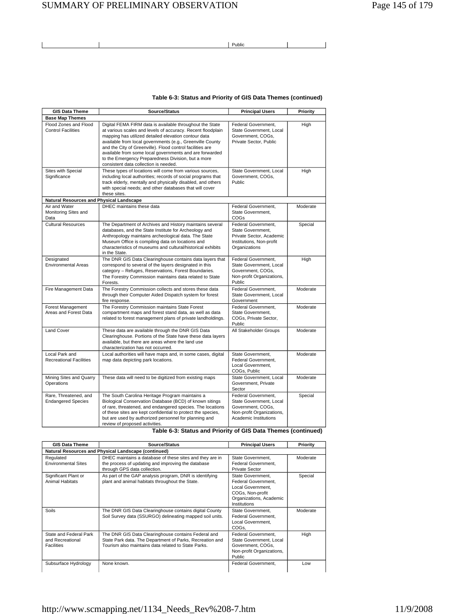# SUMMARY OF PRELIMINARY OBSERVATION Page 145 of 179

<u>Public and the contract of the contract of the contract of the contract of the contract of the contract of the contract of the contract of the contract of the contract of the contract of the contract of the contract of th</u>

## **Table 6-3: Status and Priority of GIS Data Themes (continued)**

| <b>GIS Data Theme</b>                              | Source/Status                                                                                                                                                                                                                                                                                                                                                                                                                                                       | <b>Principal Users</b>                                                                                                    | Priority |
|----------------------------------------------------|---------------------------------------------------------------------------------------------------------------------------------------------------------------------------------------------------------------------------------------------------------------------------------------------------------------------------------------------------------------------------------------------------------------------------------------------------------------------|---------------------------------------------------------------------------------------------------------------------------|----------|
| <b>Base Map Themes</b>                             |                                                                                                                                                                                                                                                                                                                                                                                                                                                                     |                                                                                                                           |          |
| Flood Zones and Flood<br><b>Control Facilities</b> | Digital FEMA FIRM data is available throughout the State<br>at various scales and levels of accuracy. Recent floodplain<br>mapping has utilized detailed elevation contour data<br>available from local governments (e.g., Greenville County<br>and the City of Greenville). Flood control facilities are<br>available from some local governments and are forwarded<br>to the Emergency Preparedness Division, but a more<br>consistent data collection is needed. | Federal Government,<br>State Government, Local<br>Government, COGs,<br>Private Sector, Public                             | High     |
| Sites with Special<br>Significance                 | These types of locations will come from various sources,<br>including local authorities; records of social programs that<br>track elderly, mentally and physically disabled, and others<br>with special needs; and other databases that will cover<br>these sites.                                                                                                                                                                                                  | State Government, Local<br>Government, COGs,<br>Public                                                                    | High     |
| Natural Resources and Physical Landscape           |                                                                                                                                                                                                                                                                                                                                                                                                                                                                     |                                                                                                                           |          |
| Air and Water<br>Monitoring Sites and<br>Data      | DHEC maintains these data                                                                                                                                                                                                                                                                                                                                                                                                                                           | Federal Government,<br>State Government,<br><b>COGs</b>                                                                   | Moderate |
| <b>Cultural Resources</b>                          | The Department of Archives and History maintains several<br>databases, and the State Institute for Archeology and<br>Anthropology maintains archeological data. The State<br>Museum Office is compiling data on locations and<br>characteristics of museums and cultural/historical exhibits<br>in the State.                                                                                                                                                       | Federal Government.<br>State Government,<br>Private Sector, Academic<br>Institutions, Non-profit<br>Organizations         | Special  |
| Designated<br><b>Environmental Areas</b>           | The DNR GIS Data Clearinghouse contains data layers that<br>correspond to several of the layers designated in this<br>category - Refuges, Reservations, Forest Boundaries.<br>The Forestry Commission maintains data related to State<br>Forests.                                                                                                                                                                                                                   | Federal Government,<br>State Government, Local<br>Government, COGs,<br>Non-profit Organizations,<br>Public                | High     |
| Fire Management Data                               | The Forestry Commission collects and stores these data<br>through their Computer Aided Dispatch system for forest<br>fire response.                                                                                                                                                                                                                                                                                                                                 | Federal Government,<br>State Government, Local<br>Government                                                              | Moderate |
| Forest Management<br>Areas and Forest Data         | The Forestry Commission maintains State Forest<br>compartment maps and forest stand data, as well as data<br>related to forest management plans of private landholdings.                                                                                                                                                                                                                                                                                            | Federal Government.<br>State Government,<br>COGs, Private Sector,<br>Public                                               | Moderate |
| <b>Land Cover</b>                                  | These data are available through the DNR GIS Data<br>Clearinghouse. Portions of the State have these data layers<br>available, but there are areas where the land use<br>characterization has not occurred.                                                                                                                                                                                                                                                         | All Stakeholder Groups                                                                                                    | Moderate |
| Local Park and<br><b>Recreational Facilities</b>   | Local authorities will have maps and, in some cases, digital<br>map data depicting park locations.                                                                                                                                                                                                                                                                                                                                                                  | State Government.<br>Federal Government.<br>Local Government,<br>COGs, Public                                             | Moderate |
| Mining Sites and Quarry<br>Operations              | These data will need to be digitized from existing maps                                                                                                                                                                                                                                                                                                                                                                                                             | State Government, Local<br>Government, Private<br>Sector                                                                  | Moderate |
| Rare, Threatened, and<br><b>Endangered Species</b> | The South Carolina Heritage Program maintains a<br>Biological Conservation Database (BCD) of known sitings<br>of rare, threatened, and endangered species. The locations<br>of these sites are kept confidential to protect the species,<br>but are used by authorized personnel for planning and<br>review of proposed activities.                                                                                                                                 | Federal Government,<br>State Government, Local<br>Government, COGs,<br>Non-profit Organizations,<br>Academic Institutions | Special  |

**Table 6-3: Status and Priority of GIS Data Themes (continued)** 

| <b>GIS Data Theme</b>                                           | Source/Status                                                                                                                                                          | <b>Principal Users</b>                                                                                                       | Priority |
|-----------------------------------------------------------------|------------------------------------------------------------------------------------------------------------------------------------------------------------------------|------------------------------------------------------------------------------------------------------------------------------|----------|
|                                                                 | Natural Resources and Physical Landscape (continued)                                                                                                                   |                                                                                                                              |          |
| Regulated<br><b>Environmental Sites</b>                         | DHEC maintains a database of these sites and they are in<br>the process of updating and improving the database<br>through GPS data collection.                         | State Government,<br>Federal Government.<br>Private Sector                                                                   | Moderate |
| Significant Plant or<br><b>Animal Habitats</b>                  | As part of the GAP analysis program, DNR is identifying<br>plant and animal habitats throughout the State.                                                             | State Government.<br>Federal Government.<br>Local Government.<br>COGs, Non-profit<br>Organizations, Academic<br>Institutions | Special  |
| Soils                                                           | The DNR GIS Data Clearinghouse contains digital County<br>Soil Survey data (SSURGO) delineating mapped soil units.                                                     | State Government,<br>Federal Government.<br>Local Government,<br>COGs,                                                       | Moderate |
| State and Federal Park<br>and Recreational<br><b>Facilities</b> | The DNR GIS Data Clearinghouse contains Federal and<br>State Park data. The Department of Parks, Recreation and<br>Tourism also maintains data related to State Parks. | Federal Government.<br>State Government, Local<br>Government, COGs,<br>Non-profit Organizations,<br><b>Public</b>            | High     |
| Subsurface Hydrology                                            | None known.                                                                                                                                                            | Federal Government.                                                                                                          | Low      |

# http://www.scmapping.net/1134\_Needs\_Rev%208-7.htm 11/9/2008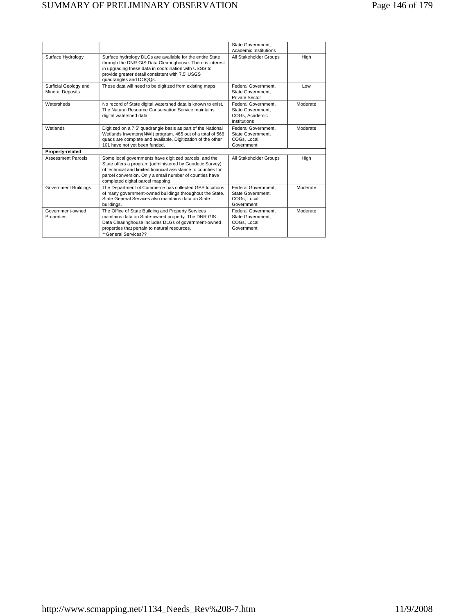|                                                  |                                                                                                                                                                                                                                                                                     | State Government,<br>Academic Institutions                                 |          |
|--------------------------------------------------|-------------------------------------------------------------------------------------------------------------------------------------------------------------------------------------------------------------------------------------------------------------------------------------|----------------------------------------------------------------------------|----------|
| Surface Hydrology                                | Surface hydrology DLGs are available for the entire State<br>through the DNR GIS Data Clearinghouse. There is interest<br>in upgrading these data in coordination with USGS to<br>provide greater detail consistent with 7.5' USGS<br>quadrangles and DOQQs.                        | All Stakeholder Groups                                                     | High     |
| Surficial Geology and<br><b>Mineral Deposits</b> | These data will need to be digitized from existing maps                                                                                                                                                                                                                             | Federal Government,<br>State Government.<br>Private Sector                 | Low      |
| Watersheds                                       | No record of State digital watershed data is known to exist.<br>The Natural Resource Conservation Service maintains<br>digital watershed data.                                                                                                                                      | Federal Government.<br>State Government.<br>COGs. Academic<br>Institutions | Moderate |
| Wetlands                                         | Digitized on a 7.5' quadrangle basis as part of the National<br>Wetlands Inventory(NWI) program. 465 out of a total of 566<br>quads are complete and available. Digitization of the other<br>101 have not yet been funded.                                                          | Federal Government.<br>State Government.<br>COGs. Local<br>Government      | Moderate |
| Property-related                                 |                                                                                                                                                                                                                                                                                     |                                                                            |          |
| <b>Assessment Parcels</b>                        | Some local governments have digitized parcels, and the<br>State offers a program (administered by Geodetic Survey)<br>of technical and limited financial assistance to counties for<br>parcel conversion. Only a small number of counties have<br>completed digital parcel mapping. | All Stakeholder Groups                                                     | High     |
| <b>Government Buildings</b>                      | The Department of Commerce has collected GPS locations<br>of many government-owned buildings throughout the State.<br>State General Services also maintains data on State<br>buildings.                                                                                             | Federal Government.<br>State Government.<br>COGs. Local<br>Government      | Moderate |
| Government-owned<br>Properties                   | The Office of State Building and Property Services<br>maintains data on State-owned property. The DNR GIS<br>Data Clearinghouse includes DLGs of government-owned<br>properties that pertain to natural resources.<br>**General Services??                                          | Federal Government.<br>State Government.<br>COGs. Local<br>Government      | Moderate |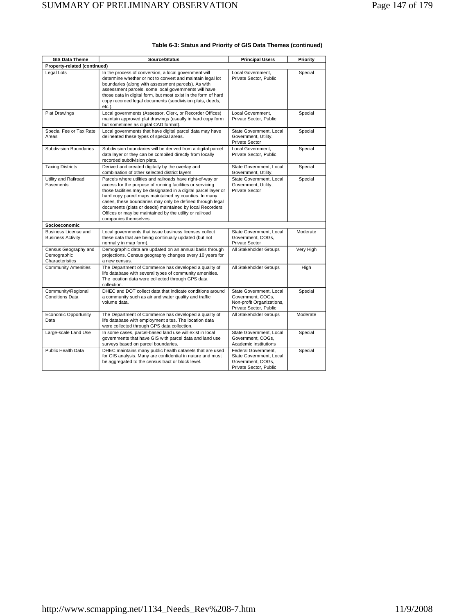| <b>GIS Data Theme</b>                                  | Source/Status                                                                                                                                                                                                                                                                                                                                                                                                                                                     | <b>Principal Users</b>                                                                              | Priority  |
|--------------------------------------------------------|-------------------------------------------------------------------------------------------------------------------------------------------------------------------------------------------------------------------------------------------------------------------------------------------------------------------------------------------------------------------------------------------------------------------------------------------------------------------|-----------------------------------------------------------------------------------------------------|-----------|
| Property-related (continued)                           |                                                                                                                                                                                                                                                                                                                                                                                                                                                                   |                                                                                                     |           |
| Legal Lots                                             | In the process of conversion, a local government will<br>determine whether or not to convert and maintain legal lot<br>boundaries (along with assessment parcels). As with<br>assessment parcels, some local governments will have<br>those data in digital form, but most exist in the form of hard<br>copy recorded legal documents (subdivision plats, deeds,<br>etc.).                                                                                        | Local Government,<br>Private Sector, Public                                                         | Special   |
| <b>Plat Drawings</b>                                   | Local governments (Assessor, Clerk, or Recorder Offices)<br>maintain approved plat drawings (usually in hard copy form<br>but sometimes as digital CAD format).                                                                                                                                                                                                                                                                                                   | Local Government,<br>Private Sector, Public                                                         | Special   |
| Special Fee or Tax Rate<br>Areas                       | Local governments that have digital parcel data may have<br>delineated these types of special areas.                                                                                                                                                                                                                                                                                                                                                              | State Government, Local<br>Government, Utility,<br>Private Sector                                   | Special   |
| <b>Subdivision Boundaries</b>                          | Subdivision boundaries will be derived from a digital parcel<br>data layer or they can be compiled directly from locally<br>recorded subdivision plats.                                                                                                                                                                                                                                                                                                           | Local Government.<br>Private Sector, Public                                                         | Special   |
| <b>Taxing Districts</b>                                | Derived and created digitally by the overlay and<br>combination of other selected district layers                                                                                                                                                                                                                                                                                                                                                                 | State Government, Local<br>Government, Utility,                                                     | Special   |
| Utility and Railroad<br>Easements                      | Parcels where utilities and railroads have right-of-way or<br>access for the purpose of running facilities or servicing<br>those facilities may be designated in a digital parcel layer or<br>hard copy parcel maps maintained by counties. In many<br>cases, these boundaries may only be defined through legal<br>documents (plats or deeds) maintained by local Recorders'<br>Offices or may be maintained by the utility or railroad<br>companies themselves. | State Government, Local<br>Government, Utility,<br><b>Private Sector</b>                            | Special   |
| Socioeconomic                                          |                                                                                                                                                                                                                                                                                                                                                                                                                                                                   |                                                                                                     |           |
| Business License and<br><b>Business Activity</b>       | Local governments that issue business licenses collect<br>these data that are being continually updated (but not<br>normally in map form).                                                                                                                                                                                                                                                                                                                        | State Government, Local<br>Government, COGs,<br>Private Sector                                      | Moderate  |
| Census Geography and<br>Demographic<br>Characteristics | Demographic data are updated on an annual basis through<br>projections. Census geography changes every 10 years for<br>a new census.                                                                                                                                                                                                                                                                                                                              | All Stakeholder Groups                                                                              | Very High |
| <b>Community Amenities</b>                             | The Department of Commerce has developed a quality of<br>life database with several types of community amenities.<br>The location data were collected through GPS data<br>collection.                                                                                                                                                                                                                                                                             | All Stakeholder Groups                                                                              | High      |
| Community/Regional<br><b>Conditions Data</b>           | DHEC and DOT collect data that indicate conditions around<br>a community such as air and water quality and traffic<br>volume data.                                                                                                                                                                                                                                                                                                                                | State Government, Local<br>Government, COGs,<br>Non-profit Organizations,<br>Private Sector, Public | Special   |
| <b>Economic Opportunity</b><br>Data                    | The Department of Commerce has developed a quality of<br>life database with employment sites. The location data<br>were collected through GPS data collection.                                                                                                                                                                                                                                                                                                    | All Stakeholder Groups                                                                              | Moderate  |
| Large-scale Land Use                                   | In some cases, parcel-based land use will exist in local<br>governments that have GIS with parcel data and land use<br>surveys based on parcel boundaries.                                                                                                                                                                                                                                                                                                        | State Government, Local<br>Government, COGs,<br>Academic Institutions                               | Special   |
| Public Health Data                                     | DHEC maintains many public health datasets that are used<br>for GIS analysis. Many are confidential in nature and must<br>be aggregated to the census tract or block level.                                                                                                                                                                                                                                                                                       | Federal Government.<br>State Government, Local<br>Government, COGs,<br>Private Sector, Public       | Special   |

## **Table 6-3: Status and Priority of GIS Data Themes (continued)**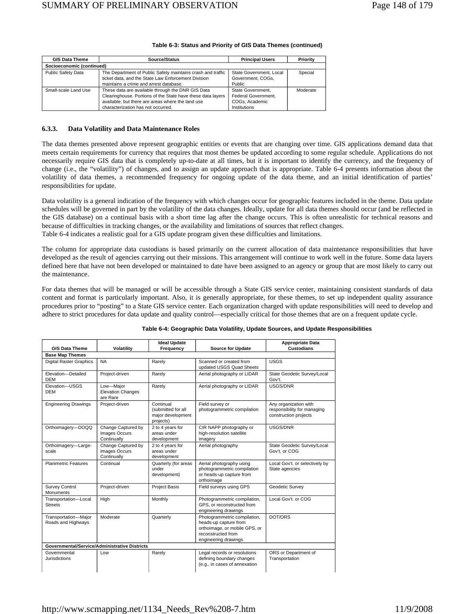| <b>GIS Data Theme</b>     | Source/Status                                                                                                                                                                                               | <b>Principal Users</b>                                                     | Priority |
|---------------------------|-------------------------------------------------------------------------------------------------------------------------------------------------------------------------------------------------------------|----------------------------------------------------------------------------|----------|
| Socioeconomic (continued) |                                                                                                                                                                                                             |                                                                            |          |
| Public Safety Data        | The Department of Public Safety maintains crash and traffic<br>ticket data, and the State Law Enforcement Division<br>maintains a crime and arrest database.                                                | State Government, Local<br>Government, COGs.<br>Public                     | Special  |
| Small-scale Land Use      | These data are available through the DNR GIS Data<br>Clearinghouse. Portions of the State have these data layers<br>available, but there are areas where the land use<br>characterization has not occurred. | State Government.<br>Federal Government.<br>COGs. Academic<br>Institutions | Moderate |

#### **Table 6-3: Status and Priority of GIS Data Themes (continued)**

#### **6.3.3. Data Volatility and Data Maintenance Roles**

The data themes presented above represent geographic entities or events that are changing over time. GIS applications demand data that meets certain requirements for currency that requires that most themes be updated according to some regular schedule. Applications do not necessarily require GIS data that is completely up-to-date at all times, but it is important to identify the currency, and the frequency of change (i.e., the "volatility") of changes, and to assign an update approach that is appropriate. Table 6-4 presents information about the volatility of data themes, a recommended frequency for ongoing update of the data theme, and an initial identification of parties' responsibilities for update.

Data volatility is a general indication of the frequency with which changes occur for geographic features included in the theme. Data update schedules will be governed in part by the volatility of the data changes. Ideally, update for all data themes should occur (and be reflected in the GIS database) on a continual basis with a short time lag after the change occurs. This is often unrealistic for technical reasons and because of difficulties in tracking changes, or the availability and limitations of sources that reflect changes. Table 6-4 indicates a realistic goal for a GIS update program given these difficulties and limitations.

The column for appropriate data custodians is based primarily on the current allocation of data maintenance responsibilities that have developed as the result of agencies carrying out their missions. This arrangement will continue to work well in the future. Some data layers defined here that have not been developed or maintained to date have been assigned to an agency or group that are most likely to carry out the maintenance.

For data themes that will be managed or will be accessible through a State GIS service center, maintaining consistent standards of data content and format is particularly important. Also, it is generally appropriate, for these themes, to set up independent quality assurance procedures prior to "posting" to a State GIS service center. Each organization charged with update responsibilities will need to develop and adhere to strict procedures for data update and quality control—especially critical for those themes that are on a frequent update cycle.

|                                                      |                                                           | <b>Ideal Update</b>                                               |                                                                                                                                      | <b>Appropriate Data</b>                                                       |
|------------------------------------------------------|-----------------------------------------------------------|-------------------------------------------------------------------|--------------------------------------------------------------------------------------------------------------------------------------|-------------------------------------------------------------------------------|
| <b>GIS Data Theme</b>                                | Volatility                                                | Frequency                                                         | <b>Source for Update</b>                                                                                                             | <b>Custodians</b>                                                             |
| <b>Base Map Themes</b>                               |                                                           |                                                                   |                                                                                                                                      |                                                                               |
| <b>Digital Raster Graphics</b>                       | <b>NA</b>                                                 | Rarely                                                            | Scanned or created from<br>updated USGS Quad Sheets                                                                                  | <b>USGS</b>                                                                   |
| Elevation-Detailed<br><b>DEM</b>                     | Project-driven                                            | Rarely                                                            | Aerial photography or LIDAR                                                                                                          | State Geodetic Survey/Local<br>Gov't.                                         |
| Elevation-USGS<br><b>DEM</b>                         | Low-Major<br><b>Elevation Changes</b><br>are Rare         | Rarely                                                            | Aerial photography or LIDAR                                                                                                          | USGS/DNR                                                                      |
| <b>Engineering Drawings</b>                          | Project-driven                                            | Continual<br>(submitted for all<br>major development<br>projects) | Field survey or<br>photogrammetric compilation                                                                                       | Any organization with<br>responsibility for managing<br>construction projects |
| Orthoimagery-DOQQ                                    | Change Captured by<br><b>Images Occurs</b><br>Continually | 2 to 4 years for<br>areas under<br>development                    | CIR NAPP photography or<br>high-resolution satellite<br>imagery                                                                      | USGS/DNR                                                                      |
| Orthoimagery-Large-<br>scale                         | Change Captured by<br>Images Occurs<br>Continually        | 2 to 4 years for<br>areas under<br>development                    | Aerial photography                                                                                                                   | State Geodetic Survey/Local<br>Gov't. or COG                                  |
| <b>Planimetric Features</b>                          | Continual                                                 | Quarterly (for areas<br>under<br>development)                     | Aerial photography using<br>photogrammetric compilation<br>or heads-up capture from<br>orthoimage                                    | Local Gov't. or selectively by<br>State agencies                              |
| <b>Survey Control</b><br><b>Monuments</b>            | Project-driven                                            | Project Basis                                                     | Field surveys using GPS                                                                                                              | Geodetic Survey                                                               |
| Transportation-Local<br><b>Streets</b>               | High                                                      | Monthly                                                           | Photogrammetric compilation,<br>GPS, or reconstructed from<br>engineering drawings                                                   | Local Gov't, or COG                                                           |
| Transportation-Major<br>Roads and Highways           | Moderate                                                  | Quarterly                                                         | Photogrammetric compilation,<br>heads-up capture from<br>orthoimage, or mobile GPS, or<br>reconstructed from<br>engineering drawings | DOT/ORS                                                                       |
| <b>Governmental/Service/Administrative Districts</b> |                                                           |                                                                   |                                                                                                                                      |                                                                               |
| Governmental<br>Jurisdictions                        | Low                                                       | Rarely                                                            | Legal records or resolutions<br>defining boundary changes<br>(e.g., in cases of annexation                                           | ORS or Department of<br>Transportation                                        |

#### **Table 6-4: Geographic Data Volatility, Update Sources, and Update Responsibilities**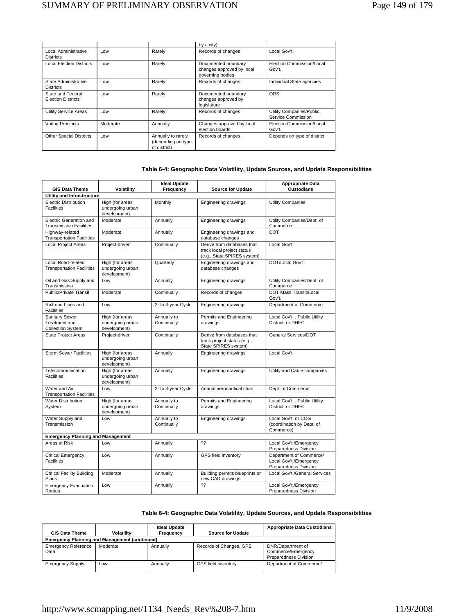|                                                |          |                                                          | by a city)                                                           |                                                |
|------------------------------------------------|----------|----------------------------------------------------------|----------------------------------------------------------------------|------------------------------------------------|
| Local Administrative<br><b>Districts</b>       | Low      | Rarely                                                   | Records of changes                                                   | Local Gov't.                                   |
| <b>Local Election Districts</b>                | Low      | Rarely                                                   | Documented boundary<br>changes approved by local<br>governing bodies | Election Commission/Local<br>Gov't.            |
| State Administrative<br><b>Districts</b>       | Low      | Rarely                                                   | Records of changes                                                   | Individual State agencies                      |
| State and Federal<br><b>Election Districts</b> | Low      | Rarely                                                   | Documented boundary<br>changes approved by<br>legislature            | <b>ORS</b>                                     |
| Utility Service Areas                          | Low      | Rarely                                                   | Records of changes                                                   | Utility Companies/Public<br>Service Commission |
| <b>Voting Precincts</b>                        | Moderate | Annually                                                 | Changes approved by local<br>election boards                         | Election Commission/Local<br>Gov't.            |
| <b>Other Special Districts</b>                 | Low      | Annually to rarely<br>(depending on type<br>of district) | Records of changes                                                   | Depends on type of district                    |

## **Table 6-4: Geographic Data Volatility, Update Sources, and Update Responsibilities**

|                                                             |                                                     | <b>Ideal Update</b>        |                                                                                         | <b>Appropriate Data</b>                                                    |
|-------------------------------------------------------------|-----------------------------------------------------|----------------------------|-----------------------------------------------------------------------------------------|----------------------------------------------------------------------------|
| <b>GIS Data Theme</b>                                       | Volatility                                          | Frequency                  | <b>Source for Update</b>                                                                | <b>Custodians</b>                                                          |
| Utility and Infrastructure                                  |                                                     |                            |                                                                                         |                                                                            |
| <b>Electric Distribution</b><br><b>Facilities</b>           | High (for areas<br>undergoing urban<br>development) | Monthly                    | Engineering drawings                                                                    | Utility Companies                                                          |
| Electric Generation and<br><b>Transmission Facilities</b>   | Moderate                                            | Annually                   | Engineering drawings                                                                    | Utility Companies/Dept. of<br>Commerce                                     |
| Highway-related<br><b>Transportation Facilities</b>         | Moderate                                            | Annually                   | Engineering drawings and<br>database changes                                            | <b>DOT</b>                                                                 |
| <b>Local Project Areas</b>                                  | Project-driven                                      | Continually                | Derive from databases that<br>track local project status<br>(e.g., State SPIRES system) | Local Gov't.                                                               |
| Local Road-related<br><b>Transportation Facilities</b>      | High (for areas<br>undergoing urban<br>development) | Quarterly                  | Engineering drawings and<br>database changes                                            | DOT/Local Gov't.                                                           |
| Oil and Gas Supply and<br>Transmission                      | Low                                                 | Annually                   | Engineering drawings                                                                    | Utility Companies/Dept. of<br>Commerce                                     |
| <b>Public/Private Transit</b>                               | Moderate                                            | Continually                | Records of changes                                                                      | DOT Mass Transit/Local<br>Gov't.                                           |
| Railroad Lines and<br><b>Facilities</b>                     | Low                                                 | 2- to 3-year Cycle         | Engineering drawings                                                                    | Department of Commerce                                                     |
| Sanitary Sewer<br>Treatment and<br><b>Collection System</b> | High (for areas<br>undergoing urban<br>development) | Annually to<br>Continually | Permits and Engineering<br>drawings                                                     | Local Gov't., Public Utility<br>District. or DHEC                          |
| State Project Areas                                         | Project-driven                                      | Continually                | Derive from databases that<br>track project status (e.g.,<br>State SPIRES system)       | General Services/DOT                                                       |
| <b>Storm Sewer Facilities</b>                               | High (for areas<br>undergoing urban<br>development) | Annually                   | Engineering drawings                                                                    | Local Gov't                                                                |
| Telecommunication<br><b>Facilities</b>                      | High (for areas<br>undergoing urban<br>development) | Annually                   | Engineering drawings                                                                    | Utility and Cable companies                                                |
| Water and Air<br><b>Transportation Facilities</b>           | Low                                                 | 2- to 3-year Cycle         | Annual aeronautical chart                                                               | Dept. of Commerce                                                          |
| <b>Water Distribution</b><br>System                         | High (for areas<br>undergoing urban<br>development) | Annually to<br>Continually | Permits and Engineering<br>drawings                                                     | Local Gov't., Public Utility<br>District, or DHEC                          |
| Water Supply and<br>Transmission                            | Low                                                 | Annually to<br>Continually | Engineering drawings                                                                    | Local Gov't. or COG<br>(coordination by Dept. of<br>Commerce)              |
| <b>Emergency Planning and Management</b>                    |                                                     |                            |                                                                                         |                                                                            |
| Areas at Risk                                               | Low                                                 | Annually                   | ??                                                                                      | Local Gov't./Emergency<br>Preparedness Division                            |
| <b>Critical Emergency</b><br><b>Facilities</b>              | Low                                                 | Annually                   | GPS field inventory                                                                     | Department of Commerce/<br>Local Gov't./Emergency<br>Preparedness Division |
| <b>Critical Facility Building</b><br>Plans                  | Moderate                                            | Annually                   | Building permits blueprints or<br>new CAD drawings                                      | Local Gov't./General Services                                              |
| <b>Emergency Evacuation</b><br>Routes                       | Low                                                 | Annually                   | ??                                                                                      | Local Gov't./Emergency<br>Preparedness Division                            |

# **Table 6-4: Geographic Data Volatility, Update Sources, and Update Responsibilities**

| <b>GIS Data Theme</b>              | Volatility                                           | <b>Ideal Update</b><br>Frequency | <b>Source for Update</b> | <b>Appropriate Data Custodians</b>                               |
|------------------------------------|------------------------------------------------------|----------------------------------|--------------------------|------------------------------------------------------------------|
|                                    | <b>Emergency Planning and Management (continued)</b> |                                  |                          |                                                                  |
| <b>Emergency Reference</b><br>Data | Moderate                                             | Annually                         | Records of Changes, GPS  | DNR/Department of<br>Commerce/Emergency<br>Preparedness Division |
| <b>Emergency Supply</b>            | Low                                                  | Annually                         | GPS field inventory      | Department of Commerce/                                          |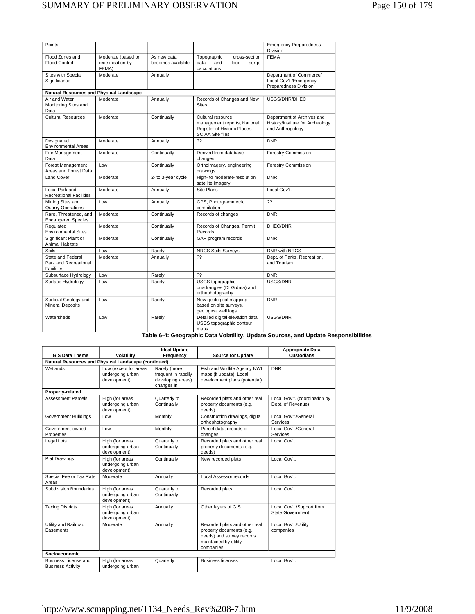| Points                                                          |                                                 |                                  |                                                                                                              | <b>Emergency Preparedness</b><br><b>Division</b>                                   |
|-----------------------------------------------------------------|-------------------------------------------------|----------------------------------|--------------------------------------------------------------------------------------------------------------|------------------------------------------------------------------------------------|
| Flood Zones and<br><b>Flood Control</b>                         | Moderate (based on<br>redelineation by<br>FEMA) | As new data<br>becomes available | Topographic<br>cross-section<br>data<br>and<br>flood<br>surge<br>calculations                                | <b>FEMA</b>                                                                        |
| Sites with Special<br>Significance                              | Moderate                                        | Annually                         |                                                                                                              | Department of Commerce/<br>Local Gov't./Emergency<br>Preparedness Division         |
| Natural Resources and Physical Landscape                        |                                                 |                                  |                                                                                                              |                                                                                    |
| Air and Water<br>Monitoring Sites and<br>Data                   | Moderate                                        | Annually                         | Records of Changes and New<br><b>Sites</b>                                                                   | USGS/DNR/DHEC                                                                      |
| Cultural Resources                                              | Moderate                                        | Continually                      | Cultural resource<br>management reports, National<br>Register of Historic Places,<br><b>SCIAA Site files</b> | Department of Archives and<br>History/Institute for Archeology<br>and Anthropology |
| Designated<br><b>Environmental Areas</b>                        | Moderate                                        | Annually                         | ??                                                                                                           | <b>DNR</b>                                                                         |
| Fire Management<br>Data                                         | Moderate                                        | Continually                      | Derived from database<br>changes                                                                             | <b>Forestry Commission</b>                                                         |
| Forest Management<br>Areas and Forest Data                      | Low                                             | Continually                      | Orthoimagery, engineering<br>drawings                                                                        | <b>Forestry Commission</b>                                                         |
| <b>Land Cover</b>                                               | Moderate                                        | 2- to 3-year cycle               | High- to moderate-resolution<br>satellite imagery                                                            | <b>DNR</b>                                                                         |
| Local Park and<br><b>Recreational Facilities</b>                | Moderate                                        | Annually                         | Site Plans                                                                                                   | Local Gov't.                                                                       |
| Mining Sites and<br><b>Quarry Operations</b>                    | Low                                             | Annually                         | GPS, Photogrammetric<br>compilation                                                                          | ??                                                                                 |
| Rare, Threatened, and<br><b>Endangered Species</b>              | Moderate                                        | Continually                      | Records of changes                                                                                           | <b>DNR</b>                                                                         |
| Regulated<br><b>Environmental Sites</b>                         | Moderate                                        | Continually                      | Records of Changes, Permit<br>Records                                                                        | DHEC/DNR                                                                           |
| Significant Plant or<br><b>Animal Habitats</b>                  | Moderate                                        | Continually                      | GAP program records                                                                                          | <b>DNR</b>                                                                         |
| Soils                                                           | Low                                             | Rarely                           | <b>NRCS Soils Surveys</b>                                                                                    | <b>DNR with NRCS</b>                                                               |
| State and Federal<br>Park and Recreational<br><b>Facilities</b> | Moderate                                        | Annually                         | ??                                                                                                           | Dept. of Parks, Recreation,<br>and Tourism                                         |
| Subsurface Hydrology                                            | Low                                             | Rarely                           | ??                                                                                                           | <b>DNR</b>                                                                         |
| Surface Hydrology                                               | Low                                             | Rarely                           | USGS topographic<br>quadrangles (DLG data) and<br>orthophotography                                           | USGS/DNR                                                                           |
| Surficial Geology and<br><b>Mineral Deposits</b>                | Low                                             | Rarely                           | New geological mapping<br>based on site surveys,<br>geological well logs                                     | <b>DNR</b>                                                                         |
| Watersheds                                                      | Low                                             | Rarely                           | Detailed digital elevation data,<br>USGS topographic contour<br>maps                                         | USGS/DNR                                                                           |

**Table 6-4: Geographic Data Volatility, Update Sources, and Update Responsibilities** 

|                                                      |                                                           | <b>Ideal Update</b>                                                    |                                                                                                                               | <b>Appropriate Data</b>                            |
|------------------------------------------------------|-----------------------------------------------------------|------------------------------------------------------------------------|-------------------------------------------------------------------------------------------------------------------------------|----------------------------------------------------|
| <b>GIS Data Theme</b>                                | Volatility                                                | Frequency                                                              | <b>Source for Update</b>                                                                                                      | <b>Custodians</b>                                  |
| Natural Resources and Physical Landscape (continued) |                                                           |                                                                        |                                                                                                                               |                                                    |
| Wetlands                                             | Low (except for areas<br>undergoing urban<br>development) | Rarely (more<br>frequent in rapdily<br>developing areas)<br>changes in | Fish and Wildlife Agency NWI<br>maps (if update). Local<br>development plans (potential).                                     | <b>DNR</b>                                         |
| Property-related                                     |                                                           |                                                                        |                                                                                                                               |                                                    |
| <b>Assessment Parcels</b>                            | High (for areas<br>undergoing urban<br>development)       | Quarterly to<br>Continually                                            | Recorded plats and other real<br>property documents (e.g.,<br>deeds)                                                          | Local Gov't. (coordination by<br>Dept. of Revenue) |
| <b>Government Buildings</b>                          | Low                                                       | Monthly                                                                | Construction drawings, digital<br>orthophotography                                                                            | Local Gov't./General<br>Services                   |
| Government-owned<br>Properties                       | Low                                                       | Monthly                                                                | Parcel data: records of<br>changes                                                                                            | Local Gov't./General<br>Services                   |
| Legal Lots                                           | High (for areas<br>undergoing urban<br>development)       | Quarterly to<br>Continually                                            | Recorded plats and other real<br>property documents (e.g.,<br>deeds)                                                          | Local Gov't.                                       |
| <b>Plat Drawings</b>                                 | High (for areas<br>undergoing urban<br>development)       | Continually                                                            | New recorded plats                                                                                                            | Local Gov't.                                       |
| Special Fee or Tax Rate<br>Areas                     | Moderate                                                  | Annually                                                               | Local Assessor records                                                                                                        | Local Gov't.                                       |
| Subdivision Boundaries                               | High (for areas<br>undergoing urban<br>development)       | Quarterly to<br>Continually                                            | Recorded plats                                                                                                                | Local Gov't.                                       |
| <b>Taxing Districts</b>                              | High (for areas<br>undergoing urban<br>development)       | Annually                                                               | Other layers of GIS                                                                                                           | Local Gov't./Support from<br>State Government      |
| Utility and Railroad<br>Easements                    | Moderate                                                  | Annually                                                               | Recorded plats and other real<br>property documents (e.g.,<br>deeds) and survey records<br>maintained by utility<br>companies | Local Gov't./Utility<br>companies                  |
| <b>Socioeconomic</b>                                 |                                                           |                                                                        |                                                                                                                               |                                                    |
| Business License and<br><b>Business Activity</b>     | High (for areas<br>undergoing urban                       | Quarterly                                                              | <b>Business licenses</b>                                                                                                      | Local Gov't.                                       |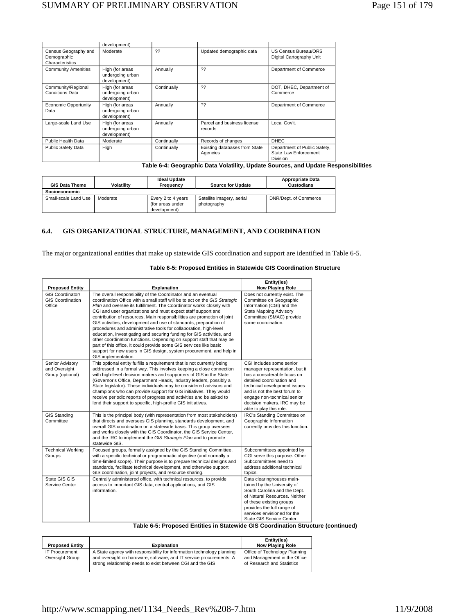|                                                        | development)                                        |             |                                           |                                                                          |
|--------------------------------------------------------|-----------------------------------------------------|-------------|-------------------------------------------|--------------------------------------------------------------------------|
| Census Geography and<br>Demographic<br>Characteristics | Moderate                                            | ??          | Updated demographic data                  | US Census Bureau/ORS<br>Digital Cartography Unit                         |
| <b>Community Amenities</b>                             | High (for areas<br>undergoing urban<br>development) | Annually    | ??                                        | Department of Commerce                                                   |
| Community/Regional<br><b>Conditions Data</b>           | High (for areas<br>undergoing urban<br>development) | Continually | ??                                        | DOT, DHEC, Department of<br>Commerce                                     |
| <b>Economic Opportunity</b><br>Data                    | High (for areas<br>undergoing urban<br>development) | Annually    | 22                                        | Department of Commerce                                                   |
| Large-scale Land Use                                   | High (for areas<br>undergoing urban<br>development) | Annually    | Parcel and business license<br>records    | Local Gov't.                                                             |
| Public Health Data                                     | Moderate                                            | Continually | Records of changes                        | <b>DHEC</b>                                                              |
| Public Safety Data                                     | High                                                | Continually | Existing databases from State<br>Agencies | Department of Public Safety,<br>State Law Enforcement<br><b>Division</b> |

**Table 6-4: Geographic Data Volatility, Update Sources, and Update Responsibilities** 

| <b>GIS Data Theme</b> | Volatility | <b>Ideal Update</b><br>Frequency                       | <b>Source for Update</b>                 | <b>Appropriate Data</b><br><b>Custodians</b> |
|-----------------------|------------|--------------------------------------------------------|------------------------------------------|----------------------------------------------|
| Socioeconomic         |            |                                                        |                                          |                                              |
| Small-scale Land Use  | Moderate   | Every 2 to 4 years<br>(for areas under<br>development) | Satellite imagery, aerial<br>photography | DNR/Dept. of Commerce                        |

## **6.4. GIS ORGANIZATIONAL STRUCTURE, MANAGEMENT, AND COORDINATION**

The major organizational entities that make up statewide GIS coordination and support are identified in Table 6-5.

## **Table 6-5: Proposed Entities in Statewide GIS Coordination Structure**

| <b>Proposed Entity</b>                                | <b>Explanation</b>                                                                                                                                                                                                                                                                                                                                                                                                                                                                                                                                                                                                                                                                                                                                                                                                            | Entity(ies)<br><b>Now Playing Role</b>                                                                                                                                                                                                                                          |
|-------------------------------------------------------|-------------------------------------------------------------------------------------------------------------------------------------------------------------------------------------------------------------------------------------------------------------------------------------------------------------------------------------------------------------------------------------------------------------------------------------------------------------------------------------------------------------------------------------------------------------------------------------------------------------------------------------------------------------------------------------------------------------------------------------------------------------------------------------------------------------------------------|---------------------------------------------------------------------------------------------------------------------------------------------------------------------------------------------------------------------------------------------------------------------------------|
| GIS Coordinator/<br><b>GIS Coordination</b><br>Office | The overall responsibility of the Coordinator and an eventual<br>coordination Office with a small staff will be to act on the GIS Strategic<br>Plan and oversee its fulfillment. The Coordinator works closely with<br>CGI and user organizations and must expect staff support and<br>contribution of resources. Main responsibilities are promotion of joint<br>GIS activities, development and use of standards, preparation of<br>procedures and administrative tools for collaboration, high-level<br>education, investigating and securing funding for GIS activities, and<br>other coordination functions. Depending on support staff that may be<br>part of this office, it could provide some GIS services like basic<br>support for new users in GIS design, system procurement, and help in<br>GIS implementation. | Does not currently exist. The<br>Committee on Geographic<br>Information (CGI) and the<br><b>State Mapping Advisory</b><br>Committee (SMAC) provide<br>some coordination.                                                                                                        |
| Senior Advisory<br>and Oversight<br>Group (optional)  | This optional entity fulfills a requirement that is not currently being<br>addressed in a formal way. This involves keeping a close connection<br>with high-level decision makers and supporters of GIS in the State<br>(Governor's Office, Department Heads, industry leaders, possibly a<br>State legislator). These individuals may be considered advisors and<br>champions who can provide support for GIS initiatives. They would<br>receive periodic reports of progress and activities and be asked to<br>lend their support to specific, high-profile GIS initiatives.                                                                                                                                                                                                                                                | CGI includes some senior<br>manager representation, but it<br>has a considerable focus on<br>detailed coordination and<br>technical development issues<br>and is not the best forum to<br>engage non-technical senior<br>decision makers. IRC may be<br>able to play this role. |
| <b>GIS Standing</b><br>Committee                      | This is the principal body (with representation from most stakeholders)<br>that directs and oversees GIS planning, standards development, and<br>overall GIS coordination on a statewide basis. This group oversees<br>and works closely with the GIS Coordinator, the GIS Service Center,<br>and the IRC to implement the GIS Strategic Plan and to promote<br>statewide GIS.                                                                                                                                                                                                                                                                                                                                                                                                                                                | IRC's Standing Committee on<br>Geographic Information<br>currently provides this function.                                                                                                                                                                                      |
| <b>Technical Working</b><br>Groups                    | Focused groups, formally assigned by the GIS Standing Committee,<br>with a specific technical or programmatic objective (and normally a<br>time-limited scope). Their purpose is to prepare technical designs and<br>standards, facilitate technical development, and otherwise support<br>GIS coordination, joint projects, and resource sharing.                                                                                                                                                                                                                                                                                                                                                                                                                                                                            | Subcommittees appointed by<br>CGI serve this purpose. Other<br>Subcommittees need to<br>address additional technical<br>topics.                                                                                                                                                 |
| State GIS GIS<br>Service Center                       | Centrally administered office, with technical resources, to provide<br>access to important GIS data, central applications, and GIS<br>information.<br>t martinia<br>エーレー<br>٠.<br>$\sim$ $\sim$ $\sim$                                                                                                                                                                                                                                                                                                                                                                                                                                                                                                                                                                                                                        | Data clearinghouses main-<br>tained by the University of<br>South Carolina and the Dept.<br>of Natural Resources. Neither<br>of these existing groups<br>provides the full range of<br>services envisioned for the<br>State GIS Service Center.<br>AIO B.11111<br>.             |

# **Table 6-5: Proposed Entities in Statewide GIS Coordination Structure (continued)**

|                                          |                                                                                                                                                                                                             | Entity(ies)                                                                                 |
|------------------------------------------|-------------------------------------------------------------------------------------------------------------------------------------------------------------------------------------------------------------|---------------------------------------------------------------------------------------------|
| <b>Proposed Entity</b>                   | <b>Explanation</b>                                                                                                                                                                                          | <b>Now Plaving Role</b>                                                                     |
| <b>IT Procurement</b><br>Oversight Group | A State agency with responsibility for information technology planning<br>and oversight on hardware, software, and IT service procurements. A<br>strong relationship needs to exist between CGI and the GIS | Office of Technology Planning<br>and Management in the Office<br>of Research and Statistics |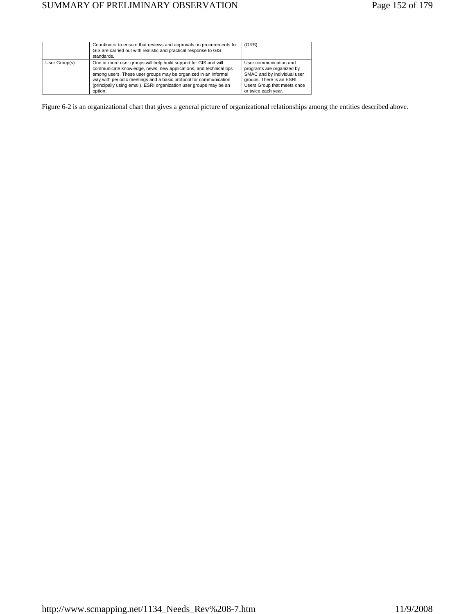|               | Coordinator to ensure that reviews and approvals on procurements for<br>GIS are carried out with realistic and practical response to GIS<br>standards.                                                                                                                                                                                                        | (ORS)                                                                                                                                                                |
|---------------|---------------------------------------------------------------------------------------------------------------------------------------------------------------------------------------------------------------------------------------------------------------------------------------------------------------------------------------------------------------|----------------------------------------------------------------------------------------------------------------------------------------------------------------------|
| User Group(s) | One or more user groups will help build support for GIS and will<br>communicate knowledge, news, new applications, and technical tips<br>among users. These user groups may be organized in an informal<br>way with periodic meetings and a basic protocol for communication<br>(principally using email). ESRI organization user groups may be an<br>option. | User communication and<br>programs are organized by<br>SMAC and by individual user<br>groups. There is an ESRI<br>Users Group that meets once<br>or twice each year. |

Figure 6-2 is an organizational chart that gives a general picture of organizational relationships among the entities described above.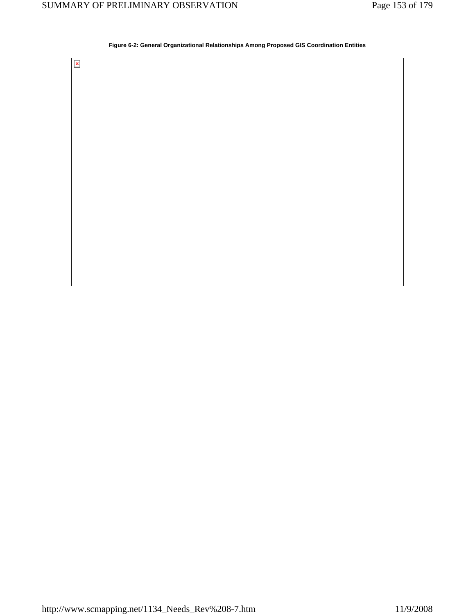$\bar{\mathbf{x}}$ 

## **Figure 6-2: General Organizational Relationships Among Proposed GIS Coordination Entities**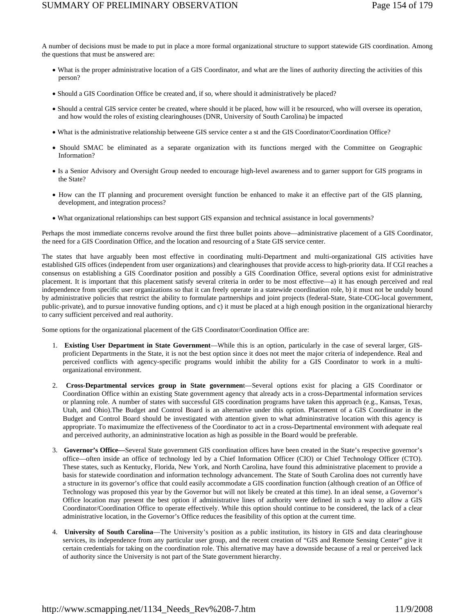A number of decisions must be made to put in place a more formal organizational structure to support statewide GIS coordination. Among the questions that must be answered are:

- What is the proper administrative location of a GIS Coordinator, and what are the lines of authority directing the activities of this person?
- Should a GIS Coordination Office be created and, if so, where should it administratively be placed?
- Should a central GIS service center be created, where should it be placed, how will it be resourced, who will oversee its operation, and how would the roles of existing clearinghouses (DNR, University of South Carolina) be impacted
- What is the administrative relationship betweene GIS service center a st and the GIS Coordinator/Coordination Office?
- Should SMAC be eliminated as a separate organization with its functions merged with the Committee on Geographic Information?
- Is a Senior Advisory and Oversight Group needed to encourage high-level awareness and to garner support for GIS programs in the State?
- How can the IT planning and procurement oversight function be enhanced to make it an effective part of the GIS planning, development, and integration process?
- What organizational relationships can best support GIS expansion and technical assistance in local governments?

Perhaps the most immediate concerns revolve around the first three bullet points above—administrative placement of a GIS Coordinator, the need for a GIS Coordination Office, and the location and resourcing of a State GIS service center.

The states that have arguably been most effective in coordinating multi-Department and multi-organizational GIS activities have established GIS offices (independent from user organizations) and clearinghouses that provide access to high-priority data. If CGI reaches a consensus on establishing a GIS Coordinator position and possibly a GIS Coordination Office, several options exist for administrative placement. It is important that this placement satisfy several criteria in order to be most effective—a) it has enough perceived and real independence from specific user organizations so that it can freely operate in a statewide coordination role, b) it must not be unduly bound by administrative policies that restrict the ability to formulate partnerships and joint projects (federal-State, State-COG-local government, public-private), and to pursue innovative funding options, and c) it must be placed at a high enough position in the organizational hierarchy to carry sufficient perceived and real authority.

Some options for the organizational placement of the GIS Coordinator/Coordination Office are:

- 1. **Existing User Department in State Government**—While this is an option, particularly in the case of several larger, GISproficient Departments in the State, it is not the best option since it does not meet the major criteria of independence. Real and perceived conflicts with agency-specific programs would inhibit the ability for a GIS Coordinator to work in a multiorganizational environment.
- 2. **Cross-Departmental services group in State governmen**t—Several options exist for placing a GIS Coordinator or Coordination Office within an existing State government agency that already acts in a cross-Departmental information services or planning role. A number of states with successful GIS coordination programs have taken this approach (e.g., Kansas, Texas, Utah, and Ohio).The Budget and Control Board is an alternative under this option. Placement of a GIS Coordinator in the Budget and Control Board should be investigated with attention given to what admininstrative location with this agency is appropriate. To maximumize the effectiveness of the Coordinator to act in a cross-Departmental environment with adequate real and perceived authority, an admininstrative location as high as possible in the Board would be preferable.
- 3. **Governor's Office—**Several State government GIS coordination offices have been created in the State's respective governor's office—often inside an office of technology led by a Chief Information Officer (CIO) or Chief Technology Officer (CTO). These states, such as Kentucky, Florida, New York, and North Carolina, have found this administrative placement to provide a basis for statewide coordination and information technology advancement. The State of South Carolina does not currently have a structure in its governor's office that could easily accommodate a GIS coordination function (although creation of an Office of Technology was proposed this year by the Governor but will not likely be created at this time). In an ideal sense, a Governor's Office location may present the best option if administrative lines of authority were defined in such a way to allow a GIS Coordinator/Coordination Office to operate effectively. While this option should continue to be considered, the lack of a clear administrative location, in the Governor's Office reduces the feasibility of this option at the current time.
- 4. **University of South Carolina**—The University's position as a public institution, its history in GIS and data clearinghouse services, its independence from any particular user group, and the recent creation of "GIS and Remote Sensing Center" give it certain credentials for taking on the coordination role. This alternative may have a downside because of a real or perceived lack of authority since the University is not part of the State government hierarchy.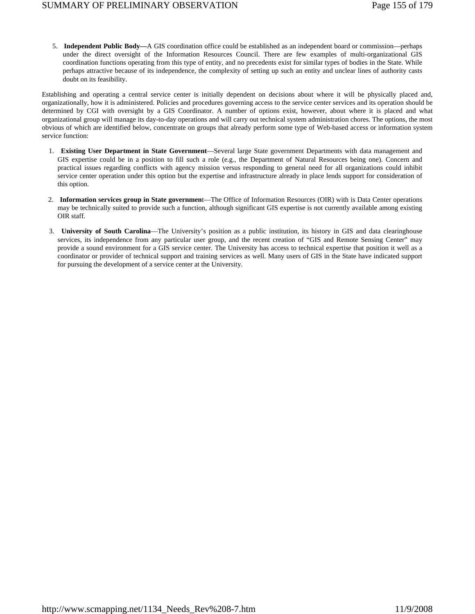5. **Independent Public Body—**A GIS coordination office could be established as an independent board or commission—perhaps under the direct oversight of the Information Resources Council. There are few examples of multi-organizational GIS coordination functions operating from this type of entity, and no precedents exist for similar types of bodies in the State. While perhaps attractive because of its independence, the complexity of setting up such an entity and unclear lines of authority casts doubt on its feasibility.

Establishing and operating a central service center is initially dependent on decisions about where it will be physically placed and, organizationally, how it is administered. Policies and procedures governing access to the service center services and its operation should be determined by CGI with oversight by a GIS Coordinator. A number of options exist, however, about where it is placed and what organizational group will manage its day-to-day operations and will carry out technical system administration chores. The options, the most obvious of which are identified below, concentrate on groups that already perform some type of Web-based access or information system service function:

- 1. **Existing User Department in State Government**—Several large State government Departments with data management and GIS expertise could be in a position to fill such a role (e.g., the Department of Natural Resources being one). Concern and practical issues regarding conflicts with agency mission versus responding to general need for all organizations could inhibit service center operation under this option but the expertise and infrastructure already in place lends support for consideration of this option.
- 2. **Information services group in State governmen**t—The Office of Information Resources (OIR) with is Data Center operations may be technically suited to provide such a function, although significant GIS expertise is not currently available among existing OIR staff.
- 3. **University of South Carolina**—The University's position as a public institution, its history in GIS and data clearinghouse services, its independence from any particular user group, and the recent creation of "GIS and Remote Sensing Center" may provide a sound environment for a GIS service center. The University has access to technical expertise that position it well as a coordinator or provider of technical support and training services as well. Many users of GIS in the State have indicated support for pursuing the development of a service center at the University.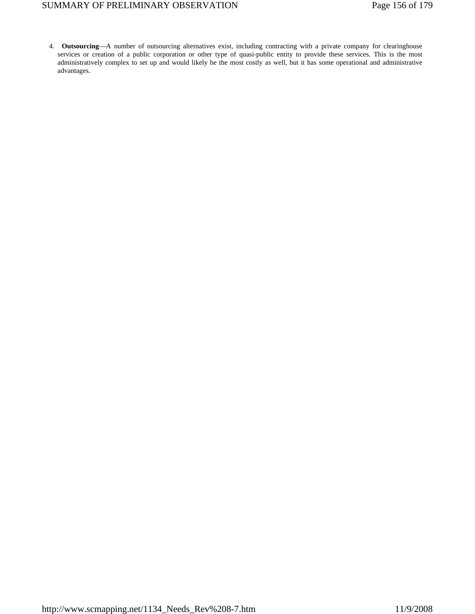# SUMMARY OF PRELIMINARY OBSERVATION Page 156 of 179

 4. **Outsourcing**—A number of outsourcing alternatives exist, including contracting with a private company for clearinghouse services or creation of a public corporation or other type of quasi-public entity to provide these services. This is the most administratively complex to set up and would likely be the most costly as well, but it has some operational and administrative advantages.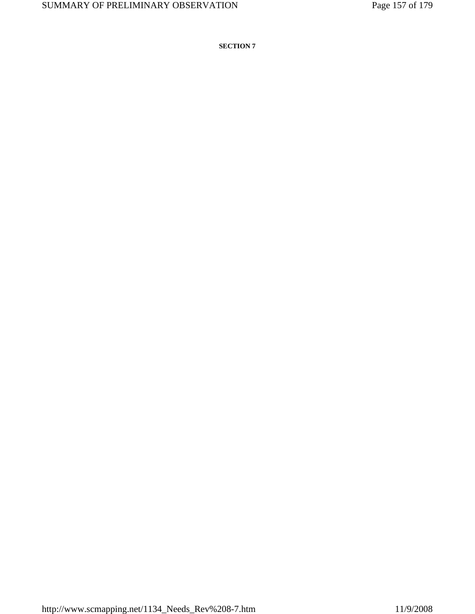**SECTION 7**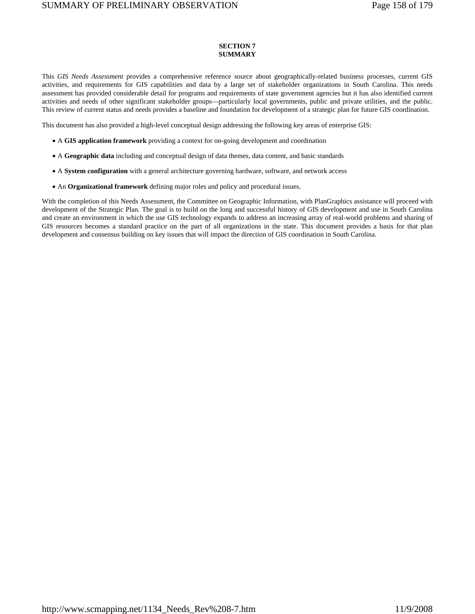## **SECTION 7 SUMMARY**

This *GIS Needs Assessment* provides a comprehensive reference source about geographically-related business processes, current GIS activities, and requirements for GIS capabilities and data by a large set of stakeholder organizations in South Carolina. This needs assessment has provided considerable detail for programs and requirements of state government agencies but it has also identified current activities and needs of other significant stakeholder groups—particularly local governments, public and private utilities, and the public. This review of current status and needs provides a baseline and foundation for development of a strategic plan for future GIS coordination.

This document has also provided a high-level conceptual design addressing the following key areas of enterprise GIS:

- A **GIS application framework** providing a context for on-going development and coordination
- A **Geographic data** including and conceptual design of data themes, data content, and basic standards
- A **System configuration** with a general architecture governing hardware, software, and network access
- An **Organizational framework** defining major roles and policy and procedural issues.

With the completion of this Needs Assessment, the Committee on Geographic Information, with PlanGraphics assistance will proceed with development of the Strategic Plan. The goal is to build on the long and successful history of GIS development and use in South Carolina and create an environment in which the use GIS technology expands to address an increasing array of real-world problems and sharing of GIS resources becomes a standard practice on the part of all organizations in the state. This document provides a basis for that plan development and consensus building on key issues that will impact the direction of GIS coordination in South Carolina.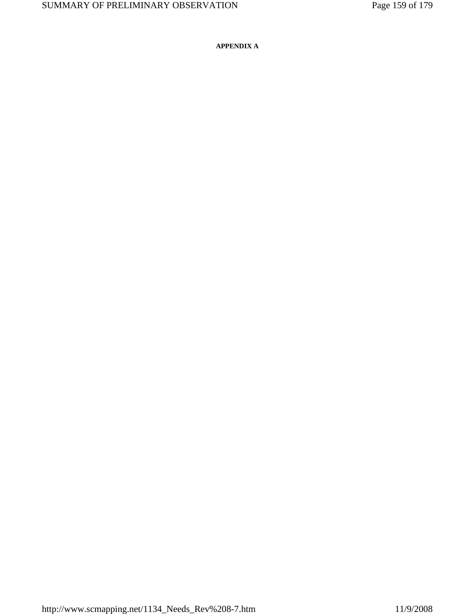**APPENDIX A**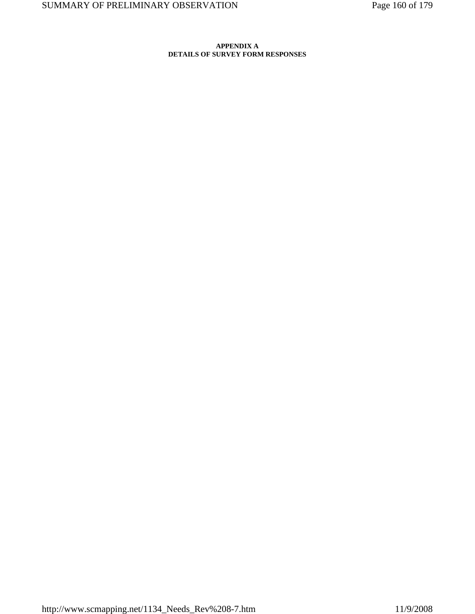## **APPENDIX A DETAILS OF SURVEY FORM RESPONSES**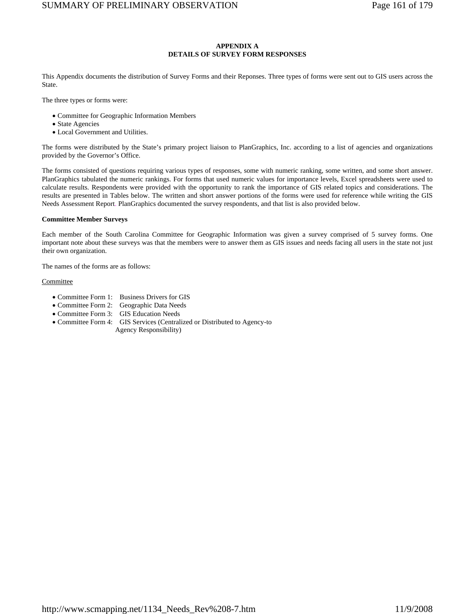## **APPENDIX A DETAILS OF SURVEY FORM RESPONSES**

This Appendix documents the distribution of Survey Forms and their Reponses. Three types of forms were sent out to GIS users across the State.

The three types or forms were:

- Committee for Geographic Information Members
- State Agencies
- Local Government and Utilities.

The forms were distributed by the State's primary project liaison to PlanGraphics, Inc. according to a list of agencies and organizations provided by the Governor's Office.

The forms consisted of questions requiring various types of responses, some with numeric ranking, some written, and some short answer. PlanGraphics tabulated the numeric rankings. For forms that used numeric values for importance levels, Excel spreadsheets were used to calculate results. Respondents were provided with the opportunity to rank the importance of GIS related topics and considerations. The results are presented in Tables below. The written and short answer portions of the forms were used for reference while writing the GIS Needs Assessment Report. PlanGraphics documented the survey respondents, and that list is also provided below.

## **Committee Member Surveys**

Each member of the South Carolina Committee for Geographic Information was given a survey comprised of 5 survey forms. One important note about these surveys was that the members were to answer them as GIS issues and needs facing all users in the state not just their own organization.

The names of the forms are as follows:

#### **Committee**

- Committee Form 1: Business Drivers for GIS
- Committee Form 2: Geographic Data Needs
- Committee Form 3: GIS Education Needs
- Committee Form 4: GIS Services (Centralized or Distributed to Agency-to
	- Agency Responsibility)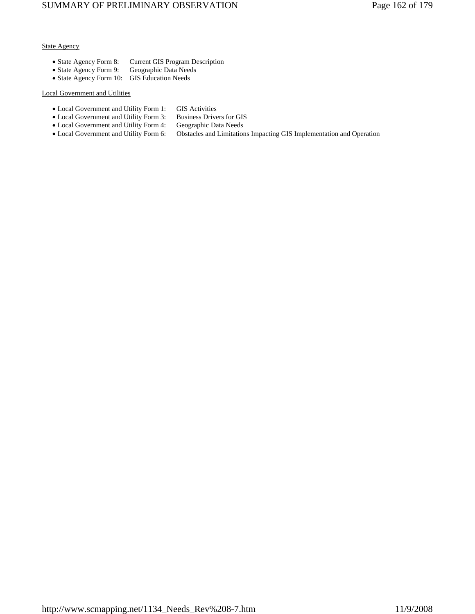## State Agency

- State Agency Form 8: Current GIS Program Description
- State Agency Form 9: Geographic Data Needs
- State Agency Form 10: GIS Education Needs

## Local Government and Utilities

- Local Government and Utility Form 1: GIS Activities
- Local Government and Utility Form 3: Business Drivers for GIS
- Local Government and Utility Form 4: Geographic Data Needs
- 
- Local Government and Utility Form 6: Obstacles and Limitations Impacting GIS Implementation and Operation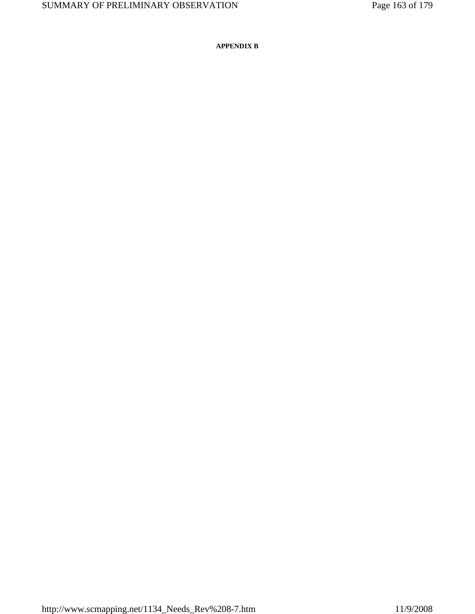**APPENDIX B**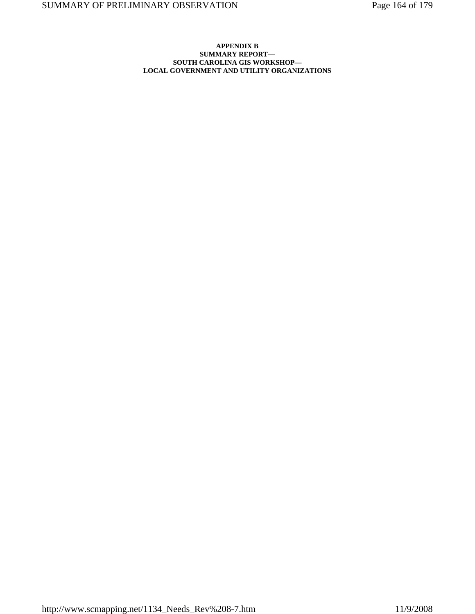## **APPENDIX B SUMMARY REPORT— SOUTH CAROLINA GIS WORKSHOP— LOCAL GOVERNMENT AND UTILITY ORGANIZATIONS**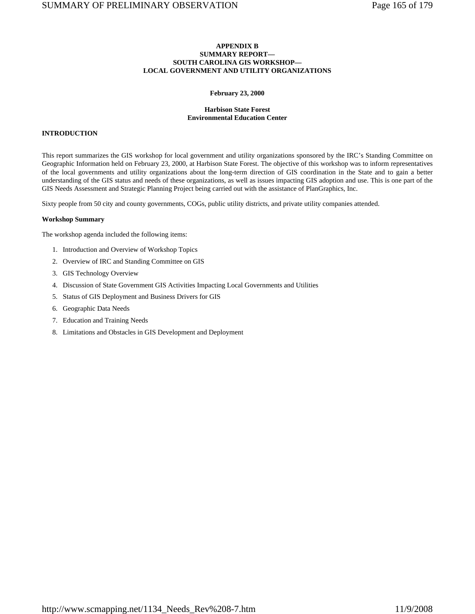## **APPENDIX B SUMMARY REPORT— SOUTH CAROLINA GIS WORKSHOP— LOCAL GOVERNMENT AND UTILITY ORGANIZATIONS**

#### **February 23, 2000**

## **Harbison State Forest Environmental Education Center**

## **INTRODUCTION**

This report summarizes the GIS workshop for local government and utility organizations sponsored by the IRC's Standing Committee on Geographic Information held on February 23, 2000, at Harbison State Forest. The objective of this workshop was to inform representatives of the local governments and utility organizations about the long-term direction of GIS coordination in the State and to gain a better understanding of the GIS status and needs of these organizations, as well as issues impacting GIS adoption and use. This is one part of the GIS Needs Assessment and Strategic Planning Project being carried out with the assistance of PlanGraphics, Inc.

Sixty people from 50 city and county governments, COGs, public utility districts, and private utility companies attended.

#### **Workshop Summary**

The workshop agenda included the following items:

- 1. Introduction and Overview of Workshop Topics
- 2. Overview of IRC and Standing Committee on GIS
- 3. GIS Technology Overview
- 4. Discussion of State Government GIS Activities Impacting Local Governments and Utilities
- 5. Status of GIS Deployment and Business Drivers for GIS
- 6. Geographic Data Needs
- 7. Education and Training Needs
- 8. Limitations and Obstacles in GIS Development and Deployment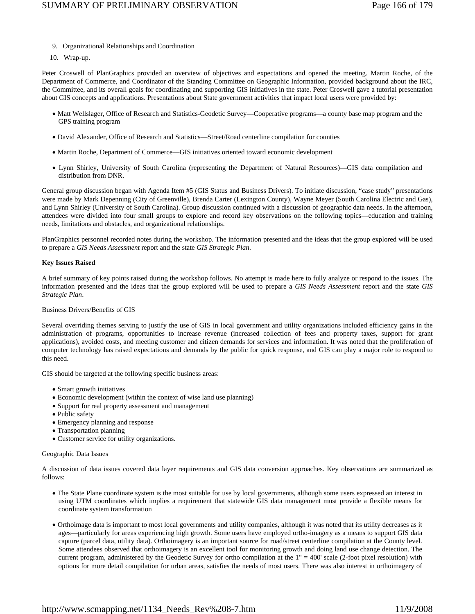- 9. Organizational Relationships and Coordination
- 10. Wrap-up.

Peter Croswell of PlanGraphics provided an overview of objectives and expectations and opened the meeting. Martin Roche, of the Department of Commerce, and Coordinator of the Standing Committee on Geographic Information, provided background about the IRC, the Committee, and its overall goals for coordinating and supporting GIS initiatives in the state. Peter Croswell gave a tutorial presentation about GIS concepts and applications. Presentations about State government activities that impact local users were provided by:

- Matt Wellslager, Office of Research and Statistics-Geodetic Survey—Cooperative programs—a county base map program and the GPS training program
- David Alexander, Office of Research and Statistics—Street/Road centerline compilation for counties
- Martin Roche, Department of Commerce—GIS initiatives oriented toward economic development
- Lynn Shirley, University of South Carolina (representing the Department of Natural Resources)—GIS data compilation and distribution from DNR.

General group discussion began with Agenda Item #5 (GIS Status and Business Drivers). To initiate discussion, "case study" presentations were made by Mark Depenning (City of Greenville), Brenda Carter (Lexington County), Wayne Meyer (South Carolina Electric and Gas), and Lynn Shirley (University of South Carolina). Group discussion continued with a discussion of geographic data needs. In the afternoon, attendees were divided into four small groups to explore and record key observations on the following topics—education and training needs, limitations and obstacles, and organizational relationships.

PlanGraphics personnel recorded notes during the workshop. The information presented and the ideas that the group explored will be used to prepare a *GIS Needs Assessment* report and the state *GIS Strategic Plan*.

## **Key Issues Raised**

A brief summary of key points raised during the workshop follows. No attempt is made here to fully analyze or respond to the issues. The information presented and the ideas that the group explored will be used to prepare a *GIS Needs Assessment* report and the state *GIS Strategic Plan*.

## Business Drivers/Benefits of GIS

Several overriding themes serving to justify the use of GIS in local government and utility organizations included efficiency gains in the administration of programs, opportunities to increase revenue (increased collection of fees and property taxes, support for grant applications), avoided costs, and meeting customer and citizen demands for services and information. It was noted that the proliferation of computer technology has raised expectations and demands by the public for quick response, and GIS can play a major role to respond to this need.

GIS should be targeted at the following specific business areas:

- Smart growth initiatives
- Economic development (within the context of wise land use planning)
- Support for real property assessment and management
- Public safety
- Emergency planning and response
- Transportation planning
- Customer service for utility organizations.

#### Geographic Data Issues

A discussion of data issues covered data layer requirements and GIS data conversion approaches. Key observations are summarized as follows:

- The State Plane coordinate system is the most suitable for use by local governments, although some users expressed an interest in using UTM coordinates which implies a requirement that statewide GIS data management must provide a flexible means for coordinate system transformation
- Orthoimage data is important to most local governments and utility companies, although it was noted that its utility decreases as it ages—particularly for areas experiencing high growth. Some users have employed ortho-imagery as a means to support GIS data capture (parcel data, utility data). Orthoimagery is an important source for road/street centerline compilation at the County level. Some attendees observed that orthoimagery is an excellent tool for monitoring growth and doing land use change detection. The current program, administered by the Geodetic Survey for ortho compilation at the 1" = 400' scale (2-foot pixel resolution) with options for more detail compilation for urban areas, satisfies the needs of most users. There was also interest in orthoimagery of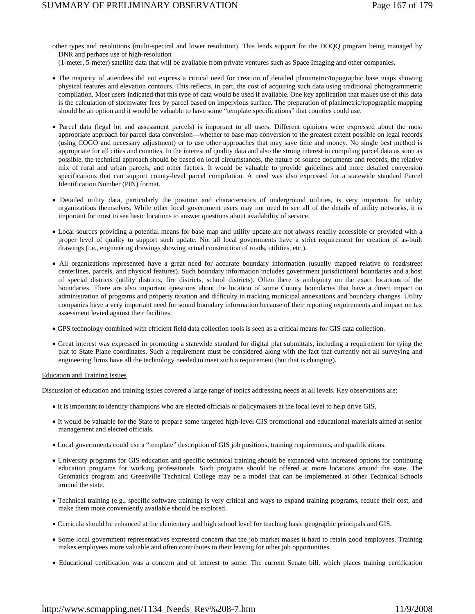other types and resolutions (multi-spectral and lower resolution). This lends support for the DOQQ program being managed by DNR and perhaps use of high-resolution

(1-meter, 5-meter) satellite data that will be available from private ventures such as Space Imaging and other companies.

- The majority of attendees did not express a critical need for creation of detailed planimetric/topographic base maps showing physical features and elevation contours. This reflects, in part, the cost of acquiring such data using traditional photogrammetric compilation. Most users indicated that this type of data would be used if available. One key application that makes use of this data is the calculation of stormwater fees by parcel based on impervious surface. The preparation of planimetric/topographic mapping should be an option and it would be valuable to have some "template specifications" that counties could use.
- Parcel data (legal lot and assessment parcels) is important to all users. Different opinions were expressed about the most appropriate approach for parcel data conversion—whether to base map conversion to the greatest extent possible on legal records (using COGO and necessary adjustment) or to use other approaches that may save time and money. No single best method is appropriate for all cities and counties. In the interest of quality data and also the strong interest in compiling parcel data as soon as possible, the technical approach should be based on local circumstances, the nature of source documents and records, the relative mix of rural and urban parcels, and other factors. It would be valuable to provide guidelines and more detailed conversion specifications that can support county-level parcel compilation. A need was also expressed for a statewide standard Parcel Identification Number (PIN) format.
- Detailed utility data, particularly the position and characteristics of underground utilities, is very important for utility organizations themselves. While other local government users may not need to see all of the details of utility networks, it is important for most to see basic locations to answer questions about availability of service.
- Local sources providing a potential means for base map and utility update are not always readily accessible or provided with a proper level of quality to support such update. Not all local governments have a strict requirement for creation of as-built drawings (i.e., engineering drawings showing actual construction of roads, utilities, etc.).
- All organizations represented have a great need for accurate boundary information (usually mapped relative to road/street centerlines, parcels, and physical features). Such boundary information includes government jurisdictional boundaries and a host of special districts (utility districts, fire districts, school districts). Often there is ambiguity on the exact locations of the boundaries. There are also important questions about the location of some County boundaries that have a direct impact on administration of programs and property taxation and difficulty in tracking municipal annexations and boundary changes. Utility companies have a very important need for sound boundary information because of their reporting requirements and impact on tax assessment levied against their facilities.
- GPS technology combined with efficient field data collection tools is seen as a critical means for GIS data collection.
- Great interest was expressed in promoting a statewide standard for digital plat submittals, including a requirement for tying the plat to State Plane coordinates. Such a requirement must be considered along with the fact that currently not all surveying and engineering firms have all the technology needed to meet such a requirement (but that is changing).

#### Education and Training Issues

Discussion of education and training issues covered a large range of topics addressing needs at all levels. Key observations are:

- It is important to identify champions who are elected officials or policymakers at the local level to help drive GIS.
- It would be valuable for the State to prepare some targeted high-level GIS promotional and educational materials aimed at senior management and elected officials.
- Local governments could use a "template" description of GIS job positions, training requirements, and qualifications.
- University programs for GIS education and specific technical training should be expanded with increased options for continuing education programs for working professionals. Such programs should be offered at more locations around the state. The Geomatics program and Greenville Technical College may be a model that can be implemented at other Technical Schools around the state.
- Technical training (e.g., specific software training) is very critical and ways to expand training programs, reduce their cost, and make them more conveniently available should be explored.
- Curricula should be enhanced at the elementary and high school level for teaching basic geographic principals and GIS.
- Some local government representatives expressed concern that the job market makes it hard to retain good employees. Training makes employees more valuable and often contributes to their leaving for other job opportunities.
- Educational certification was a concern and of interest to some. The current Senate bill, which places training certification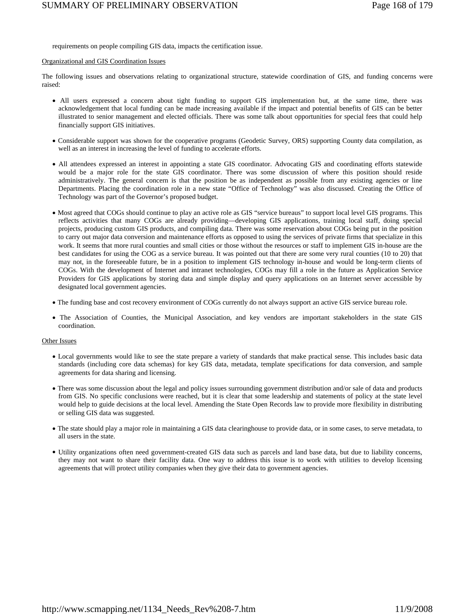requirements on people compiling GIS data, impacts the certification issue.

#### Organizational and GIS Coordination Issues

The following issues and observations relating to organizational structure, statewide coordination of GIS, and funding concerns were raised:

- All users expressed a concern about tight funding to support GIS implementation but, at the same time, there was acknowledgement that local funding can be made increasing available if the impact and potential benefits of GIS can be better illustrated to senior management and elected officials. There was some talk about opportunities for special fees that could help financially support GIS initiatives.
- Considerable support was shown for the cooperative programs (Geodetic Survey, ORS) supporting County data compilation, as well as an interest in increasing the level of funding to accelerate efforts.
- All attendees expressed an interest in appointing a state GIS coordinator. Advocating GIS and coordinating efforts statewide would be a major role for the state GIS coordinator. There was some discussion of where this position should reside administratively. The general concern is that the position be as independent as possible from any existing agencies or line Departments. Placing the coordination role in a new state "Office of Technology" was also discussed. Creating the Office of Technology was part of the Governor's proposed budget.
- Most agreed that COGs should continue to play an active role as GIS "service bureaus" to support local level GIS programs. This reflects activities that many COGs are already providing—developing GIS applications, training local staff, doing special projects, producing custom GIS products, and compiling data. There was some reservation about COGs being put in the position to carry out major data conversion and maintenance efforts as opposed to using the services of private firms that specialize in this work. It seems that more rural counties and small cities or those without the resources or staff to implement GIS in-house are the best candidates for using the COG as a service bureau. It was pointed out that there are some very rural counties (10 to 20) that may not, in the foreseeable future, be in a position to implement GIS technology in-house and would be long-term clients of COGs. With the development of Internet and intranet technologies, COGs may fill a role in the future as Application Service Providers for GIS applications by storing data and simple display and query applications on an Internet server accessible by designated local government agencies.
- The funding base and cost recovery environment of COGs currently do not always support an active GIS service bureau role.
- The Association of Counties, the Municipal Association, and key vendors are important stakeholders in the state GIS coordination.

#### Other Issues

- Local governments would like to see the state prepare a variety of standards that make practical sense. This includes basic data standards (including core data schemas) for key GIS data, metadata, template specifications for data conversion, and sample agreements for data sharing and licensing.
- There was some discussion about the legal and policy issues surrounding government distribution and/or sale of data and products from GIS. No specific conclusions were reached, but it is clear that some leadership and statements of policy at the state level would help to guide decisions at the local level. Amending the State Open Records law to provide more flexibility in distributing or selling GIS data was suggested.
- The state should play a major role in maintaining a GIS data clearinghouse to provide data, or in some cases, to serve metadata, to all users in the state.
- Utility organizations often need government-created GIS data such as parcels and land base data, but due to liability concerns, they may not want to share their facility data. One way to address this issue is to work with utilities to develop licensing agreements that will protect utility companies when they give their data to government agencies.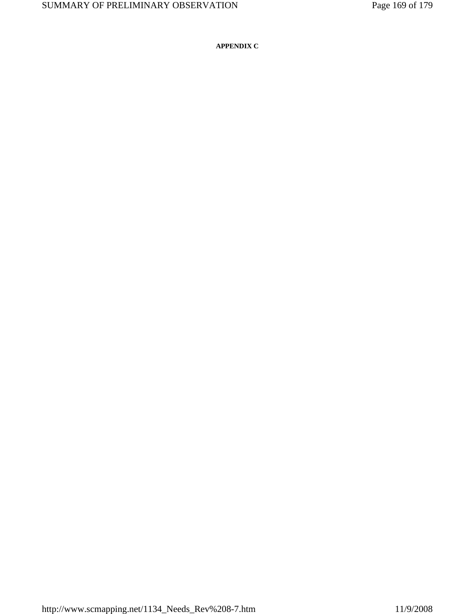**APPENDIX C**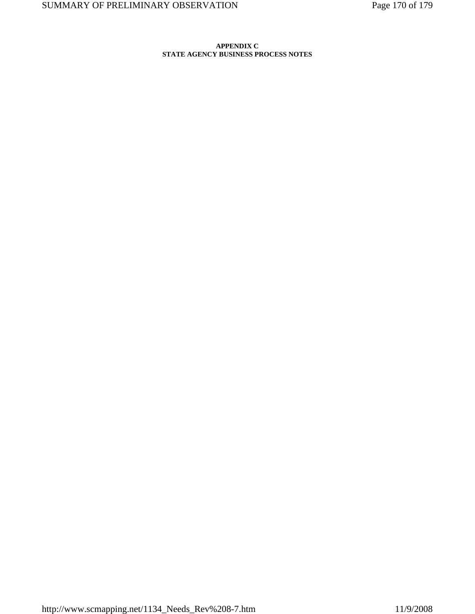## **APPENDIX C STATE AGENCY BUSINESS PROCESS NOTES**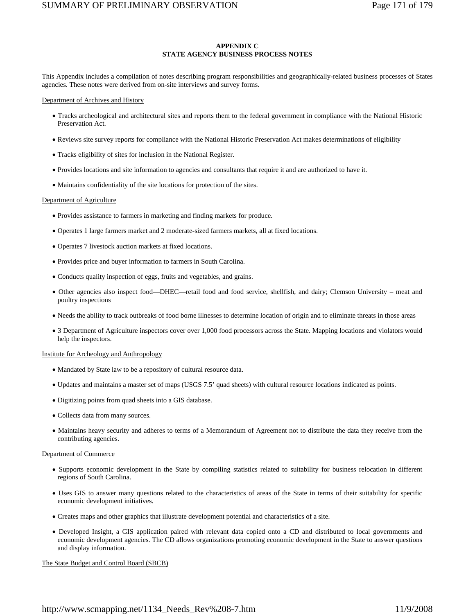## **APPENDIX C STATE AGENCY BUSINESS PROCESS NOTES**

This Appendix includes a compilation of notes describing program responsibilities and geographically-related business processes of States agencies. These notes were derived from on-site interviews and survey forms.

#### Department of Archives and History

- Tracks archeological and architectural sites and reports them to the federal government in compliance with the National Historic Preservation Act.
- Reviews site survey reports for compliance with the National Historic Preservation Act makes determinations of eligibility
- Tracks eligibility of sites for inclusion in the National Register.
- Provides locations and site information to agencies and consultants that require it and are authorized to have it.
- Maintains confidentiality of the site locations for protection of the sites.

#### Department of Agriculture

- Provides assistance to farmers in marketing and finding markets for produce.
- Operates 1 large farmers market and 2 moderate-sized farmers markets, all at fixed locations.
- Operates 7 livestock auction markets at fixed locations.
- Provides price and buyer information to farmers in South Carolina.
- Conducts quality inspection of eggs, fruits and vegetables, and grains.
- Other agencies also inspect food—DHEC—retail food and food service, shellfish, and dairy; Clemson University meat and poultry inspections
- Needs the ability to track outbreaks of food borne illnesses to determine location of origin and to eliminate threats in those areas
- 3 Department of Agriculture inspectors cover over 1,000 food processors across the State. Mapping locations and violators would help the inspectors.

#### Institute for Archeology and Anthropology

- Mandated by State law to be a repository of cultural resource data.
- Updates and maintains a master set of maps (USGS 7.5' quad sheets) with cultural resource locations indicated as points.
- Digitizing points from quad sheets into a GIS database.
- Collects data from many sources.
- Maintains heavy security and adheres to terms of a Memorandum of Agreement not to distribute the data they receive from the contributing agencies.

#### Department of Commerce

- Supports economic development in the State by compiling statistics related to suitability for business relocation in different regions of South Carolina.
- Uses GIS to answer many questions related to the characteristics of areas of the State in terms of their suitability for specific economic development initiatives.
- Creates maps and other graphics that illustrate development potential and characteristics of a site.
- Developed Insight, a GIS application paired with relevant data copied onto a CD and distributed to local governments and economic development agencies. The CD allows organizations promoting economic development in the State to answer questions and display information.

The State Budget and Control Board (SBCB)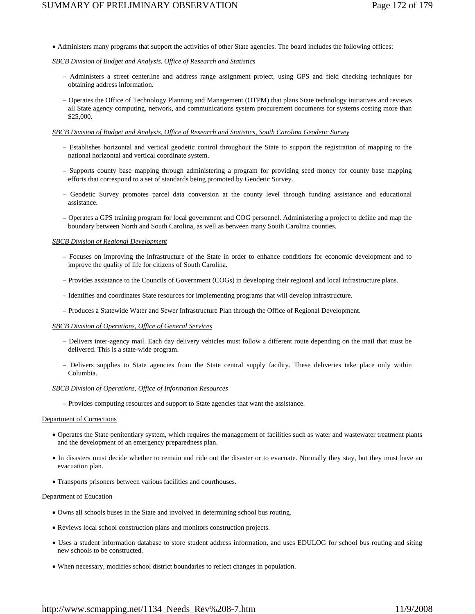• Administers many programs that support the activities of other State agencies. The board includes the following offices:

## *SBCB Division of Budget and Analysis, Office of Research and Statistics*

- Administers a street centerline and address range assignment project, using GPS and field checking techniques for obtaining address information.
- Operates the Office of Technology Planning and Management (OTPM) that plans State technology initiatives and reviews all State agency computing, network, and communications system procurement documents for systems costing more than \$25,000.

## *SBCB Division of Budget and Analysis, Office of Research and Statistics, South Carolina Geodetic Survey*

- Establishes horizontal and vertical geodetic control throughout the State to support the registration of mapping to the national horizontal and vertical coordinate system.
- Supports county base mapping through administering a program for providing seed money for county base mapping efforts that correspond to a set of standards being promoted by Geodetic Survey.
- Geodetic Survey promotes parcel data conversion at the county level through funding assistance and educational assistance.
- Operates a GPS training program for local government and COG personnel. Administering a project to define and map the boundary between North and South Carolina, as well as between many South Carolina counties.

#### *SBCB Division of Regional Development*

- Focuses on improving the infrastructure of the State in order to enhance conditions for economic development and to improve the quality of life for citizens of South Carolina.
- Provides assistance to the Councils of Government (COGs) in developing their regional and local infrastructure plans.
- Identifies and coordinates State resources for implementing programs that will develop infrastructure.
- Produces a Statewide Water and Sewer Infrastructure Plan through the Office of Regional Development.

#### *SBCB Division of Operations, Office of General Services*

- Delivers inter-agency mail. Each day delivery vehicles must follow a different route depending on the mail that must be delivered. This is a state-wide program.
- Delivers supplies to State agencies from the State central supply facility. These deliveries take place only within Columbia.

#### *SBCB Division of Operations, Office of Information Resources*

– Provides computing resources and support to State agencies that want the assistance.

#### Department of Corrections

- Operates the State penitentiary system, which requires the management of facilities such as water and wastewater treatment plants and the development of an emergency preparedness plan.
- In disasters must decide whether to remain and ride out the disaster or to evacuate. Normally they stay, but they must have an evacuation plan.
- Transports prisoners between various facilities and courthouses.

#### Department of Education

- Owns all schools buses in the State and involved in determining school bus routing.
- Reviews local school construction plans and monitors construction projects.
- Uses a student information database to store student address information, and uses EDULOG for school bus routing and siting new schools to be constructed.
- When necessary, modifies school district boundaries to reflect changes in population.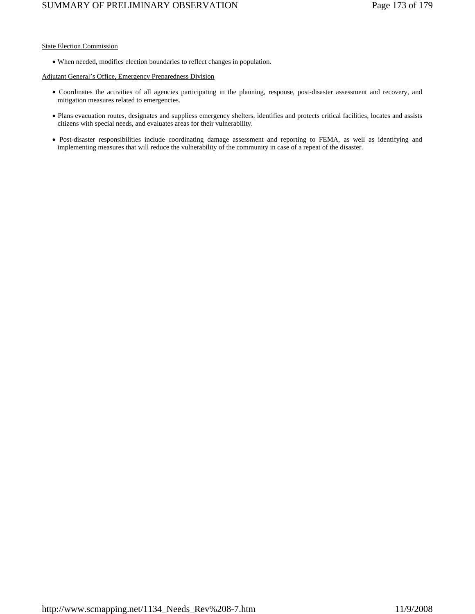## State Election Commission

• When needed, modifies election boundaries to reflect changes in population.

## Adjutant General's Office, Emergency Preparedness Division

- Coordinates the activities of all agencies participating in the planning, response, post-disaster assessment and recovery, and mitigation measures related to emergencies.
- Plans evacuation routes, designates and suppliess emergency shelters, identifies and protects critical facilities, locates and assists citizens with special needs, and evaluates areas for their vulnerability.
- Post-disaster responsibilities include coordinating damage assessment and reporting to FEMA, as well as identifying and implementing measures that will reduce the vulnerability of the community in case of a repeat of the disaster.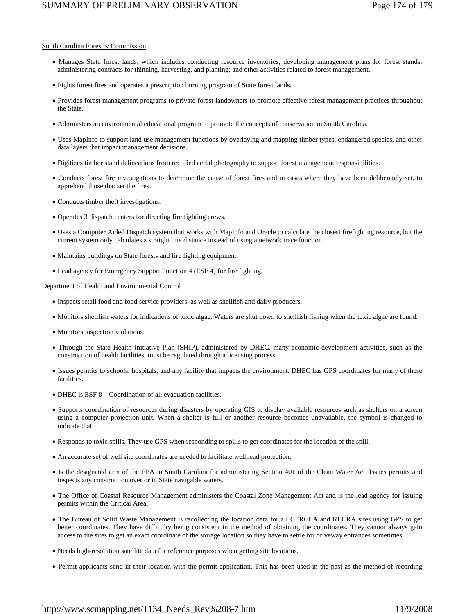# SUMMARY OF PRELIMINARY OBSERVATION Page 174 of 179

## South Carolina Forestry Commission

- Manages State forest lands, which includes conducting resource inventories; developing management plans for forest stands; administering contracts for thinning, harvesting, and planting; and other activities related to forest management.
- Fights forest fires and operates a prescription burning program of State forest lands.
- Provides forest management programs to private forest landowners to promote effective forest management practices throughout the State.
- Administers an environmental educational program to promote the concepts of conservation in South Carolina.
- Uses MapInfo to support land use management functions by overlaying and mapping timber types, endangered species, and other data layers that impact management decisions.
- Digitizes timber stand delineations from rectified aerial photography to support forest management responsibilities.
- Conducts forest fire investigations to determine the cause of forest fires and in cases where they have been deliberately set, to apprehend those that set the fires.
- Conducts timber theft investigations.
- Operates 3 dispatch centers for directing fire fighting crews.
- Uses a Computer Aided Dispatch system that works with MapInfo and Oracle to calculate the closest firefighting resource, but the current system only calculates a straight line distance instead of using a network trace function.
- Maintains buildings on State forests and fire fighting equipment.
- Lead agency for Emergency Support Function 4 (ESF 4) for fire fighting.

Department of Health and Environmental Control

- Inspects retail food and food service providers, as well as shellfish and dairy producers.
- Monitors shellfish waters for indications of toxic algae. Waters are shut down to shellfish fishing when the toxic algae are found.
- Monitors inspection violations.
- Through the State Health Initiative Plan (SHIP), administered by DHEC, many economic development activities, such as the construction of health facilities, must be regulated through a licensing process.
- Issues permits to schools, hospitals, and any facility that impacts the environment. DHEC has GPS coordinates for many of these facilities.
- DHEC is ESF 8 Coordination of all evacuation facilities.
- Supports coordination of resources during disasters by operating GIS to display available resources such as shelters on a screen using a computer projection unit. When a shelter is full or another resource becomes unavailable, the symbol is changed to indicate that.
- Responds to toxic spills. They use GPS when responding to spills to get coordinates for the location of the spill.
- An accurate set of well site coordinates are needed to facilitate wellhead protection.
- Is the designated arm of the EPA in South Carolina for administering Section 401 of the Clean Water Act. Issues permits and inspects any construction over or in State navigable waters.
- The Office of Coastal Resource Management administers the Coastal Zone Management Act and is the lead agency for issuing permits within the Critical Area.
- The Bureau of Solid Waste Management is recollecting the location data for all CERCLA and RECRA sites using GPS to get better coordinates. They have difficulty being consistent in the method of obtaining the coordinates. They cannot always gain access to the sites to get an exact coordinate of the storage location so they have to settle for driveway entrances sometimes.
- Needs high-resolution satellite data for reference purposes when getting site locations.
- Permit applicants send in their location with the permit application. This has been used in the past as the method of recording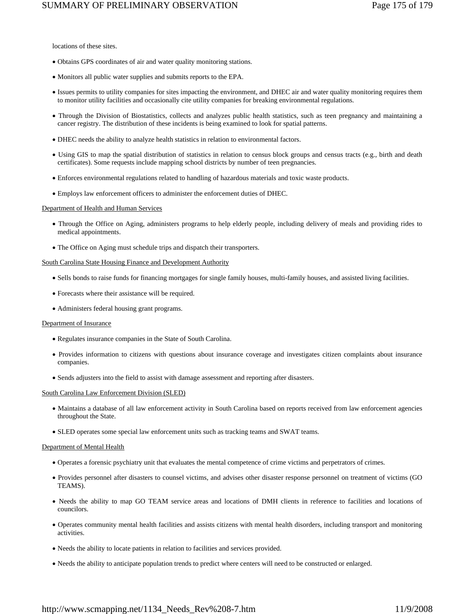locations of these sites.

- Obtains GPS coordinates of air and water quality monitoring stations.
- Monitors all public water supplies and submits reports to the EPA.
- Issues permits to utility companies for sites impacting the environment, and DHEC air and water quality monitoring requires them to monitor utility facilities and occasionally cite utility companies for breaking environmental regulations.
- Through the Division of Biostatistics, collects and analyzes public health statistics, such as teen pregnancy and maintaining a cancer registry. The distribution of these incidents is being examined to look for spatial patterns.
- DHEC needs the ability to analyze health statistics in relation to environmental factors.
- Using GIS to map the spatial distribution of statistics in relation to census block groups and census tracts (e.g., birth and death certificates). Some requests include mapping school districts by number of teen pregnancies.
- Enforces environmental regulations related to handling of hazardous materials and toxic waste products.
- Employs law enforcement officers to administer the enforcement duties of DHEC.

#### Department of Health and Human Services

- Through the Office on Aging, administers programs to help elderly people, including delivery of meals and providing rides to medical appointments.
- The Office on Aging must schedule trips and dispatch their transporters.

#### South Carolina State Housing Finance and Development Authority

- Sells bonds to raise funds for financing mortgages for single family houses, multi-family houses, and assisted living facilities.
- Forecasts where their assistance will be required.
- Administers federal housing grant programs.

#### Department of Insurance

- Regulates insurance companies in the State of South Carolina.
- Provides information to citizens with questions about insurance coverage and investigates citizen complaints about insurance companies.
- Sends adjusters into the field to assist with damage assessment and reporting after disasters.

#### South Carolina Law Enforcement Division (SLED)

- Maintains a database of all law enforcement activity in South Carolina based on reports received from law enforcement agencies throughout the State.
- SLED operates some special law enforcement units such as tracking teams and SWAT teams.

#### Department of Mental Health

- Operates a forensic psychiatry unit that evaluates the mental competence of crime victims and perpetrators of crimes.
- Provides personnel after disasters to counsel victims, and advises other disaster response personnel on treatment of victims (GO TEAMS).
- Needs the ability to map GO TEAM service areas and locations of DMH clients in reference to facilities and locations of councilors.
- Operates community mental health facilities and assists citizens with mental health disorders, including transport and monitoring activities.
- Needs the ability to locate patients in relation to facilities and services provided.
- Needs the ability to anticipate population trends to predict where centers will need to be constructed or enlarged.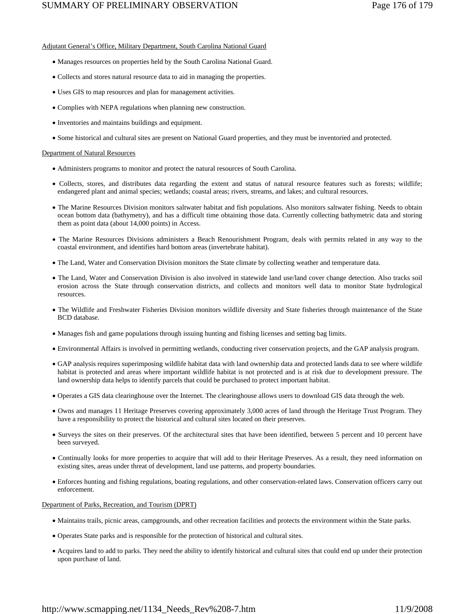# Adjutant General's Office, Military Department, South Carolina National Guard

- Manages resources on properties held by the South Carolina National Guard.
- Collects and stores natural resource data to aid in managing the properties.
- Uses GIS to map resources and plan for management activities.
- Complies with NEPA regulations when planning new construction.
- Inventories and maintains buildings and equipment.
- Some historical and cultural sites are present on National Guard properties, and they must be inventoried and protected.

# Department of Natural Resources

- Administers programs to monitor and protect the natural resources of South Carolina.
- Collects, stores, and distributes data regarding the extent and status of natural resource features such as forests; wildlife; endangered plant and animal species; wetlands; coastal areas; rivers, streams, and lakes; and cultural resources.
- The Marine Resources Division monitors saltwater habitat and fish populations. Also monitors saltwater fishing. Needs to obtain ocean bottom data (bathymetry), and has a difficult time obtaining those data. Currently collecting bathymetric data and storing them as point data (about 14,000 points) in Access.
- The Marine Resources Divisions administers a Beach Renourishment Program, deals with permits related in any way to the coastal environment, and identifies hard bottom areas (invertebrate habitat).
- The Land, Water and Conservation Division monitors the State climate by collecting weather and temperature data.
- The Land, Water and Conservation Division is also involved in statewide land use/land cover change detection. Also tracks soil erosion across the State through conservation districts, and collects and monitors well data to monitor State hydrological resources.
- The Wildlife and Freshwater Fisheries Division monitors wildlife diversity and State fisheries through maintenance of the State BCD database.
- Manages fish and game populations through issuing hunting and fishing licenses and setting bag limits.
- Environmental Affairs is involved in permitting wetlands, conducting river conservation projects, and the GAP analysis program.
- GAP analysis requires superimposing wildlife habitat data with land ownership data and protected lands data to see where wildlife habitat is protected and areas where important wildlife habitat is not protected and is at risk due to development pressure. The land ownership data helps to identify parcels that could be purchased to protect important habitat.
- Operates a GIS data clearinghouse over the Internet. The clearinghouse allows users to download GIS data through the web.
- Owns and manages 11 Heritage Preserves covering approximately 3,000 acres of land through the Heritage Trust Program. They have a responsibility to protect the historical and cultural sites located on their preserves.
- Surveys the sites on their preserves. Of the architectural sites that have been identified, between 5 percent and 10 percent have been surveyed.
- Continually looks for more properties to acquire that will add to their Heritage Preserves. As a result, they need information on existing sites, areas under threat of development, land use patterns, and property boundaries.
- Enforces hunting and fishing regulations, boating regulations, and other conservation-related laws. Conservation officers carry out enforcement.

# Department of Parks, Recreation, and Tourism (DPRT)

- Maintains trails, picnic areas, campgrounds, and other recreation facilities and protects the environment within the State parks.
- Operates State parks and is responsible for the protection of historical and cultural sites.
- Acquires land to add to parks. They need the ability to identify historical and cultural sites that could end up under their protection upon purchase of land.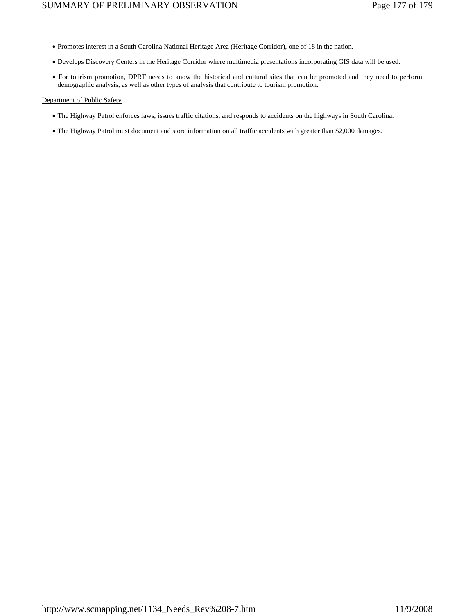- Promotes interest in a South Carolina National Heritage Area (Heritage Corridor), one of 18 in the nation.
- Develops Discovery Centers in the Heritage Corridor where multimedia presentations incorporating GIS data will be used.
- For tourism promotion, DPRT needs to know the historical and cultural sites that can be promoted and they need to perform demographic analysis, as well as other types of analysis that contribute to tourism promotion.

## Department of Public Safety

- The Highway Patrol enforces laws, issues traffic citations, and responds to accidents on the highways in South Carolina.
- The Highway Patrol must document and store information on all traffic accidents with greater than \$2,000 damages.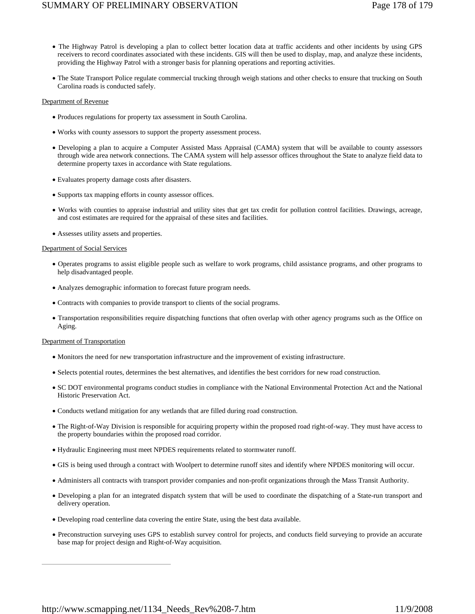- The Highway Patrol is developing a plan to collect better location data at traffic accidents and other incidents by using GPS receivers to record coordinates associated with these incidents. GIS will then be used to display, map, and analyze these incidents, providing the Highway Patrol with a stronger basis for planning operations and reporting activities.
- The State Transport Police regulate commercial trucking through weigh stations and other checks to ensure that trucking on South Carolina roads is conducted safely.

# Department of Revenue

- Produces regulations for property tax assessment in South Carolina.
- Works with county assessors to support the property assessment process.
- Developing a plan to acquire a Computer Assisted Mass Appraisal (CAMA) system that will be available to county assessors through wide area network connections. The CAMA system will help assessor offices throughout the State to analyze field data to determine property taxes in accordance with State regulations.
- Evaluates property damage costs after disasters.
- Supports tax mapping efforts in county assessor offices.
- Works with counties to appraise industrial and utility sites that get tax credit for pollution control facilities. Drawings, acreage, and cost estimates are required for the appraisal of these sites and facilities.
- Assesses utility assets and properties.

# Department of Social Services

- Operates programs to assist eligible people such as welfare to work programs, child assistance programs, and other programs to help disadvantaged people.
- Analyzes demographic information to forecast future program needs.
- Contracts with companies to provide transport to clients of the social programs.
- Transportation responsibilities require dispatching functions that often overlap with other agency programs such as the Office on Aging.

# Department of Transportation

- Monitors the need for new transportation infrastructure and the improvement of existing infrastructure.
- Selects potential routes, determines the best alternatives, and identifies the best corridors for new road construction.
- SC DOT environmental programs conduct studies in compliance with the National Environmental Protection Act and the National Historic Preservation Act.
- Conducts wetland mitigation for any wetlands that are filled during road construction.
- The Right-of-Way Division is responsible for acquiring property within the proposed road right-of-way. They must have access to the property boundaries within the proposed road corridor.
- Hydraulic Engineering must meet NPDES requirements related to stormwater runoff.
- GIS is being used through a contract with Woolpert to determine runoff sites and identify where NPDES monitoring will occur.
- Administers all contracts with transport provider companies and non-profit organizations through the Mass Transit Authority.
- Developing a plan for an integrated dispatch system that will be used to coordinate the dispatching of a State-run transport and delivery operation.
- Developing road centerline data covering the entire State, using the best data available.
- Preconstruction surveying uses GPS to establish survey control for projects, and conducts field surveying to provide an accurate base map for project design and Right-of-Way acquisition.